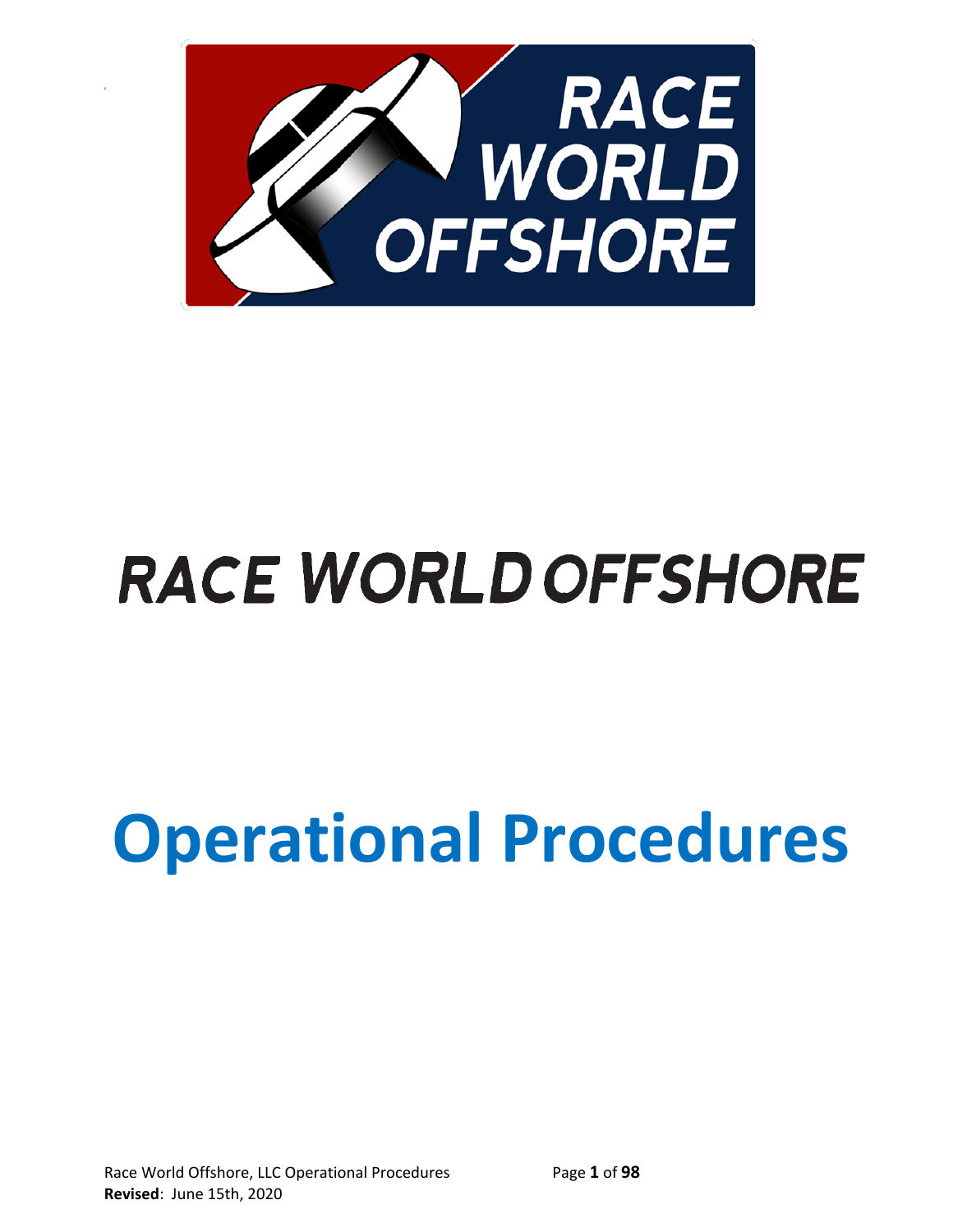

s

# **RACE WORLD OFFSHORE**

# **Operational Procedures**

Race World Offshore, LLC Operational Procedures Page **1** of **98 Revised**: June 15th, 2020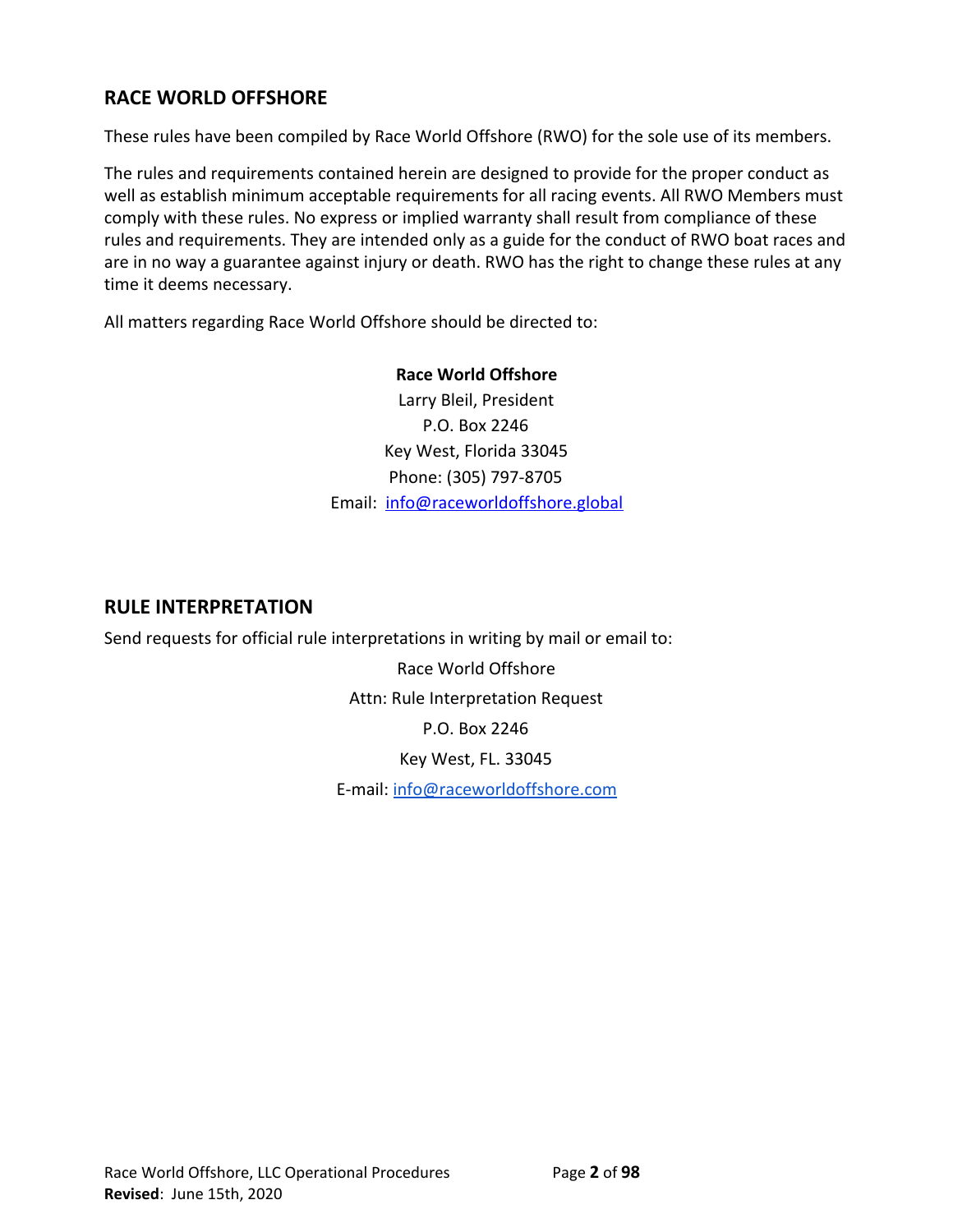# **RACE WORLD OFFSHORE**

These rules have been compiled by Race World Offshore (RWO) for the sole use of its members.

The rules and requirements contained herein are designed to provide for the proper conduct as well as establish minimum acceptable requirements for all racing events. All RWO Members must comply with these rules. No express or implied warranty shall result from compliance of these rules and requirements. They are intended only as a guide for the conduct of RWO boat races and are in no way a guarantee against injury or death. RWO has the right to change these rules at any time it deems necessary.

All matters regarding Race World Offshore should be directed to:

# **Race World Offshore**

Larry Bleil, President P.O. Box 2246 Key West, Florida 33045 Phone: (305) 797-8705 Email: [info@raceworldoffshore.global](mailto:info@raceworldoffshore.global)

# **RULE INTERPRETATION**

Send requests for official rule interpretations in writing by mail or email to:

Race World Offshore Attn: Rule Interpretation Request P.O. Box 2246 Key West, FL. 33045 E-mail: [info@raceworldoffshore.com](mailto:info@raceworldoffshore.com)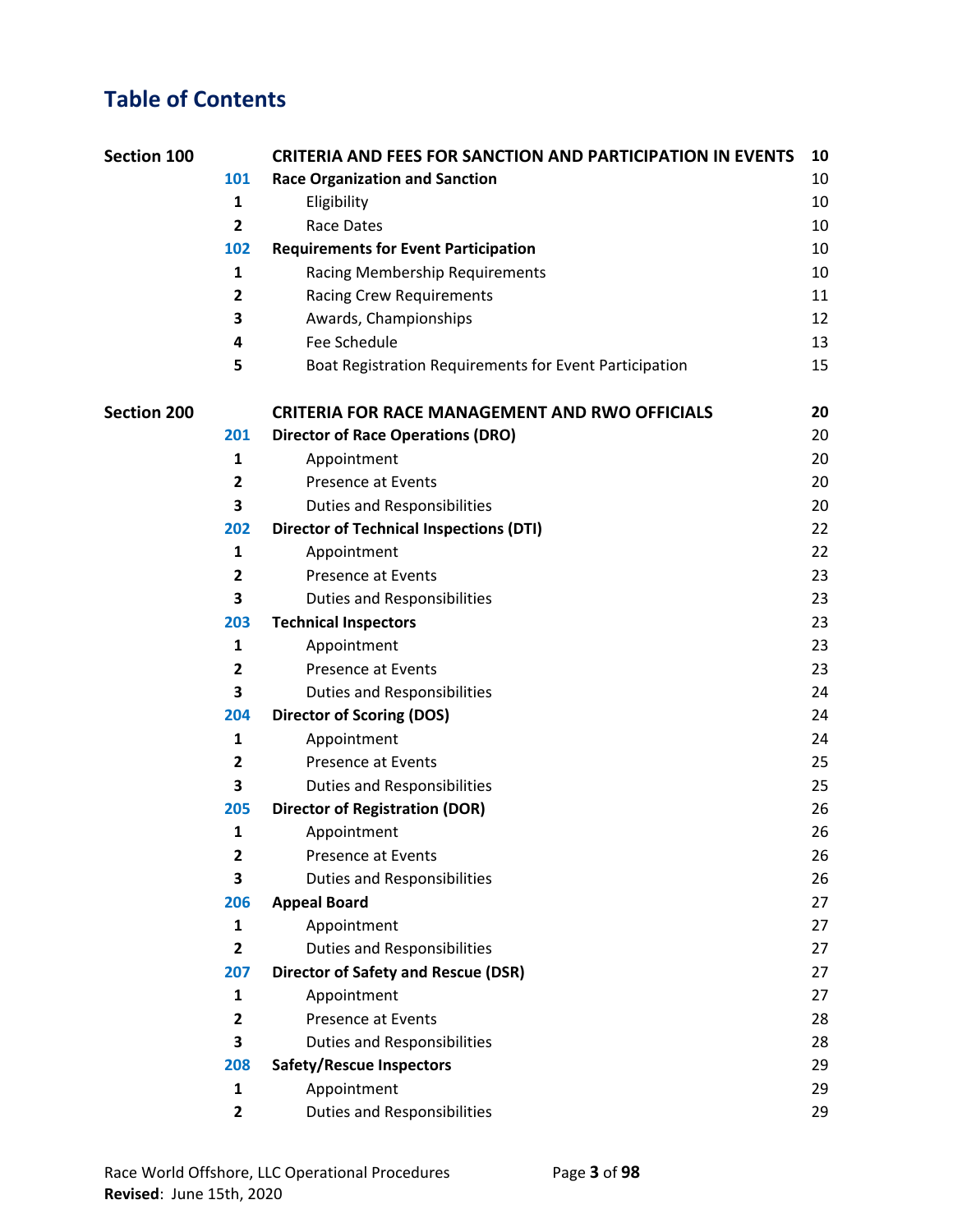# **Table of Contents**

| Section 100        |                         | <b>CRITERIA AND FEES FOR SANCTION AND PARTICIPATION IN EVENTS</b> | 10 |
|--------------------|-------------------------|-------------------------------------------------------------------|----|
|                    | 101                     | <b>Race Organization and Sanction</b>                             | 10 |
|                    | 1                       | Eligibility                                                       | 10 |
|                    | $\mathbf{2}$            | <b>Race Dates</b>                                                 | 10 |
|                    | 102                     | <b>Requirements for Event Participation</b>                       | 10 |
|                    | 1                       | Racing Membership Requirements                                    | 10 |
|                    | $\overline{\mathbf{2}}$ | <b>Racing Crew Requirements</b>                                   | 11 |
|                    | 3                       | Awards, Championships                                             | 12 |
|                    | 4                       | Fee Schedule                                                      | 13 |
|                    | 5                       | Boat Registration Requirements for Event Participation            | 15 |
| <b>Section 200</b> |                         | <b>CRITERIA FOR RACE MANAGEMENT AND RWO OFFICIALS</b>             | 20 |
|                    | 201                     | <b>Director of Race Operations (DRO)</b>                          | 20 |
|                    | 1                       | Appointment                                                       | 20 |
|                    | 2                       | <b>Presence at Events</b>                                         | 20 |
|                    | 3                       | <b>Duties and Responsibilities</b>                                | 20 |
|                    | 202                     | <b>Director of Technical Inspections (DTI)</b>                    | 22 |
|                    | $\mathbf{1}$            | Appointment                                                       | 22 |
|                    | $\overline{2}$          | <b>Presence at Events</b>                                         | 23 |
|                    | 3                       | <b>Duties and Responsibilities</b>                                | 23 |
|                    | 203                     | <b>Technical Inspectors</b>                                       | 23 |
|                    | 1                       | Appointment                                                       | 23 |
|                    | $\mathbf{2}$            | <b>Presence at Events</b>                                         | 23 |
|                    | 3                       | <b>Duties and Responsibilities</b>                                | 24 |
|                    | 204                     | <b>Director of Scoring (DOS)</b>                                  | 24 |
|                    | 1                       | Appointment                                                       | 24 |
|                    | $\mathbf{2}$            | <b>Presence at Events</b>                                         | 25 |
|                    | 3                       | <b>Duties and Responsibilities</b>                                | 25 |
|                    | 205                     | <b>Director of Registration (DOR)</b>                             | 26 |
|                    | 1                       | Appointment                                                       | 26 |
|                    | 2                       | <b>Presence at Events</b>                                         | 26 |
|                    | 3                       | <b>Duties and Responsibilities</b>                                | 26 |
|                    | 206                     | <b>Appeal Board</b>                                               | 27 |
|                    | 1                       | Appointment                                                       | 27 |
|                    | $\overline{2}$          | <b>Duties and Responsibilities</b>                                | 27 |
|                    | 207                     | <b>Director of Safety and Rescue (DSR)</b>                        | 27 |
|                    | 1                       | Appointment                                                       | 27 |
|                    | $\mathbf{2}$            | <b>Presence at Events</b>                                         | 28 |
|                    | 3                       | <b>Duties and Responsibilities</b>                                | 28 |
|                    | 208                     | <b>Safety/Rescue Inspectors</b>                                   | 29 |
|                    | 1                       | Appointment                                                       | 29 |
|                    | $\overline{\mathbf{2}}$ | <b>Duties and Responsibilities</b>                                | 29 |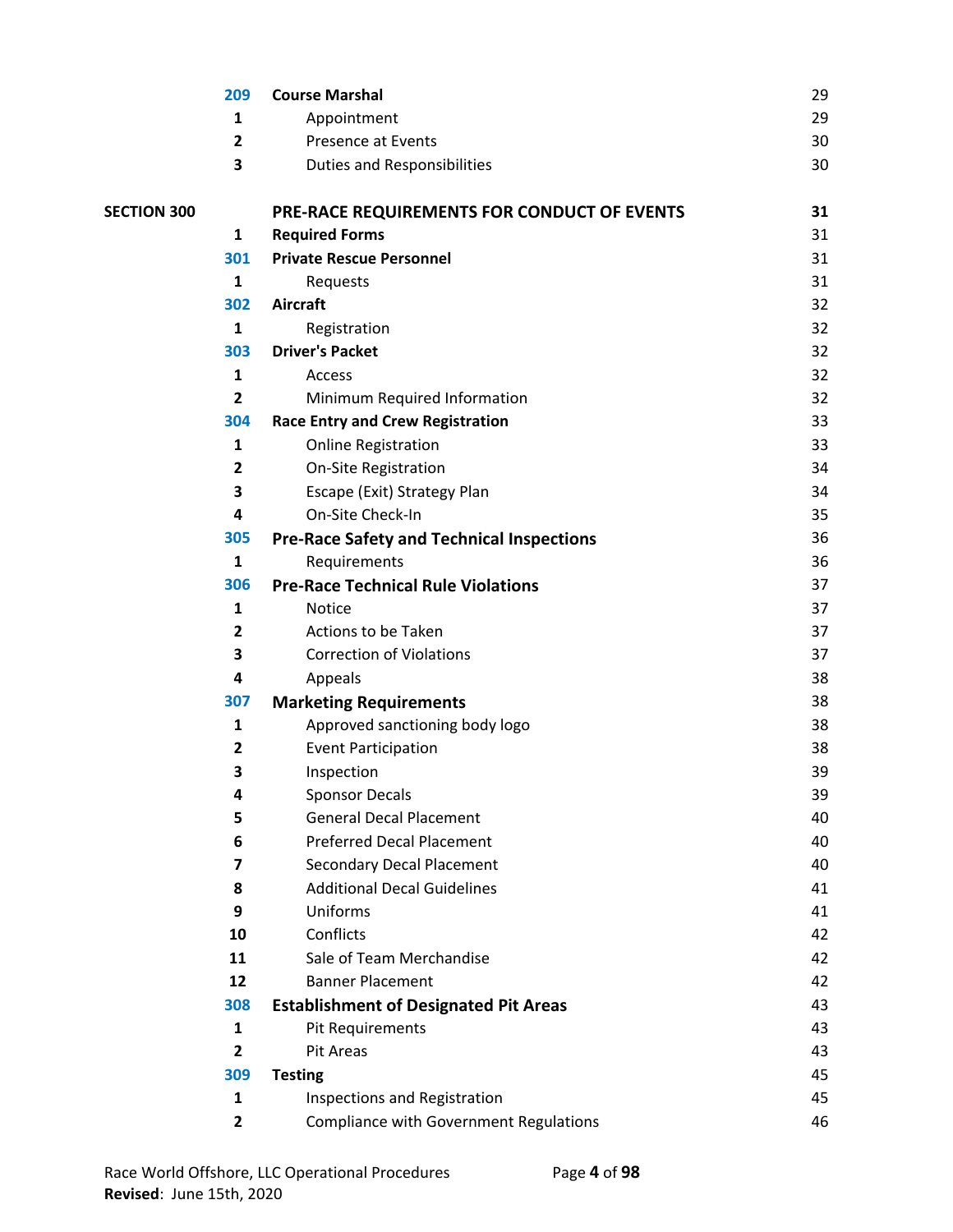|                    | 209                     | <b>Course Marshal</b>                            | 29 |
|--------------------|-------------------------|--------------------------------------------------|----|
|                    | 1                       | Appointment                                      | 29 |
|                    | $\overline{\mathbf{2}}$ | <b>Presence at Events</b>                        | 30 |
|                    | 3                       | <b>Duties and Responsibilities</b>               | 30 |
| <b>SECTION 300</b> |                         | PRE-RACE REQUIREMENTS FOR CONDUCT OF EVENTS      | 31 |
|                    | $\mathbf{1}$            | <b>Required Forms</b>                            | 31 |
|                    | 301                     | <b>Private Rescue Personnel</b>                  | 31 |
|                    | $\mathbf{1}$            | Requests                                         | 31 |
|                    | 302                     | <b>Aircraft</b>                                  | 32 |
|                    | $\mathbf{1}$            | Registration                                     | 32 |
|                    | 303                     | <b>Driver's Packet</b>                           | 32 |
|                    | 1                       | Access                                           | 32 |
|                    | $\overline{2}$          | Minimum Required Information                     | 32 |
|                    | 304                     | <b>Race Entry and Crew Registration</b>          | 33 |
|                    | 1                       | <b>Online Registration</b>                       | 33 |
|                    | 2                       | <b>On-Site Registration</b>                      | 34 |
|                    | 3                       | Escape (Exit) Strategy Plan                      | 34 |
|                    | 4                       | On-Site Check-In                                 | 35 |
|                    | 305                     | <b>Pre-Race Safety and Technical Inspections</b> | 36 |
|                    | $\mathbf{1}$            | Requirements                                     | 36 |
|                    | 306                     | <b>Pre-Race Technical Rule Violations</b>        | 37 |
|                    | $\mathbf{1}$            | <b>Notice</b>                                    | 37 |
|                    | $\mathbf{2}$            | Actions to be Taken                              | 37 |
|                    | 3                       | <b>Correction of Violations</b>                  | 37 |
|                    | 4                       | Appeals                                          | 38 |
|                    | 307                     | <b>Marketing Requirements</b>                    | 38 |
|                    | 1                       | Approved sanctioning body logo                   | 38 |
|                    | $\mathbf{2}$            | <b>Event Participation</b>                       | 38 |
|                    | 3                       | Inspection                                       | 39 |
|                    | 4                       | <b>Sponsor Decals</b>                            | 39 |
|                    | 5                       | <b>General Decal Placement</b>                   | 40 |
|                    | 6                       | <b>Preferred Decal Placement</b>                 | 40 |
|                    | $\overline{\mathbf{z}}$ | <b>Secondary Decal Placement</b>                 | 40 |
|                    | 8                       | <b>Additional Decal Guidelines</b>               | 41 |
|                    | 9                       | Uniforms                                         | 41 |
|                    | 10                      | Conflicts                                        | 42 |
|                    | 11                      | Sale of Team Merchandise                         | 42 |
|                    | 12                      | <b>Banner Placement</b>                          | 42 |
|                    | 308                     | <b>Establishment of Designated Pit Areas</b>     | 43 |
|                    | 1                       | Pit Requirements                                 | 43 |
|                    | $\overline{2}$          | Pit Areas                                        | 43 |
|                    | 309                     | <b>Testing</b>                                   | 45 |
|                    | 1                       | <b>Inspections and Registration</b>              | 45 |
|                    | $\overline{2}$          | <b>Compliance with Government Regulations</b>    | 46 |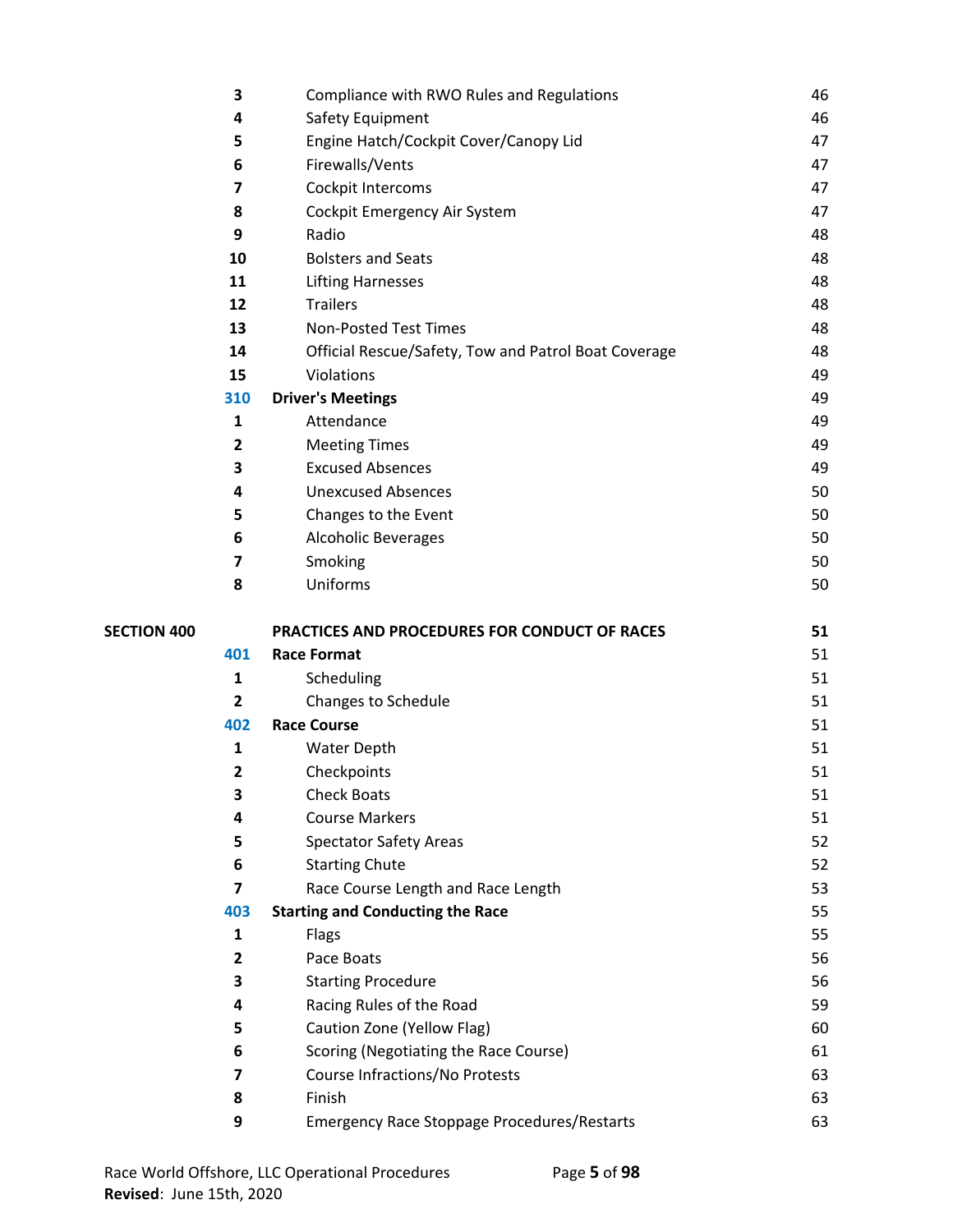|                    | 3                       | Compliance with RWO Rules and Regulations                    | 46       |
|--------------------|-------------------------|--------------------------------------------------------------|----------|
|                    | 4                       | Safety Equipment                                             | 46       |
|                    | 5                       | Engine Hatch/Cockpit Cover/Canopy Lid                        | 47       |
|                    | 6                       | Firewalls/Vents                                              | 47       |
|                    | 7                       | Cockpit Intercoms                                            | 47       |
|                    | 8                       | Cockpit Emergency Air System                                 | 47       |
|                    | 9                       | Radio                                                        | 48       |
|                    | 10                      | <b>Bolsters and Seats</b>                                    | 48       |
|                    | 11                      | <b>Lifting Harnesses</b>                                     | 48       |
|                    | 12                      | <b>Trailers</b>                                              | 48       |
|                    | 13                      | <b>Non-Posted Test Times</b>                                 | 48       |
|                    | 14                      | Official Rescue/Safety, Tow and Patrol Boat Coverage         | 48       |
|                    | 15                      | Violations                                                   | 49       |
|                    | 310                     | <b>Driver's Meetings</b>                                     | 49       |
|                    | 1                       | Attendance                                                   | 49       |
|                    | $\overline{2}$          | <b>Meeting Times</b>                                         | 49       |
|                    | 3                       | <b>Excused Absences</b>                                      | 49       |
|                    | 4                       | <b>Unexcused Absences</b>                                    | 50       |
|                    | 5                       | Changes to the Event                                         | 50       |
|                    | 6                       | <b>Alcoholic Beverages</b>                                   | 50       |
|                    | 7                       | Smoking                                                      | 50       |
|                    | 8                       | Uniforms                                                     | 50       |
|                    |                         |                                                              |          |
| <b>SECTION 400</b> |                         | PRACTICES AND PROCEDURES FOR CONDUCT OF RACES                | 51       |
|                    | 401                     | <b>Race Format</b>                                           | 51       |
|                    | $\mathbf{1}$            | Scheduling                                                   | 51       |
|                    | $\overline{2}$          | <b>Changes to Schedule</b>                                   | 51       |
|                    | 402                     | <b>Race Course</b>                                           | 51       |
|                    | $\mathbf{1}$            | <b>Water Depth</b>                                           | 51       |
|                    | $\overline{2}$          | Checkpoints                                                  | 51       |
|                    | 3                       | <b>Check Boats</b>                                           | 51       |
|                    | 4                       | <b>Course Markers</b>                                        | 51       |
|                    | 5                       | <b>Spectator Safety Areas</b>                                | 52       |
|                    | 6                       | <b>Starting Chute</b>                                        | 52       |
|                    | 7                       | Race Course Length and Race Length                           | 53       |
|                    | 403                     | <b>Starting and Conducting the Race</b>                      | 55       |
|                    | 1                       | Flags                                                        | 55       |
|                    | $\overline{\mathbf{2}}$ | Pace Boats                                                   | 56       |
|                    | 3                       | <b>Starting Procedure</b>                                    | 56       |
|                    | 4                       | Racing Rules of the Road                                     | 59       |
|                    | 5                       | Caution Zone (Yellow Flag)                                   | 60       |
|                    | 6                       | Scoring (Negotiating the Race Course)                        | 61       |
|                    | 7                       | Course Infractions/No Protests                               | 63       |
|                    | 8<br>9                  | Finish<br><b>Emergency Race Stoppage Procedures/Restarts</b> | 63<br>63 |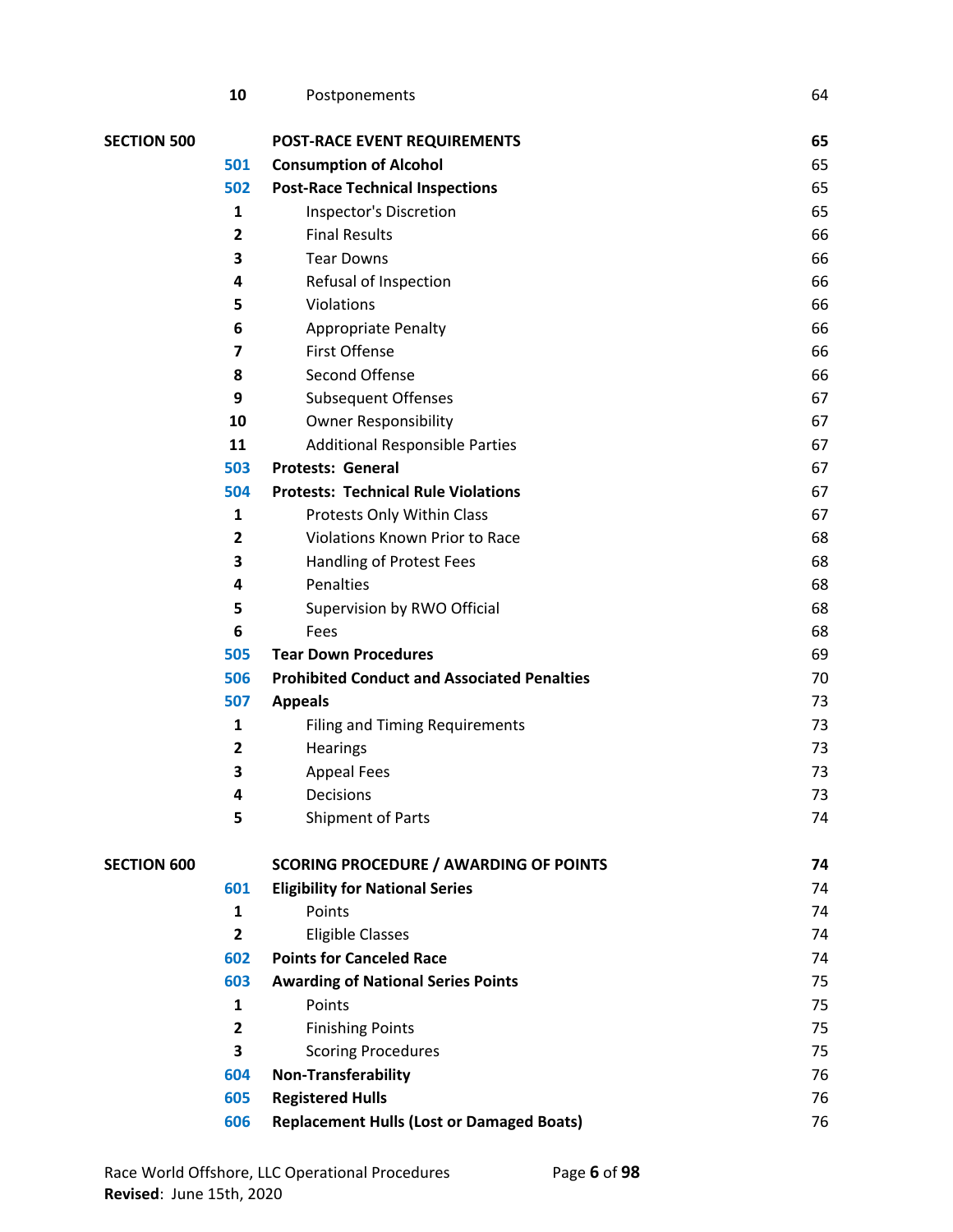|                    | 10                      | Postponements                                      | 64 |
|--------------------|-------------------------|----------------------------------------------------|----|
| <b>SECTION 500</b> |                         | <b>POST-RACE EVENT REQUIREMENTS</b>                | 65 |
|                    | 501                     | <b>Consumption of Alcohol</b>                      | 65 |
|                    | 502                     | <b>Post-Race Technical Inspections</b>             | 65 |
|                    | 1                       | Inspector's Discretion                             | 65 |
|                    | $\mathbf{2}$            | <b>Final Results</b>                               | 66 |
|                    | 3                       | <b>Tear Downs</b>                                  | 66 |
|                    | 4                       | Refusal of Inspection                              | 66 |
|                    | 5                       | Violations                                         | 66 |
|                    | 6                       | <b>Appropriate Penalty</b>                         | 66 |
|                    | $\overline{\mathbf{z}}$ | <b>First Offense</b>                               | 66 |
|                    | 8                       | Second Offense                                     | 66 |
|                    | 9                       | <b>Subsequent Offenses</b>                         | 67 |
|                    | 10                      | <b>Owner Responsibility</b>                        | 67 |
|                    | 11                      | <b>Additional Responsible Parties</b>              | 67 |
|                    | 503                     | Protests: General                                  | 67 |
|                    | 504                     | <b>Protests: Technical Rule Violations</b>         | 67 |
|                    | 1                       | Protests Only Within Class                         | 67 |
|                    | $\mathbf{2}$            | <b>Violations Known Prior to Race</b>              | 68 |
|                    | 3                       | Handling of Protest Fees                           | 68 |
|                    | 4                       | Penalties                                          | 68 |
|                    | 5                       | Supervision by RWO Official                        | 68 |
|                    | 6                       | Fees                                               | 68 |
|                    | 505                     | <b>Tear Down Procedures</b>                        | 69 |
|                    | 506                     | <b>Prohibited Conduct and Associated Penalties</b> | 70 |
|                    | 507                     | <b>Appeals</b>                                     | 73 |
|                    | 1                       | <b>Filing and Timing Requirements</b>              | 73 |
|                    | $\overline{\mathbf{2}}$ | Hearings                                           | 73 |
|                    | 3                       | <b>Appeal Fees</b>                                 | 73 |
|                    | 4                       | Decisions                                          | 73 |
|                    | 5                       | Shipment of Parts                                  | 74 |
| <b>SECTION 600</b> |                         | <b>SCORING PROCEDURE / AWARDING OF POINTS</b>      | 74 |
|                    | 601                     | <b>Eligibility for National Series</b>             | 74 |
|                    | 1                       | Points                                             | 74 |
|                    | $\overline{2}$          | <b>Eligible Classes</b>                            | 74 |
|                    | 602                     | <b>Points for Canceled Race</b>                    | 74 |
|                    | 603                     | <b>Awarding of National Series Points</b>          | 75 |
|                    | 1                       | Points                                             | 75 |
|                    | $\overline{2}$          | <b>Finishing Points</b>                            | 75 |
|                    | 3                       | <b>Scoring Procedures</b>                          | 75 |
|                    | 604                     | Non-Transferability                                | 76 |
|                    | 605                     | <b>Registered Hulls</b>                            | 76 |
|                    | 606                     | <b>Replacement Hulls (Lost or Damaged Boats)</b>   | 76 |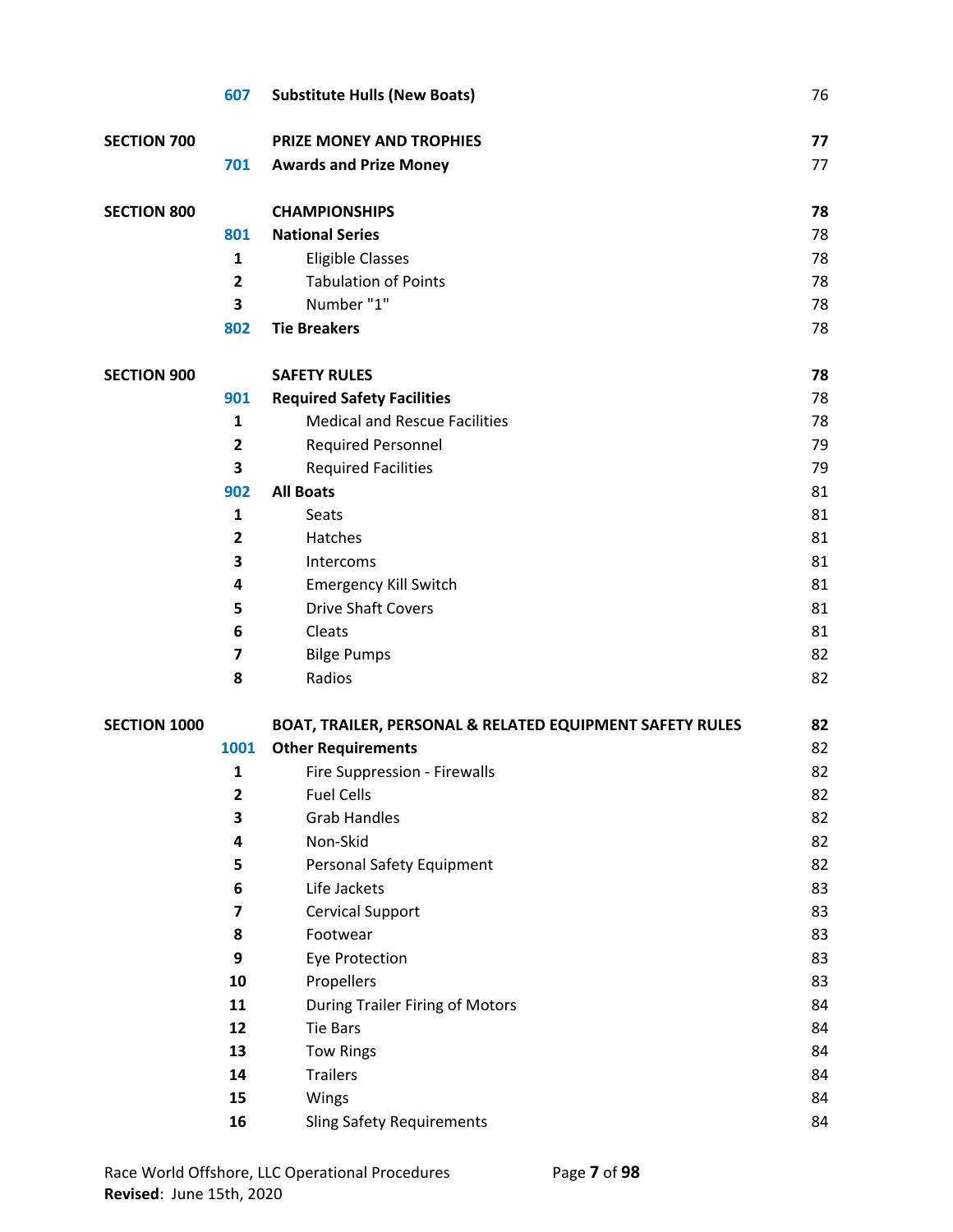|                     | 607                     | <b>Substitute Hulls (New Boats)</b>                      | 76 |
|---------------------|-------------------------|----------------------------------------------------------|----|
| <b>SECTION 700</b>  |                         | <b>PRIZE MONEY AND TROPHIES</b>                          | 77 |
|                     | 701                     | <b>Awards and Prize Money</b>                            | 77 |
| <b>SECTION 800</b>  |                         | <b>CHAMPIONSHIPS</b>                                     | 78 |
|                     | 801                     | <b>National Series</b>                                   | 78 |
|                     | $\mathbf{1}$            | <b>Eligible Classes</b>                                  | 78 |
|                     | $\overline{2}$          | <b>Tabulation of Points</b>                              | 78 |
|                     | 3                       | Number "1"                                               | 78 |
|                     | 802                     | <b>Tie Breakers</b>                                      | 78 |
| <b>SECTION 900</b>  |                         | <b>SAFETY RULES</b>                                      | 78 |
|                     | 901                     | <b>Required Safety Facilities</b>                        | 78 |
|                     | 1                       | <b>Medical and Rescue Facilities</b>                     | 78 |
|                     | $\overline{\mathbf{2}}$ | <b>Required Personnel</b>                                | 79 |
|                     | 3                       | <b>Required Facilities</b>                               | 79 |
|                     | 902                     | <b>All Boats</b>                                         | 81 |
|                     | 1                       | Seats                                                    | 81 |
|                     | $\overline{\mathbf{2}}$ | Hatches                                                  | 81 |
|                     | 3                       | Intercoms                                                | 81 |
|                     | 4                       | <b>Emergency Kill Switch</b>                             | 81 |
|                     | 5                       | <b>Drive Shaft Covers</b>                                | 81 |
|                     | 6                       | Cleats                                                   | 81 |
|                     | $\overline{\mathbf{z}}$ | <b>Bilge Pumps</b>                                       | 82 |
|                     | 8                       | Radios                                                   | 82 |
| <b>SECTION 1000</b> |                         | BOAT, TRAILER, PERSONAL & RELATED EQUIPMENT SAFETY RULES | 82 |
|                     | 1001                    | <b>Other Requirements</b>                                | 82 |
|                     | 1                       | Fire Suppression - Firewalls                             | 82 |
|                     | $\mathbf{2}$            | <b>Fuel Cells</b>                                        | 82 |
|                     | 3                       | <b>Grab Handles</b>                                      | 82 |
|                     | 4                       | Non-Skid                                                 | 82 |
|                     | 5                       | <b>Personal Safety Equipment</b>                         | 82 |
|                     | 6                       | Life Jackets                                             | 83 |
|                     | 7                       | <b>Cervical Support</b>                                  | 83 |
|                     | 8                       | Footwear                                                 | 83 |
|                     | 9                       | <b>Eye Protection</b>                                    | 83 |
|                     | 10                      | Propellers                                               | 83 |
|                     | 11                      | <b>During Trailer Firing of Motors</b>                   | 84 |
|                     | 12                      | Tie Bars                                                 | 84 |
|                     | 13                      | <b>Tow Rings</b>                                         | 84 |
|                     | 14                      | <b>Trailers</b>                                          | 84 |
|                     | 15                      | Wings                                                    | 84 |
|                     | 16                      | <b>Sling Safety Requirements</b>                         | 84 |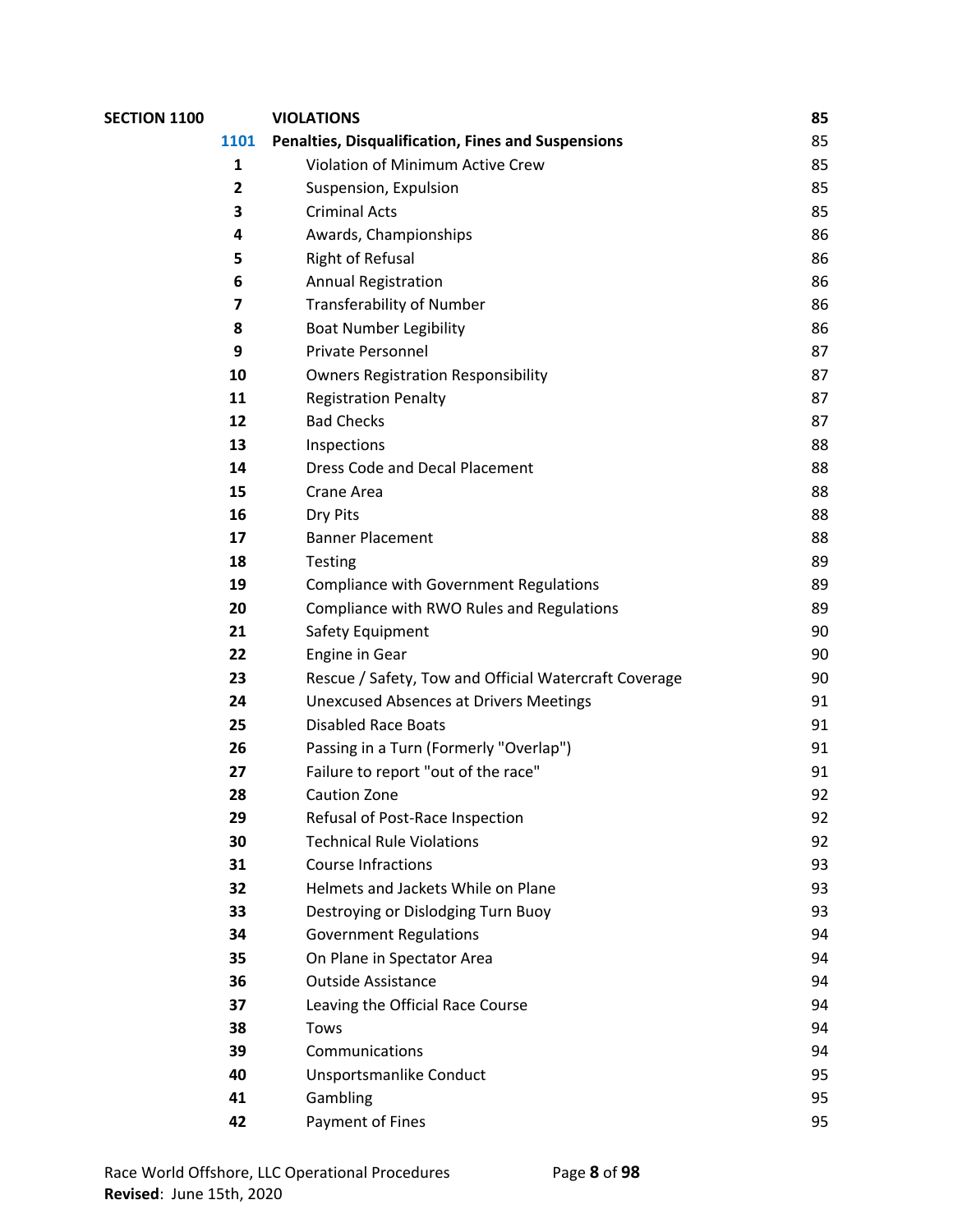| <b>SECTION 1100</b> |                         | <b>VIOLATIONS</b>                                         | 85 |
|---------------------|-------------------------|-----------------------------------------------------------|----|
|                     | 1101                    | <b>Penalties, Disqualification, Fines and Suspensions</b> | 85 |
|                     | 1                       | Violation of Minimum Active Crew                          | 85 |
|                     | $\overline{\mathbf{2}}$ | Suspension, Expulsion                                     | 85 |
|                     | 3                       | <b>Criminal Acts</b>                                      | 85 |
|                     | 4                       | Awards, Championships                                     | 86 |
|                     | 5                       | <b>Right of Refusal</b>                                   | 86 |
|                     | 6                       | <b>Annual Registration</b>                                | 86 |
|                     | 7                       | <b>Transferability of Number</b>                          | 86 |
|                     | 8                       | <b>Boat Number Legibility</b>                             | 86 |
|                     | 9                       | Private Personnel                                         | 87 |
|                     | 10                      | <b>Owners Registration Responsibility</b>                 | 87 |
|                     | 11                      | <b>Registration Penalty</b>                               | 87 |
|                     | 12                      | <b>Bad Checks</b>                                         | 87 |
|                     | 13                      | Inspections                                               | 88 |
|                     | 14                      | <b>Dress Code and Decal Placement</b>                     | 88 |
|                     | 15                      | Crane Area                                                | 88 |
|                     | 16                      | Dry Pits                                                  | 88 |
|                     | 17                      | <b>Banner Placement</b>                                   | 88 |
|                     | 18                      | <b>Testing</b>                                            | 89 |
|                     | 19                      | <b>Compliance with Government Regulations</b>             | 89 |
|                     | 20                      | Compliance with RWO Rules and Regulations                 | 89 |
|                     | 21                      | Safety Equipment                                          | 90 |
|                     | 22                      | Engine in Gear                                            | 90 |
|                     | 23                      | Rescue / Safety, Tow and Official Watercraft Coverage     | 90 |
|                     | 24                      | <b>Unexcused Absences at Drivers Meetings</b>             | 91 |
|                     | 25                      | <b>Disabled Race Boats</b>                                | 91 |
|                     | 26                      | Passing in a Turn (Formerly "Overlap")                    | 91 |
|                     | 27                      | Failure to report "out of the race"                       | 91 |
|                     | 28                      | <b>Caution Zone</b>                                       | 92 |
|                     | 29                      | Refusal of Post-Race Inspection                           | 92 |
|                     | 30                      | <b>Technical Rule Violations</b>                          | 92 |
|                     | 31                      | <b>Course Infractions</b>                                 | 93 |
|                     | 32                      | Helmets and Jackets While on Plane                        | 93 |
|                     | 33                      | Destroying or Dislodging Turn Buoy                        | 93 |
|                     | 34                      | <b>Government Regulations</b>                             | 94 |
|                     | 35                      | On Plane in Spectator Area                                | 94 |
|                     | 36                      | <b>Outside Assistance</b>                                 | 94 |
|                     | 37                      | Leaving the Official Race Course                          | 94 |
|                     | 38                      | Tows                                                      | 94 |
|                     | 39                      | Communications                                            | 94 |
|                     | 40                      | Unsportsmanlike Conduct                                   | 95 |
|                     | 41                      | Gambling                                                  | 95 |
|                     | 42                      | Payment of Fines                                          | 95 |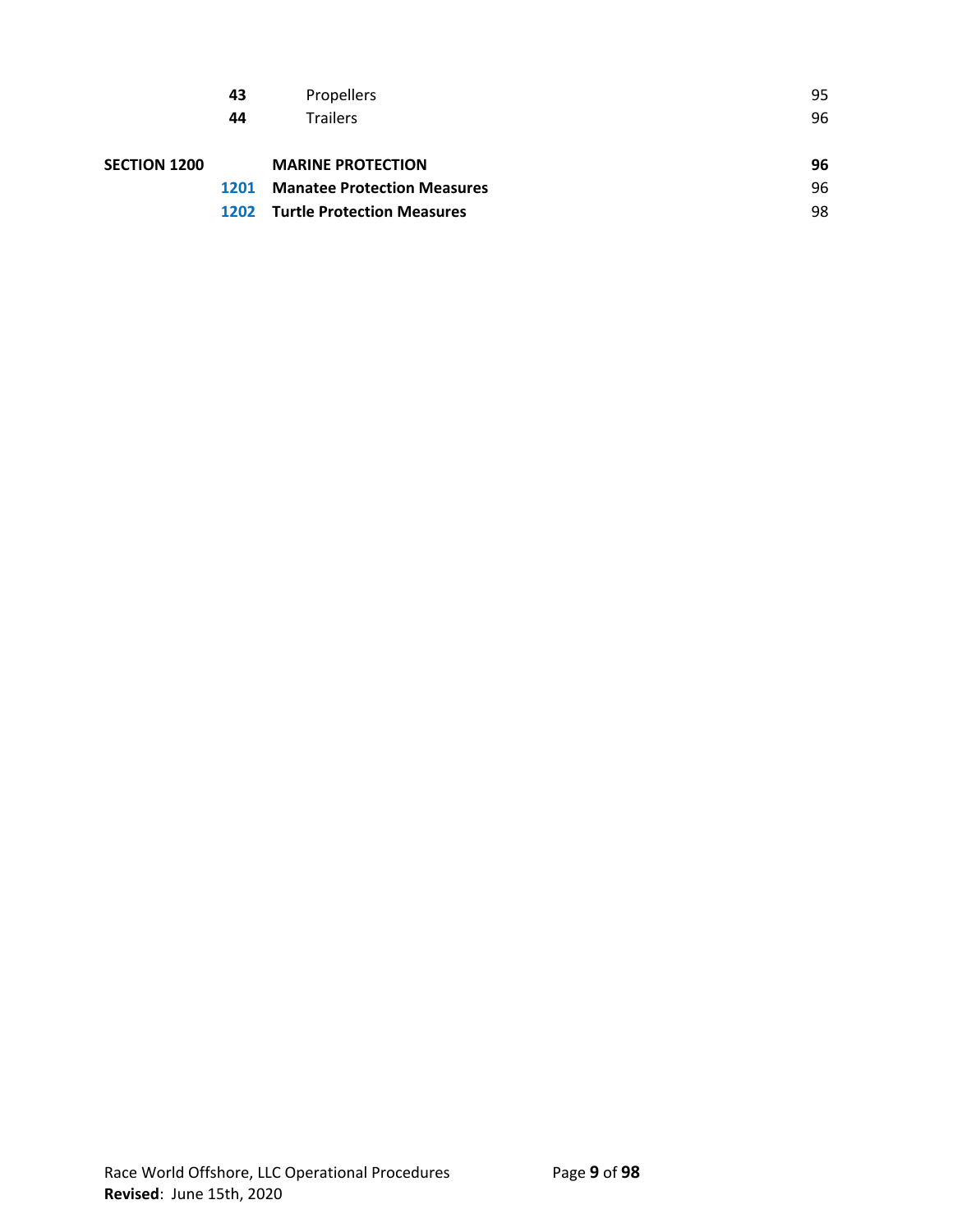|                     | 43 | <b>Propellers</b>                      | 95 |
|---------------------|----|----------------------------------------|----|
|                     | 44 | <b>Trailers</b>                        | 96 |
|                     |    |                                        |    |
| <b>SECTION 1200</b> |    | <b>MARINE PROTECTION</b>               | 96 |
|                     |    | 1201 Manatee Protection Measures       | 96 |
|                     |    | <b>1202</b> Turtle Protection Measures | 98 |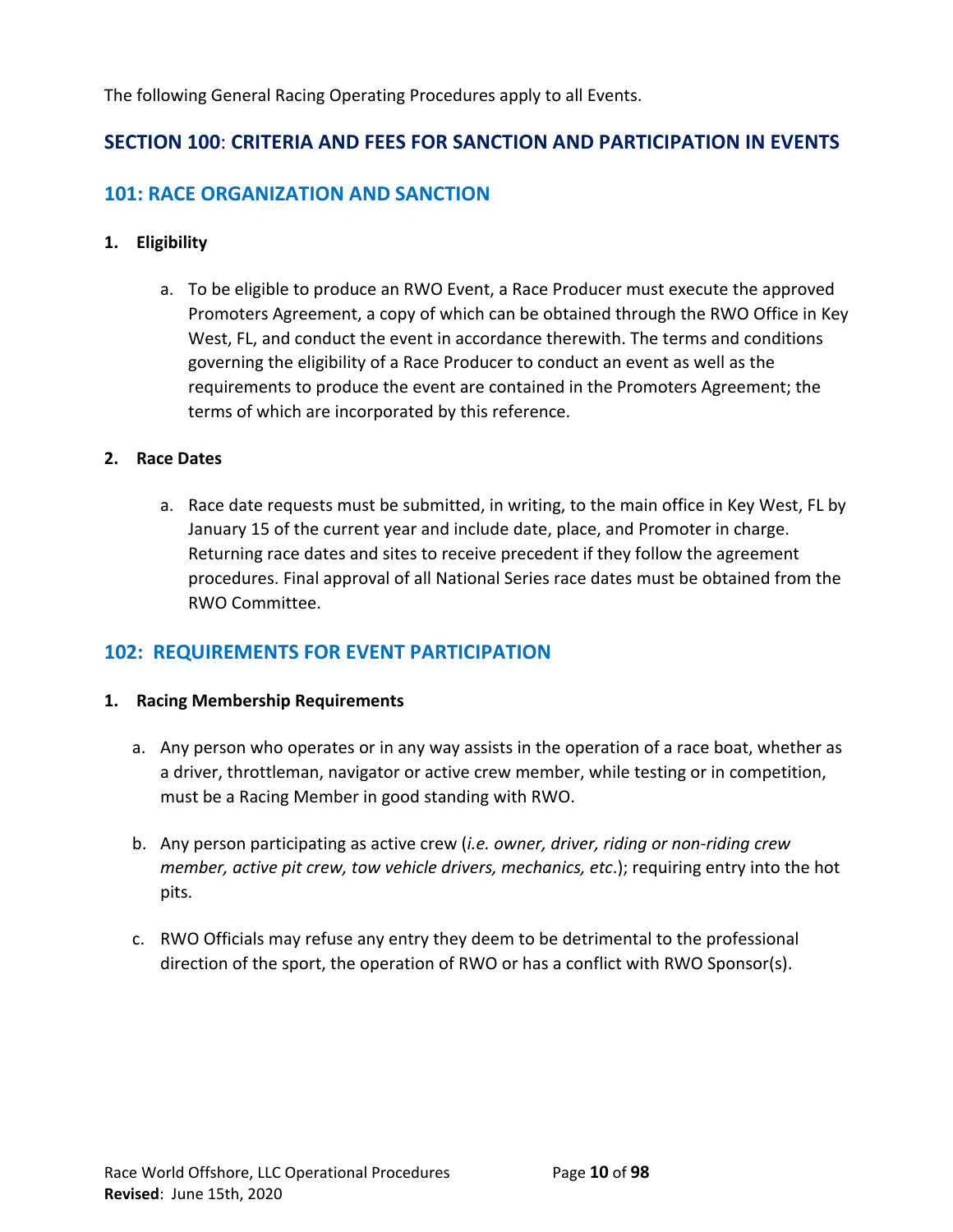The following General Racing Operating Procedures apply to all Events.

# **SECTION 100**: **CRITERIA AND FEES FOR SANCTION AND PARTICIPATION IN EVENTS**

# **101: RACE ORGANIZATION AND SANCTION**

# **1. Eligibility**

a. To be eligible to produce an RWO Event, a Race Producer must execute the approved Promoters Agreement, a copy of which can be obtained through the RWO Office in Key West, FL, and conduct the event in accordance therewith. The terms and conditions governing the eligibility of a Race Producer to conduct an event as well as the requirements to produce the event are contained in the Promoters Agreement; the terms of which are incorporated by this reference.

# **2. Race Dates**

a. Race date requests must be submitted, in writing, to the main office in Key West, FL by January 15 of the current year and include date, place, and Promoter in charge. Returning race dates and sites to receive precedent if they follow the agreement procedures. Final approval of all National Series race dates must be obtained from the RWO Committee.

# **102: REQUIREMENTS FOR EVENT PARTICIPATION**

## **1. Racing Membership Requirements**

- a. Any person who operates or in any way assists in the operation of a race boat, whether as a driver, throttleman, navigator or active crew member, while testing or in competition, must be a Racing Member in good standing with RWO.
- b. Any person participating as active crew (*i.e. owner, driver, riding or non-riding crew member, active pit crew, tow vehicle drivers, mechanics, etc*.); requiring entry into the hot pits.
- c. RWO Officials may refuse any entry they deem to be detrimental to the professional direction of the sport, the operation of RWO or has a conflict with RWO Sponsor(s).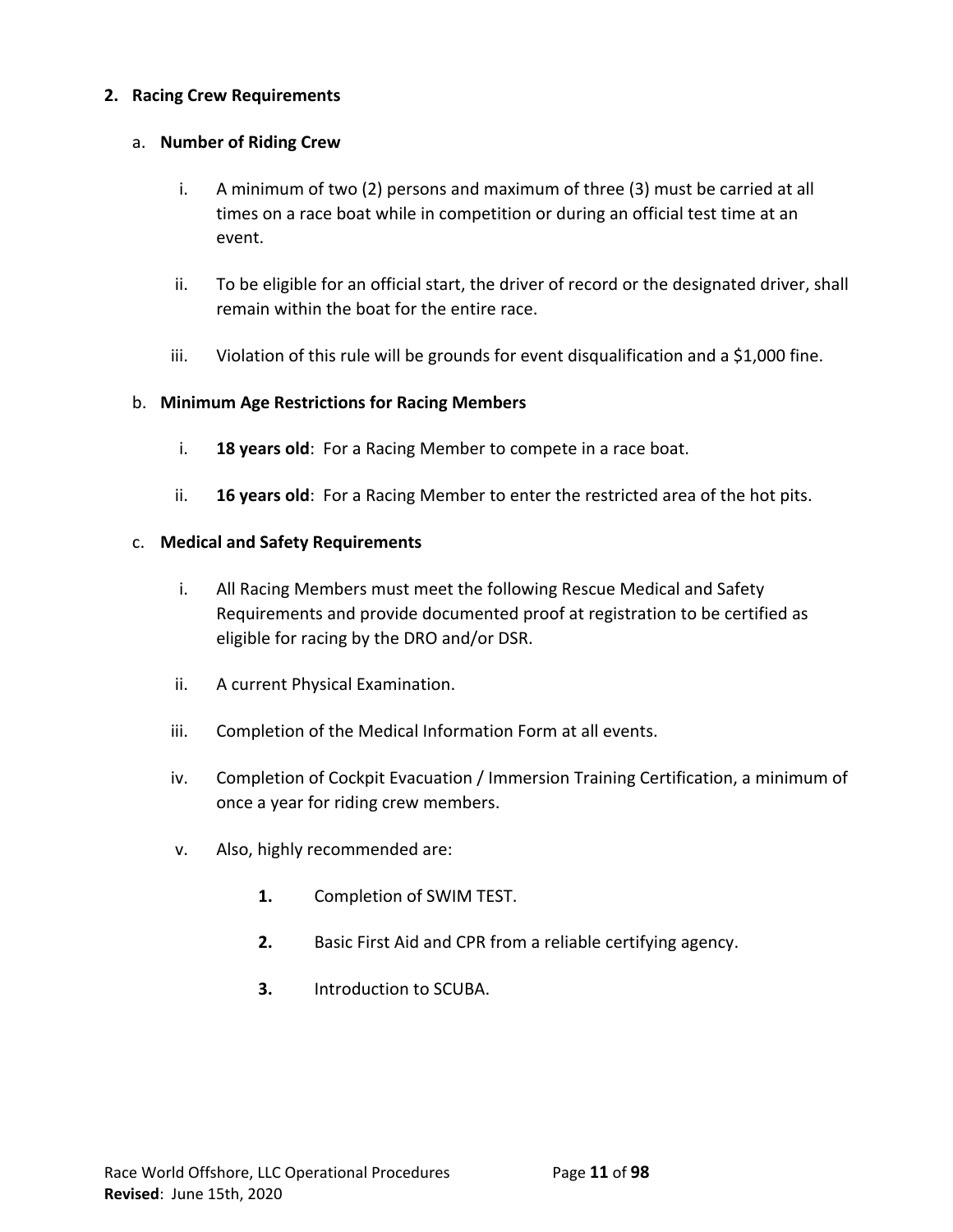# **2. Racing Crew Requirements**

## a. **Number of Riding Crew**

- i. A minimum of two (2) persons and maximum of three (3) must be carried at all times on a race boat while in competition or during an official test time at an event.
- ii. To be eligible for an official start, the driver of record or the designated driver, shall remain within the boat for the entire race.
- iii. Violation of this rule will be grounds for event disqualification and a \$1,000 fine.

# b. **Minimum Age Restrictions for Racing Members**

- i. **18 years old**: For a Racing Member to compete in a race boat.
- ii. **16 years old**: For a Racing Member to enter the restricted area of the hot pits.

## c. **Medical and Safety Requirements**

- i. All Racing Members must meet the following Rescue Medical and Safety Requirements and provide documented proof at registration to be certified as eligible for racing by the DRO and/or DSR.
- ii. A current Physical Examination.
- iii. Completion of the Medical Information Form at all events.
- iv. Completion of Cockpit Evacuation / Immersion Training Certification, a minimum of once a year for riding crew members.
- v. Also, highly recommended are:
	- **1.** Completion of SWIM TEST.
	- **2.** Basic First Aid and CPR from a reliable certifying agency.
	- **3.** Introduction to SCUBA.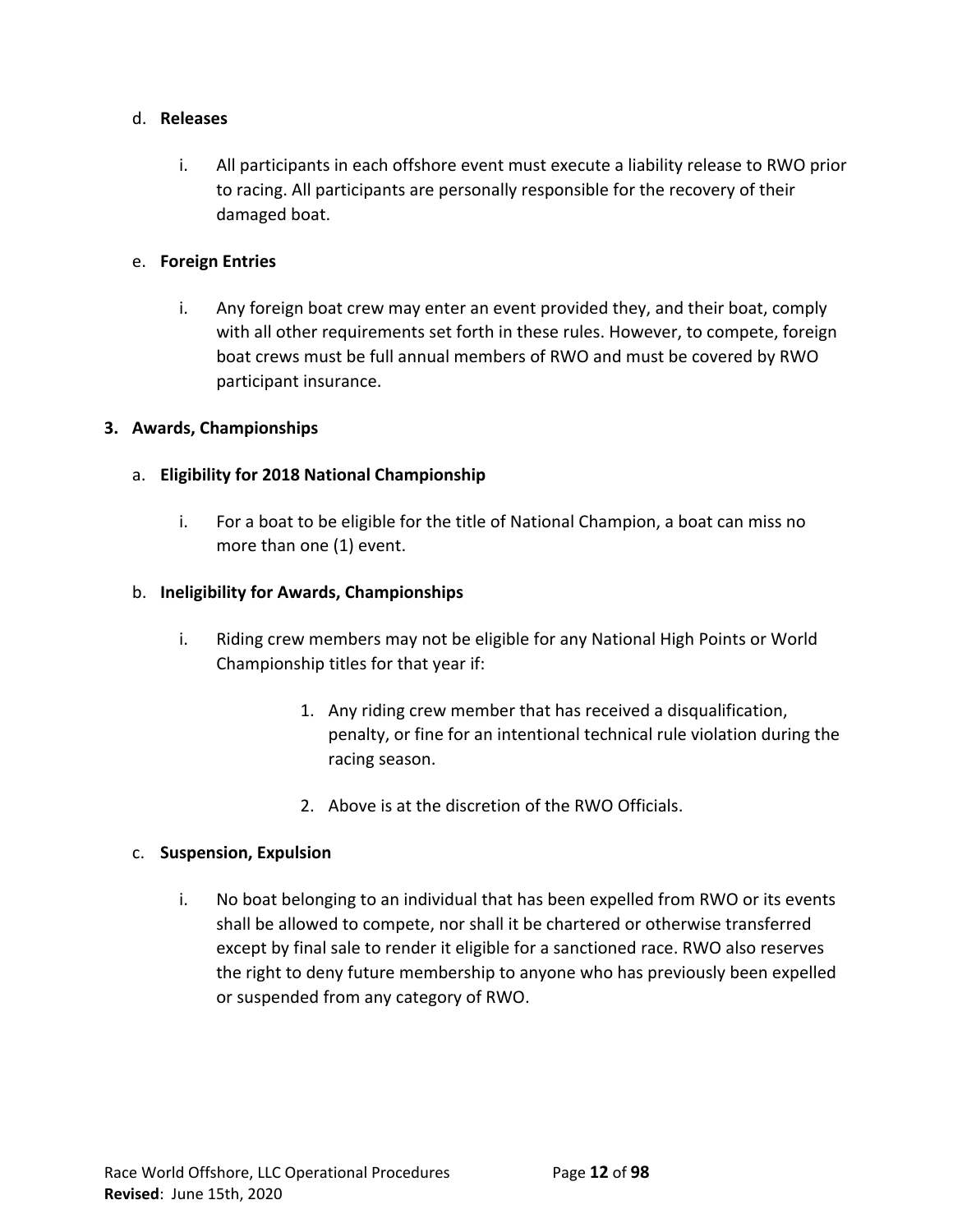## d. **Releases**

i. All participants in each offshore event must execute a liability release to RWO prior to racing. All participants are personally responsible for the recovery of their damaged boat.

# e. **Foreign Entries**

i. Any foreign boat crew may enter an event provided they, and their boat, comply with all other requirements set forth in these rules. However, to compete, foreign boat crews must be full annual members of RWO and must be covered by RWO participant insurance.

# **3. Awards, Championships**

# a. **Eligibility for 2018 National Championship**

i. For a boat to be eligible for the title of National Champion, a boat can miss no more than one (1) event.

# b. **Ineligibility for Awards, Championships**

- i. Riding crew members may not be eligible for any National High Points or World Championship titles for that year if:
	- 1. Any riding crew member that has received a disqualification, penalty, or fine for an intentional technical rule violation during the racing season.
	- 2. Above is at the discretion of the RWO Officials.

## c. **Suspension, Expulsion**

i. No boat belonging to an individual that has been expelled from RWO or its events shall be allowed to compete, nor shall it be chartered or otherwise transferred except by final sale to render it eligible for a sanctioned race. RWO also reserves the right to deny future membership to anyone who has previously been expelled or suspended from any category of RWO.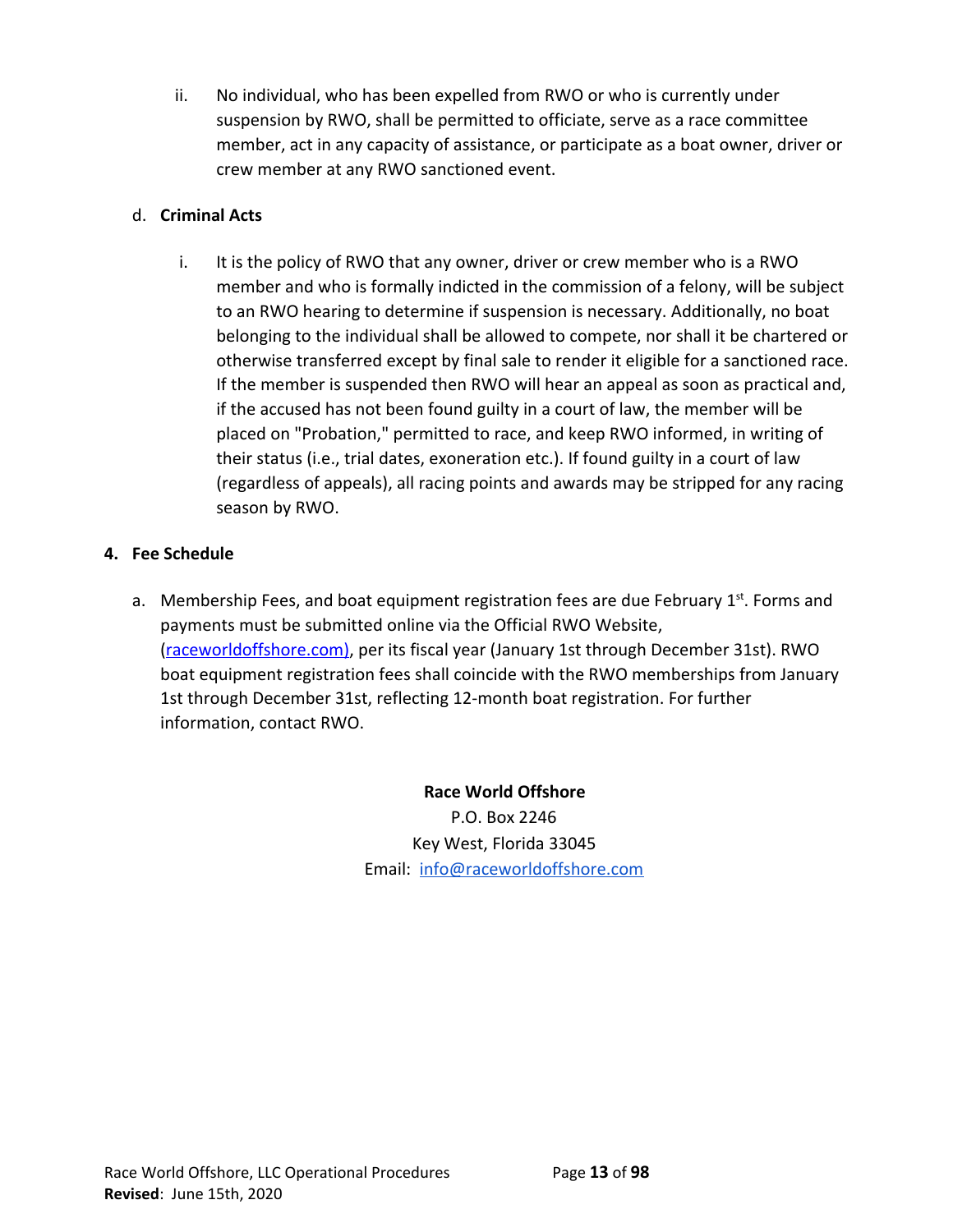ii. No individual, who has been expelled from RWO or who is currently under suspension by RWO, shall be permitted to officiate, serve as a race committee member, act in any capacity of assistance, or participate as a boat owner, driver or crew member at any RWO sanctioned event.

# d. **Criminal Acts**

i. It is the policy of RWO that any owner, driver or crew member who is a RWO member and who is formally indicted in the commission of a felony, will be subject to an RWO hearing to determine if suspension is necessary. Additionally, no boat belonging to the individual shall be allowed to compete, nor shall it be chartered or otherwise transferred except by final sale to render it eligible for a sanctioned race. If the member is suspended then RWO will hear an appeal as soon as practical and, if the accused has not been found guilty in a court of law, the member will be placed on "Probation," permitted to race, and keep RWO informed, in writing of their status (i.e., trial dates, exoneration etc.). If found guilty in a court of law (regardless of appeals), all racing points and awards may be stripped for any racing season by RWO.

# **4. Fee Schedule**

a. Membership Fees, and boat equipment registration fees are due February 1<sup>st</sup>. Forms and payments must be submitted online via the Official RWO Website, [\(raceworldoffshore.c](http://www.raceworldoffshore.global/)om), per its fiscal year (January 1st through December 31st). RWO boat equipment registration fees shall coincide with the RWO memberships from January 1st through December 31st, reflecting 12-month boat registration. For further information, contact RWO.

> **Race World Offshore** P.O. Box 2246 Key West, Florida 33045 Email: [info@raceworldoffshore.com](mailto:info@raceworldoffshore.com)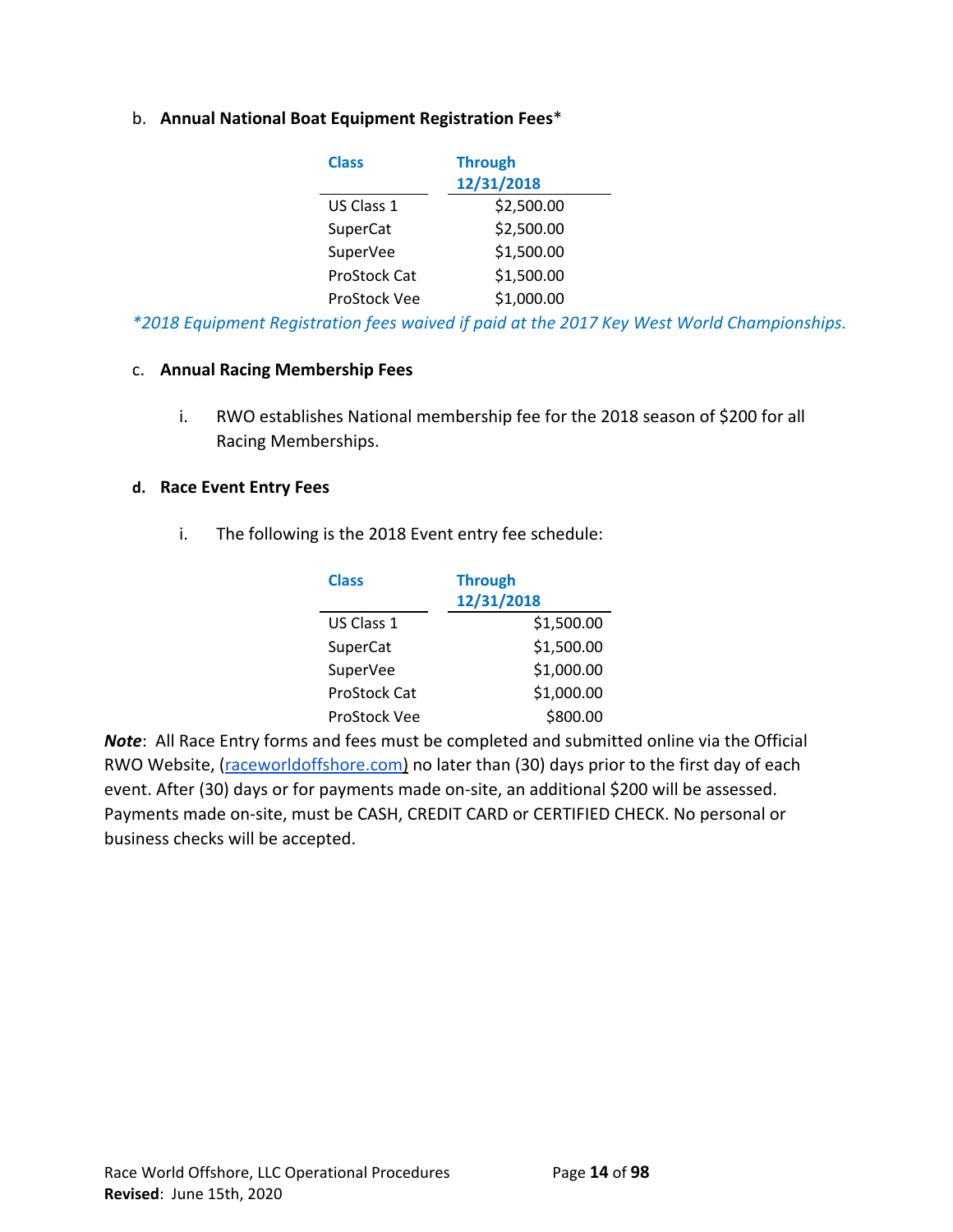# b. **Annual National Boat Equipment Registration Fees**\*

| <b>Class</b> | <b>Through</b> |
|--------------|----------------|
|              | 12/31/2018     |
| US Class 1   | \$2,500.00     |
| SuperCat     | \$2,500.00     |
| SuperVee     | \$1,500.00     |
| ProStock Cat | \$1,500.00     |
| ProStock Vee | \$1,000.00     |

*\*2018 Equipment Registration fees waived if paid at the 2017 Key West World Championships.*

#### c. **Annual Racing Membership Fees**

i. RWO establishes National membership fee for the 2018 season of \$200 for all Racing Memberships.

#### **d. Race Event Entry Fees**

i. The following is the 2018 Event entry fee schedule:

| <b>Class</b> | <b>Through</b> |
|--------------|----------------|
|              | 12/31/2018     |
| US Class 1   | \$1,500.00     |
| SuperCat     | \$1,500.00     |
| SuperVee     | \$1,000.00     |
| ProStock Cat | \$1,000.00     |
| ProStock Vee | \$800.00       |

*Note*: All Race Entry forms and fees must be completed and submitted online via the Official RWO Website, ([raceworldoffshore.com\)](http://www.raceworldoffshore.com/) no later than (30) days prior to the first day of each event. After (30) days or for payments made on-site, an additional \$200 will be assessed. Payments made on-site, must be CASH, CREDIT CARD or CERTIFIED CHECK. No personal or business checks will be accepted.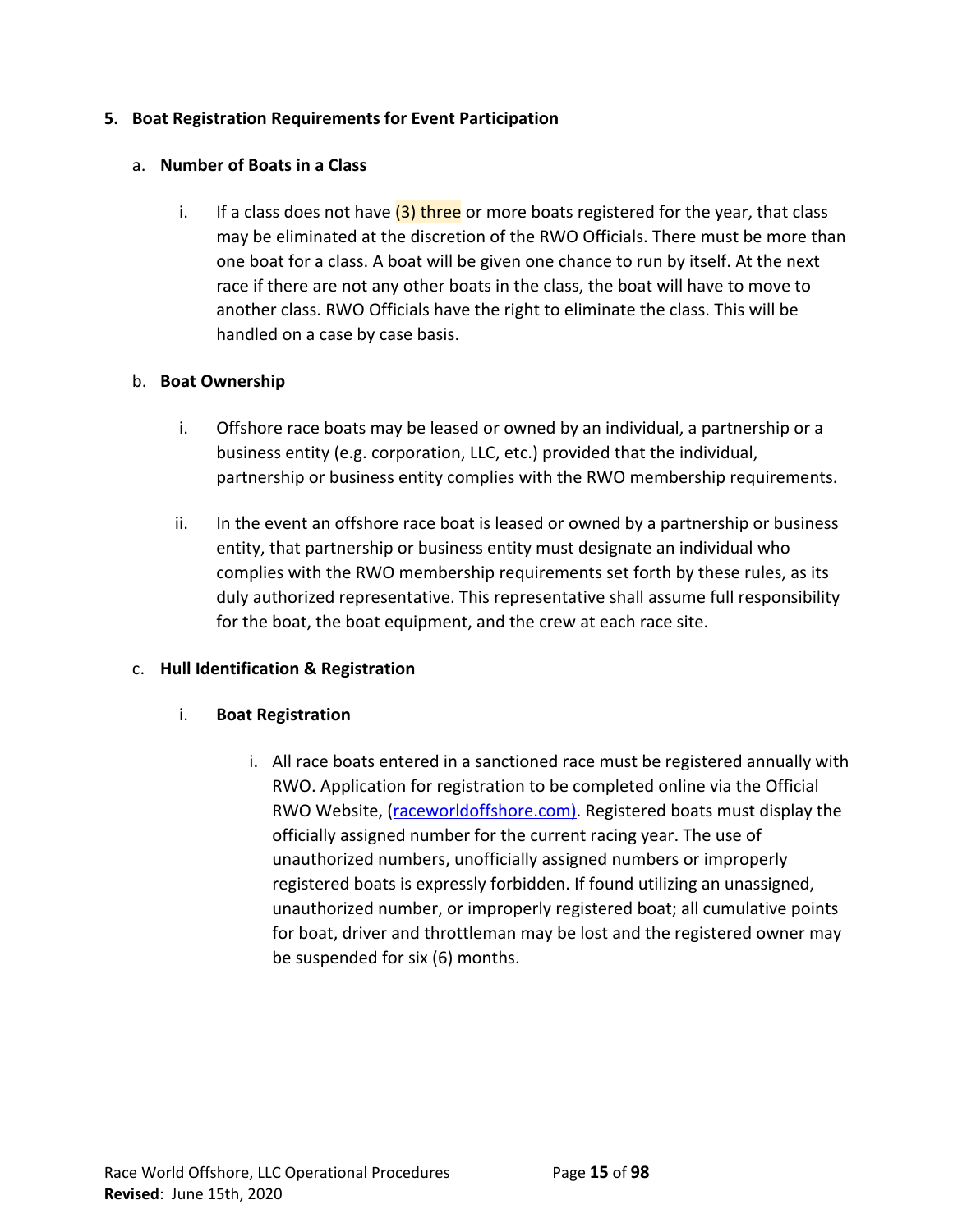# **5. Boat Registration Requirements for Event Participation**

# a. **Number of Boats in a Class**

i. If a class does not have  $(3)$  three or more boats registered for the year, that class may be eliminated at the discretion of the RWO Officials. There must be more than one boat for a class. A boat will be given one chance to run by itself. At the next race if there are not any other boats in the class, the boat will have to move to another class. RWO Officials have the right to eliminate the class. This will be handled on a case by case basis.

# b. **Boat Ownership**

- i. Offshore race boats may be leased or owned by an individual, a partnership or a business entity (e.g. corporation, LLC, etc.) provided that the individual, partnership or business entity complies with the RWO membership requirements.
- ii. In the event an offshore race boat is leased or owned by a partnership or business entity, that partnership or business entity must designate an individual who complies with the RWO membership requirements set forth by these rules, as its duly authorized representative. This representative shall assume full responsibility for the boat, the boat equipment, and the crew at each race site.

# c. **Hull Identification & Registration**

# i. **Boat Registration**

i. All race boats entered in a sanctioned race must be registered annually with RWO. Application for registration to be completed online via the Official RWO Website, ([raceworldoffshore.c](http://www.raceworldoffshore.global/)om). Registered boats must display the officially assigned number for the current racing year. The use of unauthorized numbers, unofficially assigned numbers or improperly registered boats is expressly forbidden. If found utilizing an unassigned, unauthorized number, or improperly registered boat; all cumulative points for boat, driver and throttleman may be lost and the registered owner may be suspended for six (6) months.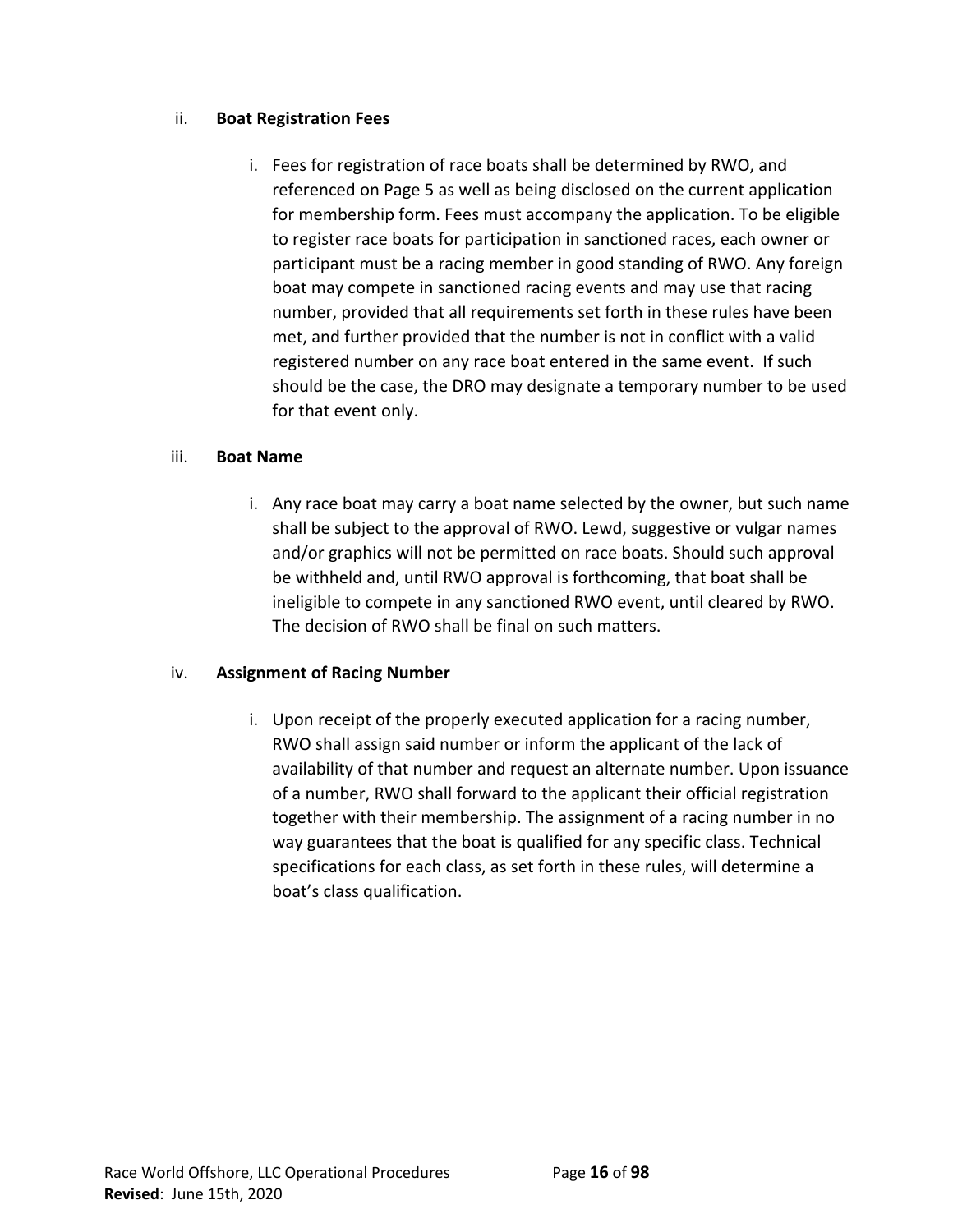# ii. **Boat Registration Fees**

i. Fees for registration of race boats shall be determined by RWO, and referenced on Page 5 as well as being disclosed on the current application for membership form. Fees must accompany the application. To be eligible to register race boats for participation in sanctioned races, each owner or participant must be a racing member in good standing of RWO. Any foreign boat may compete in sanctioned racing events and may use that racing number, provided that all requirements set forth in these rules have been met, and further provided that the number is not in conflict with a valid registered number on any race boat entered in the same event. If such should be the case, the DRO may designate a temporary number to be used for that event only.

# iii. **Boat Name**

i. Any race boat may carry a boat name selected by the owner, but such name shall be subject to the approval of RWO. Lewd, suggestive or vulgar names and/or graphics will not be permitted on race boats. Should such approval be withheld and, until RWO approval is forthcoming, that boat shall be ineligible to compete in any sanctioned RWO event, until cleared by RWO. The decision of RWO shall be final on such matters.

# iv. **Assignment of Racing Number**

i. Upon receipt of the properly executed application for a racing number, RWO shall assign said number or inform the applicant of the lack of availability of that number and request an alternate number. Upon issuance of a number, RWO shall forward to the applicant their official registration together with their membership. The assignment of a racing number in no way guarantees that the boat is qualified for any specific class. Technical specifications for each class, as set forth in these rules, will determine a boat's class qualification.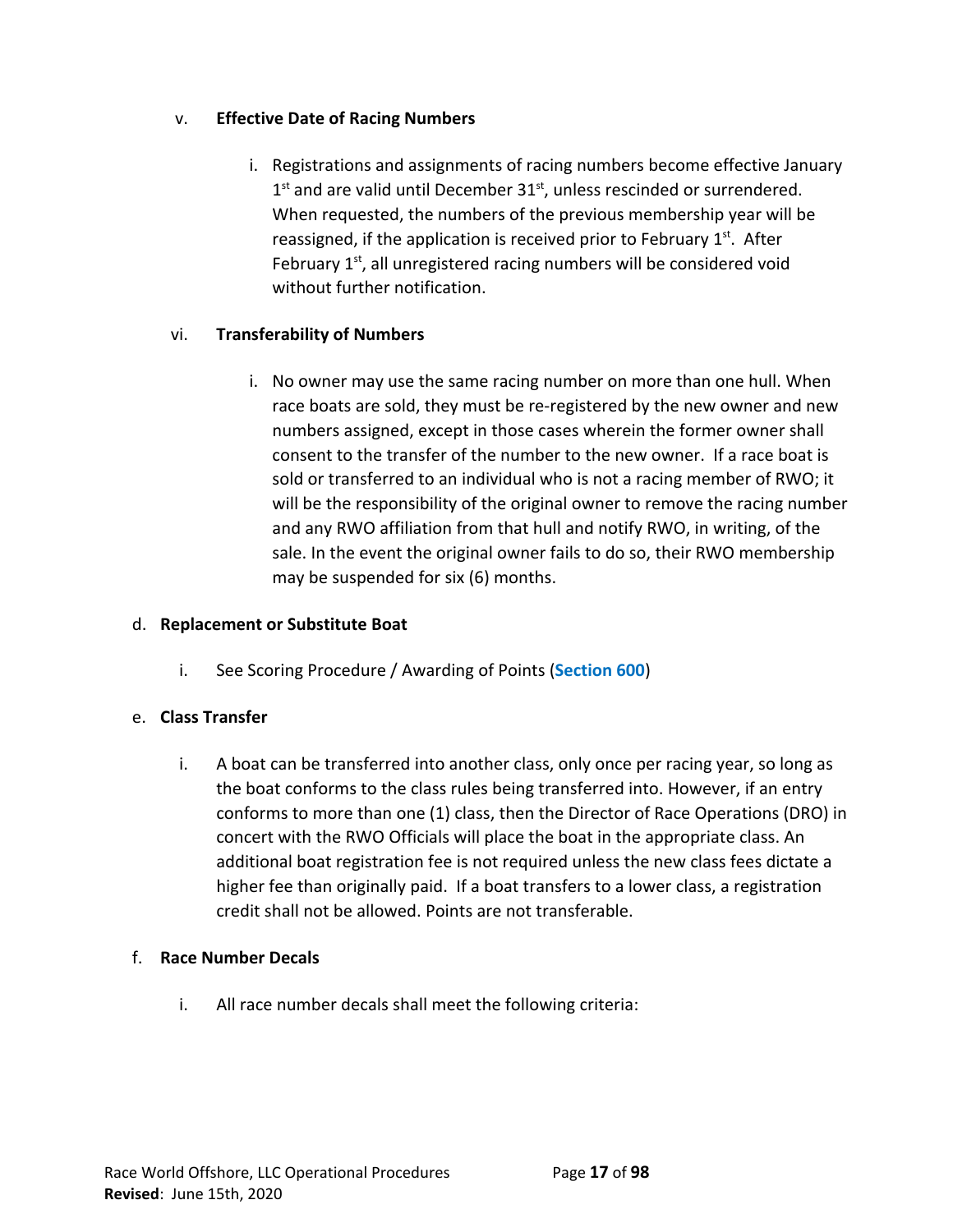# v. **Effective Date of Racing Numbers**

i. Registrations and assignments of racing numbers become effective January  $1<sup>st</sup>$  and are valid until December 31 $<sup>st</sup>$ , unless rescinded or surrendered.</sup> When requested, the numbers of the previous membership year will be reassigned, if the application is received prior to February  $1<sup>st</sup>$ . After February 1<sup>st</sup>, all unregistered racing numbers will be considered void without further notification.

# vi. **Transferability of Numbers**

i. No owner may use the same racing number on more than one hull. When race boats are sold, they must be re-registered by the new owner and new numbers assigned, except in those cases wherein the former owner shall consent to the transfer of the number to the new owner. If a race boat is sold or transferred to an individual who is not a racing member of RWO; it will be the responsibility of the original owner to remove the racing number and any RWO affiliation from that hull and notify RWO, in writing, of the sale. In the event the original owner fails to do so, their RWO membership may be suspended for six (6) months.

# d. **Replacement or Substitute Boat**

i. See Scoring Procedure / Awarding of Points (**Section 600**)

# e. **Class Transfer**

i. A boat can be transferred into another class, only once per racing year, so long as the boat conforms to the class rules being transferred into. However, if an entry conforms to more than one (1) class, then the Director of Race Operations (DRO) in concert with the RWO Officials will place the boat in the appropriate class. An additional boat registration fee is not required unless the new class fees dictate a higher fee than originally paid. If a boat transfers to a lower class, a registration credit shall not be allowed. Points are not transferable.

# f. **Race Number Decals**

i. All race number decals shall meet the following criteria: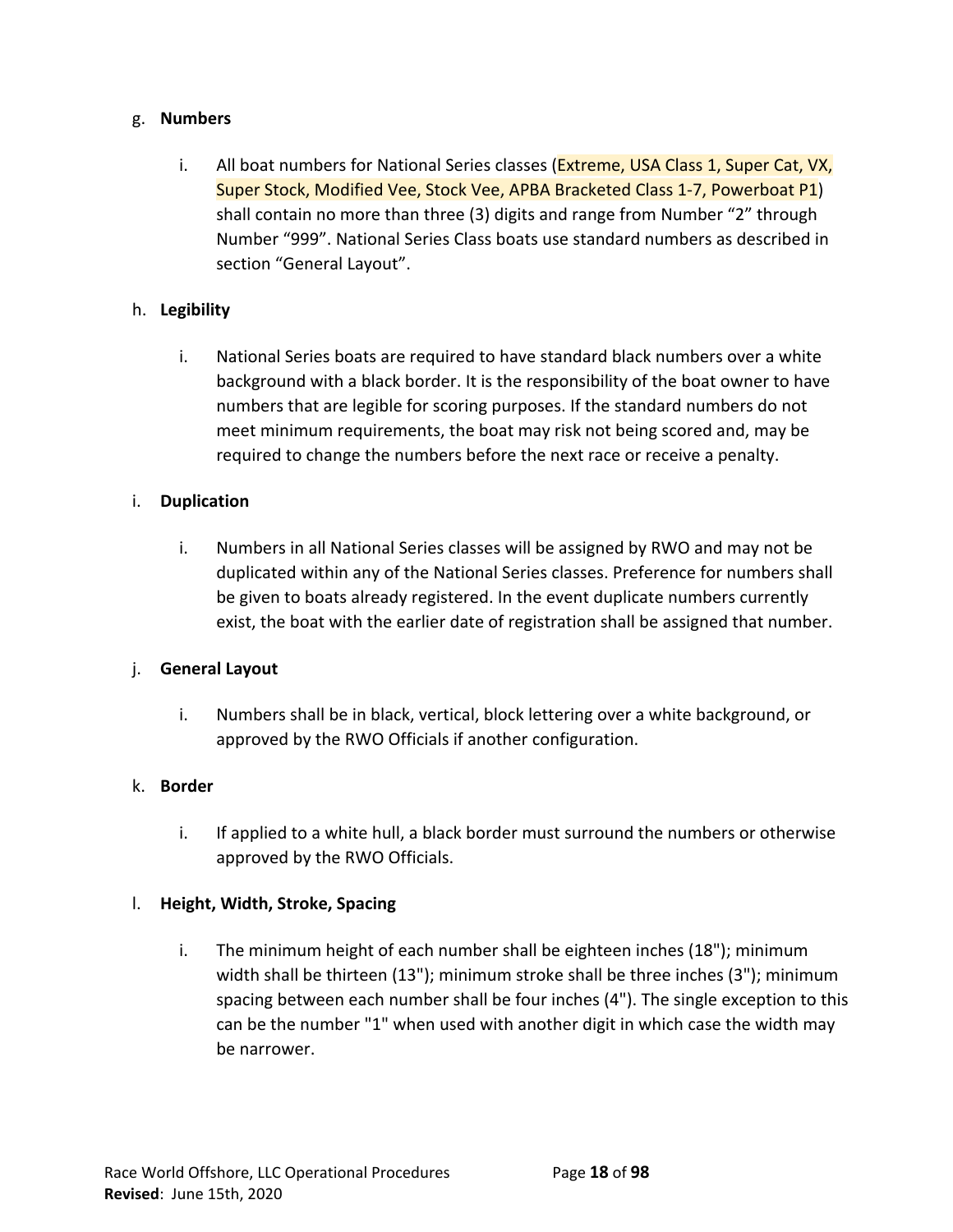## g. **Numbers**

i. All boat numbers for National Series classes (Extreme, USA Class 1, Super Cat, VX, Super Stock, Modified Vee, Stock Vee, APBA Bracketed Class 1-7, Powerboat P1) shall contain no more than three (3) digits and range from Number "2" through Number "999". National Series Class boats use standard numbers as described in section "General Layout".

# h. **Legibility**

i. National Series boats are required to have standard black numbers over a white background with a black border. It is the responsibility of the boat owner to have numbers that are legible for scoring purposes. If the standard numbers do not meet minimum requirements, the boat may risk not being scored and, may be required to change the numbers before the next race or receive a penalty.

# i. **Duplication**

i. Numbers in all National Series classes will be assigned by RWO and may not be duplicated within any of the National Series classes. Preference for numbers shall be given to boats already registered. In the event duplicate numbers currently exist, the boat with the earlier date of registration shall be assigned that number.

## j. **General Layout**

i. Numbers shall be in black, vertical, block lettering over a white background, or approved by the RWO Officials if another configuration.

## k. **Border**

i. If applied to a white hull, a black border must surround the numbers or otherwise approved by the RWO Officials.

## l. **Height, Width, Stroke, Spacing**

i. The minimum height of each number shall be eighteen inches (18"); minimum width shall be thirteen (13"); minimum stroke shall be three inches (3"); minimum spacing between each number shall be four inches (4"). The single exception to this can be the number "1" when used with another digit in which case the width may be narrower.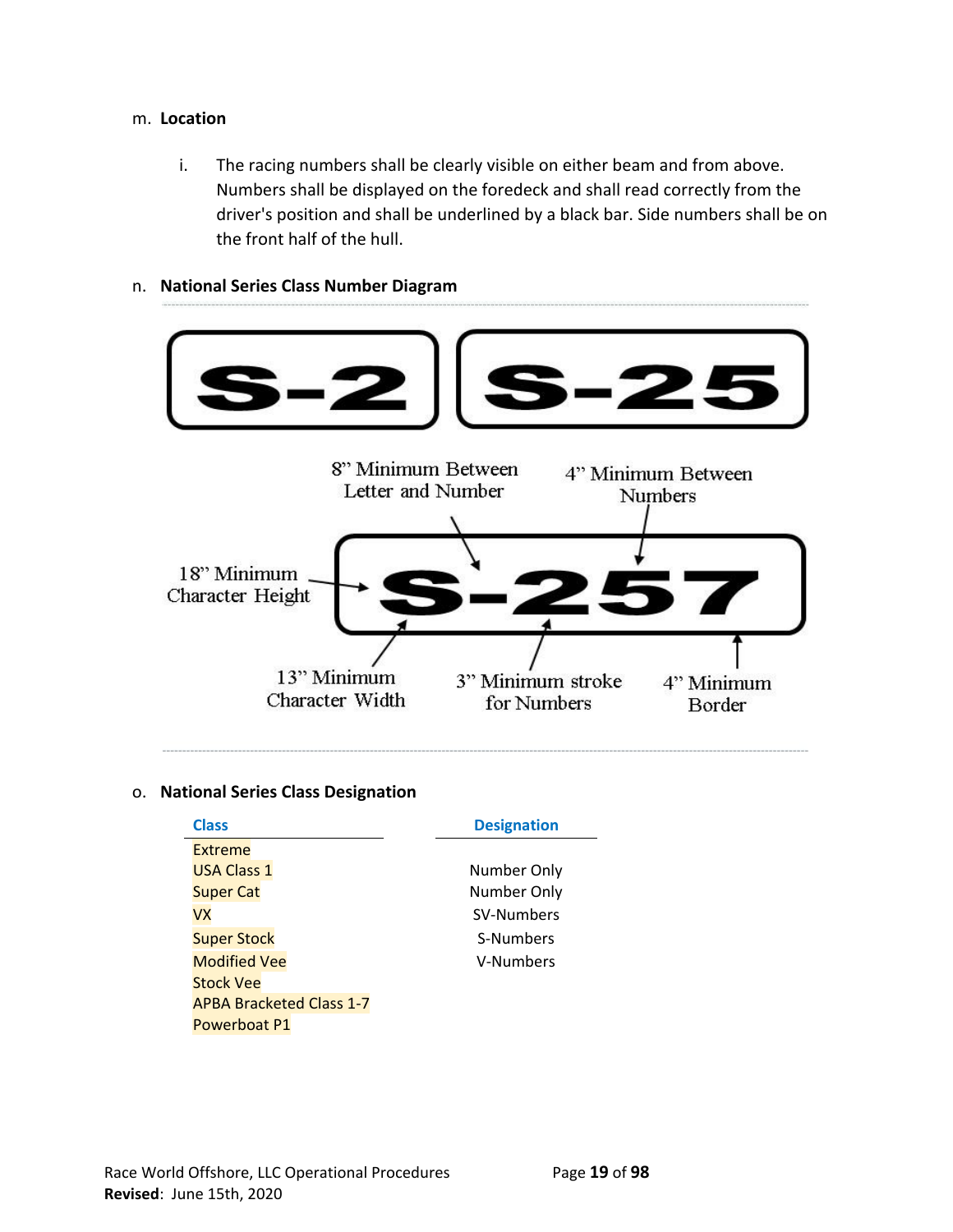#### m. **Location**

i. The racing numbers shall be clearly visible on either beam and from above. Numbers shall be displayed on the foredeck and shall read correctly from the driver's position and shall be underlined by a black bar. Side numbers shall be on the front half of the hull.

## n. **National Series Class Number Diagram**



# o. **National Series Class Designation**

| <b>Class</b>                    | <b>Designation</b> |
|---------------------------------|--------------------|
| Extreme                         |                    |
| <b>USA Class 1</b>              | Number Only        |
| <b>Super Cat</b>                | Number Only        |
| VX                              | SV-Numbers         |
| <b>Super Stock</b>              | S-Numbers          |
| <b>Modified Vee</b>             | V-Numbers          |
| <b>Stock Vee</b>                |                    |
| <b>APBA Bracketed Class 1-7</b> |                    |
| Powerboat P1                    |                    |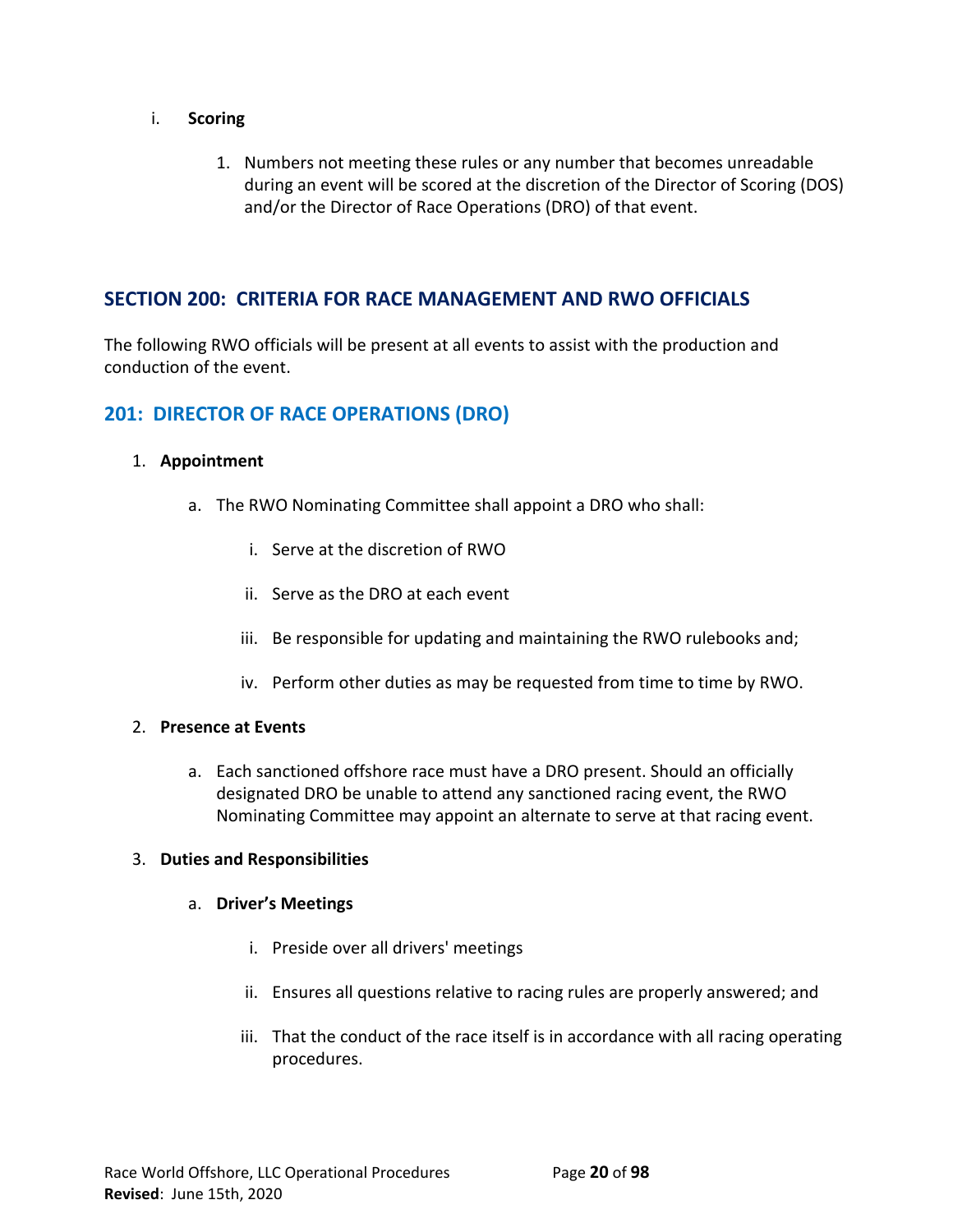## i. **Scoring**

1. Numbers not meeting these rules or any number that becomes unreadable during an event will be scored at the discretion of the Director of Scoring (DOS) and/or the Director of Race Operations (DRO) of that event.

# **SECTION 200: CRITERIA FOR RACE MANAGEMENT AND RWO OFFICIALS**

The following RWO officials will be present at all events to assist with the production and conduction of the event.

# **201: DIRECTOR OF RACE OPERATIONS (DRO)**

## 1. **Appointment**

- a. The RWO Nominating Committee shall appoint a DRO who shall:
	- i. Serve at the discretion of RWO
	- ii. Serve as the DRO at each event
	- iii. Be responsible for updating and maintaining the RWO rulebooks and;
	- iv. Perform other duties as may be requested from time to time by RWO.

#### 2. **Presence at Events**

a. Each sanctioned offshore race must have a DRO present. Should an officially designated DRO be unable to attend any sanctioned racing event, the RWO Nominating Committee may appoint an alternate to serve at that racing event.

#### 3. **Duties and Responsibilities**

#### a. **Driver's Meetings**

- i. Preside over all drivers' meetings
- ii. Ensures all questions relative to racing rules are properly answered; and
- iii. That the conduct of the race itself is in accordance with all racing operating procedures.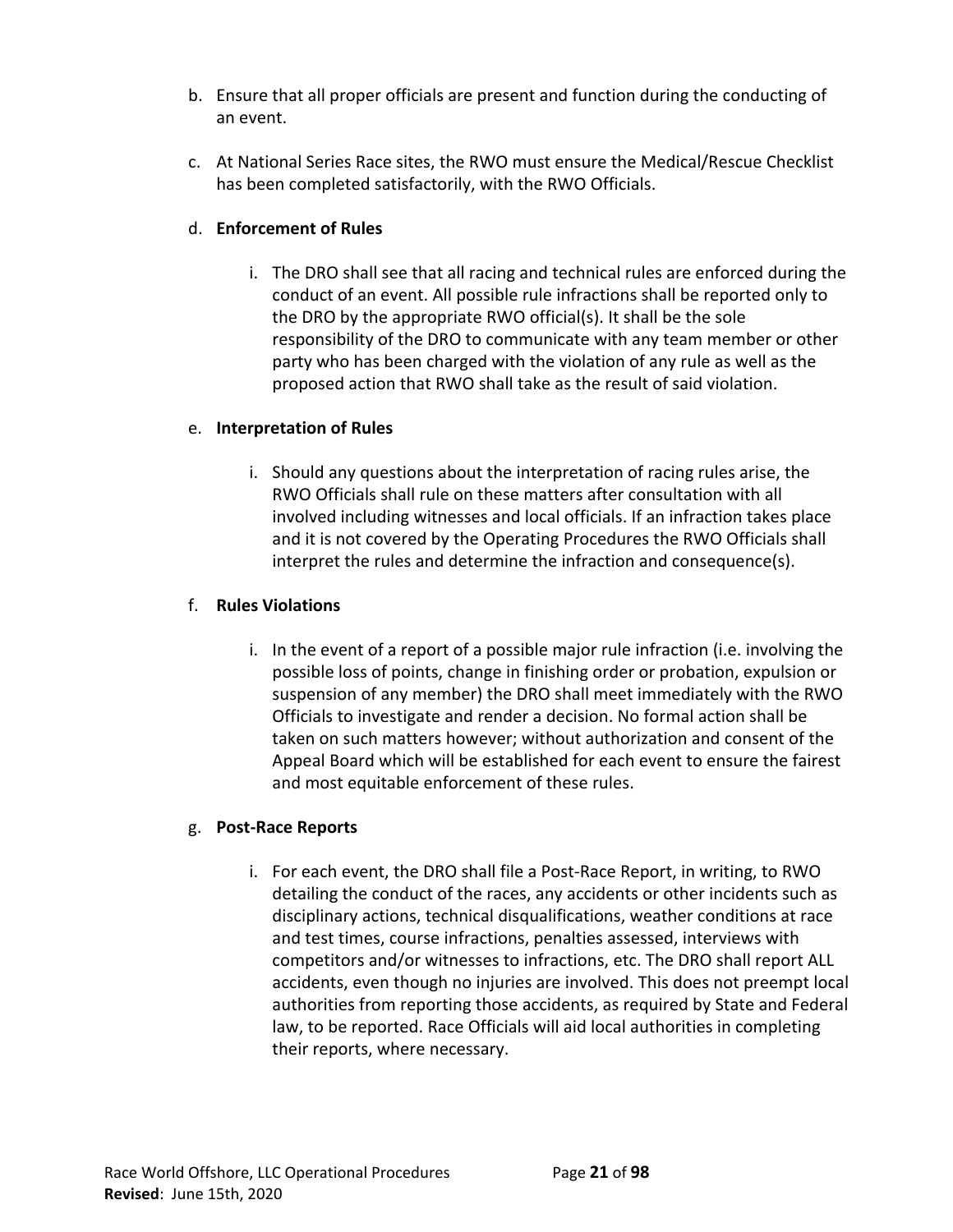- b. Ensure that all proper officials are present and function during the conducting of an event.
- c. At National Series Race sites, the RWO must ensure the Medical/Rescue Checklist has been completed satisfactorily, with the RWO Officials.

# d. **Enforcement of Rules**

i. The DRO shall see that all racing and technical rules are enforced during the conduct of an event. All possible rule infractions shall be reported only to the DRO by the appropriate RWO official(s). It shall be the sole responsibility of the DRO to communicate with any team member or other party who has been charged with the violation of any rule as well as the proposed action that RWO shall take as the result of said violation.

# e. **Interpretation of Rules**

i. Should any questions about the interpretation of racing rules arise, the RWO Officials shall rule on these matters after consultation with all involved including witnesses and local officials. If an infraction takes place and it is not covered by the Operating Procedures the RWO Officials shall interpret the rules and determine the infraction and consequence(s).

# f. **Rules Violations**

i. In the event of a report of a possible major rule infraction (i.e. involving the possible loss of points, change in finishing order or probation, expulsion or suspension of any member) the DRO shall meet immediately with the RWO Officials to investigate and render a decision. No formal action shall be taken on such matters however; without authorization and consent of the Appeal Board which will be established for each event to ensure the fairest and most equitable enforcement of these rules.

# g. **Post-Race Reports**

i. For each event, the DRO shall file a Post-Race Report, in writing, to RWO detailing the conduct of the races, any accidents or other incidents such as disciplinary actions, technical disqualifications, weather conditions at race and test times, course infractions, penalties assessed, interviews with competitors and/or witnesses to infractions, etc. The DRO shall report ALL accidents, even though no injuries are involved. This does not preempt local authorities from reporting those accidents, as required by State and Federal law, to be reported. Race Officials will aid local authorities in completing their reports, where necessary.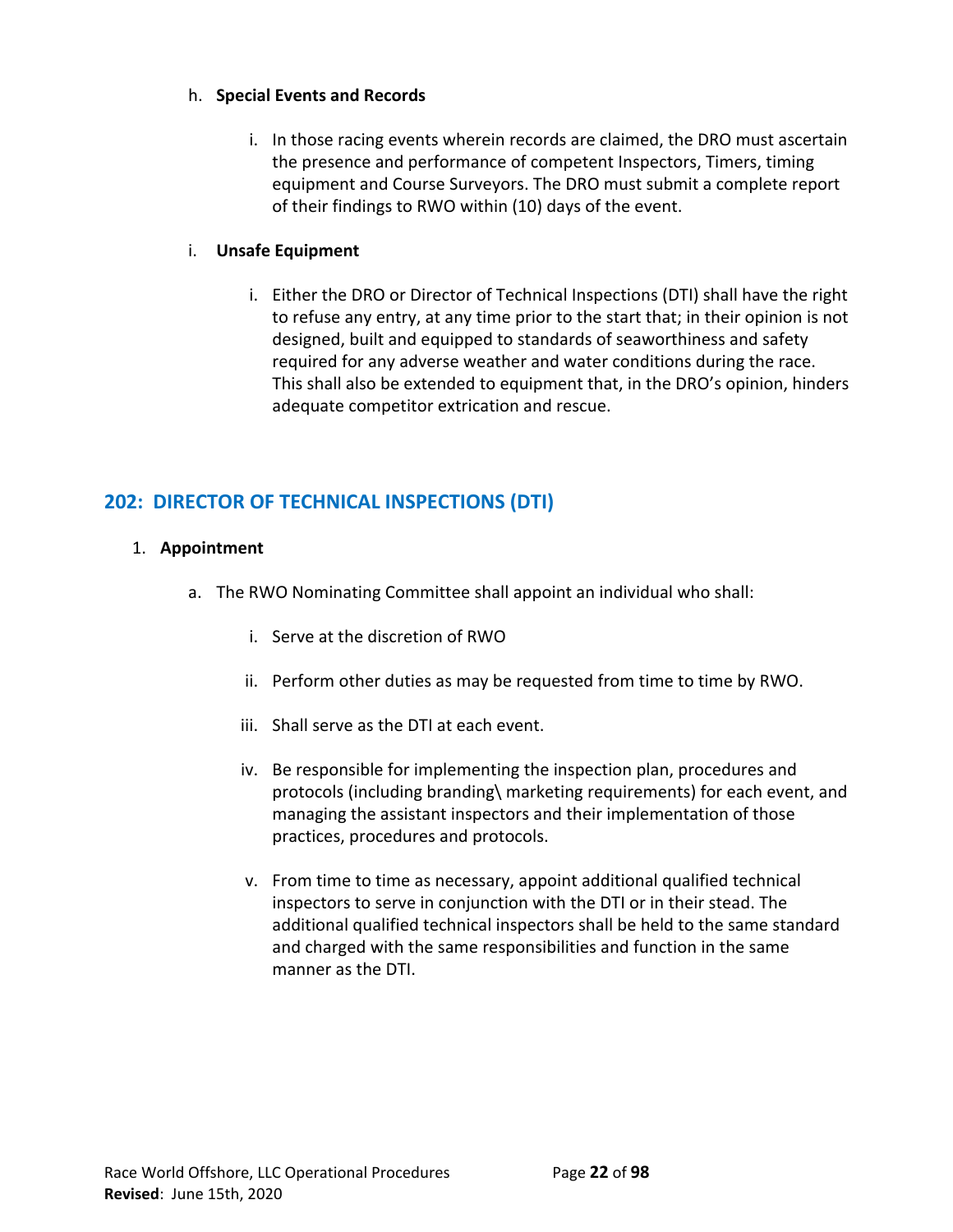# h. **Special Events and Records**

i. In those racing events wherein records are claimed, the DRO must ascertain the presence and performance of competent Inspectors, Timers, timing equipment and Course Surveyors. The DRO must submit a complete report of their findings to RWO within (10) days of the event.

# i. **Unsafe Equipment**

i. Either the DRO or Director of Technical Inspections (DTI) shall have the right to refuse any entry, at any time prior to the start that; in their opinion is not designed, built and equipped to standards of seaworthiness and safety required for any adverse weather and water conditions during the race. This shall also be extended to equipment that, in the DRO's opinion, hinders adequate competitor extrication and rescue.

# **202: DIRECTOR OF TECHNICAL INSPECTIONS (DTI)**

# 1. **Appointment**

- a. The RWO Nominating Committee shall appoint an individual who shall:
	- i. Serve at the discretion of RWO
	- ii. Perform other duties as may be requested from time to time by RWO.
	- iii. Shall serve as the DTI at each event.
	- iv. Be responsible for implementing the inspection plan, procedures and protocols (including branding\ marketing requirements) for each event, and managing the assistant inspectors and their implementation of those practices, procedures and protocols.
	- v. From time to time as necessary, appoint additional qualified technical inspectors to serve in conjunction with the DTI or in their stead. The additional qualified technical inspectors shall be held to the same standard and charged with the same responsibilities and function in the same manner as the DTI.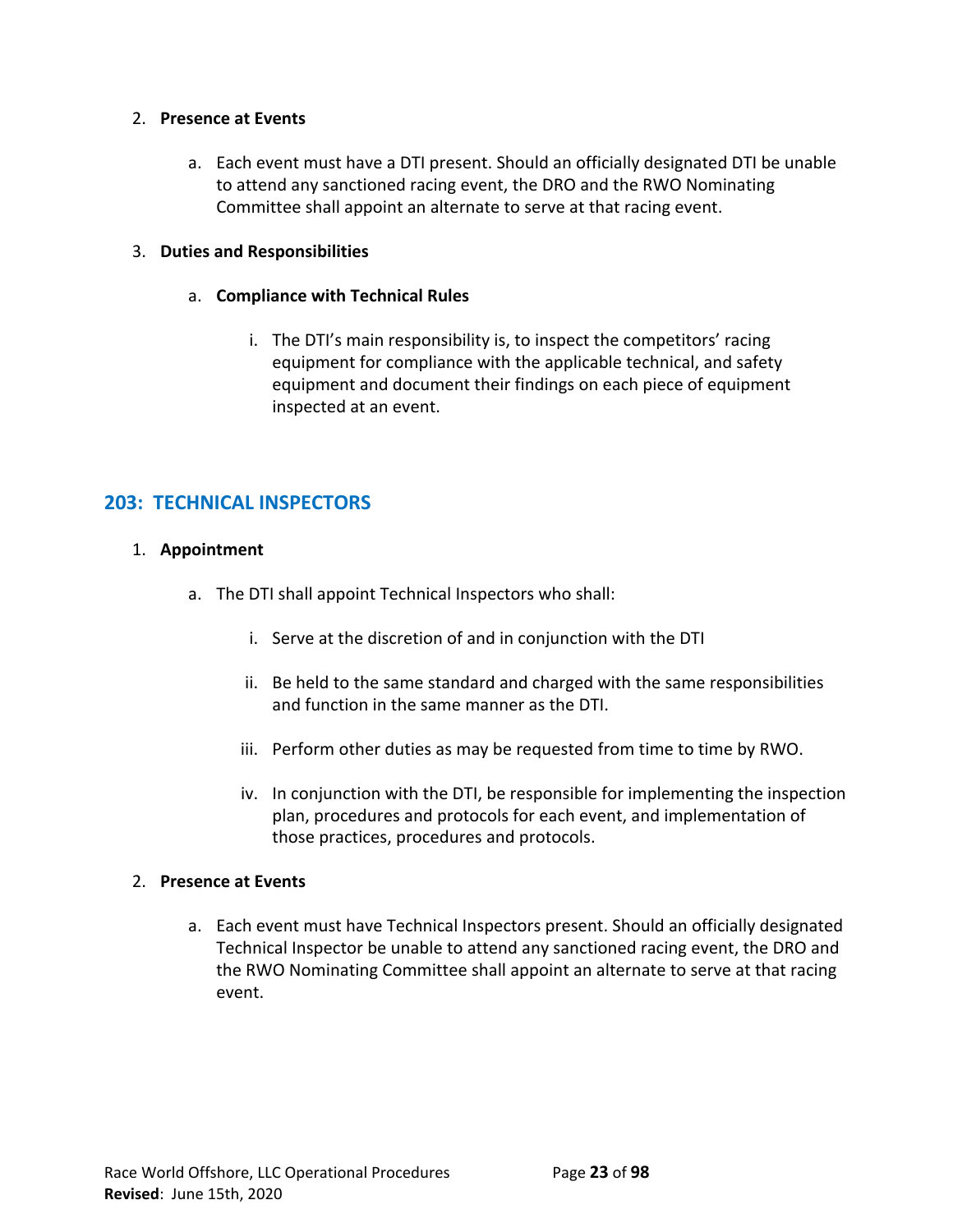## 2. **Presence at Events**

a. Each event must have a DTI present. Should an officially designated DTI be unable to attend any sanctioned racing event, the DRO and the RWO Nominating Committee shall appoint an alternate to serve at that racing event.

# 3. **Duties and Responsibilities**

- a. **Compliance with Technical Rules**
	- i. The DTI's main responsibility is, to inspect the competitors' racing equipment for compliance with the applicable technical, and safety equipment and document their findings on each piece of equipment inspected at an event.

# **203: TECHNICAL INSPECTORS**

# 1. **Appointment**

- a. The DTI shall appoint Technical Inspectors who shall:
	- i. Serve at the discretion of and in conjunction with the DTI
	- ii. Be held to the same standard and charged with the same responsibilities and function in the same manner as the DTI.
	- iii. Perform other duties as may be requested from time to time by RWO.
	- iv. In conjunction with the DTI, be responsible for implementing the inspection plan, procedures and protocols for each event, and implementation of those practices, procedures and protocols.

## 2. **Presence at Events**

a. Each event must have Technical Inspectors present. Should an officially designated Technical Inspector be unable to attend any sanctioned racing event, the DRO and the RWO Nominating Committee shall appoint an alternate to serve at that racing event.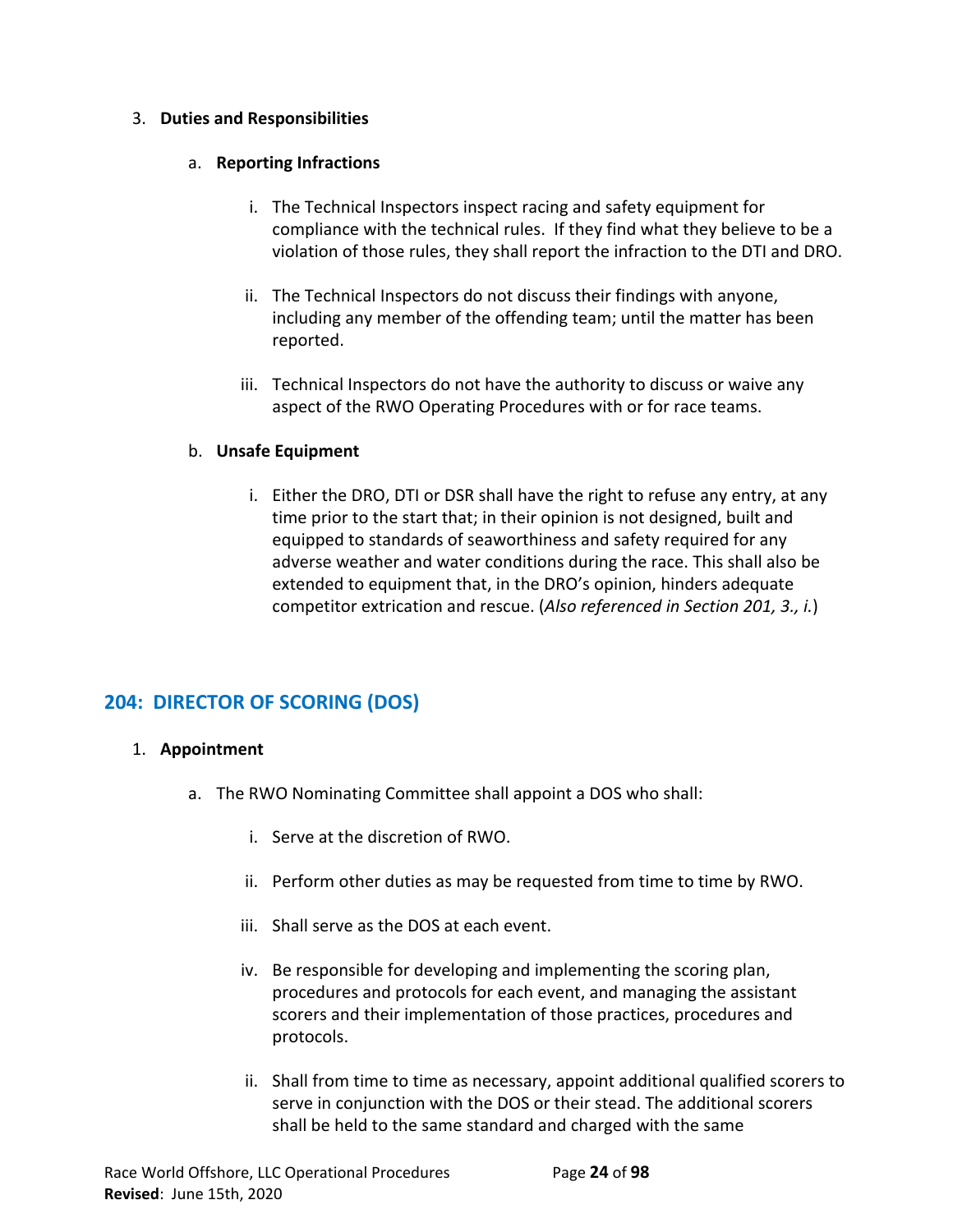# 3. **Duties and Responsibilities**

# a. **Reporting Infractions**

- i. The Technical Inspectors inspect racing and safety equipment for compliance with the technical rules. If they find what they believe to be a violation of those rules, they shall report the infraction to the DTI and DRO.
- ii. The Technical Inspectors do not discuss their findings with anyone, including any member of the offending team; until the matter has been reported.
- iii. Technical Inspectors do not have the authority to discuss or waive any aspect of the RWO Operating Procedures with or for race teams.

# b. **Unsafe Equipment**

i. Either the DRO, DTI or DSR shall have the right to refuse any entry, at any time prior to the start that; in their opinion is not designed, built and equipped to standards of seaworthiness and safety required for any adverse weather and water conditions during the race. This shall also be extended to equipment that, in the DRO's opinion, hinders adequate competitor extrication and rescue. (*Also referenced in Section 201, 3., i.*)

# **204: DIRECTOR OF SCORING (DOS)**

# 1. **Appointment**

- a. The RWO Nominating Committee shall appoint a DOS who shall:
	- i. Serve at the discretion of RWO.
	- ii. Perform other duties as may be requested from time to time by RWO.
	- iii. Shall serve as the DOS at each event.
	- iv. Be responsible for developing and implementing the scoring plan, procedures and protocols for each event, and managing the assistant scorers and their implementation of those practices, procedures and protocols.
	- ii. Shall from time to time as necessary, appoint additional qualified scorers to serve in conjunction with the DOS or their stead. The additional scorers shall be held to the same standard and charged with the same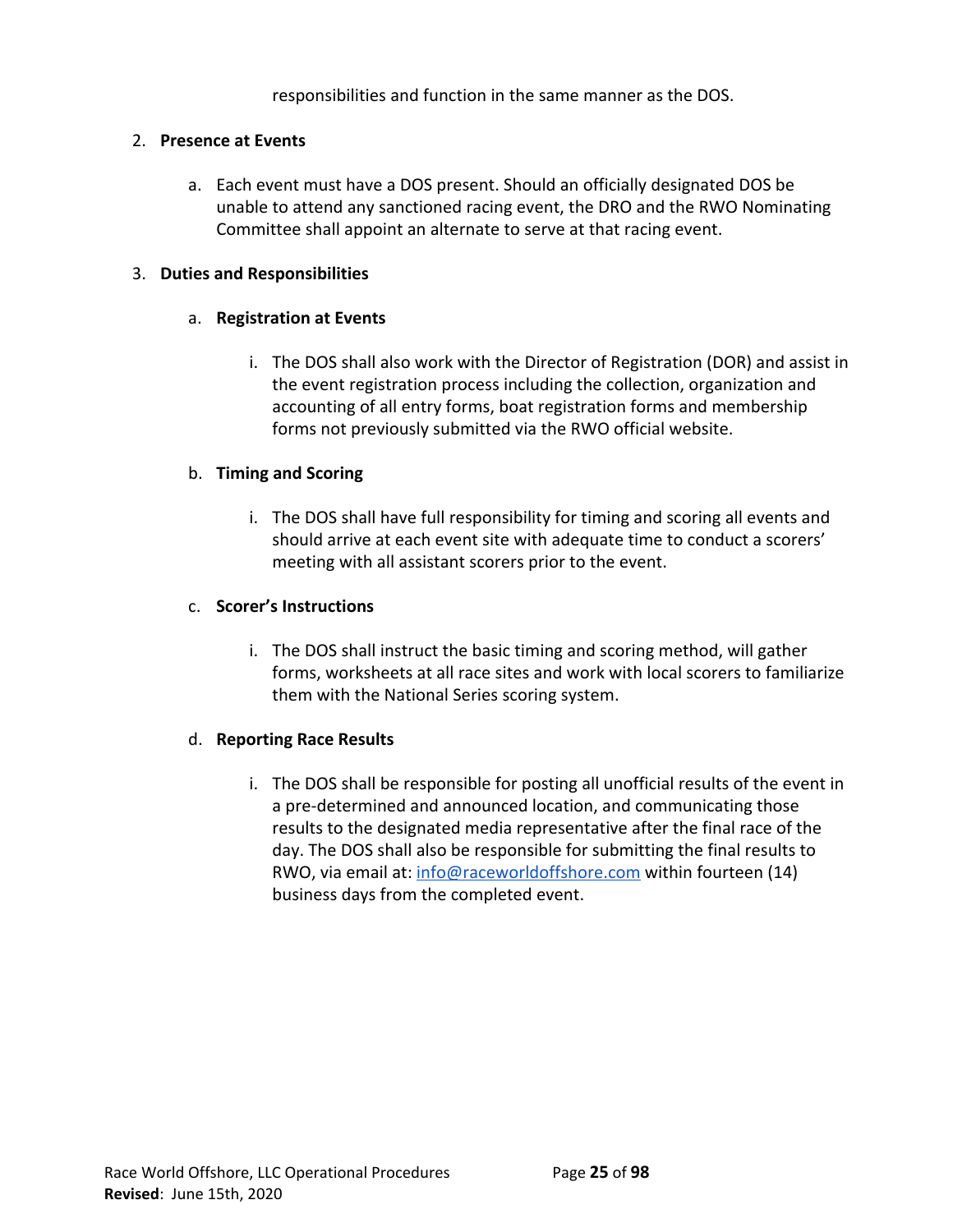responsibilities and function in the same manner as the DOS.

## 2. **Presence at Events**

a. Each event must have a DOS present. Should an officially designated DOS be unable to attend any sanctioned racing event, the DRO and the RWO Nominating Committee shall appoint an alternate to serve at that racing event.

# 3. **Duties and Responsibilities**

# a. **Registration at Events**

i. The DOS shall also work with the Director of Registration (DOR) and assist in the event registration process including the collection, organization and accounting of all entry forms, boat registration forms and membership forms not previously submitted via the RWO official website.

# b. **Timing and Scoring**

i. The DOS shall have full responsibility for timing and scoring all events and should arrive at each event site with adequate time to conduct a scorers' meeting with all assistant scorers prior to the event.

## c. **Scorer's Instructions**

i. The DOS shall instruct the basic timing and scoring method, will gather forms, worksheets at all race sites and work with local scorers to familiarize them with the National Series scoring system.

## d. **Reporting Race Results**

i. The DOS shall be responsible for posting all unofficial results of the event in a pre-determined and announced location, and communicating those results to the designated media representative after the final race of the day. The DOS shall also be responsible for submitting the final results to RWO, via email at: [info@raceworldoffshore.com](mailto:info@raceworldoffshore.com) within fourteen (14) business days from the completed event.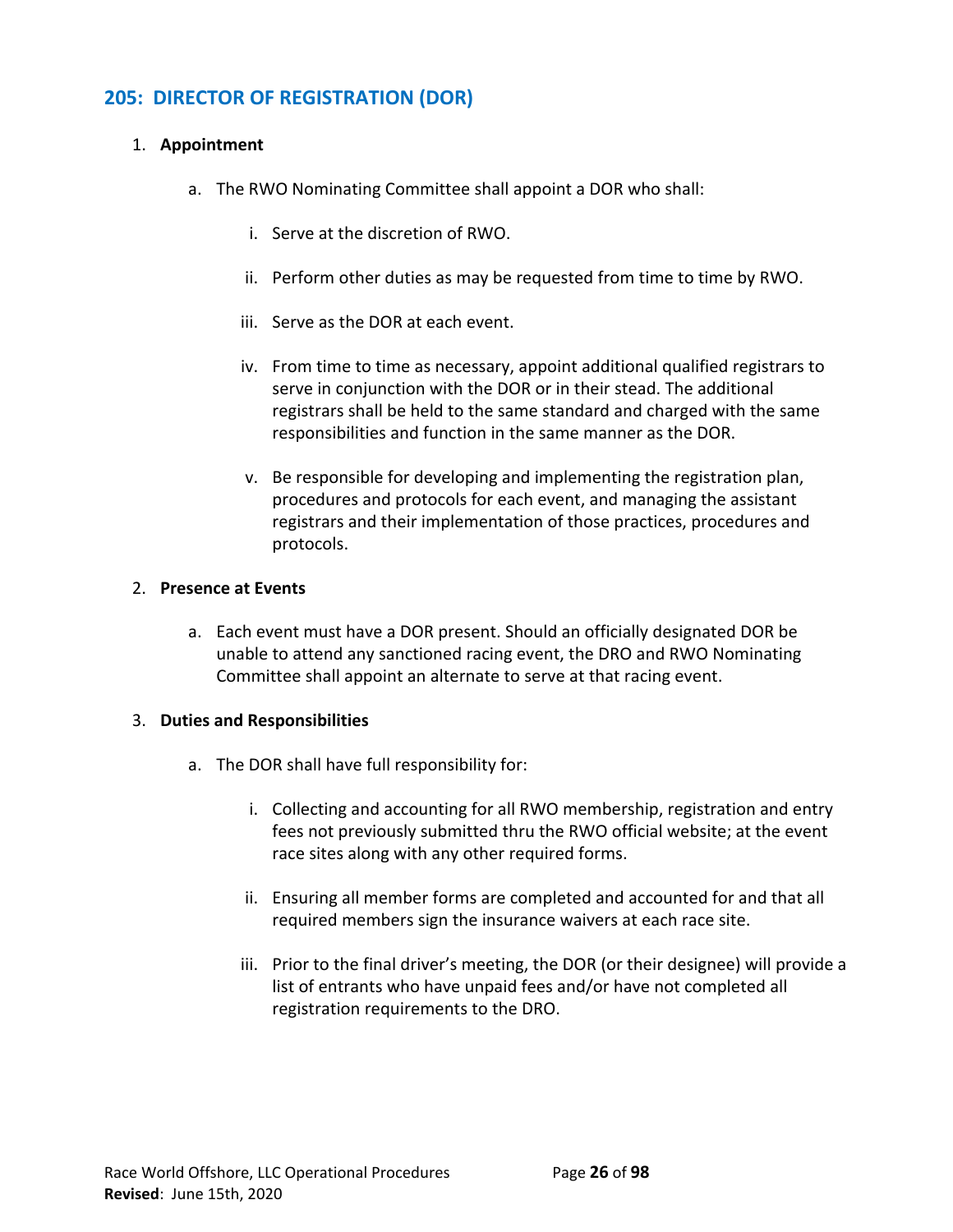# **205: DIRECTOR OF REGISTRATION (DOR)**

# 1. **Appointment**

- a. The RWO Nominating Committee shall appoint a DOR who shall:
	- i. Serve at the discretion of RWO.
	- ii. Perform other duties as may be requested from time to time by RWO.
	- iii. Serve as the DOR at each event.
	- iv. From time to time as necessary, appoint additional qualified registrars to serve in conjunction with the DOR or in their stead. The additional registrars shall be held to the same standard and charged with the same responsibilities and function in the same manner as the DOR.
	- v. Be responsible for developing and implementing the registration plan, procedures and protocols for each event, and managing the assistant registrars and their implementation of those practices, procedures and protocols.

## 2. **Presence at Events**

a. Each event must have a DOR present. Should an officially designated DOR be unable to attend any sanctioned racing event, the DRO and RWO Nominating Committee shall appoint an alternate to serve at that racing event.

## 3. **Duties and Responsibilities**

- a. The DOR shall have full responsibility for:
	- i. Collecting and accounting for all RWO membership, registration and entry fees not previously submitted thru the RWO official website; at the event race sites along with any other required forms.
	- ii. Ensuring all member forms are completed and accounted for and that all required members sign the insurance waivers at each race site.
	- iii. Prior to the final driver's meeting, the DOR (or their designee) will provide a list of entrants who have unpaid fees and/or have not completed all registration requirements to the DRO.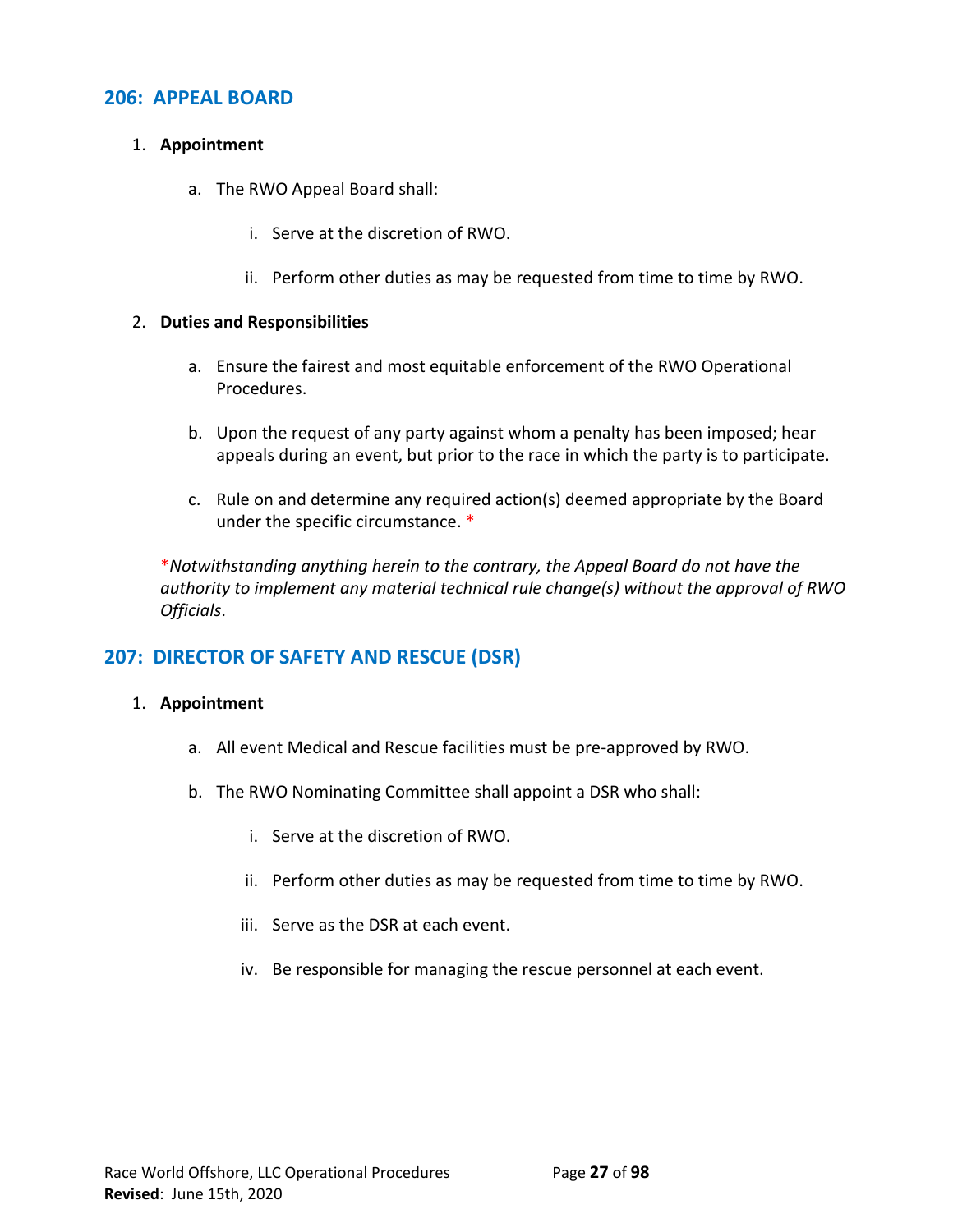# **206: APPEAL BOARD**

## 1. **Appointment**

- a. The RWO Appeal Board shall:
	- i. Serve at the discretion of RWO.
	- ii. Perform other duties as may be requested from time to time by RWO.

#### 2. **Duties and Responsibilities**

- a. Ensure the fairest and most equitable enforcement of the RWO Operational Procedures.
- b. Upon the request of any party against whom a penalty has been imposed; hear appeals during an event, but prior to the race in which the party is to participate.
- c. Rule on and determine any required action(s) deemed appropriate by the Board under the specific circumstance. \*

\**Notwithstanding anything herein to the contrary, the Appeal Board do not have the authority to implement any material technical rule change(s) without the approval of RWO Officials*.

# **207: DIRECTOR OF SAFETY AND RESCUE (DSR)**

#### 1. **Appointment**

- a. All event Medical and Rescue facilities must be pre-approved by RWO.
- b. The RWO Nominating Committee shall appoint a DSR who shall:
	- i. Serve at the discretion of RWO.
	- ii. Perform other duties as may be requested from time to time by RWO.
	- iii. Serve as the DSR at each event.
	- iv. Be responsible for managing the rescue personnel at each event.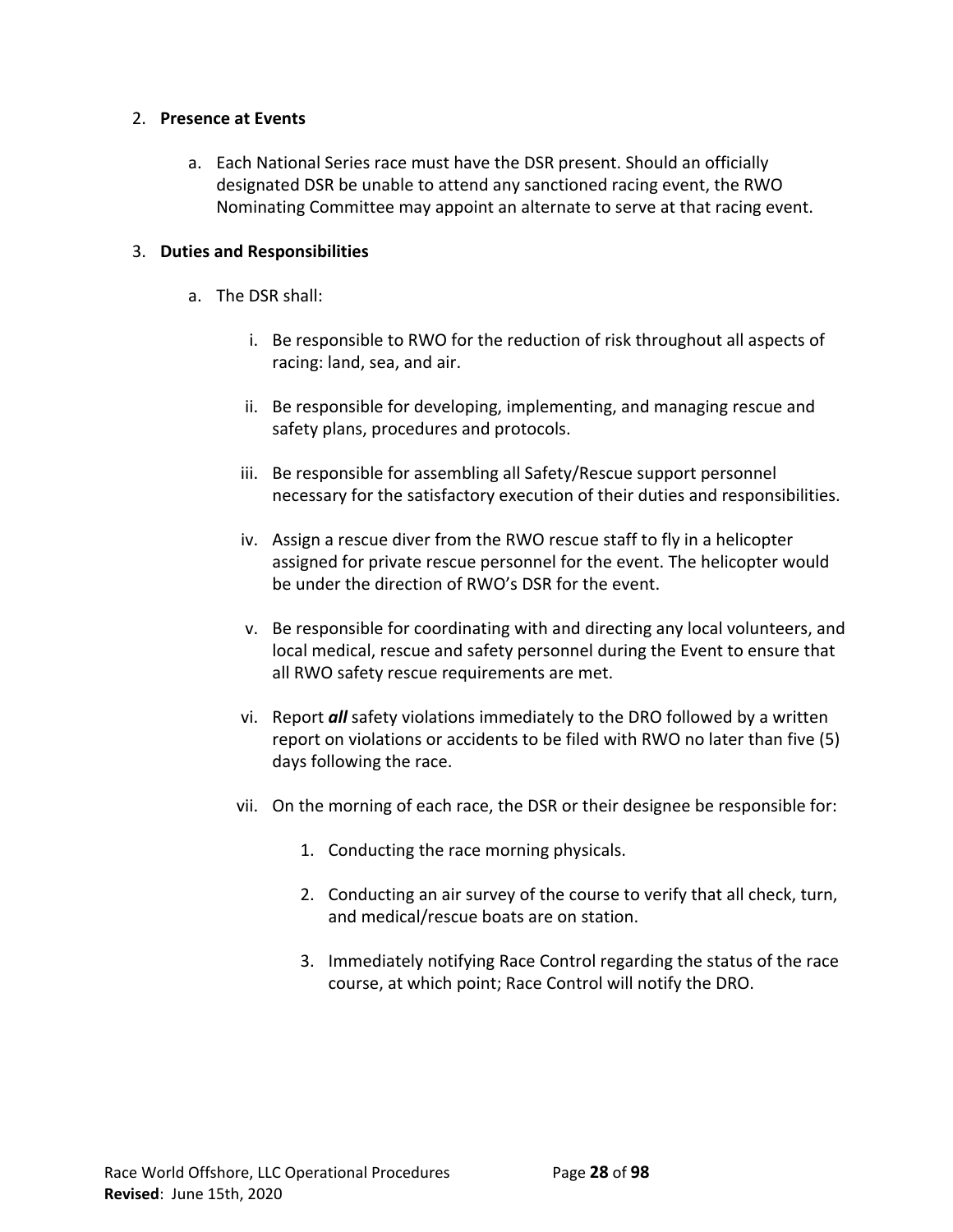## 2. **Presence at Events**

a. Each National Series race must have the DSR present. Should an officially designated DSR be unable to attend any sanctioned racing event, the RWO Nominating Committee may appoint an alternate to serve at that racing event.

## 3. **Duties and Responsibilities**

- a. The DSR shall:
	- i. Be responsible to RWO for the reduction of risk throughout all aspects of racing: land, sea, and air.
	- ii. Be responsible for developing, implementing, and managing rescue and safety plans, procedures and protocols.
	- iii. Be responsible for assembling all Safety/Rescue support personnel necessary for the satisfactory execution of their duties and responsibilities.
	- iv. Assign a rescue diver from the RWO rescue staff to fly in a helicopter assigned for private rescue personnel for the event. The helicopter would be under the direction of RWO's DSR for the event.
	- v. Be responsible for coordinating with and directing any local volunteers, and local medical, rescue and safety personnel during the Event to ensure that all RWO safety rescue requirements are met.
	- vi. Report *all* safety violations immediately to the DRO followed by a written report on violations or accidents to be filed with RWO no later than five (5) days following the race.
	- vii. On the morning of each race, the DSR or their designee be responsible for:
		- 1. Conducting the race morning physicals.
		- 2. Conducting an air survey of the course to verify that all check, turn, and medical/rescue boats are on station.
		- 3. Immediately notifying Race Control regarding the status of the race course, at which point; Race Control will notify the DRO.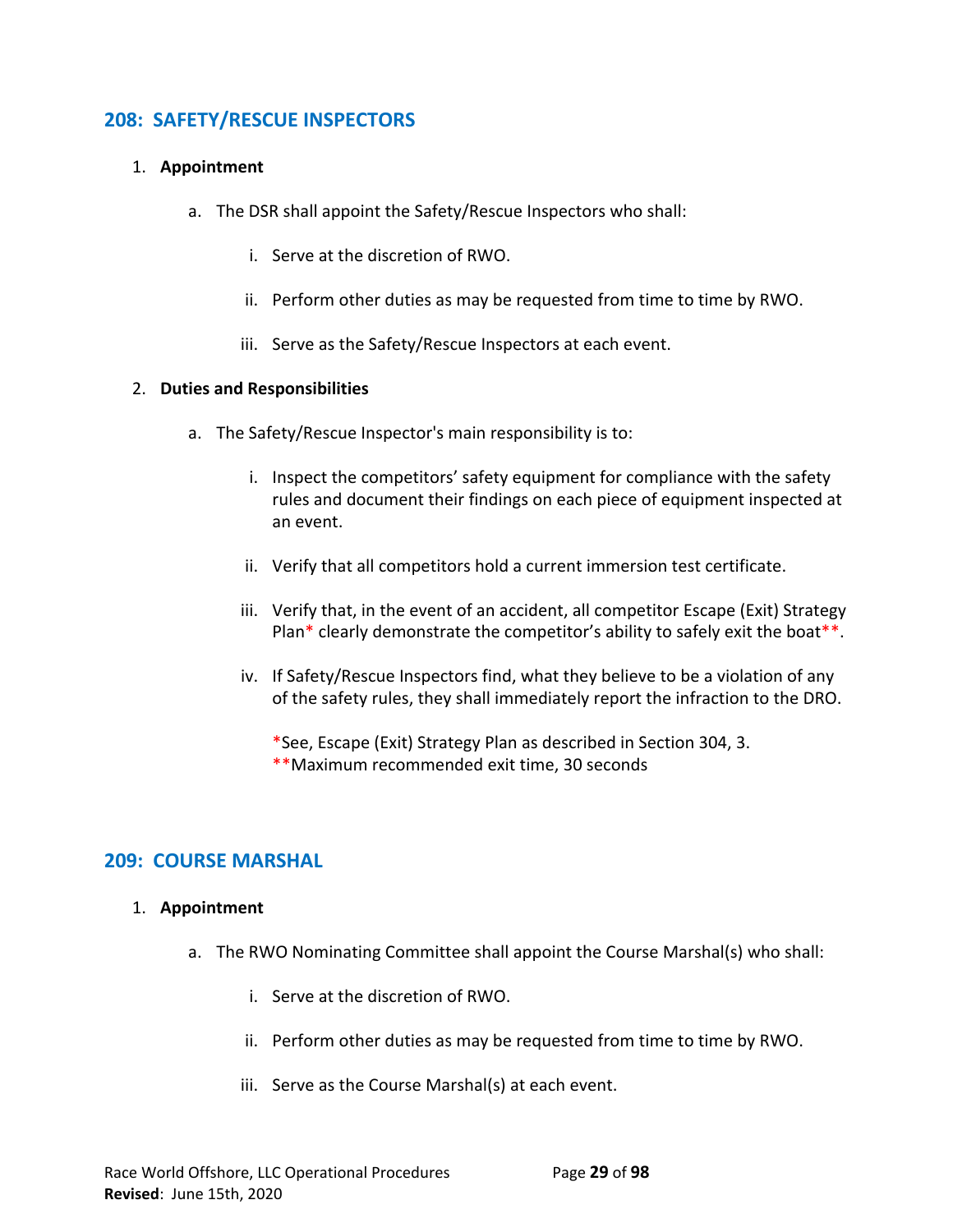# **208: SAFETY/RESCUE INSPECTORS**

# 1. **Appointment**

- a. The DSR shall appoint the Safety/Rescue Inspectors who shall:
	- i. Serve at the discretion of RWO.
	- ii. Perform other duties as may be requested from time to time by RWO.
	- iii. Serve as the Safety/Rescue Inspectors at each event.

## 2. **Duties and Responsibilities**

- a. The Safety/Rescue Inspector's main responsibility is to:
	- i. Inspect the competitors' safety equipment for compliance with the safety rules and document their findings on each piece of equipment inspected at an event.
	- ii. Verify that all competitors hold a current immersion test certificate.
	- iii. Verify that, in the event of an accident, all competitor Escape (Exit) Strategy Plan\* clearly demonstrate the competitor's ability to safely exit the boat\*\*.
	- iv. If Safety/Rescue Inspectors find, what they believe to be a violation of any of the safety rules, they shall immediately report the infraction to the DRO.

\*See, Escape (Exit) Strategy Plan as described in Section 304, 3. \*\*Maximum recommended exit time, 30 seconds

# **209: COURSE MARSHAL**

# 1. **Appointment**

- a. The RWO Nominating Committee shall appoint the Course Marshal(s) who shall:
	- i. Serve at the discretion of RWO.
	- ii. Perform other duties as may be requested from time to time by RWO.
	- iii. Serve as the Course Marshal(s) at each event.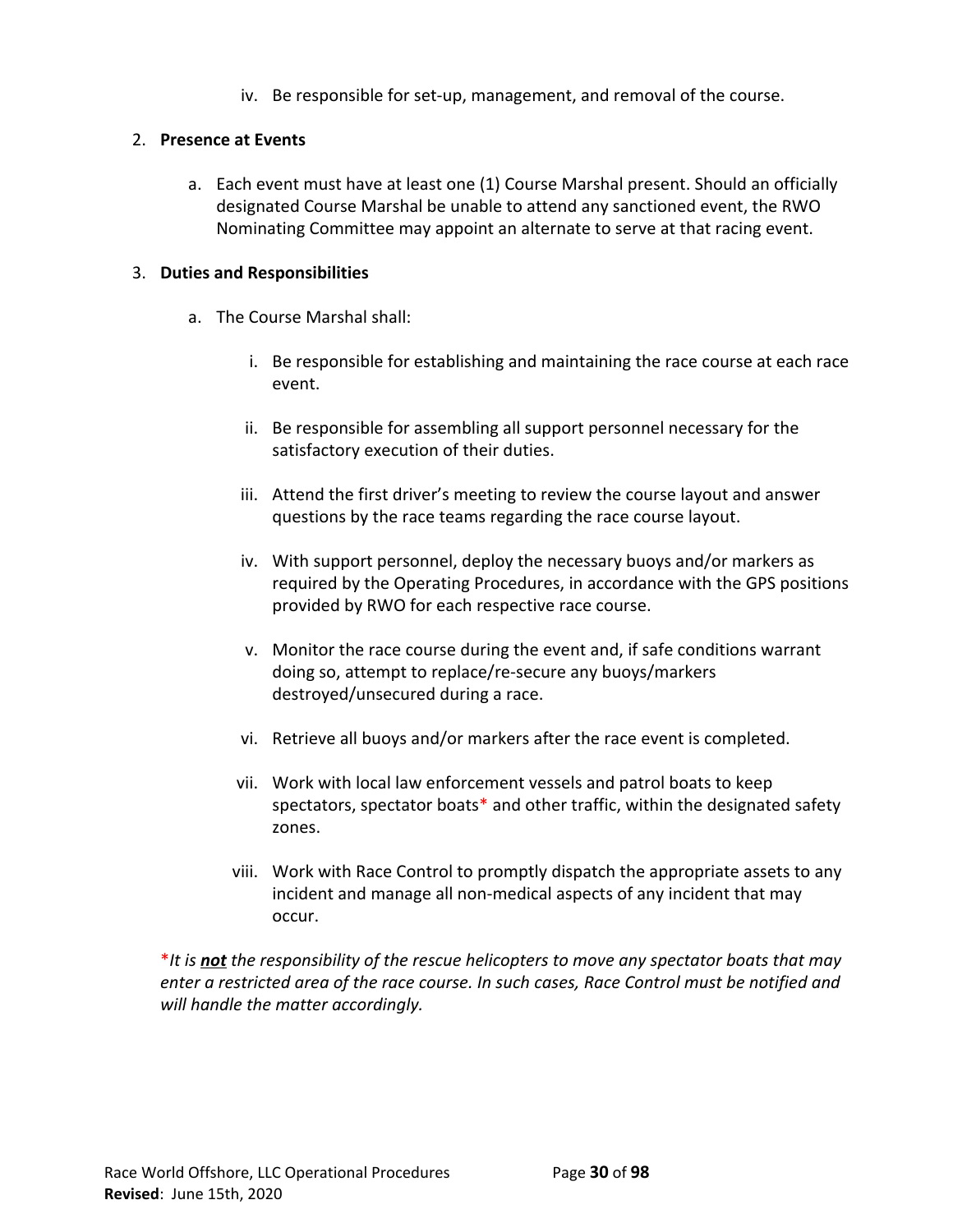iv. Be responsible for set-up, management, and removal of the course.

## 2. **Presence at Events**

a. Each event must have at least one (1) Course Marshal present. Should an officially designated Course Marshal be unable to attend any sanctioned event, the RWO Nominating Committee may appoint an alternate to serve at that racing event.

# 3. **Duties and Responsibilities**

- a. The Course Marshal shall:
	- i. Be responsible for establishing and maintaining the race course at each race event.
	- ii. Be responsible for assembling all support personnel necessary for the satisfactory execution of their duties.
	- iii. Attend the first driver's meeting to review the course layout and answer questions by the race teams regarding the race course layout.
	- iv. With support personnel, deploy the necessary buoys and/or markers as required by the Operating Procedures, in accordance with the GPS positions provided by RWO for each respective race course.
	- v. Monitor the race course during the event and, if safe conditions warrant doing so, attempt to replace/re-secure any buoys/markers destroyed/unsecured during a race.
	- vi. Retrieve all buoys and/or markers after the race event is completed.
	- vii. Work with local law enforcement vessels and patrol boats to keep spectators, spectator boats\* and other traffic, within the designated safety zones.
	- viii. Work with Race Control to promptly dispatch the appropriate assets to any incident and manage all non-medical aspects of any incident that may occur.

\**It is not the responsibility of the rescue helicopters to move any spectator boats that may enter a restricted area of the race course. In such cases, Race Control must be notified and will handle the matter accordingly.*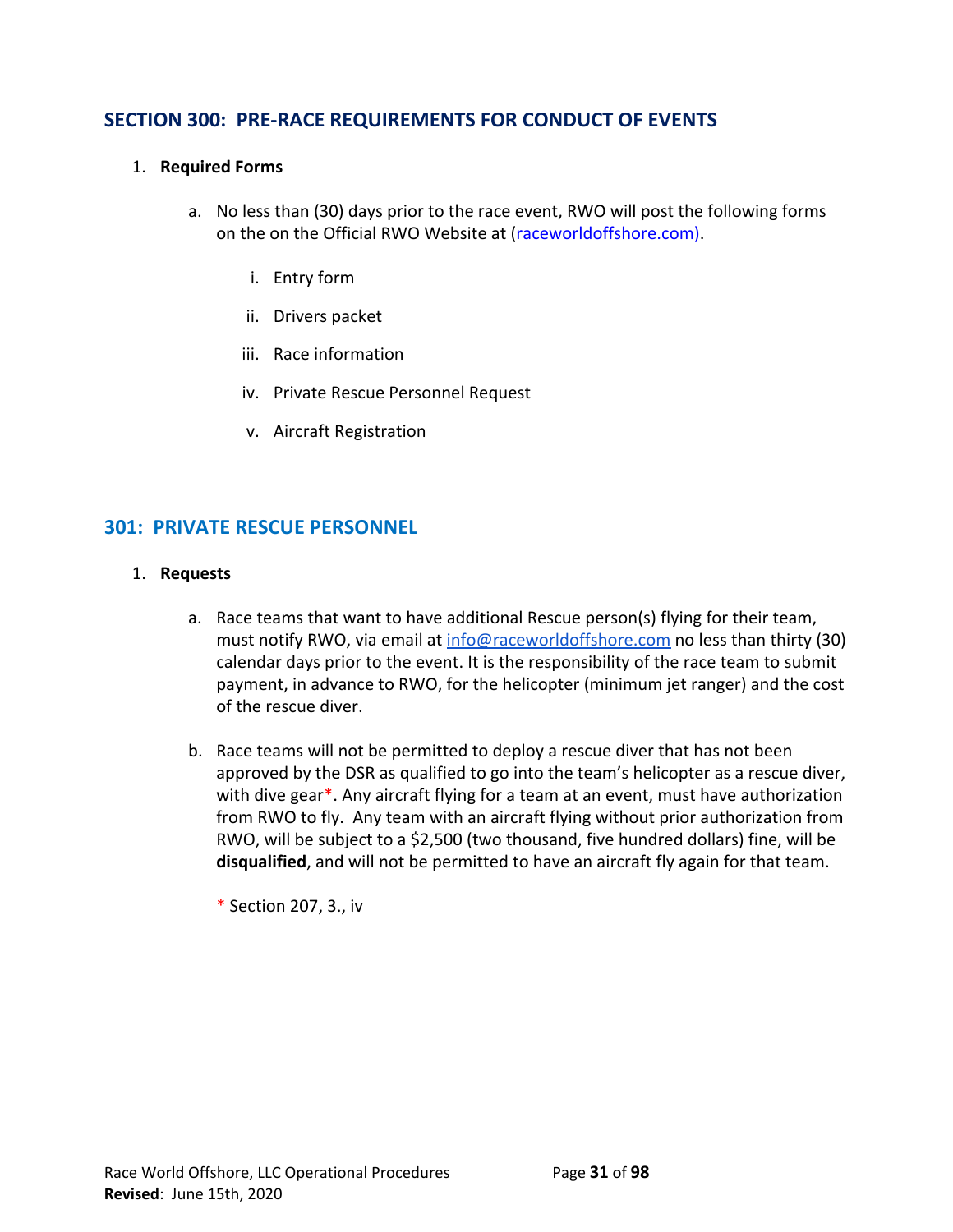# **SECTION 300: PRE-RACE REQUIREMENTS FOR CONDUCT OF EVENTS**

#### 1. **Required Forms**

- a. No less than (30) days prior to the race event, RWO will post the following forms on the on the Official RWO Website at ([raceworldoffshore.](http://www.raceworldoffshore.global/)com).
	- i. Entry form
	- ii. Drivers packet
	- iii. Race information
	- iv. Private Rescue Personnel Request
	- v. Aircraft Registration

# **301: PRIVATE RESCUE PERSONNEL**

#### 1. **Requests**

- a. Race teams that want to have additional Rescue person(s) flying for their team, must notify RWO, via email at [info@raceworldoffshore.com](mailto:info@raceworldoffshore.global?subject=Private%20Rescue%20Personnel) no less than thirty (30) calendar days prior to the event. It is the responsibility of the race team to submit payment, in advance to RWO, for the helicopter (minimum jet ranger) and the cost of the rescue diver.
- b. Race teams will not be permitted to deploy a rescue diver that has not been approved by the DSR as qualified to go into the team's helicopter as a rescue diver, with dive gear\*. Any aircraft flying for a team at an event, must have authorization from RWO to fly. Any team with an aircraft flying without prior authorization from RWO, will be subject to a \$2,500 (two thousand, five hundred dollars) fine, will be **disqualified**, and will not be permitted to have an aircraft fly again for that team.
	- \* Section 207, 3., iv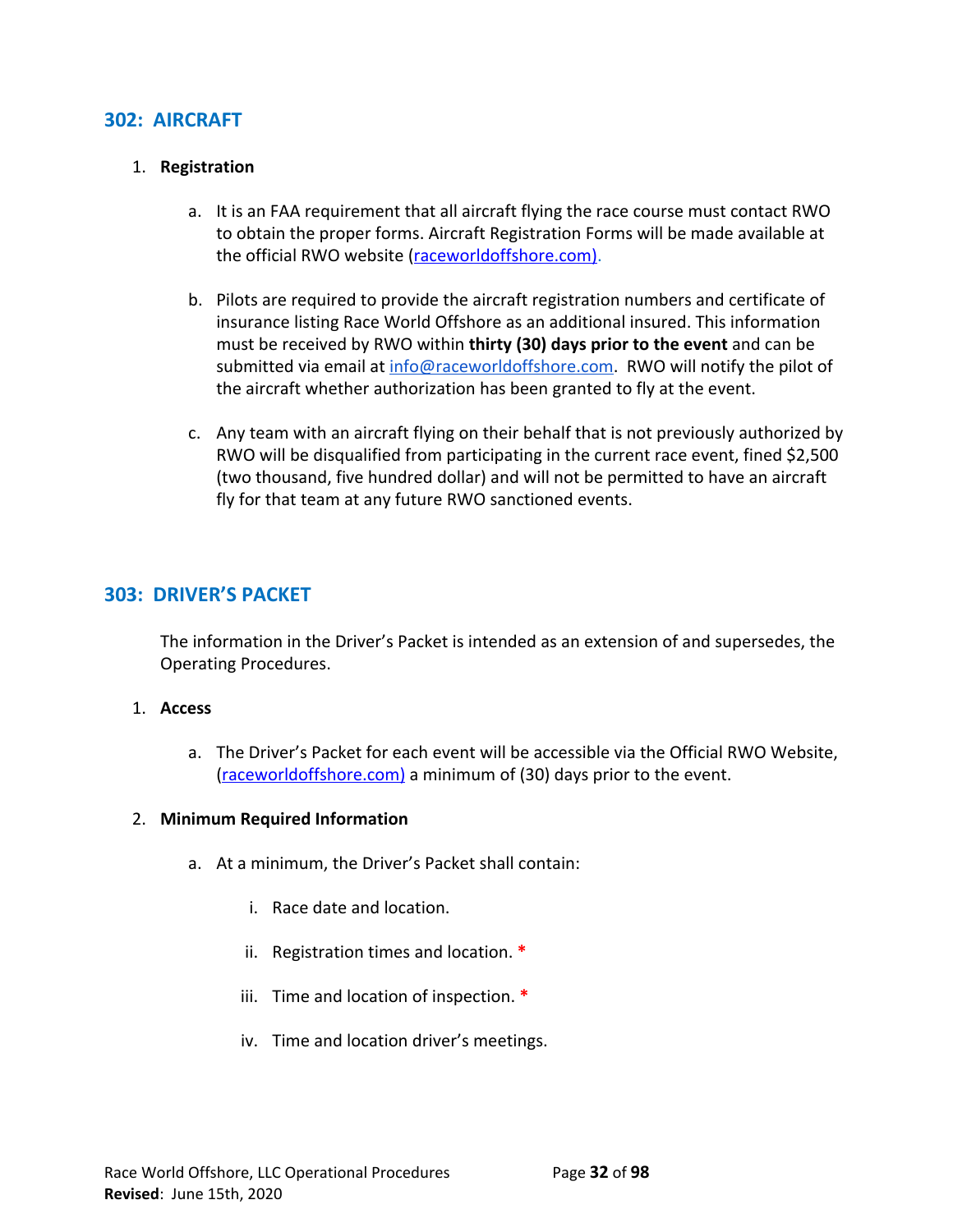# **302: AIRCRAFT**

#### 1. **Registration**

- a. It is an FAA requirement that all aircraft flying the race course must contact RWO to obtain the proper forms. Aircraft Registration Forms will be made available at the official RWO website ([raceworldoffshore.](http://www.raceworldoffshore.global/)com).
- b. Pilots are required to provide the aircraft registration numbers and certificate of insurance listing Race World Offshore as an additional insured. This information must be received by RWO within **thirty (30) days prior to the event** and can be submitted via email at [info@raceworldoffshore.com](mailto:info@raceworldoffshore.global?subject=Aircraft%20Registration%20Form%20Submission). RWO will notify the pilot of the aircraft whether authorization has been granted to fly at the event.
- c. Any team with an aircraft flying on their behalf that is not previously authorized by RWO will be disqualified from participating in the current race event, fined \$2,500 (two thousand, five hundred dollar) and will not be permitted to have an aircraft fly for that team at any future RWO sanctioned events.

# **303: DRIVER'S PACKET**

The information in the Driver's Packet is intended as an extension of and supersedes, the Operating Procedures.

## 1. **Access**

a. The Driver's Packet for each event will be accessible via the Official RWO Website, [\(raceworldoffshore.c](http://www.raceworldoffshore.global/)om) a minimum of (30) days prior to the event.

## 2. **Minimum Required Information**

- a. At a minimum, the Driver's Packet shall contain:
	- i. Race date and location.
	- ii. Registration times and location. **\***
	- iii. Time and location of inspection. **\***
	- iv. Time and location driver's meetings.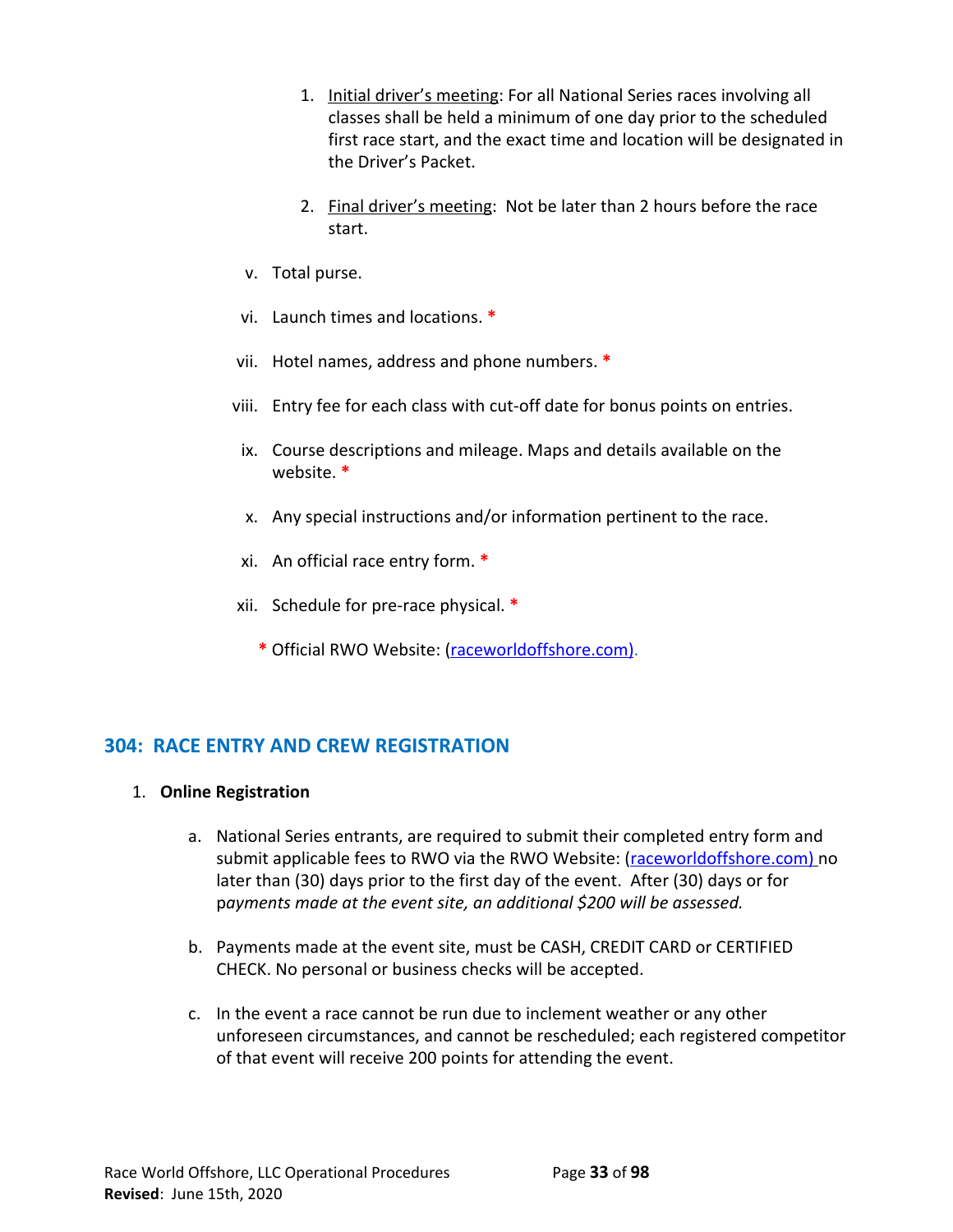- 1. Initial driver's meeting: For all National Series races involving all classes shall be held a minimum of one day prior to the scheduled first race start, and the exact time and location will be designated in the Driver's Packet.
- 2. Final driver's meeting: Not be later than 2 hours before the race start.
- v. Total purse.
- vi. Launch times and locations. **\***
- vii. Hotel names, address and phone numbers. **\***
- viii. Entry fee for each class with cut-off date for bonus points on entries.
- ix. Course descriptions and mileage. Maps and details available on the website. **\***
- x. Any special instructions and/or information pertinent to the race.
- xi. An official race entry form. **\***
- xii. Schedule for pre-race physical. **\***
	- **\*** Official RWO Website: ([raceworldoffshore.](http://www.raceworldoffshore.global/)com).

# **304: RACE ENTRY AND CREW REGISTRATION**

- 1. **Online Registration**
	- a. National Series entrants, are required to submit their completed entry form and submit applicable fees to RWO via the RWO Website: ([raceworldoffshore.c](http://www.raceworldoffshore.global/)om) no later than (30) days prior to the first day of the event. After (30) days or for p*ayments made at the event site, an additional \$200 will be assessed.*
	- b. Payments made at the event site, must be CASH, CREDIT CARD or CERTIFIED CHECK. No personal or business checks will be accepted.
	- c. In the event a race cannot be run due to inclement weather or any other unforeseen circumstances, and cannot be rescheduled; each registered competitor of that event will receive 200 points for attending the event.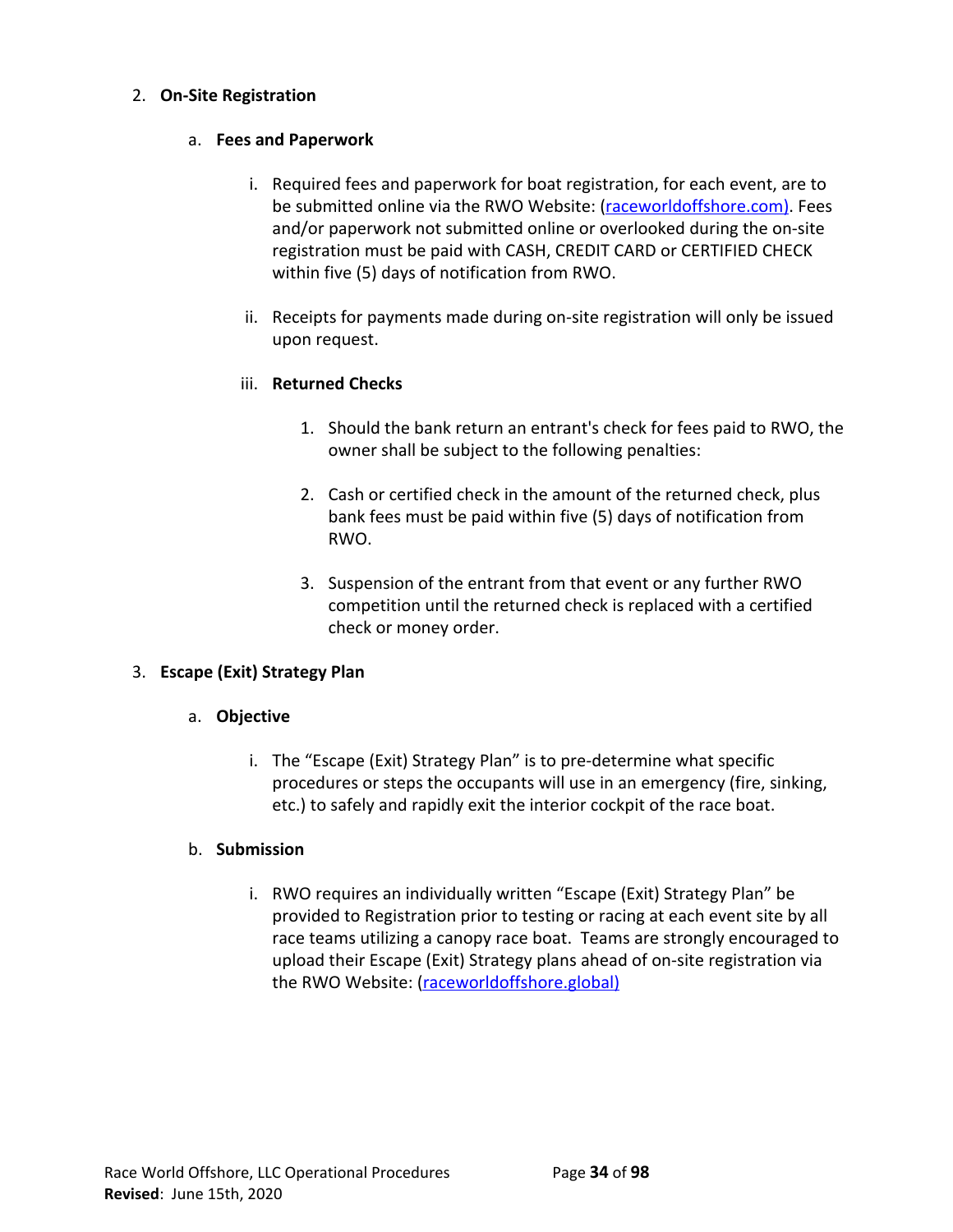## 2. **On-Site Registration**

# a. **Fees and Paperwork**

- i. Required fees and paperwork for boat registration, for each event, are to be submitted online via the RWO Website: [\(raceworldoffshore.](http://www.raceworldoffshore.global/)com). Fees and/or paperwork not submitted online or overlooked during the on-site registration must be paid with CASH, CREDIT CARD or CERTIFIED CHECK within five (5) days of notification from RWO.
- ii. Receipts for payments made during on-site registration will only be issued upon request.

# iii. **Returned Checks**

- 1. Should the bank return an entrant's check for fees paid to RWO, the owner shall be subject to the following penalties:
- 2. Cash or certified check in the amount of the returned check, plus bank fees must be paid within five (5) days of notification from RWO.
- 3. Suspension of the entrant from that event or any further RWO competition until the returned check is replaced with a certified check or money order.

# 3. **Escape (Exit) Strategy Plan**

# a. **Objective**

i. The "Escape (Exit) Strategy Plan" is to pre-determine what specific procedures or steps the occupants will use in an emergency (fire, sinking, etc.) to safely and rapidly exit the interior cockpit of the race boat.

# b. **Submission**

i. RWO requires an individually written "Escape (Exit) Strategy Plan" be provided to Registration prior to testing or racing at each event site by all race teams utilizing a canopy race boat. Teams are strongly encouraged to upload their Escape (Exit) Strategy plans ahead of on-site registration via the RWO Website: ([raceworldoffshore.global](http://www.raceworldoffshore.global/))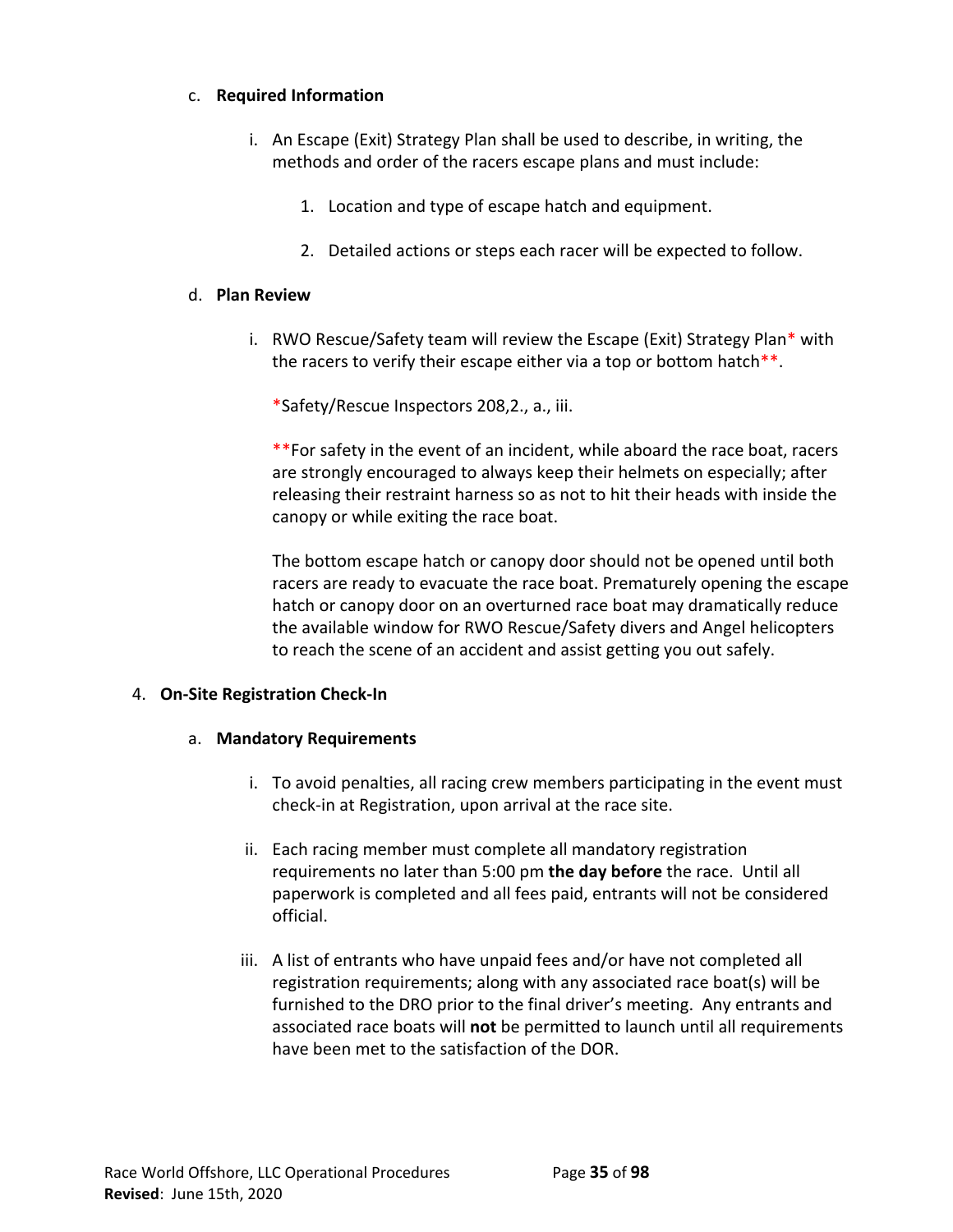## c. **Required Information**

- i. An Escape (Exit) Strategy Plan shall be used to describe, in writing, the methods and order of the racers escape plans and must include:
	- 1. Location and type of escape hatch and equipment.
	- 2. Detailed actions or steps each racer will be expected to follow.

#### d. **Plan Review**

i. RWO Rescue/Safety team will review the Escape (Exit) Strategy Plan\* with the racers to verify their escape either via a top or bottom hatch\*\*.

\*Safety/Rescue Inspectors 208,2., a., iii.

\*\*For safety in the event of an incident, while aboard the race boat, racers are strongly encouraged to always keep their helmets on especially; after releasing their restraint harness so as not to hit their heads with inside the canopy or while exiting the race boat.

The bottom escape hatch or canopy door should not be opened until both racers are ready to evacuate the race boat. Prematurely opening the escape hatch or canopy door on an overturned race boat may dramatically reduce the available window for RWO Rescue/Safety divers and Angel helicopters to reach the scene of an accident and assist getting you out safely.

## 4. **On-Site Registration Check-In**

## a. **Mandatory Requirements**

- i. To avoid penalties, all racing crew members participating in the event must check-in at Registration, upon arrival at the race site.
- ii. Each racing member must complete all mandatory registration requirements no later than 5:00 pm **the day before** the race. Until all paperwork is completed and all fees paid, entrants will not be considered official.
- iii. A list of entrants who have unpaid fees and/or have not completed all registration requirements; along with any associated race boat(s) will be furnished to the DRO prior to the final driver's meeting. Any entrants and associated race boats will **not** be permitted to launch until all requirements have been met to the satisfaction of the DOR.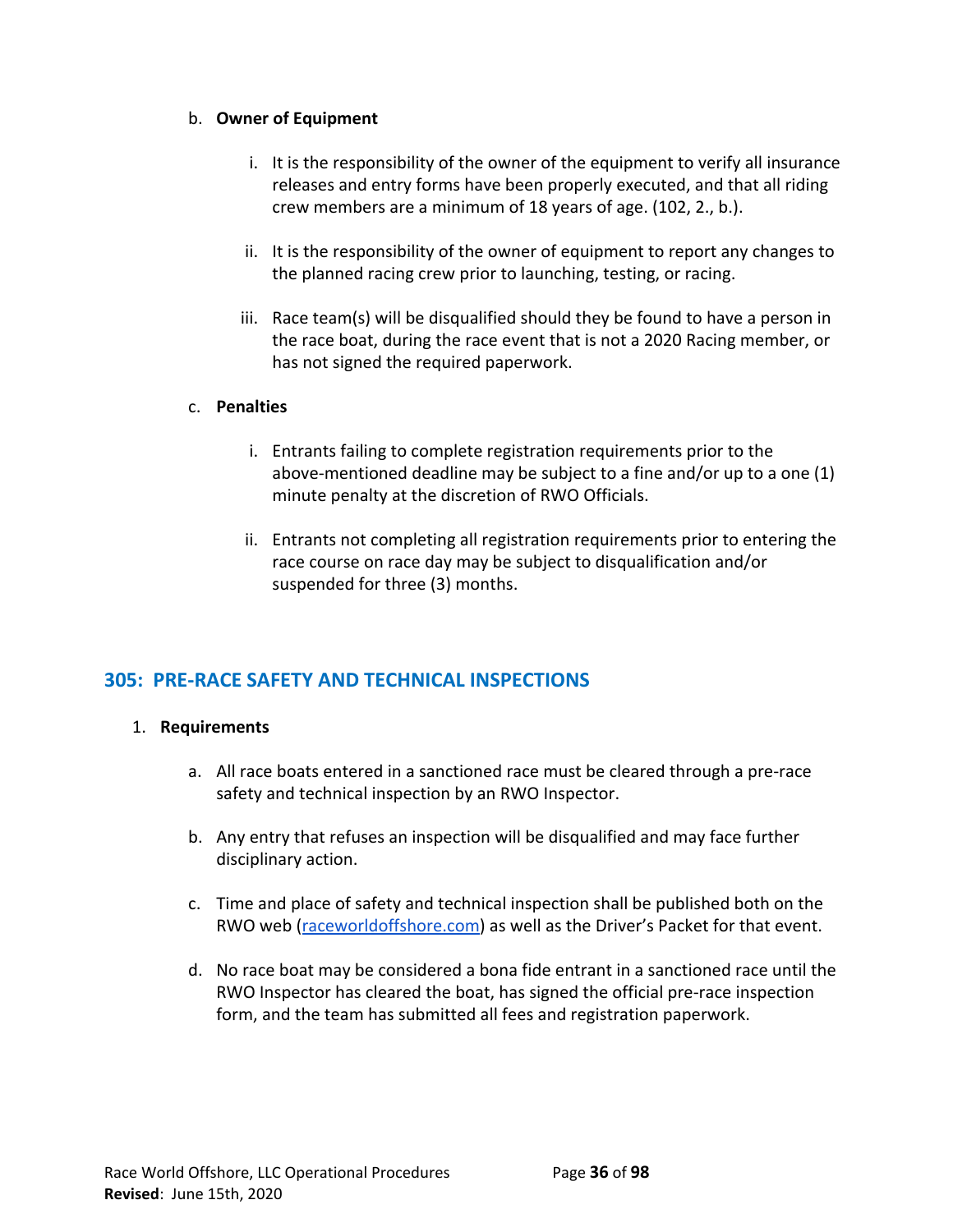# b. **Owner of Equipment**

- i. It is the responsibility of the owner of the equipment to verify all insurance releases and entry forms have been properly executed, and that all riding crew members are a minimum of 18 years of age. (102, 2., b.).
- ii. It is the responsibility of the owner of equipment to report any changes to the planned racing crew prior to launching, testing, or racing.
- iii. Race team(s) will be disqualified should they be found to have a person in the race boat, during the race event that is not a 2020 Racing member, or has not signed the required paperwork.

## c. **Penalties**

- i. Entrants failing to complete registration requirements prior to the above-mentioned deadline may be subject to a fine and/or up to a one (1) minute penalty at the discretion of RWO Officials.
- ii. Entrants not completing all registration requirements prior to entering the race course on race day may be subject to disqualification and/or suspended for three (3) months.

# **305: PRE-RACE SAFETY AND TECHNICAL INSPECTIONS**

# 1. **Requirements**

- a. All race boats entered in a sanctioned race must be cleared through a pre-race safety and technical inspection by an RWO Inspector.
- b. Any entry that refuses an inspection will be disqualified and may face further disciplinary action.
- c. Time and place of safety and technical inspection shall be published both on the RWO web [\(raceworldoffshore.com](http://www.raceworldoffshore.com/)) as well as the Driver's Packet for that event.
- d. No race boat may be considered a bona fide entrant in a sanctioned race until the RWO Inspector has cleared the boat, has signed the official pre-race inspection form, and the team has submitted all fees and registration paperwork.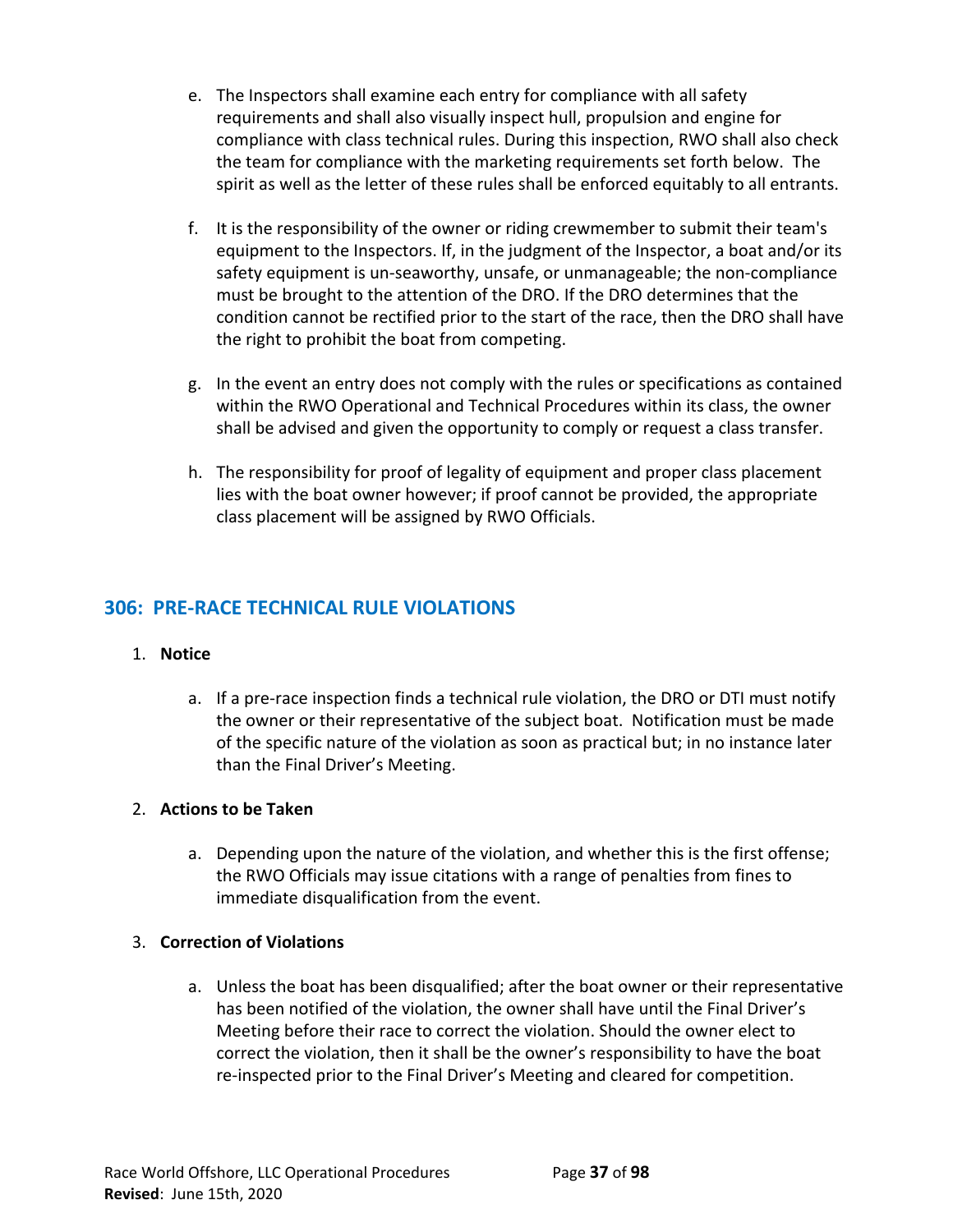- e. The Inspectors shall examine each entry for compliance with all safety requirements and shall also visually inspect hull, propulsion and engine for compliance with class technical rules. During this inspection, RWO shall also check the team for compliance with the marketing requirements set forth below. The spirit as well as the letter of these rules shall be enforced equitably to all entrants.
- f. It is the responsibility of the owner or riding crewmember to submit their team's equipment to the Inspectors. If, in the judgment of the Inspector, a boat and/or its safety equipment is un-seaworthy, unsafe, or unmanageable; the non-compliance must be brought to the attention of the DRO. If the DRO determines that the condition cannot be rectified prior to the start of the race, then the DRO shall have the right to prohibit the boat from competing.
- g. In the event an entry does not comply with the rules or specifications as contained within the RWO Operational and Technical Procedures within its class, the owner shall be advised and given the opportunity to comply or request a class transfer.
- h. The responsibility for proof of legality of equipment and proper class placement lies with the boat owner however; if proof cannot be provided, the appropriate class placement will be assigned by RWO Officials.

# **306: PRE-RACE TECHNICAL RULE VIOLATIONS**

#### 1. **Notice**

a. If a pre-race inspection finds a technical rule violation, the DRO or DTI must notify the owner or their representative of the subject boat. Notification must be made of the specific nature of the violation as soon as practical but; in no instance later than the Final Driver's Meeting.

# 2. **Actions to be Taken**

a. Depending upon the nature of the violation, and whether this is the first offense; the RWO Officials may issue citations with a range of penalties from fines to immediate disqualification from the event.

#### 3. **Correction of Violations**

a. Unless the boat has been disqualified; after the boat owner or their representative has been notified of the violation, the owner shall have until the Final Driver's Meeting before their race to correct the violation. Should the owner elect to correct the violation, then it shall be the owner's responsibility to have the boat re-inspected prior to the Final Driver's Meeting and cleared for competition.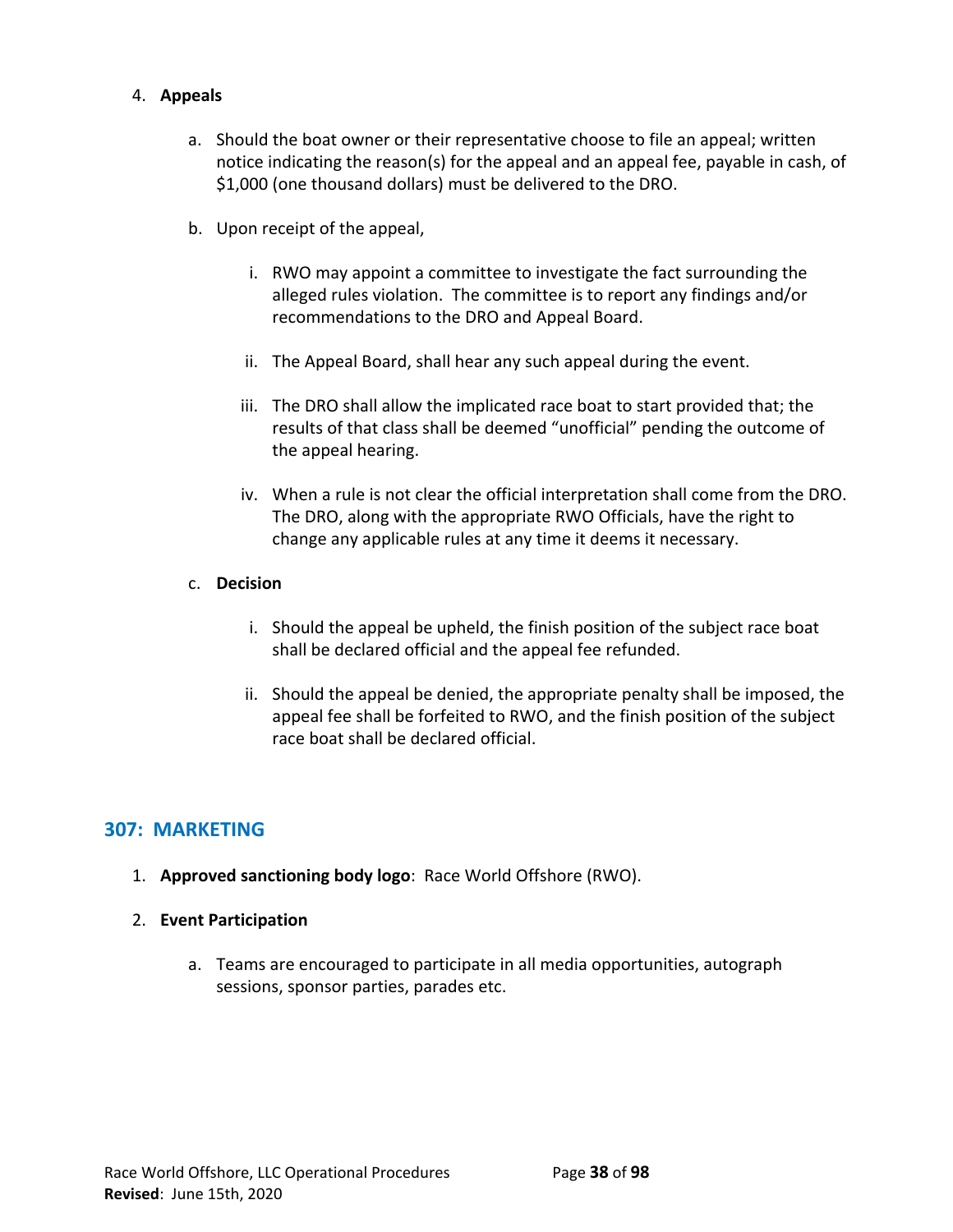# 4. **Appeals**

- a. Should the boat owner or their representative choose to file an appeal; written notice indicating the reason(s) for the appeal and an appeal fee, payable in cash, of \$1,000 (one thousand dollars) must be delivered to the DRO.
- b. Upon receipt of the appeal,
	- i. RWO may appoint a committee to investigate the fact surrounding the alleged rules violation. The committee is to report any findings and/or recommendations to the DRO and Appeal Board.
	- ii. The Appeal Board, shall hear any such appeal during the event.
	- iii. The DRO shall allow the implicated race boat to start provided that; the results of that class shall be deemed "unofficial" pending the outcome of the appeal hearing.
	- iv. When a rule is not clear the official interpretation shall come from the DRO. The DRO, along with the appropriate RWO Officials, have the right to change any applicable rules at any time it deems it necessary.

# c. **Decision**

- i. Should the appeal be upheld, the finish position of the subject race boat shall be declared official and the appeal fee refunded.
- ii. Should the appeal be denied, the appropriate penalty shall be imposed, the appeal fee shall be forfeited to RWO, and the finish position of the subject race boat shall be declared official.

# **307: MARKETING**

- 1. **Approved sanctioning body logo**: Race World Offshore (RWO).
- 2. **Event Participation**
	- a. Teams are encouraged to participate in all media opportunities, autograph sessions, sponsor parties, parades etc.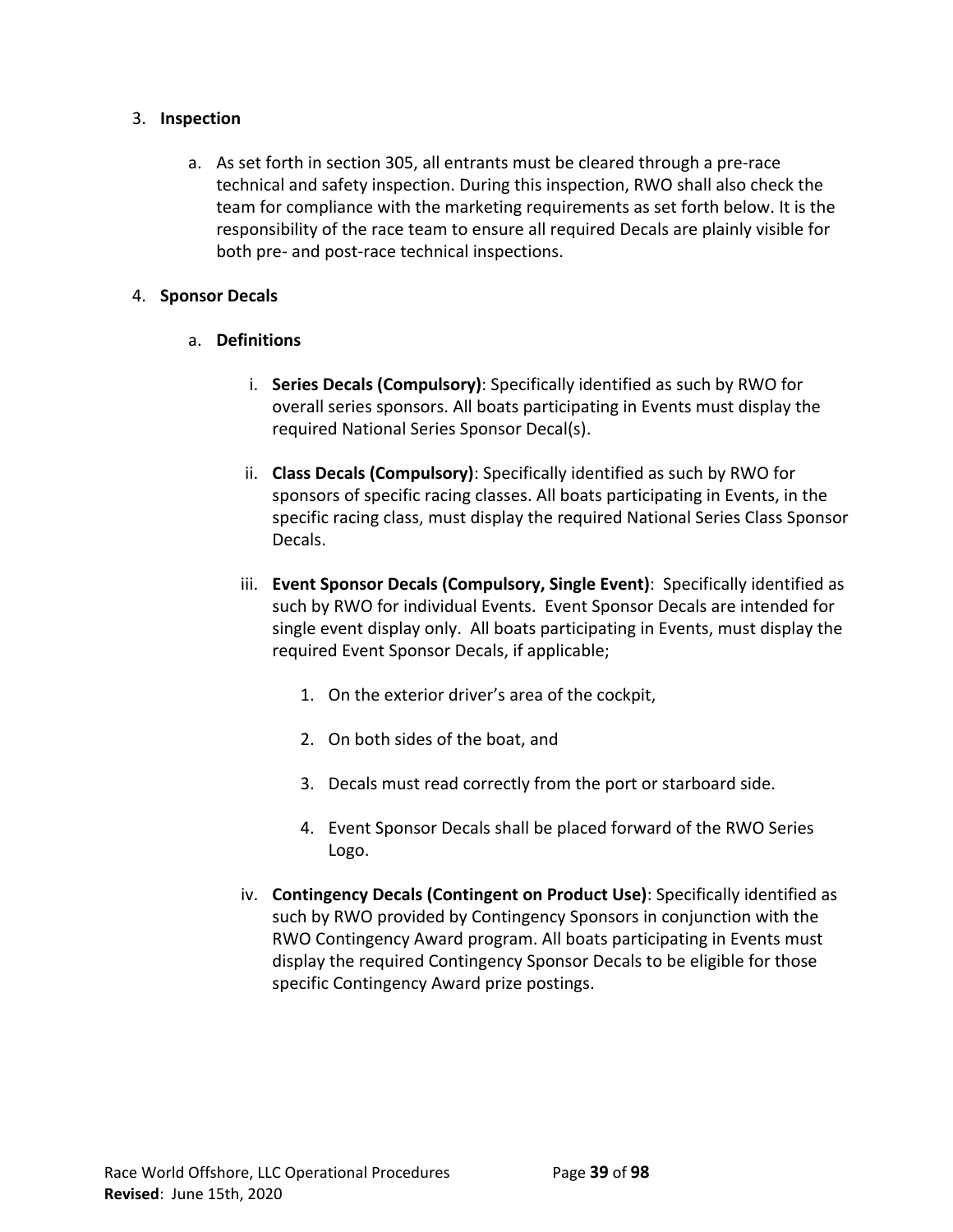# 3. **Inspection**

a. As set forth in section 305, all entrants must be cleared through a pre-race technical and safety inspection. During this inspection, RWO shall also check the team for compliance with the marketing requirements as set forth below. It is the responsibility of the race team to ensure all required Decals are plainly visible for both pre- and post-race technical inspections.

### 4. **Sponsor Decals**

# a. **Definitions**

- i. **Series Decals (Compulsory)**: Specifically identified as such by RWO for overall series sponsors. All boats participating in Events must display the required National Series Sponsor Decal(s).
- ii. **Class Decals (Compulsory)**: Specifically identified as such by RWO for sponsors of specific racing classes. All boats participating in Events, in the specific racing class, must display the required National Series Class Sponsor Decals.
- iii. **Event Sponsor Decals (Compulsory, Single Event)**: Specifically identified as such by RWO for individual Events. Event Sponsor Decals are intended for single event display only. All boats participating in Events, must display the required Event Sponsor Decals, if applicable;
	- 1. On the exterior driver's area of the cockpit,
	- 2. On both sides of the boat, and
	- 3. Decals must read correctly from the port or starboard side.
	- 4. Event Sponsor Decals shall be placed forward of the RWO Series Logo.
- iv. **Contingency Decals (Contingent on Product Use)**: Specifically identified as such by RWO provided by Contingency Sponsors in conjunction with the RWO Contingency Award program. All boats participating in Events must display the required Contingency Sponsor Decals to be eligible for those specific Contingency Award prize postings.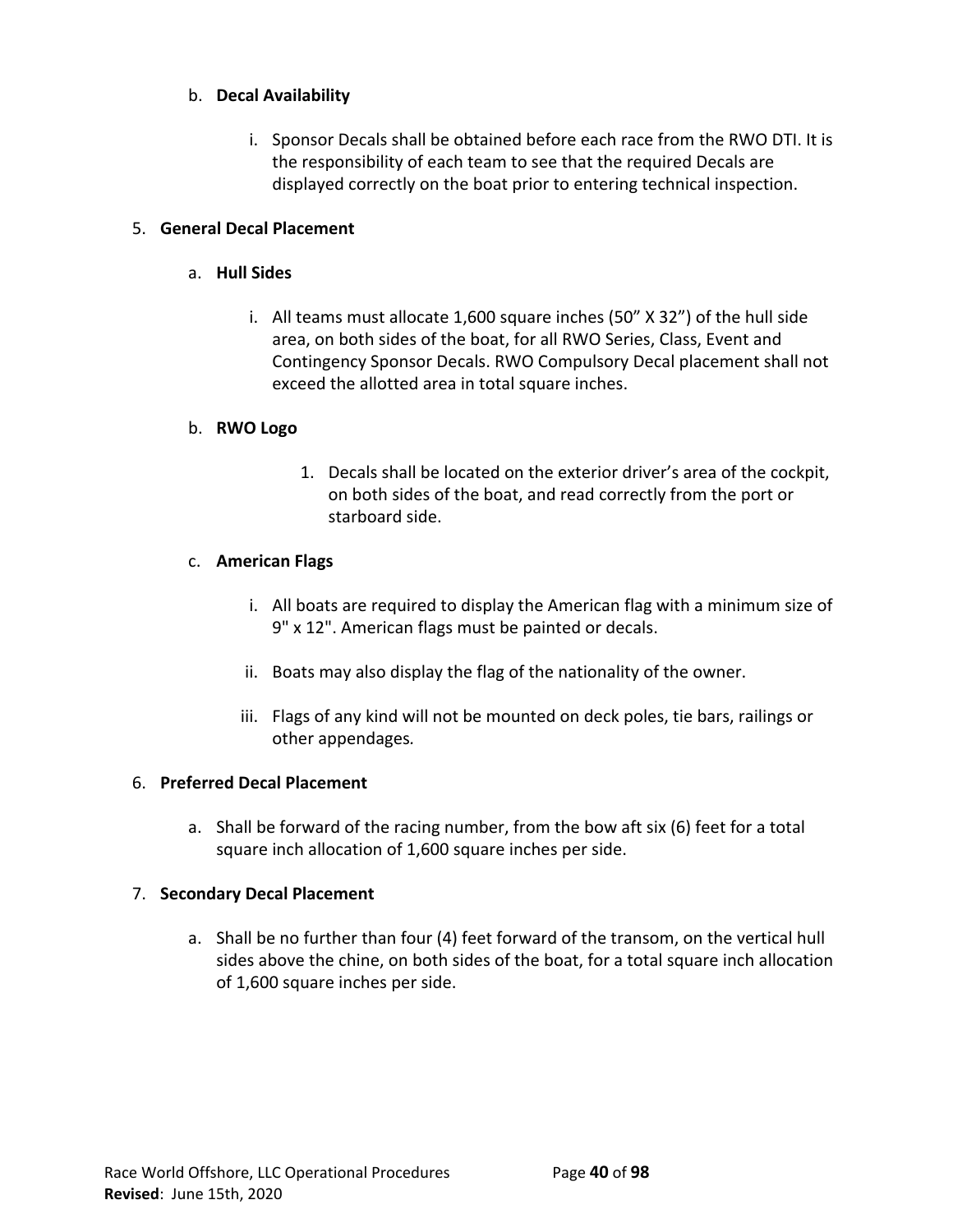# b. **Decal Availability**

i. Sponsor Decals shall be obtained before each race from the RWO DTI. It is the responsibility of each team to see that the required Decals are displayed correctly on the boat prior to entering technical inspection.

# 5. **General Decal Placement**

# a. **Hull Sides**

i. All teams must allocate 1,600 square inches (50" X 32") of the hull side area, on both sides of the boat, for all RWO Series, Class, Event and Contingency Sponsor Decals. RWO Compulsory Decal placement shall not exceed the allotted area in total square inches.

# b. **RWO Logo**

1. Decals shall be located on the exterior driver's area of the cockpit, on both sides of the boat, and read correctly from the port or starboard side.

# c. **American Flags**

- i. All boats are required to display the American flag with a minimum size of 9" x 12". American flags must be painted or decals.
- ii. Boats may also display the flag of the nationality of the owner.
- iii. Flags of any kind will not be mounted on deck poles, tie bars, railings or other appendages*.*

# 6. **Preferred Decal Placement**

a. Shall be forward of the racing number, from the bow aft six (6) feet for a total square inch allocation of 1,600 square inches per side.

# 7. **Secondary Decal Placement**

a. Shall be no further than four (4) feet forward of the transom, on the vertical hull sides above the chine, on both sides of the boat, for a total square inch allocation of 1,600 square inches per side.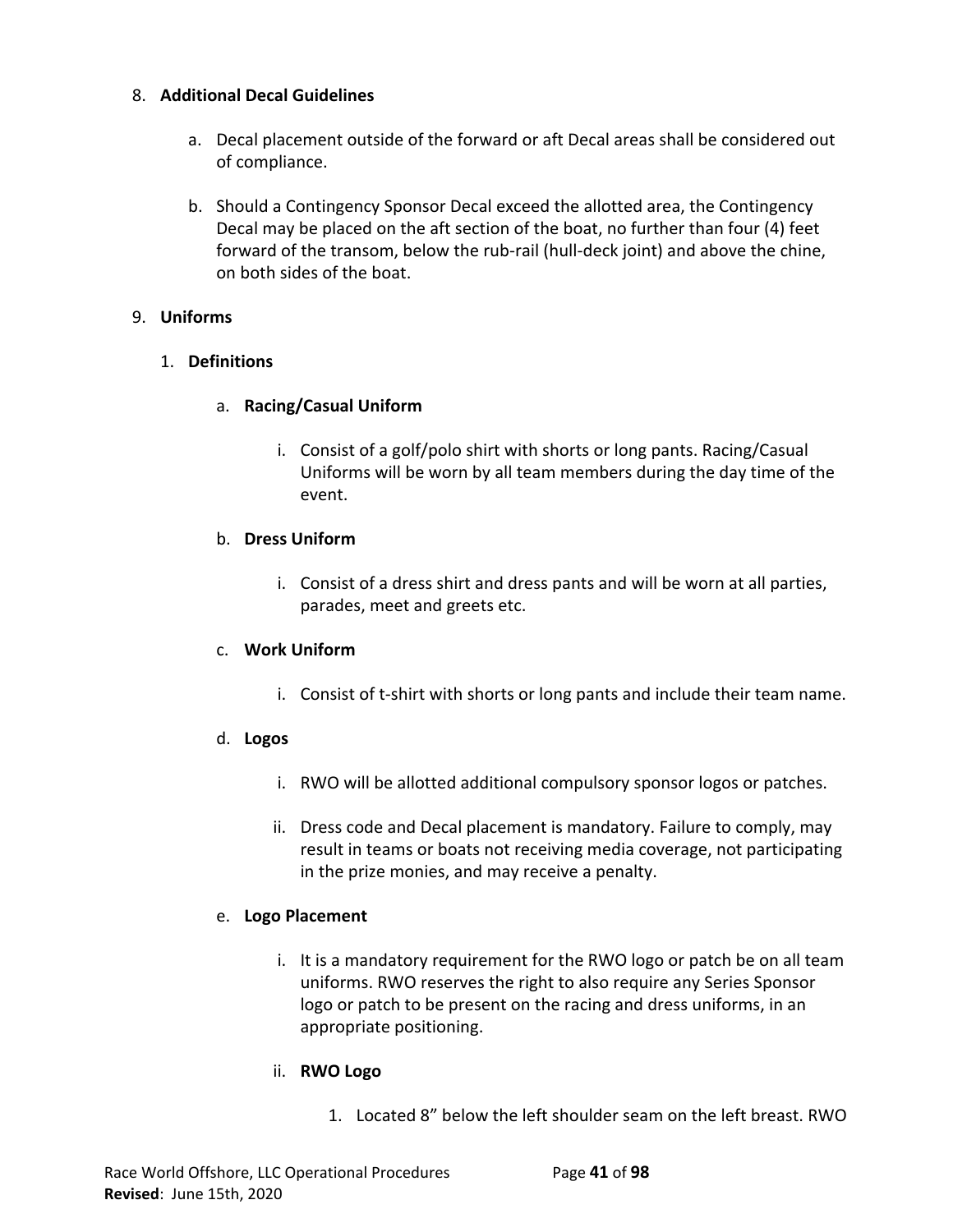# 8. **Additional Decal Guidelines**

- a. Decal placement outside of the forward or aft Decal areas shall be considered out of compliance.
- b. Should a Contingency Sponsor Decal exceed the allotted area, the Contingency Decal may be placed on the aft section of the boat, no further than four (4) feet forward of the transom, below the rub-rail (hull-deck joint) and above the chine, on both sides of the boat.

# 9. **Uniforms**

# 1. **Definitions**

# a. **Racing/Casual Uniform**

i. Consist of a golf/polo shirt with shorts or long pants. Racing/Casual Uniforms will be worn by all team members during the day time of the event.

# b. **Dress Uniform**

i. Consist of a dress shirt and dress pants and will be worn at all parties, parades, meet and greets etc.

#### c. **Work Uniform**

i. Consist of t-shirt with shorts or long pants and include their team name.

# d. **Logos**

- i. RWO will be allotted additional compulsory sponsor logos or patches.
- ii. Dress code and Decal placement is mandatory. Failure to comply, may result in teams or boats not receiving media coverage, not participating in the prize monies, and may receive a penalty.

#### e. **Logo Placement**

i. It is a mandatory requirement for the RWO logo or patch be on all team uniforms. RWO reserves the right to also require any Series Sponsor logo or patch to be present on the racing and dress uniforms, in an appropriate positioning.

# ii. **RWO Logo**

1. Located 8" below the left shoulder seam on the left breast. RWO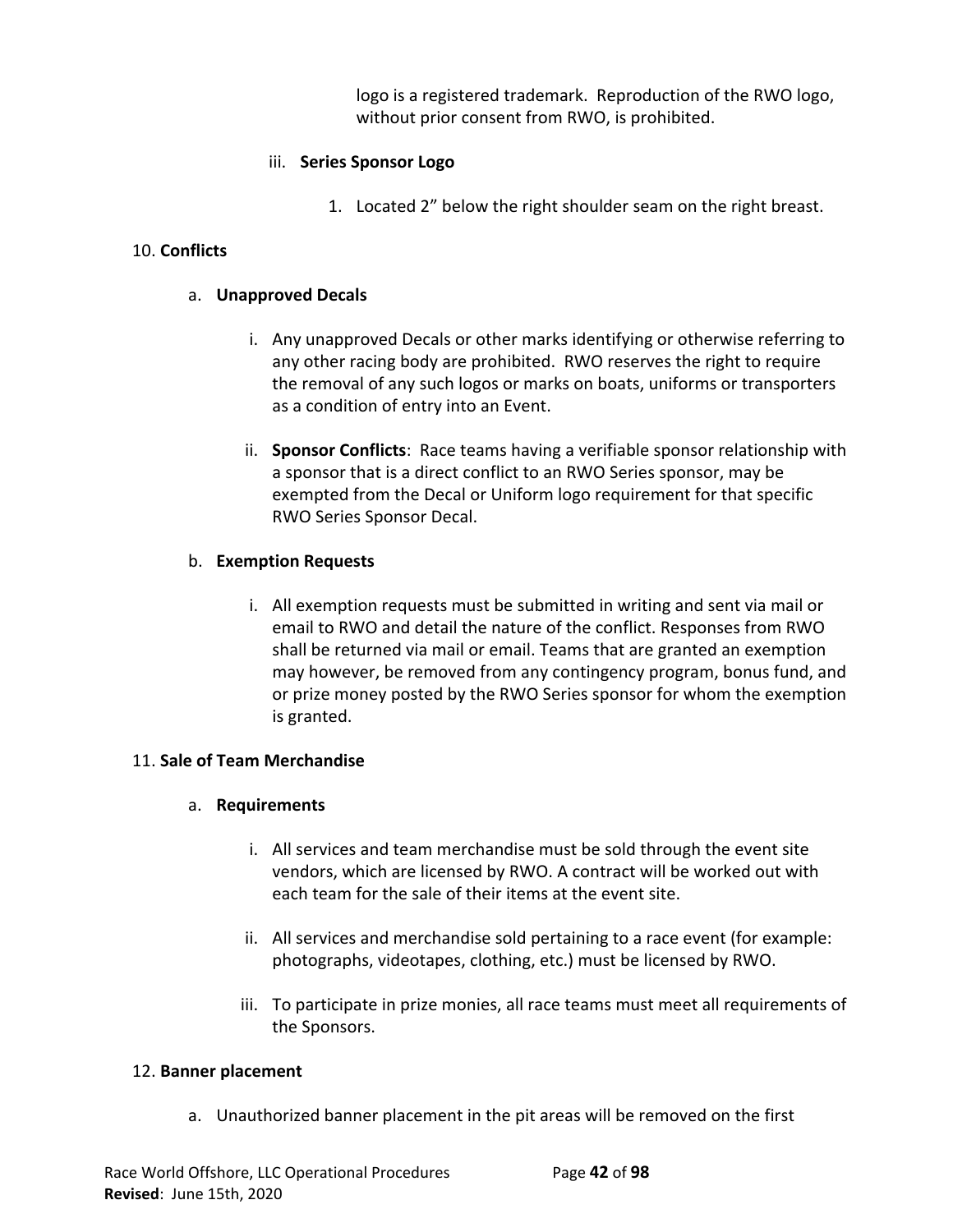logo is a registered trademark. Reproduction of the RWO logo, without prior consent from RWO, is prohibited.

# iii. **Series Sponsor Logo**

1. Located 2" below the right shoulder seam on the right breast.

# 10. **Conflicts**

# a. **Unapproved Decals**

- i. Any unapproved Decals or other marks identifying or otherwise referring to any other racing body are prohibited. RWO reserves the right to require the removal of any such logos or marks on boats, uniforms or transporters as a condition of entry into an Event.
- ii. **Sponsor Conflicts**: Race teams having a verifiable sponsor relationship with a sponsor that is a direct conflict to an RWO Series sponsor, may be exempted from the Decal or Uniform logo requirement for that specific RWO Series Sponsor Decal.

# b. **Exemption Requests**

i. All exemption requests must be submitted in writing and sent via mail or email to RWO and detail the nature of the conflict. Responses from RWO shall be returned via mail or email. Teams that are granted an exemption may however, be removed from any contingency program, bonus fund, and or prize money posted by the RWO Series sponsor for whom the exemption is granted.

# 11. **Sale of Team Merchandise**

# a. **Requirements**

- i. All services and team merchandise must be sold through the event site vendors, which are licensed by RWO. A contract will be worked out with each team for the sale of their items at the event site.
- ii. All services and merchandise sold pertaining to a race event (for example: photographs, videotapes, clothing, etc.) must be licensed by RWO.
- iii. To participate in prize monies, all race teams must meet all requirements of the Sponsors.

# 12. **Banner placement**

a. Unauthorized banner placement in the pit areas will be removed on the first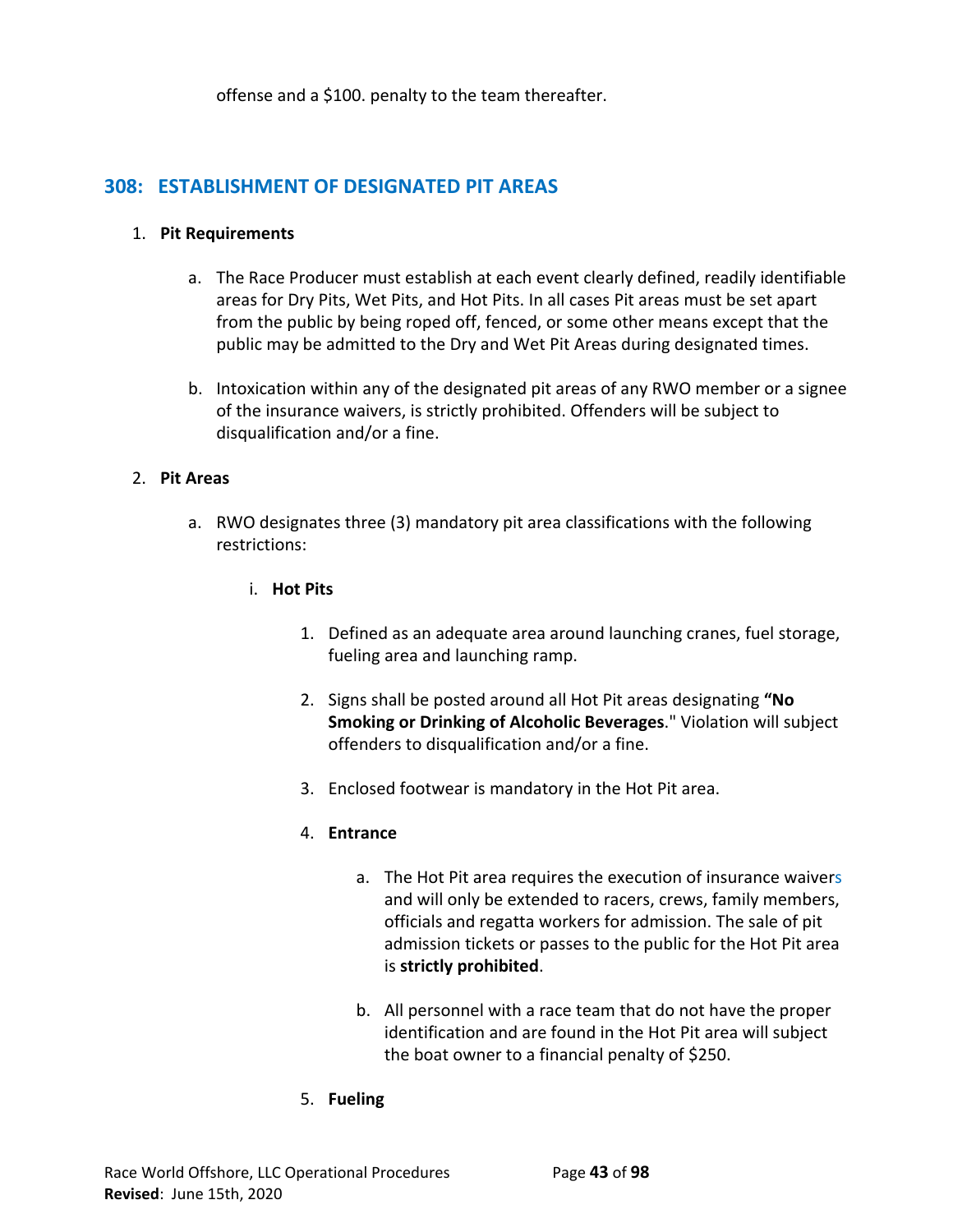offense and a \$100. penalty to the team thereafter.

# **308: ESTABLISHMENT OF DESIGNATED PIT AREAS**

#### 1. **Pit Requirements**

- a. The Race Producer must establish at each event clearly defined, readily identifiable areas for Dry Pits, Wet Pits, and Hot Pits. In all cases Pit areas must be set apart from the public by being roped off, fenced, or some other means except that the public may be admitted to the Dry and Wet Pit Areas during designated times.
- b. Intoxication within any of the designated pit areas of any RWO member or a signee of the insurance waivers, is strictly prohibited. Offenders will be subject to disqualification and/or a fine.

# 2. **Pit Areas**

- a. RWO designates three (3) mandatory pit area classifications with the following restrictions:
	- i. **Hot Pits**
		- 1. Defined as an adequate area around launching cranes, fuel storage, fueling area and launching ramp.
		- 2. Signs shall be posted around all Hot Pit areas designating **"No Smoking or Drinking of Alcoholic Beverages**." Violation will subject offenders to disqualification and/or a fine.
		- 3. Enclosed footwear is mandatory in the Hot Pit area.

# 4. **Entrance**

- a. The Hot Pit area requires the execution of insurance waivers and will only be extended to racers, crews, family members, officials and regatta workers for admission. The sale of pit admission tickets or passes to the public for the Hot Pit area is **strictly prohibited**.
- b. All personnel with a race team that do not have the proper identification and are found in the Hot Pit area will subject the boat owner to a financial penalty of \$250.
- 5. **Fueling**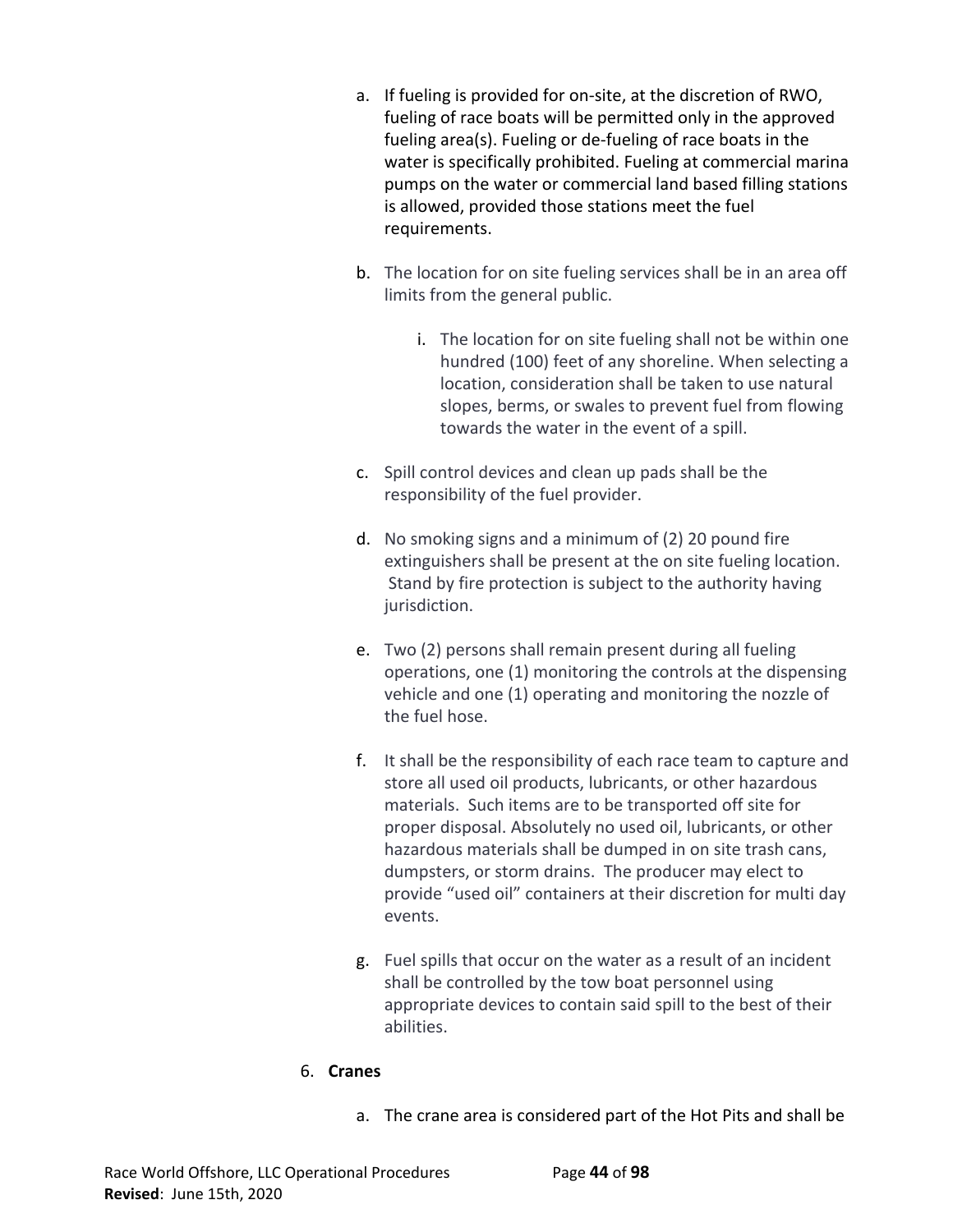- a. If fueling is provided for on-site, at the discretion of RWO, fueling of race boats will be permitted only in the approved fueling area(s). Fueling or de-fueling of race boats in the water is specifically prohibited. Fueling at commercial marina pumps on the water or commercial land based filling stations is allowed, provided those stations meet the fuel requirements.
- b. The location for on site fueling services shall be in an area off limits from the general public.
	- i. The location for on site fueling shall not be within one hundred (100) feet of any shoreline. When selecting a location, consideration shall be taken to use natural slopes, berms, or swales to prevent fuel from flowing towards the water in the event of a spill.
- c. Spill control devices and clean up pads shall be the responsibility of the fuel provider.
- d. No smoking signs and a minimum of (2) 20 pound fire extinguishers shall be present at the on site fueling location. Stand by fire protection is subject to the authority having jurisdiction.
- e. Two (2) persons shall remain present during all fueling operations, one (1) monitoring the controls at the dispensing vehicle and one (1) operating and monitoring the nozzle of the fuel hose.
- f. It shall be the responsibility of each race team to capture and store all used oil products, lubricants, or other hazardous materials. Such items are to be transported off site for proper disposal. Absolutely no used oil, lubricants, or other hazardous materials shall be dumped in on site trash cans, dumpsters, or storm drains. The producer may elect to provide "used oil" containers at their discretion for multi day events.
- g. Fuel spills that occur on the water as a result of an incident shall be controlled by the tow boat personnel using appropriate devices to contain said spill to the best of their abilities.

# 6. **Cranes**

a. The crane area is considered part of the Hot Pits and shall be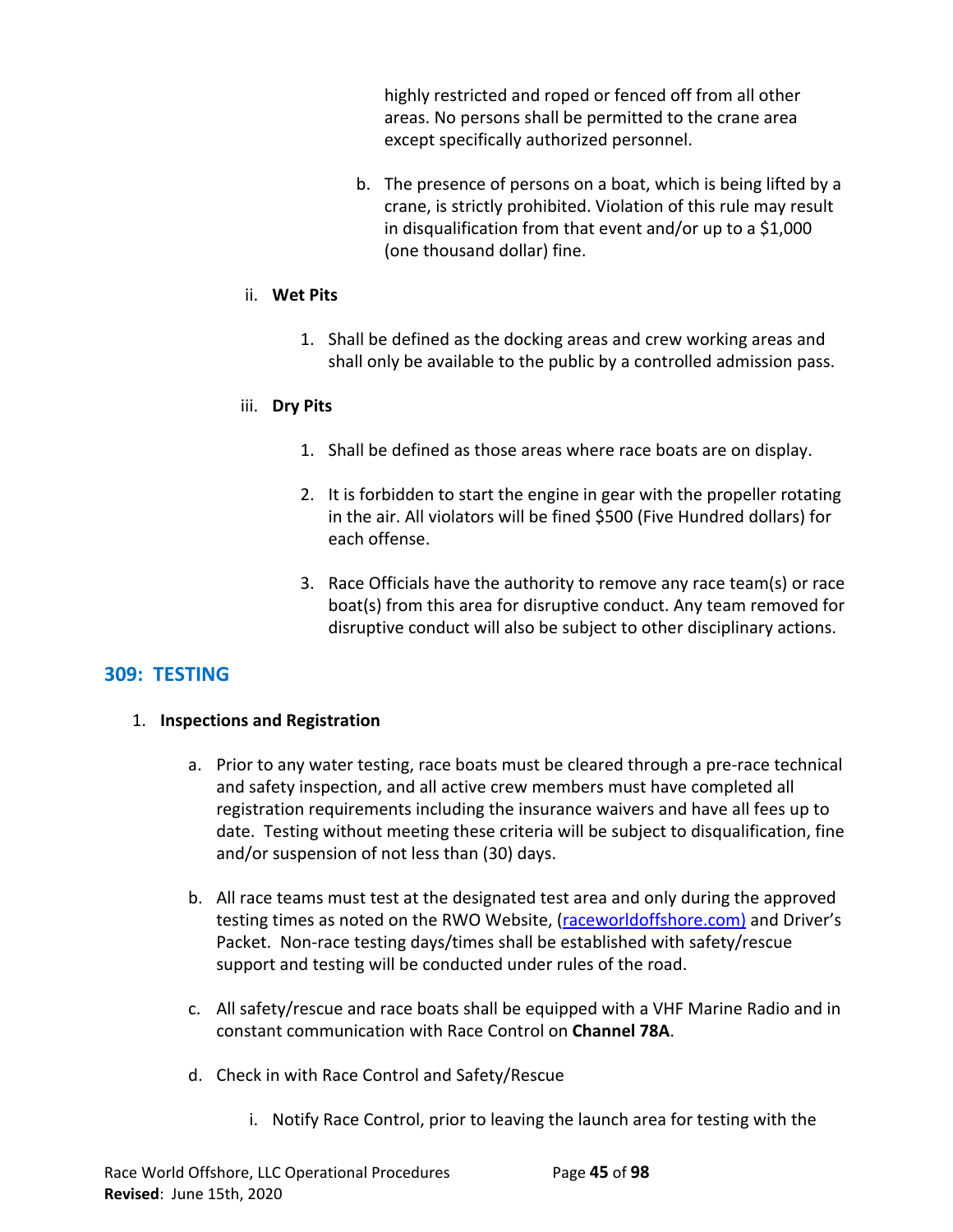highly restricted and roped or fenced off from all other areas. No persons shall be permitted to the crane area except specifically authorized personnel.

b. The presence of persons on a boat, which is being lifted by a crane, is strictly prohibited. Violation of this rule may result in disqualification from that event and/or up to a \$1,000 (one thousand dollar) fine.

#### ii. **Wet Pits**

1. Shall be defined as the docking areas and crew working areas and shall only be available to the public by a controlled admission pass.

#### iii. **Dry Pits**

- 1. Shall be defined as those areas where race boats are on display.
- 2. It is forbidden to start the engine in gear with the propeller rotating in the air. All violators will be fined \$500 (Five Hundred dollars) for each offense.
- 3. Race Officials have the authority to remove any race team(s) or race boat(s) from this area for disruptive conduct. Any team removed for disruptive conduct will also be subject to other disciplinary actions.

# **309: TESTING**

#### 1. **Inspections and Registration**

- a. Prior to any water testing, race boats must be cleared through a pre-race technical and safety inspection, and all active crew members must have completed all registration requirements including the insurance waivers and have all fees up to date. Testing without meeting these criteria will be subject to disqualification, fine and/or suspension of not less than (30) days.
- b. All race teams must test at the designated test area and only during the approved testing times as noted on the RWO Website, ([raceworldoffshore.](http://www.raceworldoffshore.global/)com) and Driver's Packet. Non-race testing days/times shall be established with safety/rescue support and testing will be conducted under rules of the road.
- c. All safety/rescue and race boats shall be equipped with a VHF Marine Radio and in constant communication with Race Control on **Channel 78A**.
- d. Check in with Race Control and Safety/Rescue
	- i. Notify Race Control, prior to leaving the launch area for testing with the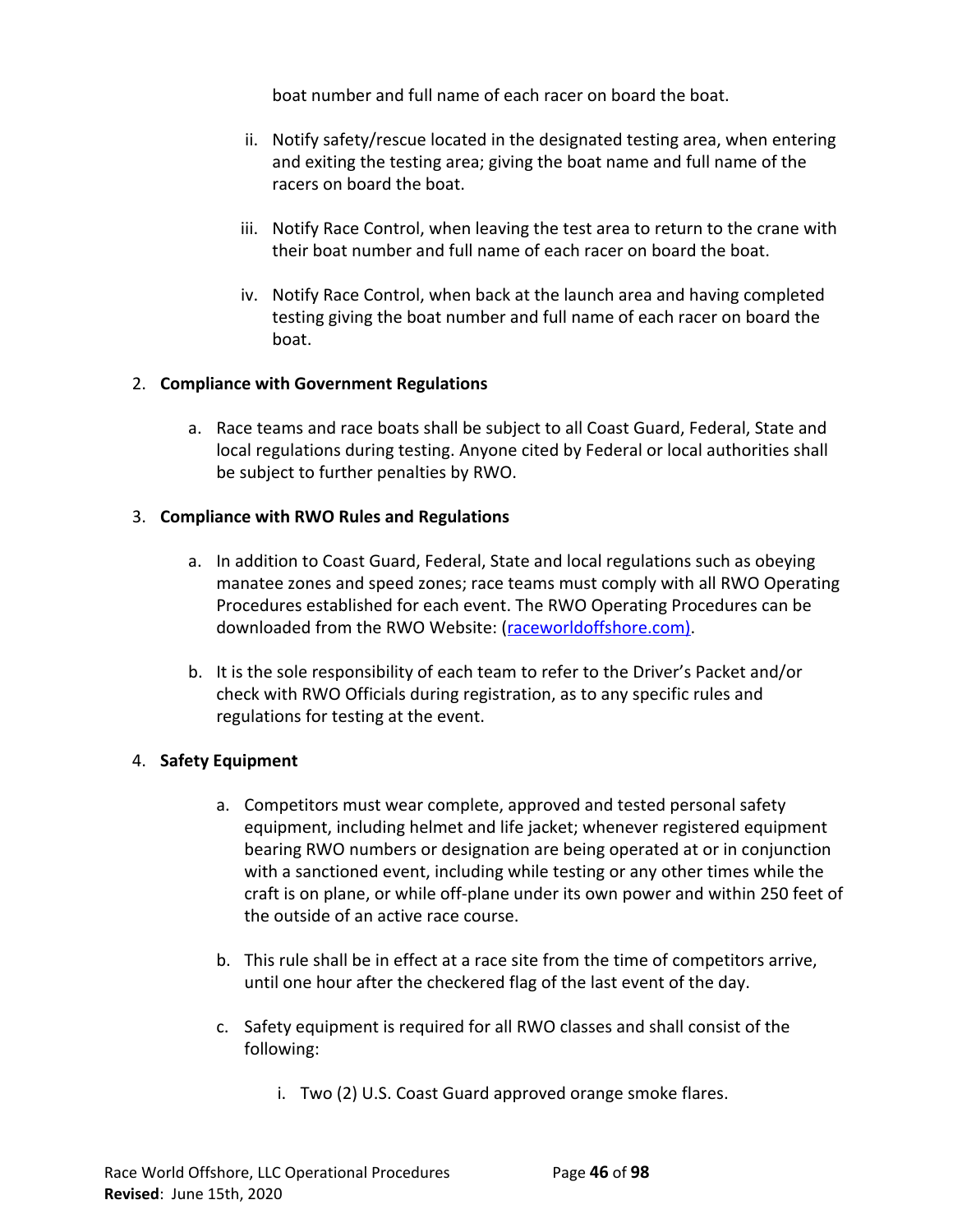boat number and full name of each racer on board the boat.

- ii. Notify safety/rescue located in the designated testing area, when entering and exiting the testing area; giving the boat name and full name of the racers on board the boat.
- iii. Notify Race Control, when leaving the test area to return to the crane with their boat number and full name of each racer on board the boat.
- iv. Notify Race Control, when back at the launch area and having completed testing giving the boat number and full name of each racer on board the boat.

# 2. **Compliance with Government Regulations**

a. Race teams and race boats shall be subject to all Coast Guard, Federal, State and local regulations during testing. Anyone cited by Federal or local authorities shall be subject to further penalties by RWO.

#### 3. **Compliance with RWO Rules and Regulations**

- a. In addition to Coast Guard, Federal, State and local regulations such as obeying manatee zones and speed zones; race teams must comply with all RWO Operating Procedures established for each event. The RWO Operating Procedures can be downloaded from the RWO Website: ([raceworldoffshore](http://www.raceworldoffshore.global/).com).
- b. It is the sole responsibility of each team to refer to the Driver's Packet and/or check with RWO Officials during registration, as to any specific rules and regulations for testing at the event.

# 4. **Safety Equipment**

- a. Competitors must wear complete, approved and tested personal safety equipment, including helmet and life jacket; whenever registered equipment bearing RWO numbers or designation are being operated at or in conjunction with a sanctioned event, including while testing or any other times while the craft is on plane, or while off-plane under its own power and within 250 feet of the outside of an active race course.
- b. This rule shall be in effect at a race site from the time of competitors arrive, until one hour after the checkered flag of the last event of the day.
- c. Safety equipment is required for all RWO classes and shall consist of the following:
	- i. Two (2) U.S. Coast Guard approved orange smoke flares.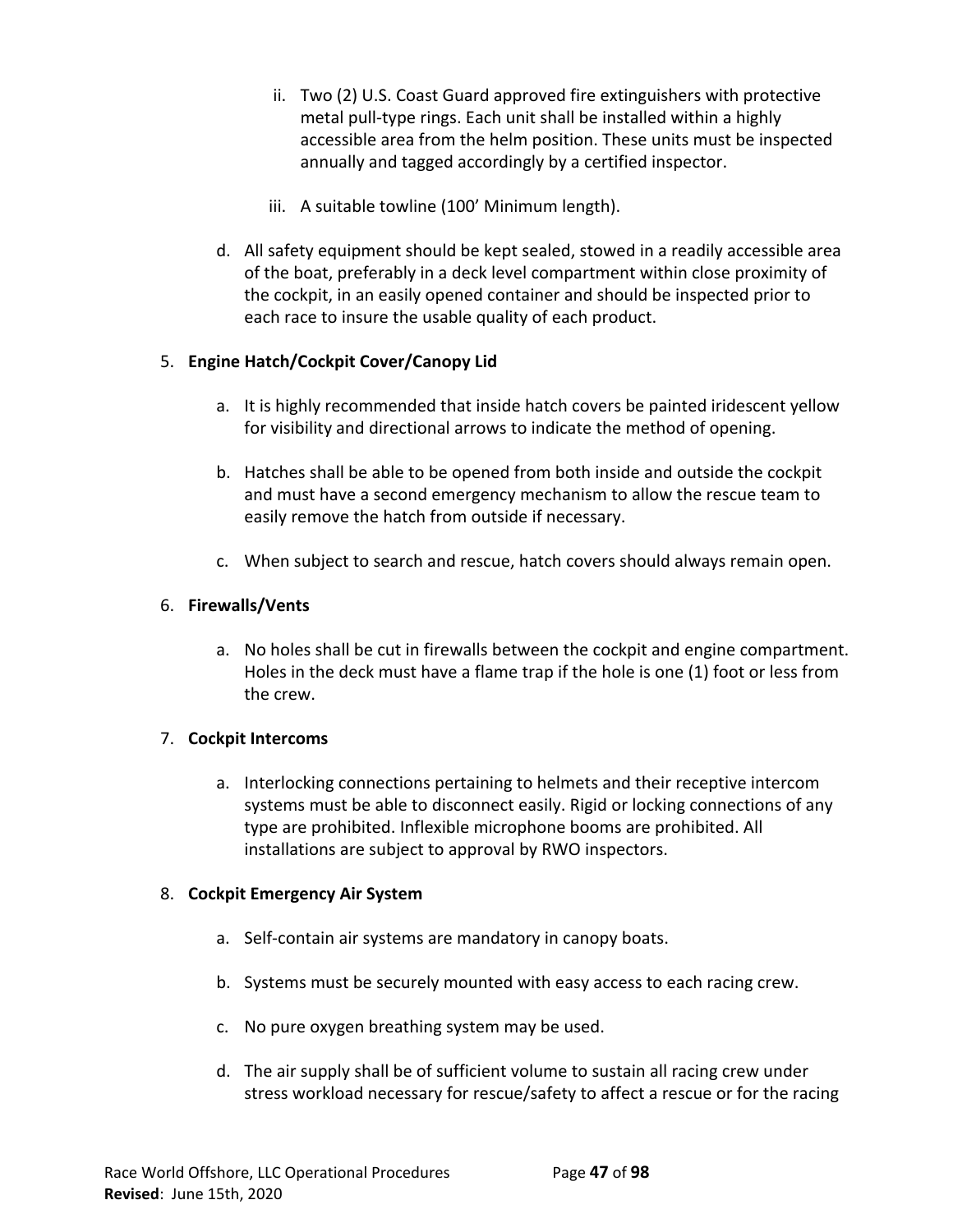- ii. Two (2) U.S. Coast Guard approved fire extinguishers with protective metal pull-type rings. Each unit shall be installed within a highly accessible area from the helm position. These units must be inspected annually and tagged accordingly by a certified inspector.
- iii. A suitable towline (100' Minimum length).
- d. All safety equipment should be kept sealed, stowed in a readily accessible area of the boat, preferably in a deck level compartment within close proximity of the cockpit, in an easily opened container and should be inspected prior to each race to insure the usable quality of each product.

#### 5. **Engine Hatch/Cockpit Cover/Canopy Lid**

- a. It is highly recommended that inside hatch covers be painted iridescent yellow for visibility and directional arrows to indicate the method of opening.
- b. Hatches shall be able to be opened from both inside and outside the cockpit and must have a second emergency mechanism to allow the rescue team to easily remove the hatch from outside if necessary.
- c. When subject to search and rescue, hatch covers should always remain open.

# 6. **Firewalls/Vents**

a. No holes shall be cut in firewalls between the cockpit and engine compartment. Holes in the deck must have a flame trap if the hole is one (1) foot or less from the crew.

#### 7. **Cockpit Intercoms**

a. Interlocking connections pertaining to helmets and their receptive intercom systems must be able to disconnect easily. Rigid or locking connections of any type are prohibited. Inflexible microphone booms are prohibited. All installations are subject to approval by RWO inspectors.

#### 8. **Cockpit Emergency Air System**

- a. Self-contain air systems are mandatory in canopy boats.
- b. Systems must be securely mounted with easy access to each racing crew.
- c. No pure oxygen breathing system may be used.
- d. The air supply shall be of sufficient volume to sustain all racing crew under stress workload necessary for rescue/safety to affect a rescue or for the racing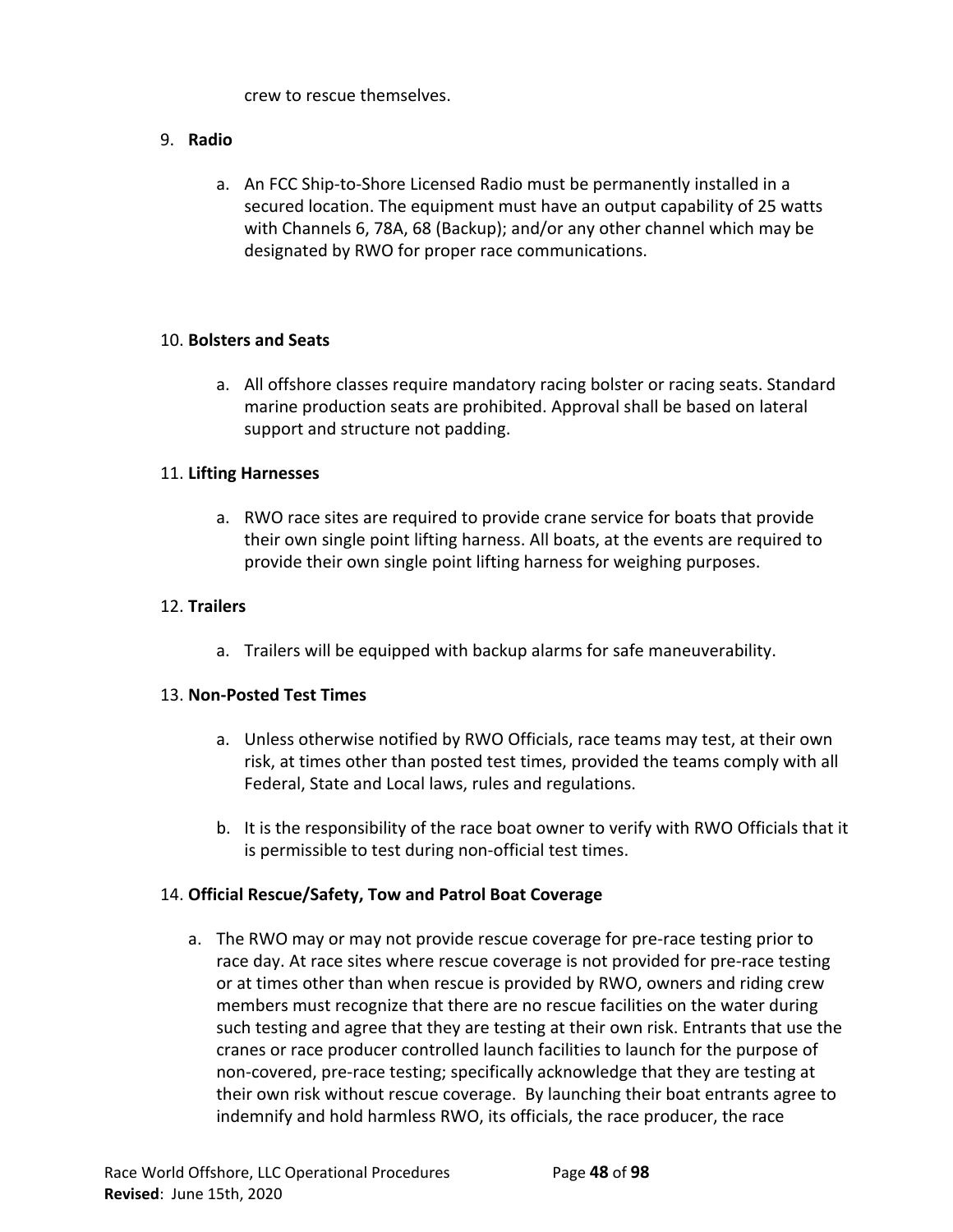crew to rescue themselves.

# 9. **Radio**

a. An FCC Ship-to-Shore Licensed Radio must be permanently installed in a secured location. The equipment must have an output capability of 25 watts with Channels 6, 78A, 68 (Backup); and/or any other channel which may be designated by RWO for proper race communications.

# 10. **Bolsters and Seats**

a. All offshore classes require mandatory racing bolster or racing seats. Standard marine production seats are prohibited. Approval shall be based on lateral support and structure not padding.

# 11. **Lifting Harnesses**

a. RWO race sites are required to provide crane service for boats that provide their own single point lifting harness. All boats, at the events are required to provide their own single point lifting harness for weighing purposes.

# 12. **Trailers**

a. Trailers will be equipped with backup alarms for safe maneuverability.

#### 13. **Non-Posted Test Times**

- a. Unless otherwise notified by RWO Officials, race teams may test, at their own risk, at times other than posted test times, provided the teams comply with all Federal, State and Local laws, rules and regulations.
- b. It is the responsibility of the race boat owner to verify with RWO Officials that it is permissible to test during non-official test times.

# 14. **Official Rescue/Safety, Tow and Patrol Boat Coverage**

a. The RWO may or may not provide rescue coverage for pre-race testing prior to race day. At race sites where rescue coverage is not provided for pre-race testing or at times other than when rescue is provided by RWO, owners and riding crew members must recognize that there are no rescue facilities on the water during such testing and agree that they are testing at their own risk. Entrants that use the cranes or race producer controlled launch facilities to launch for the purpose of non-covered, pre-race testing; specifically acknowledge that they are testing at their own risk without rescue coverage. By launching their boat entrants agree to indemnify and hold harmless RWO, its officials, the race producer, the race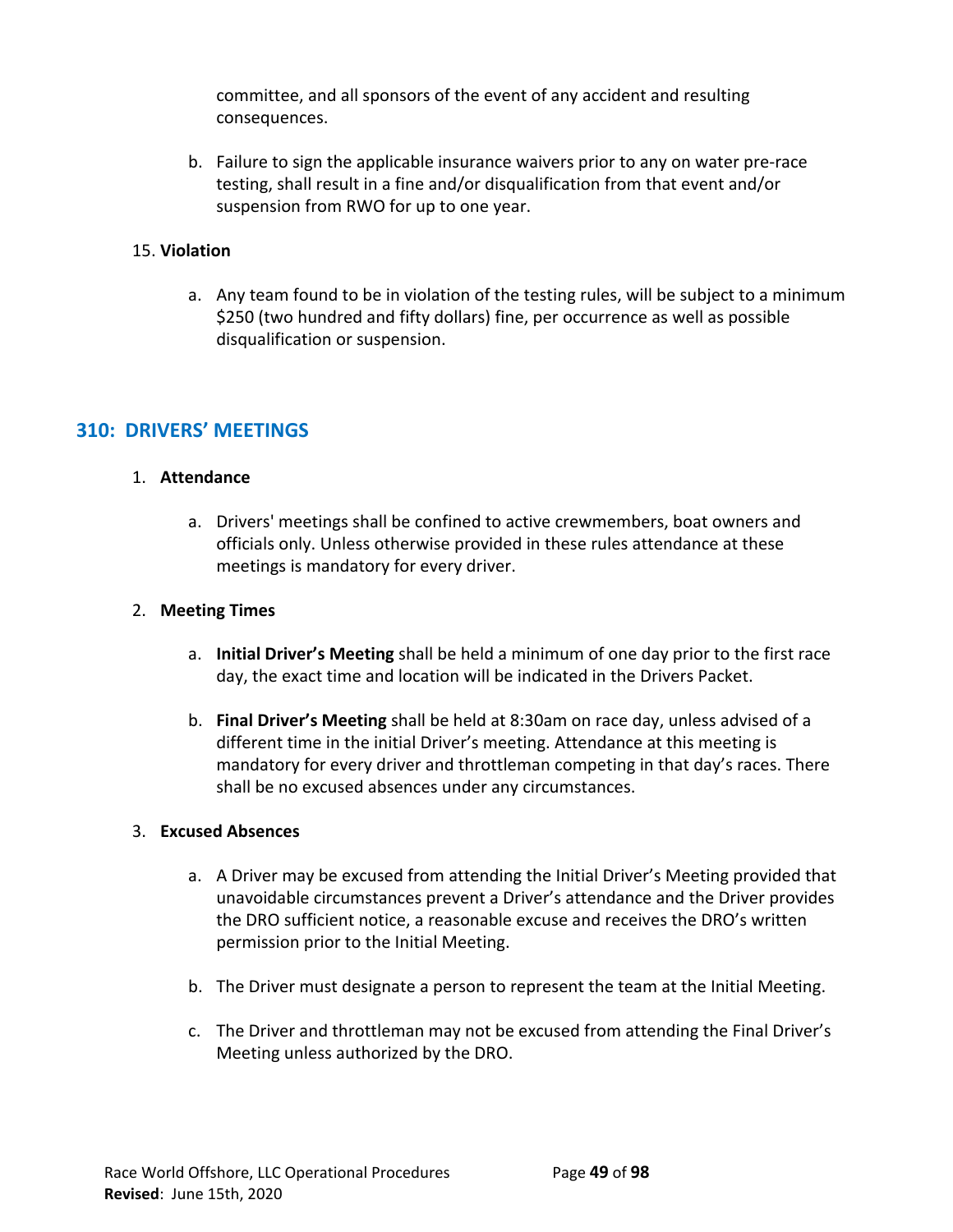committee, and all sponsors of the event of any accident and resulting consequences.

b. Failure to sign the applicable insurance waivers prior to any on water pre-race testing, shall result in a fine and/or disqualification from that event and/or suspension from RWO for up to one year.

#### 15. **Violation**

a. Any team found to be in violation of the testing rules, will be subject to a minimum \$250 (two hundred and fifty dollars) fine, per occurrence as well as possible disqualification or suspension.

# **310: DRIVERS' MEETINGS**

# 1. **Attendance**

a. Drivers' meetings shall be confined to active crewmembers, boat owners and officials only. Unless otherwise provided in these rules attendance at these meetings is mandatory for every driver.

# 2. **Meeting Times**

- a. **Initial Driver's Meeting** shall be held a minimum of one day prior to the first race day, the exact time and location will be indicated in the Drivers Packet.
- b. **Final Driver's Meeting** shall be held at 8:30am on race day, unless advised of a different time in the initial Driver's meeting. Attendance at this meeting is mandatory for every driver and throttleman competing in that day's races. There shall be no excused absences under any circumstances.

#### 3. **Excused Absences**

- a. A Driver may be excused from attending the Initial Driver's Meeting provided that unavoidable circumstances prevent a Driver's attendance and the Driver provides the DRO sufficient notice, a reasonable excuse and receives the DRO's written permission prior to the Initial Meeting.
- b. The Driver must designate a person to represent the team at the Initial Meeting.
- c. The Driver and throttleman may not be excused from attending the Final Driver's Meeting unless authorized by the DRO.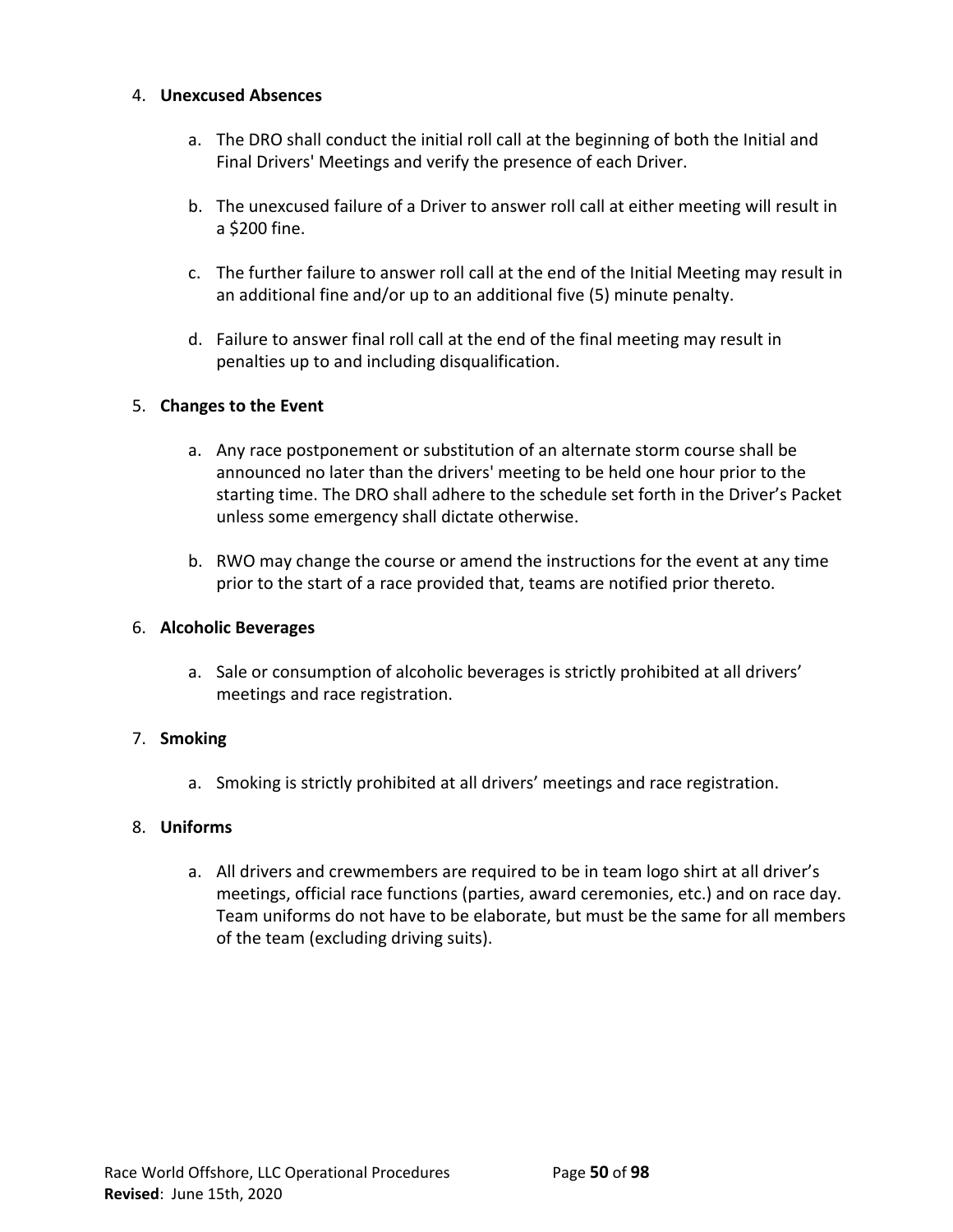#### 4. **Unexcused Absences**

- a. The DRO shall conduct the initial roll call at the beginning of both the Initial and Final Drivers' Meetings and verify the presence of each Driver.
- b. The unexcused failure of a Driver to answer roll call at either meeting will result in a \$200 fine.
- c. The further failure to answer roll call at the end of the Initial Meeting may result in an additional fine and/or up to an additional five (5) minute penalty.
- d. Failure to answer final roll call at the end of the final meeting may result in penalties up to and including disqualification.

# 5. **Changes to the Event**

- a. Any race postponement or substitution of an alternate storm course shall be announced no later than the drivers' meeting to be held one hour prior to the starting time. The DRO shall adhere to the schedule set forth in the Driver's Packet unless some emergency shall dictate otherwise.
- b. RWO may change the course or amend the instructions for the event at any time prior to the start of a race provided that, teams are notified prior thereto.

# 6. **Alcoholic Beverages**

a. Sale or consumption of alcoholic beverages is strictly prohibited at all drivers' meetings and race registration.

# 7. **Smoking**

a. Smoking is strictly prohibited at all drivers' meetings and race registration.

# 8. **Uniforms**

a. All drivers and crewmembers are required to be in team logo shirt at all driver's meetings, official race functions (parties, award ceremonies, etc.) and on race day. Team uniforms do not have to be elaborate, but must be the same for all members of the team (excluding driving suits).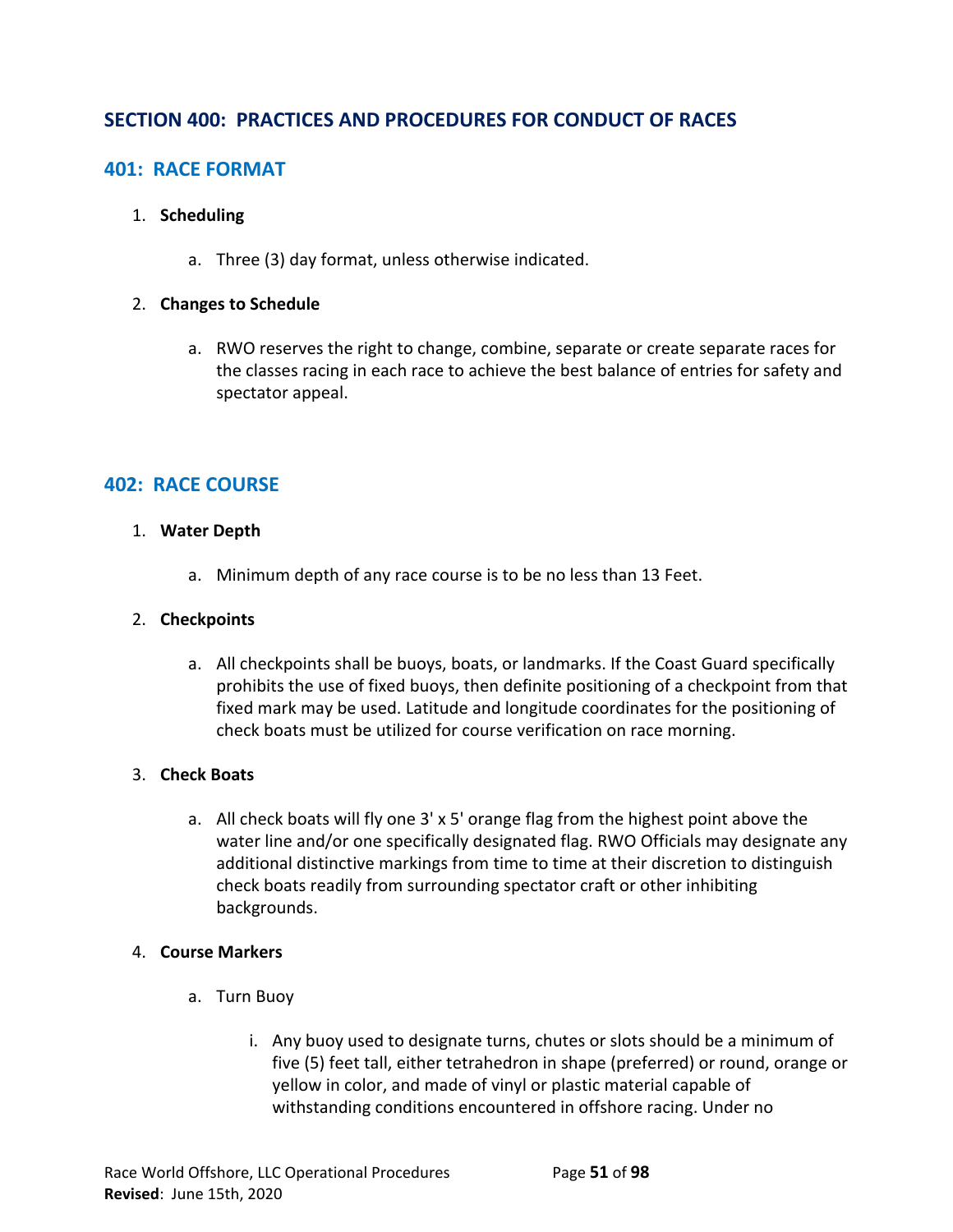# **SECTION 400: PRACTICES AND PROCEDURES FOR CONDUCT OF RACES**

# **401: RACE FORMAT**

#### 1. **Scheduling**

a. Three (3) day format, unless otherwise indicated.

#### 2. **Changes to Schedule**

a. RWO reserves the right to change, combine, separate or create separate races for the classes racing in each race to achieve the best balance of entries for safety and spectator appeal.

# **402: RACE COURSE**

#### 1. **Water Depth**

a. Minimum depth of any race course is to be no less than 13 Feet.

#### 2. **Checkpoints**

a. All checkpoints shall be buoys, boats, or landmarks. If the Coast Guard specifically prohibits the use of fixed buoys, then definite positioning of a checkpoint from that fixed mark may be used. Latitude and longitude coordinates for the positioning of check boats must be utilized for course verification on race morning.

#### 3. **Check Boats**

a. All check boats will fly one 3' x 5' orange flag from the highest point above the water line and/or one specifically designated flag. RWO Officials may designate any additional distinctive markings from time to time at their discretion to distinguish check boats readily from surrounding spectator craft or other inhibiting backgrounds.

#### 4. **Course Markers**

- a. Turn Buoy
	- i. Any buoy used to designate turns, chutes or slots should be a minimum of five (5) feet tall, either tetrahedron in shape (preferred) or round, orange or yellow in color, and made of vinyl or plastic material capable of withstanding conditions encountered in offshore racing. Under no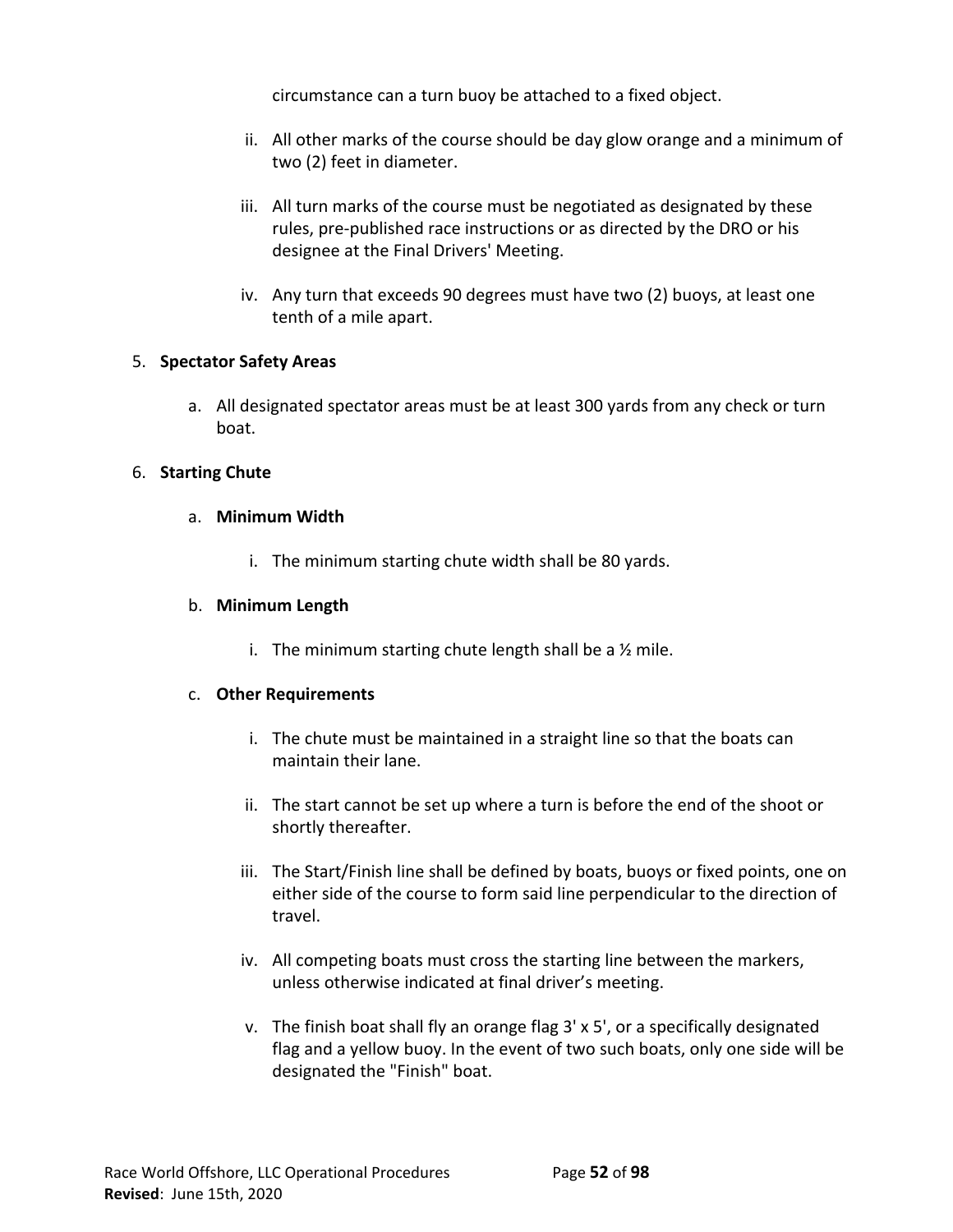circumstance can a turn buoy be attached to a fixed object.

- ii. All other marks of the course should be day glow orange and a minimum of two (2) feet in diameter.
- iii. All turn marks of the course must be negotiated as designated by these rules, pre-published race instructions or as directed by the DRO or his designee at the Final Drivers' Meeting.
- iv. Any turn that exceeds 90 degrees must have two (2) buoys, at least one tenth of a mile apart.

#### 5. **Spectator Safety Areas**

a. All designated spectator areas must be at least 300 yards from any check or turn boat.

#### 6. **Starting Chute**

#### a. **Minimum Width**

i. The minimum starting chute width shall be 80 yards.

#### b. **Minimum Length**

i. The minimum starting chute length shall be a  $\frac{1}{2}$  mile.

#### c. **Other Requirements**

- i. The chute must be maintained in a straight line so that the boats can maintain their lane.
- ii. The start cannot be set up where a turn is before the end of the shoot or shortly thereafter.
- iii. The Start/Finish line shall be defined by boats, buoys or fixed points, one on either side of the course to form said line perpendicular to the direction of travel.
- iv. All competing boats must cross the starting line between the markers, unless otherwise indicated at final driver's meeting.
- v. The finish boat shall fly an orange flag 3' x 5', or a specifically designated flag and a yellow buoy. In the event of two such boats, only one side will be designated the "Finish" boat.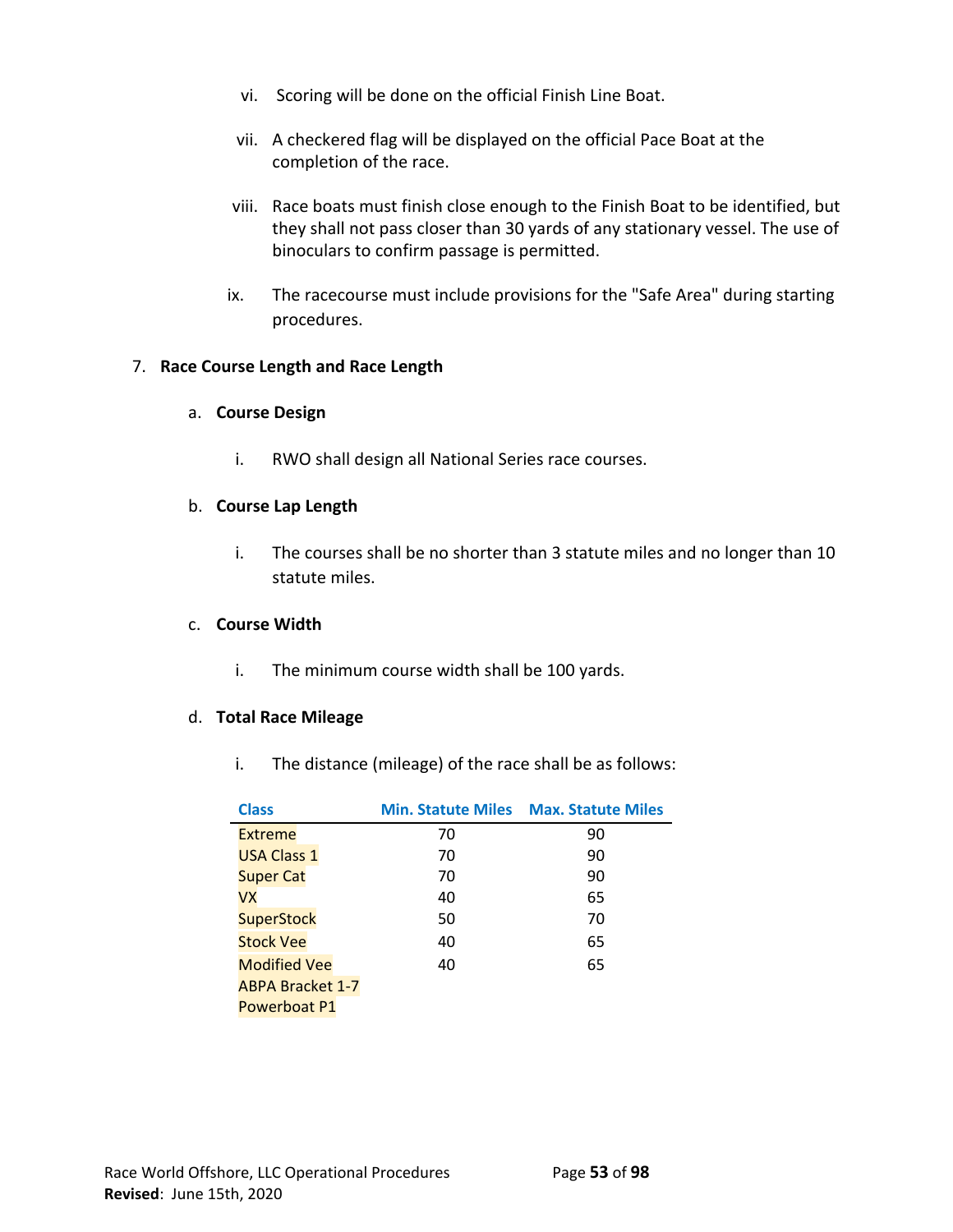- vi. Scoring will be done on the official Finish Line Boat.
- vii. A checkered flag will be displayed on the official Pace Boat at the completion of the race.
- viii. Race boats must finish close enough to the Finish Boat to be identified, but they shall not pass closer than 30 yards of any stationary vessel. The use of binoculars to confirm passage is permitted.
- ix. The racecourse must include provisions for the "Safe Area" during starting procedures.

#### 7. **Race Course Length and Race Length**

#### a. **Course Design**

i. RWO shall design all National Series race courses.

#### b. **Course Lap Length**

i. The courses shall be no shorter than 3 statute miles and no longer than 10 statute miles.

#### c. **Course Width**

i. The minimum course width shall be 100 yards.

#### d. **Total Race Mileage**

i. The distance (mileage) of the race shall be as follows:

| <b>Class</b>            |    | <b>Min. Statute Miles Max. Statute Miles</b> |
|-------------------------|----|----------------------------------------------|
| Extreme                 | 70 | 90                                           |
| <b>USA Class 1</b>      | 70 | 90                                           |
| <b>Super Cat</b>        | 70 | 90                                           |
| VX                      | 40 | 65                                           |
| <b>SuperStock</b>       | 50 | 70                                           |
| <b>Stock Vee</b>        | 40 | 65                                           |
| <b>Modified Vee</b>     | 40 | 65                                           |
| <b>ABPA Bracket 1-7</b> |    |                                              |
| Powerboat P1            |    |                                              |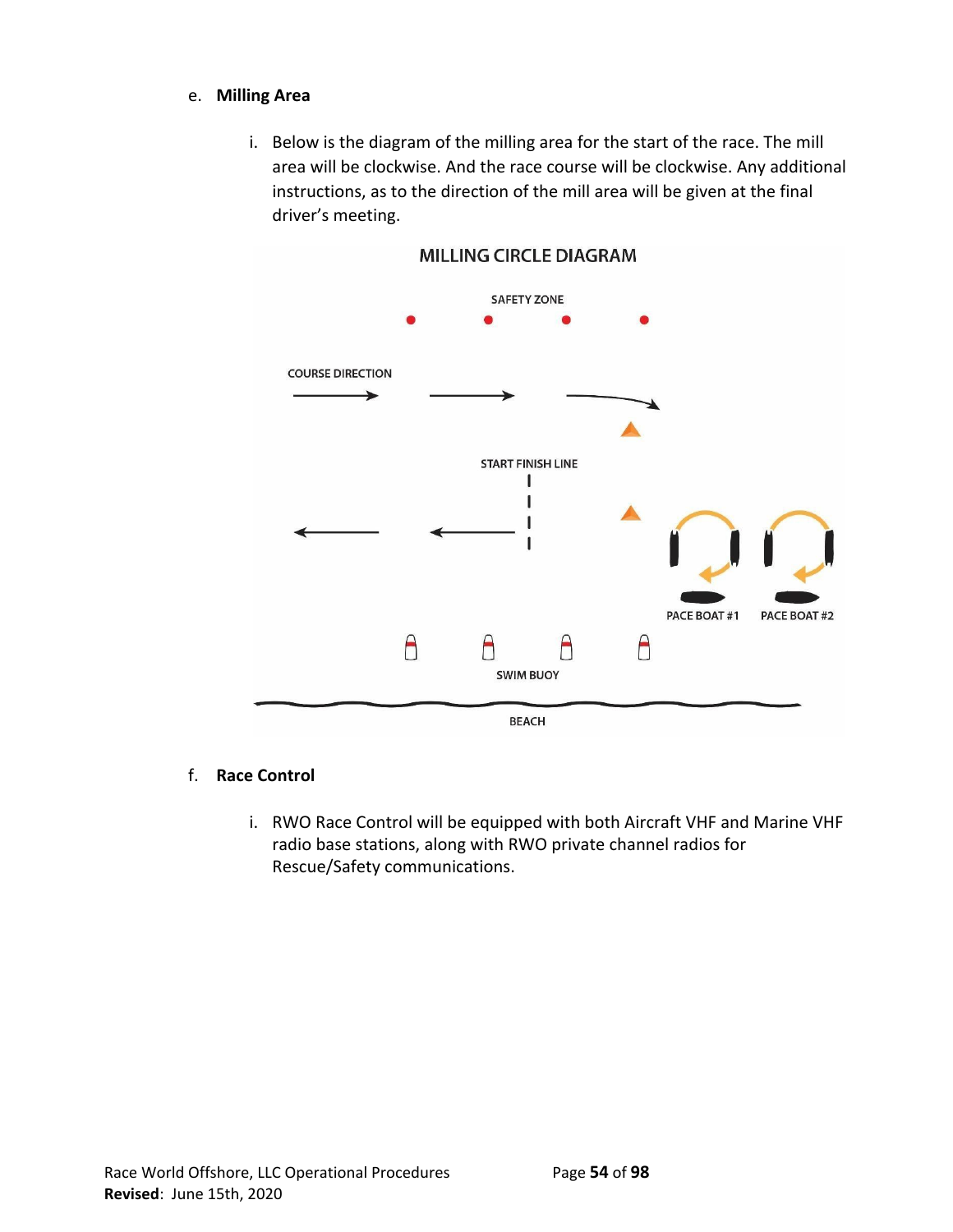# e. **Milling Area**

i. Below is the diagram of the milling area for the start of the race. The mill area will be clockwise. And the race course will be clockwise. Any additional instructions, as to the direction of the mill area will be given at the final driver's meeting.



# **MILLING CIRCLE DIAGRAM**

#### f. **Race Control**

i. RWO Race Control will be equipped with both Aircraft VHF and Marine VHF radio base stations, along with RWO private channel radios for Rescue/Safety communications.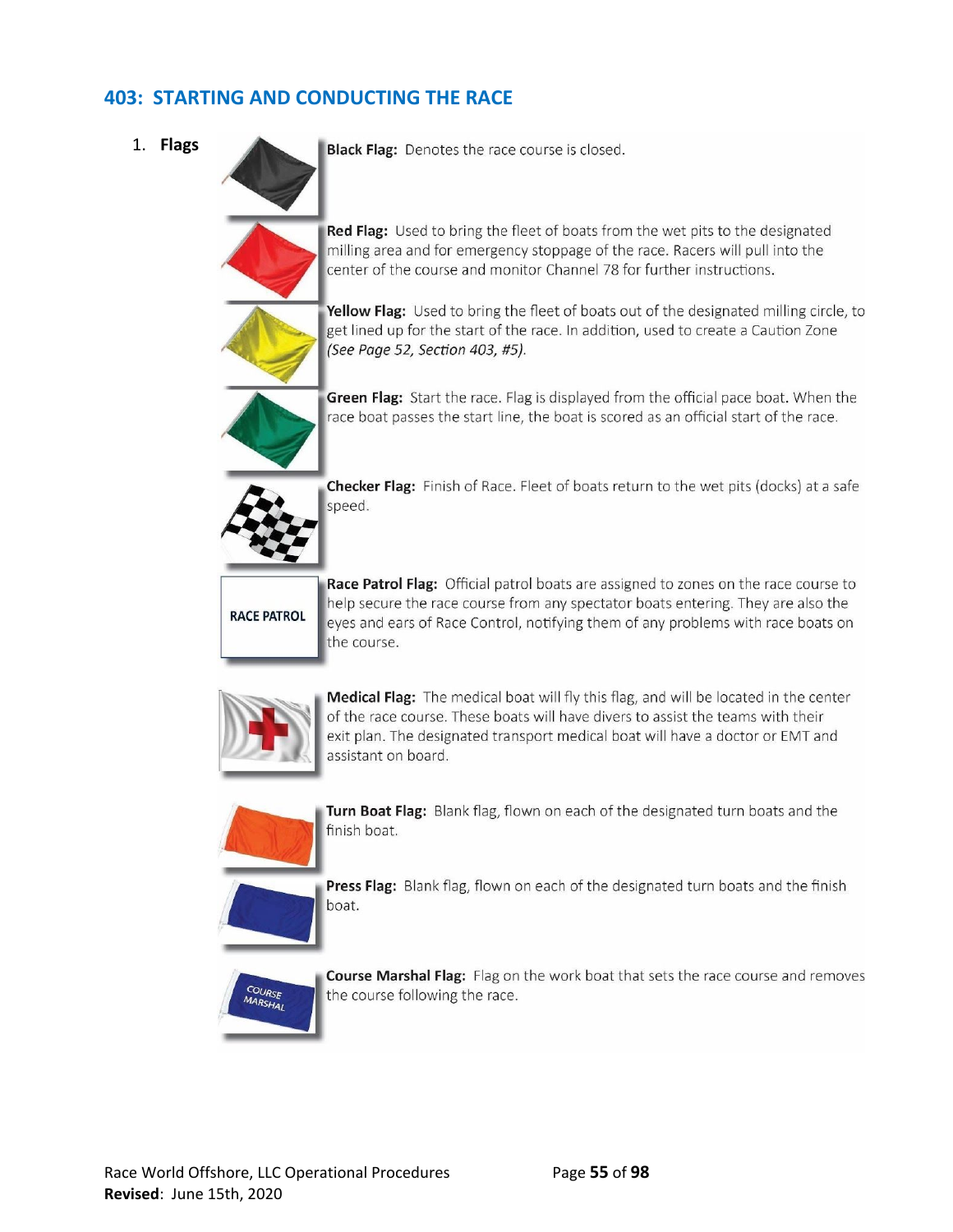# **403: STARTING AND CONDUCTING THE RACE**

1. **Flags**

Black Flag: Denotes the race course is closed.

Red Flag: Used to bring the fleet of boats from the wet pits to the designated milling area and for emergency stoppage of the race. Racers will pull into the center of the course and monitor Channel 78 for further instructions.



Yellow Flag: Used to bring the fleet of boats out of the designated milling circle, to get lined up for the start of the race. In addition, used to create a Caution Zone (See Page 52, Section 403, #5).



Green Flag: Start the race. Flag is displayed from the official pace boat. When the race boat passes the start line, the boat is scored as an official start of the race.



Checker Flag: Finish of Race. Fleet of boats return to the wet pits (docks) at a safe speed.

# **RACE PATROL**

Race Patrol Flag: Official patrol boats are assigned to zones on the race course to help secure the race course from any spectator boats entering. They are also the eyes and ears of Race Control, notifying them of any problems with race boats on the course.



Medical Flag: The medical boat will fly this flag, and will be located in the center of the race course. These boats will have divers to assist the teams with their exit plan. The designated transport medical boat will have a doctor or EMT and assistant on board.



Turn Boat Flag: Blank flag, flown on each of the designated turn boats and the finish boat.



**Press Flag:** Blank flag, flown on each of the designated turn boats and the finish boat.



Course Marshal Flag: Flag on the work boat that sets the race course and removes the course following the race.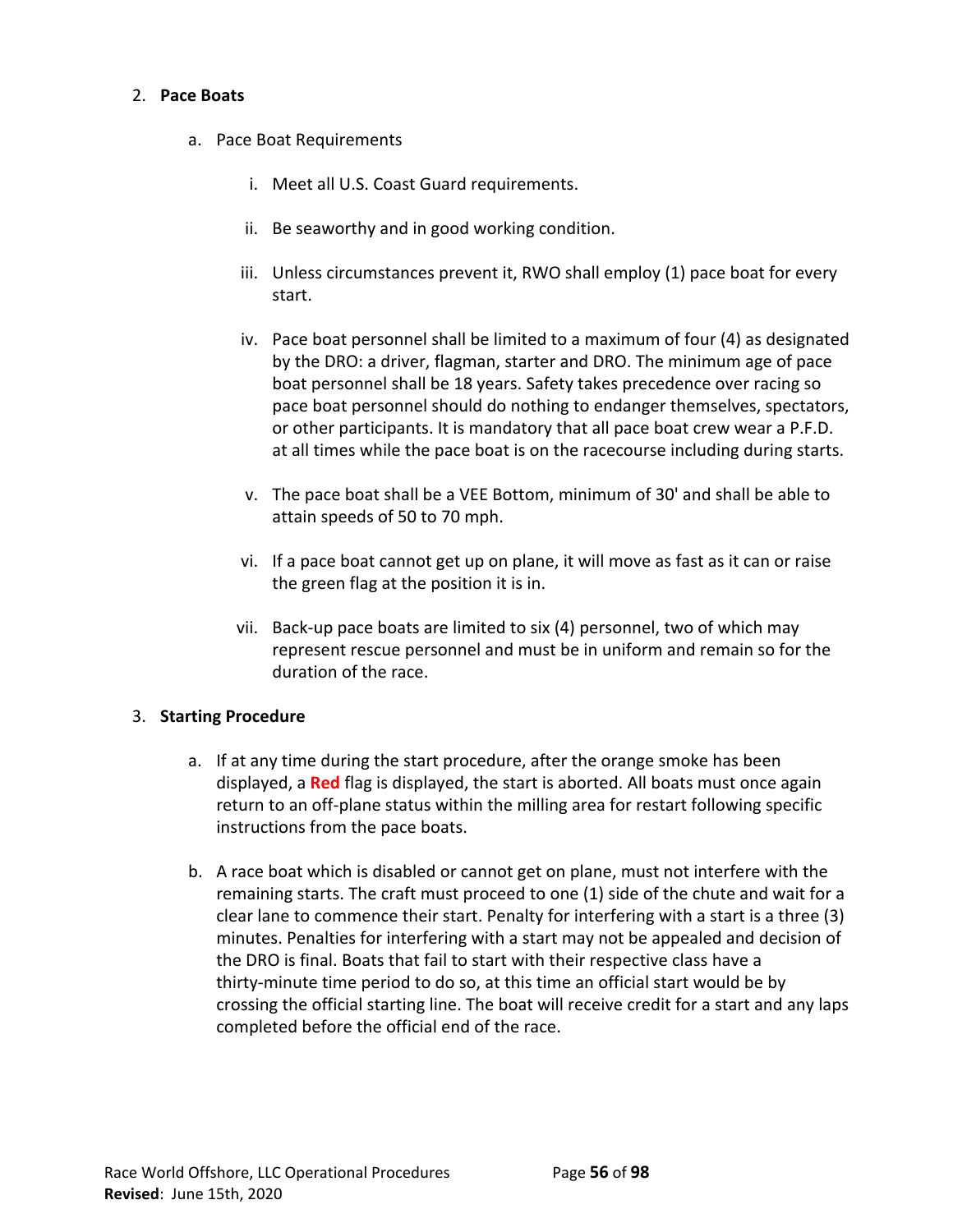#### 2. **Pace Boats**

- a. Pace Boat Requirements
	- i. Meet all U.S. Coast Guard requirements.
	- ii. Be seaworthy and in good working condition.
	- iii. Unless circumstances prevent it, RWO shall employ (1) pace boat for every start.
	- iv. Pace boat personnel shall be limited to a maximum of four (4) as designated by the DRO: a driver, flagman, starter and DRO. The minimum age of pace boat personnel shall be 18 years. Safety takes precedence over racing so pace boat personnel should do nothing to endanger themselves, spectators, or other participants. It is mandatory that all pace boat crew wear a P.F.D. at all times while the pace boat is on the racecourse including during starts.
	- v. The pace boat shall be a VEE Bottom, minimum of 30' and shall be able to attain speeds of 50 to 70 mph.
	- vi. If a pace boat cannot get up on plane, it will move as fast as it can or raise the green flag at the position it is in.
	- vii. Back-up pace boats are limited to six (4) personnel, two of which may represent rescue personnel and must be in uniform and remain so for the duration of the race.

#### 3. **Starting Procedure**

- a. If at any time during the start procedure, after the orange smoke has been displayed, a **Red** flag is displayed, the start is aborted. All boats must once again return to an off-plane status within the milling area for restart following specific instructions from the pace boats.
- b. A race boat which is disabled or cannot get on plane, must not interfere with the remaining starts. The craft must proceed to one (1) side of the chute and wait for a clear lane to commence their start. Penalty for interfering with a start is a three (3) minutes. Penalties for interfering with a start may not be appealed and decision of the DRO is final. Boats that fail to start with their respective class have a thirty-minute time period to do so, at this time an official start would be by crossing the official starting line. The boat will receive credit for a start and any laps completed before the official end of the race.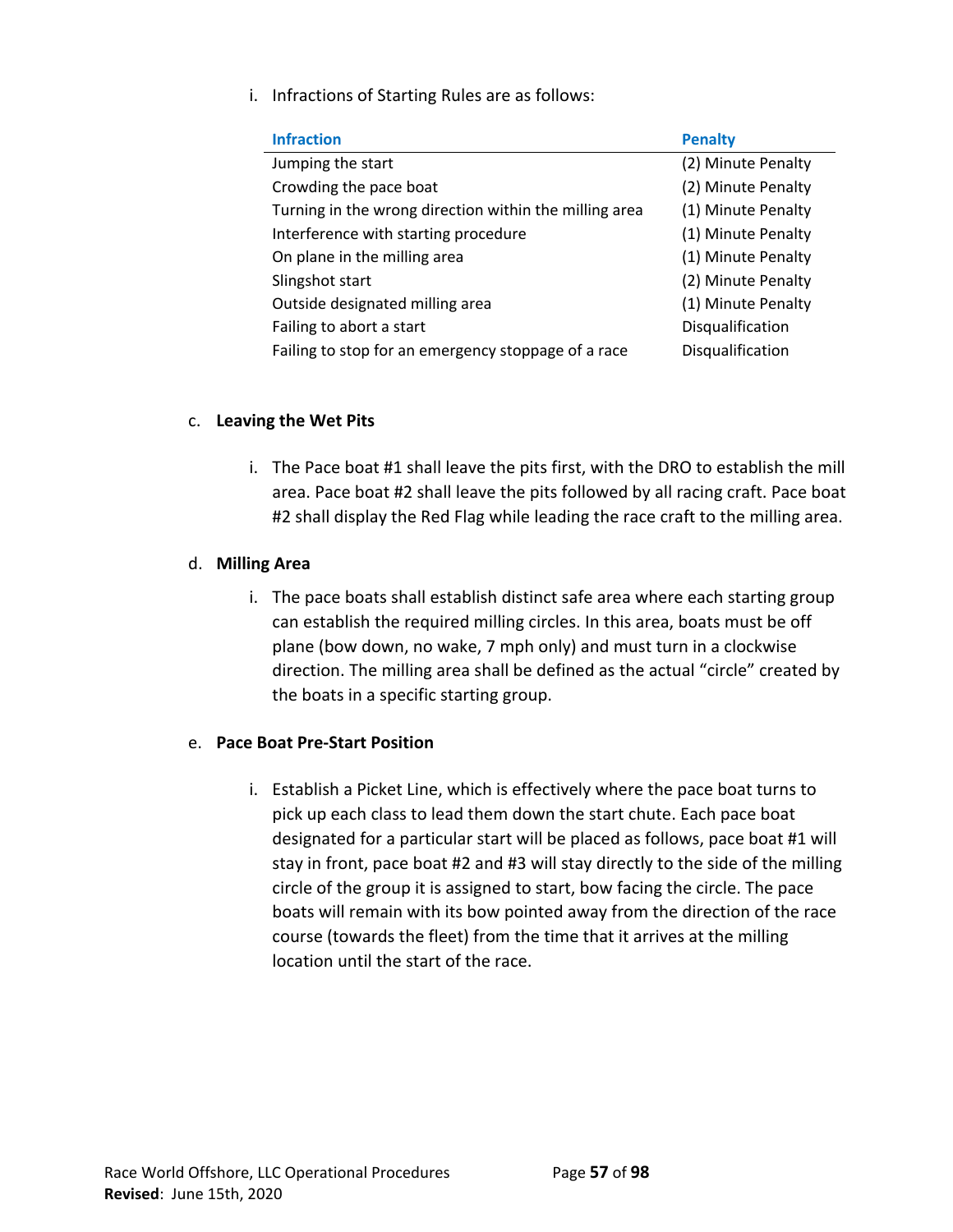i. Infractions of Starting Rules are as follows:

| <b>Infraction</b>                                      | <b>Penalty</b>     |
|--------------------------------------------------------|--------------------|
| Jumping the start                                      | (2) Minute Penalty |
| Crowding the pace boat                                 | (2) Minute Penalty |
| Turning in the wrong direction within the milling area | (1) Minute Penalty |
| Interference with starting procedure                   | (1) Minute Penalty |
| On plane in the milling area                           | (1) Minute Penalty |
| Slingshot start                                        | (2) Minute Penalty |
| Outside designated milling area                        | (1) Minute Penalty |
| Failing to abort a start                               | Disqualification   |
| Failing to stop for an emergency stoppage of a race    | Disqualification   |

# c. **Leaving the Wet Pits**

i. The Pace boat #1 shall leave the pits first, with the DRO to establish the mill area. Pace boat #2 shall leave the pits followed by all racing craft. Pace boat #2 shall display the Red Flag while leading the race craft to the milling area.

# d. **Milling Area**

i. The pace boats shall establish distinct safe area where each starting group can establish the required milling circles. In this area, boats must be off plane (bow down, no wake, 7 mph only) and must turn in a clockwise direction. The milling area shall be defined as the actual "circle" created by the boats in a specific starting group.

#### e. **Pace Boat Pre-Start Position**

i. Establish a Picket Line, which is effectively where the pace boat turns to pick up each class to lead them down the start chute. Each pace boat designated for a particular start will be placed as follows, pace boat #1 will stay in front, pace boat #2 and #3 will stay directly to the side of the milling circle of the group it is assigned to start, bow facing the circle. The pace boats will remain with its bow pointed away from the direction of the race course (towards the fleet) from the time that it arrives at the milling location until the start of the race.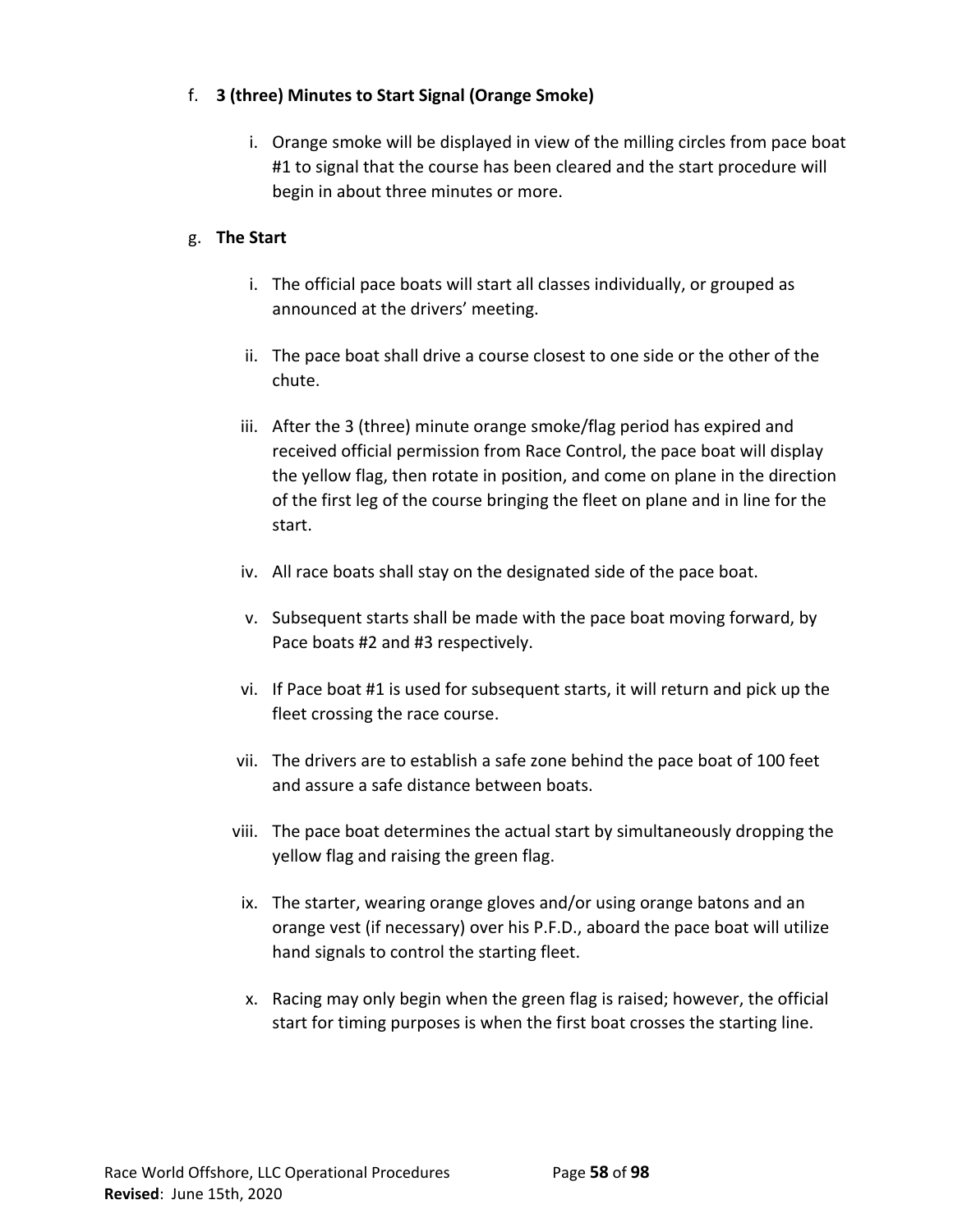# f. **3 (three) Minutes to Start Signal (Orange Smoke)**

i. Orange smoke will be displayed in view of the milling circles from pace boat #1 to signal that the course has been cleared and the start procedure will begin in about three minutes or more.

# g. **The Start**

- i. The official pace boats will start all classes individually, or grouped as announced at the drivers' meeting.
- ii. The pace boat shall drive a course closest to one side or the other of the chute.
- iii. After the 3 (three) minute orange smoke/flag period has expired and received official permission from Race Control, the pace boat will display the yellow flag, then rotate in position, and come on plane in the direction of the first leg of the course bringing the fleet on plane and in line for the start.
- iv. All race boats shall stay on the designated side of the pace boat.
- v. Subsequent starts shall be made with the pace boat moving forward, by Pace boats #2 and #3 respectively.
- vi. If Pace boat #1 is used for subsequent starts, it will return and pick up the fleet crossing the race course.
- vii. The drivers are to establish a safe zone behind the pace boat of 100 feet and assure a safe distance between boats.
- viii. The pace boat determines the actual start by simultaneously dropping the yellow flag and raising the green flag.
- ix. The starter, wearing orange gloves and/or using orange batons and an orange vest (if necessary) over his P.F.D., aboard the pace boat will utilize hand signals to control the starting fleet.
- x. Racing may only begin when the green flag is raised; however, the official start for timing purposes is when the first boat crosses the starting line.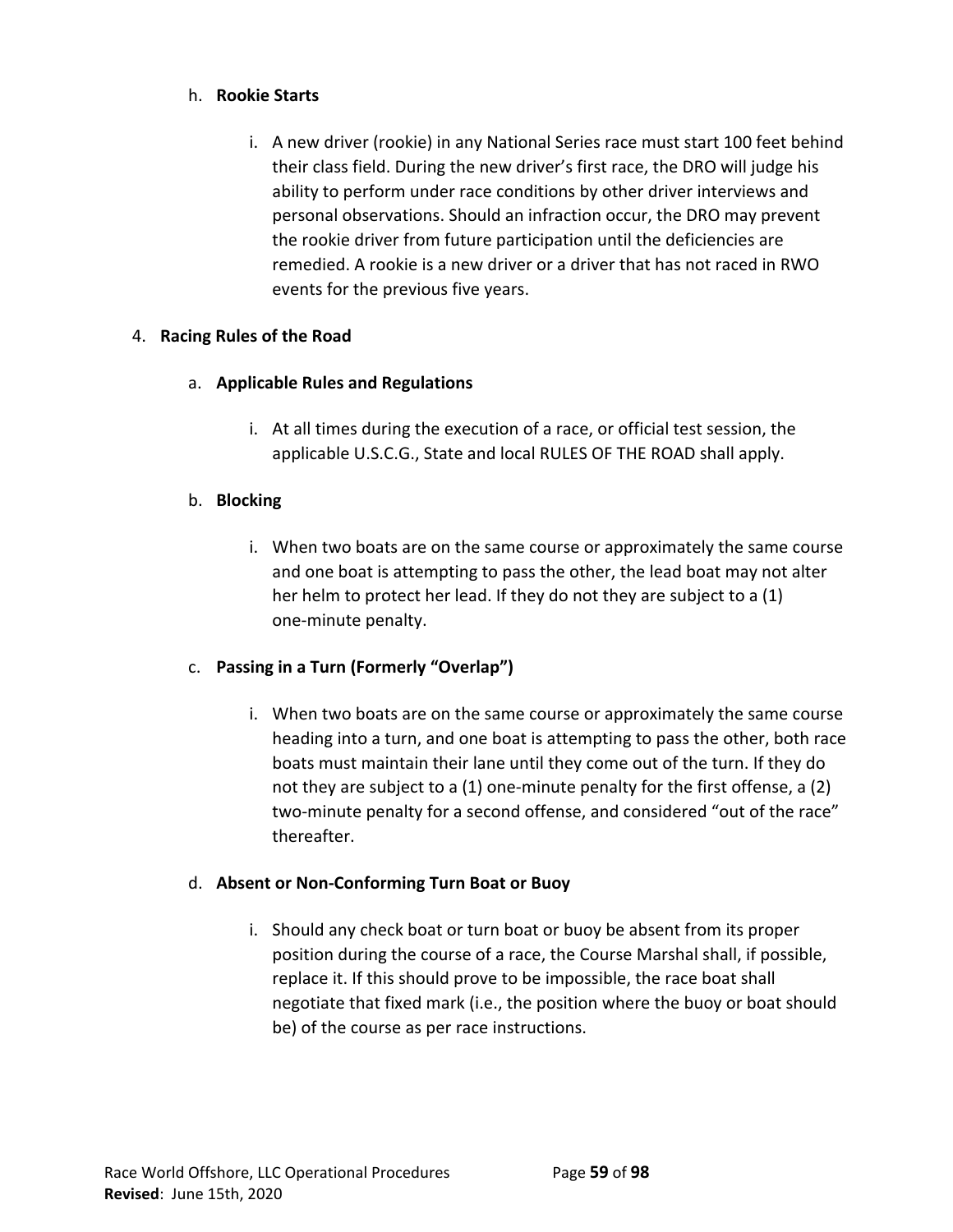# h. **Rookie Starts**

i. A new driver (rookie) in any National Series race must start 100 feet behind their class field. During the new driver's first race, the DRO will judge his ability to perform under race conditions by other driver interviews and personal observations. Should an infraction occur, the DRO may prevent the rookie driver from future participation until the deficiencies are remedied. A rookie is a new driver or a driver that has not raced in RWO events for the previous five years.

# 4. **Racing Rules of the Road**

- a. **Applicable Rules and Regulations**
	- i. At all times during the execution of a race, or official test session, the applicable U.S.C.G., State and local RULES OF THE ROAD shall apply.

# b. **Blocking**

i. When two boats are on the same course or approximately the same course and one boat is attempting to pass the other, the lead boat may not alter her helm to protect her lead. If they do not they are subject to a (1) one-minute penalty.

# c. **Passing in a Turn (Formerly "Overlap")**

i. When two boats are on the same course or approximately the same course heading into a turn, and one boat is attempting to pass the other, both race boats must maintain their lane until they come out of the turn. If they do not they are subject to a (1) one-minute penalty for the first offense, a (2) two-minute penalty for a second offense, and considered "out of the race" thereafter.

#### d. **Absent or Non-Conforming Turn Boat or Buoy**

i. Should any check boat or turn boat or buoy be absent from its proper position during the course of a race, the Course Marshal shall, if possible, replace it. If this should prove to be impossible, the race boat shall negotiate that fixed mark (i.e., the position where the buoy or boat should be) of the course as per race instructions.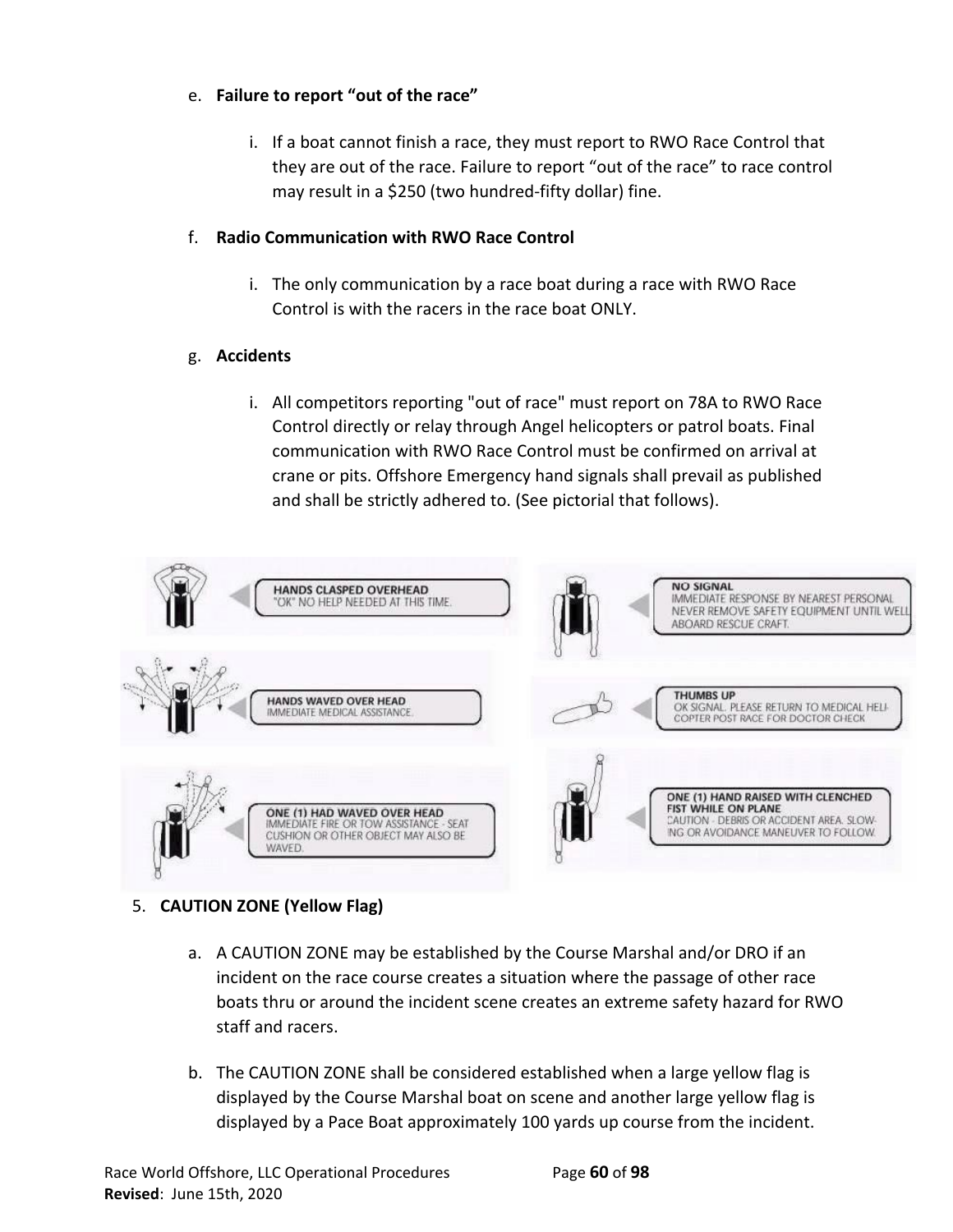# e. **Failure to report "out of the race"**

i. If a boat cannot finish a race, they must report to RWO Race Control that they are out of the race. Failure to report "out of the race" to race control may result in a \$250 (two hundred-fifty dollar) fine.

# f. **Radio Communication with RWO Race Control**

i. The only communication by a race boat during a race with RWO Race Control is with the racers in the race boat ONLY.

# g. **Accidents**

i. All competitors reporting "out of race" must report on 78A to RWO Race Control directly or relay through Angel helicopters or patrol boats. Final communication with RWO Race Control must be confirmed on arrival at crane or pits. Offshore Emergency hand signals shall prevail as published and shall be strictly adhered to. (See pictorial that follows).



# 5. **CAUTION ZONE (Yellow Flag)**

- a. A CAUTION ZONE may be established by the Course Marshal and/or DRO if an incident on the race course creates a situation where the passage of other race boats thru or around the incident scene creates an extreme safety hazard for RWO staff and racers.
- b. The CAUTION ZONE shall be considered established when a large yellow flag is displayed by the Course Marshal boat on scene and another large yellow flag is displayed by a Pace Boat approximately 100 yards up course from the incident.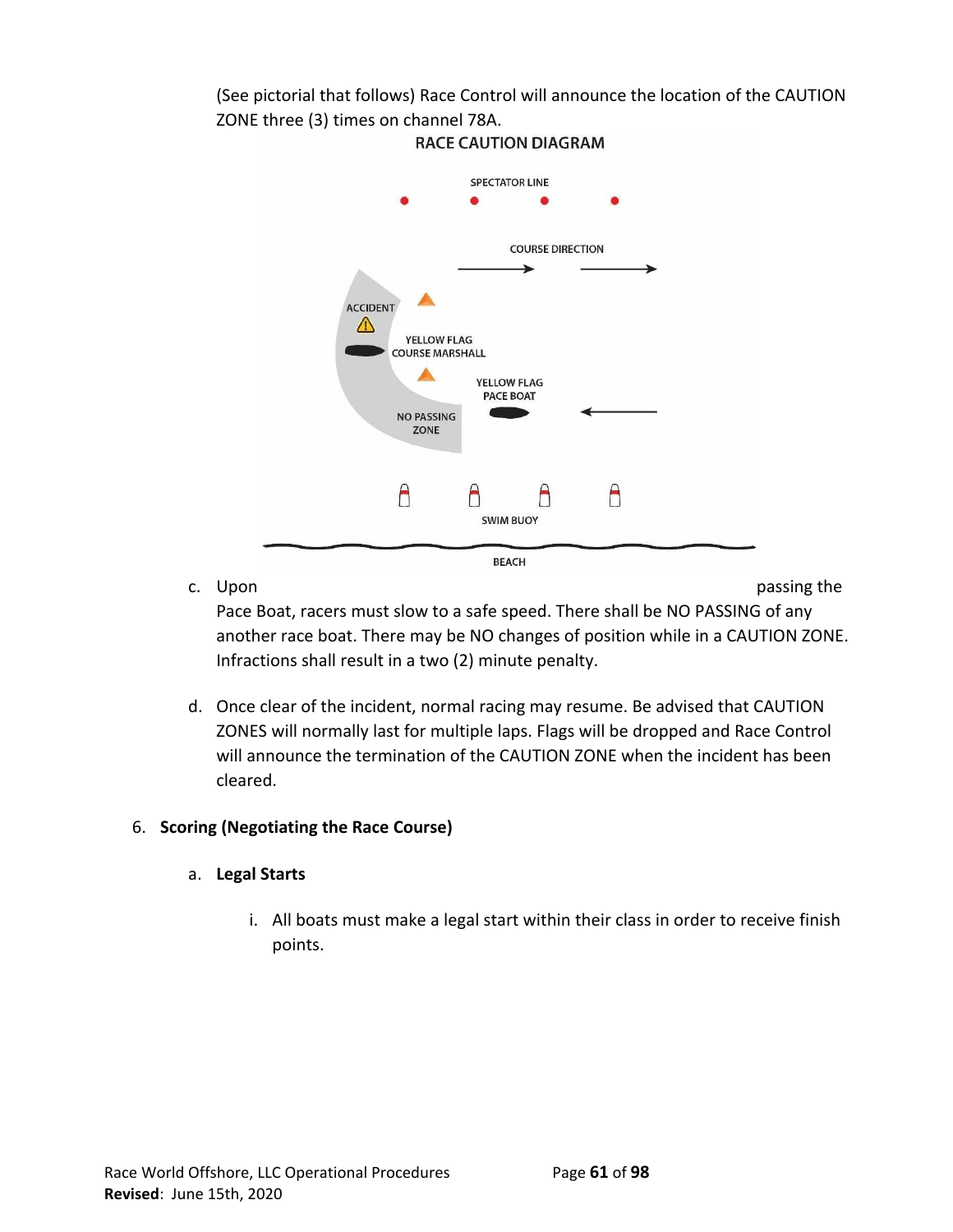(See pictorial that follows) Race Control will announce the location of the CAUTION ZONE three (3) times on channel 78A.



**RACE CAUTION DIAGRAM** 

c. Upon passing the contract of the contract of the contract of the contract of the contract of the contract of the contract of the contract of the contract of the contract of the contract of the contract of the contract o

Pace Boat, racers must slow to a safe speed. There shall be NO PASSING of any another race boat. There may be NO changes of position while in a CAUTION ZONE. Infractions shall result in a two (2) minute penalty.

d. Once clear of the incident, normal racing may resume. Be advised that CAUTION ZONES will normally last for multiple laps. Flags will be dropped and Race Control will announce the termination of the CAUTION ZONE when the incident has been cleared.

# 6. **Scoring (Negotiating the Race Course)**

# a. **Legal Starts**

i. All boats must make a legal start within their class in order to receive finish points.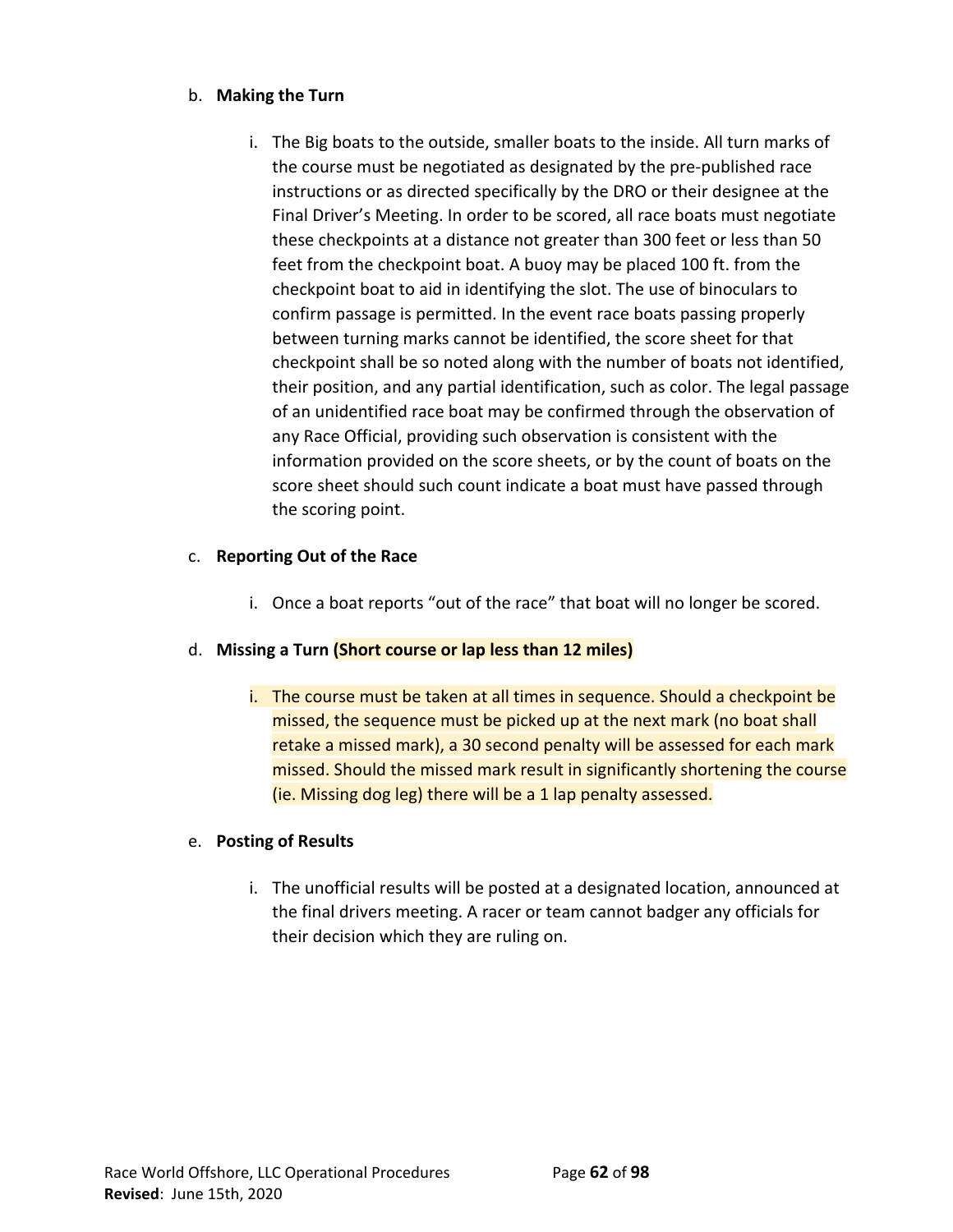# b. **Making the Turn**

i. The Big boats to the outside, smaller boats to the inside. All turn marks of the course must be negotiated as designated by the pre-published race instructions or as directed specifically by the DRO or their designee at the Final Driver's Meeting. In order to be scored, all race boats must negotiate these checkpoints at a distance not greater than 300 feet or less than 50 feet from the checkpoint boat. A buoy may be placed 100 ft. from the checkpoint boat to aid in identifying the slot. The use of binoculars to confirm passage is permitted. In the event race boats passing properly between turning marks cannot be identified, the score sheet for that checkpoint shall be so noted along with the number of boats not identified, their position, and any partial identification, such as color. The legal passage of an unidentified race boat may be confirmed through the observation of any Race Official, providing such observation is consistent with the information provided on the score sheets, or by the count of boats on the score sheet should such count indicate a boat must have passed through the scoring point.

# c. **Reporting Out of the Race**

i. Once a boat reports "out of the race" that boat will no longer be scored.

# d. **Missing a Turn (Short course or lap less than 12 miles)**

i. The course must be taken at all times in sequence. Should a checkpoint be missed, the sequence must be picked up at the next mark (no boat shall retake a missed mark), a 30 second penalty will be assessed for each mark missed. Should the missed mark result in significantly shortening the course (ie. Missing dog leg) there will be a 1 lap penalty assessed.

# e. **Posting of Results**

i. The unofficial results will be posted at a designated location, announced at the final drivers meeting. A racer or team cannot badger any officials for their decision which they are ruling on.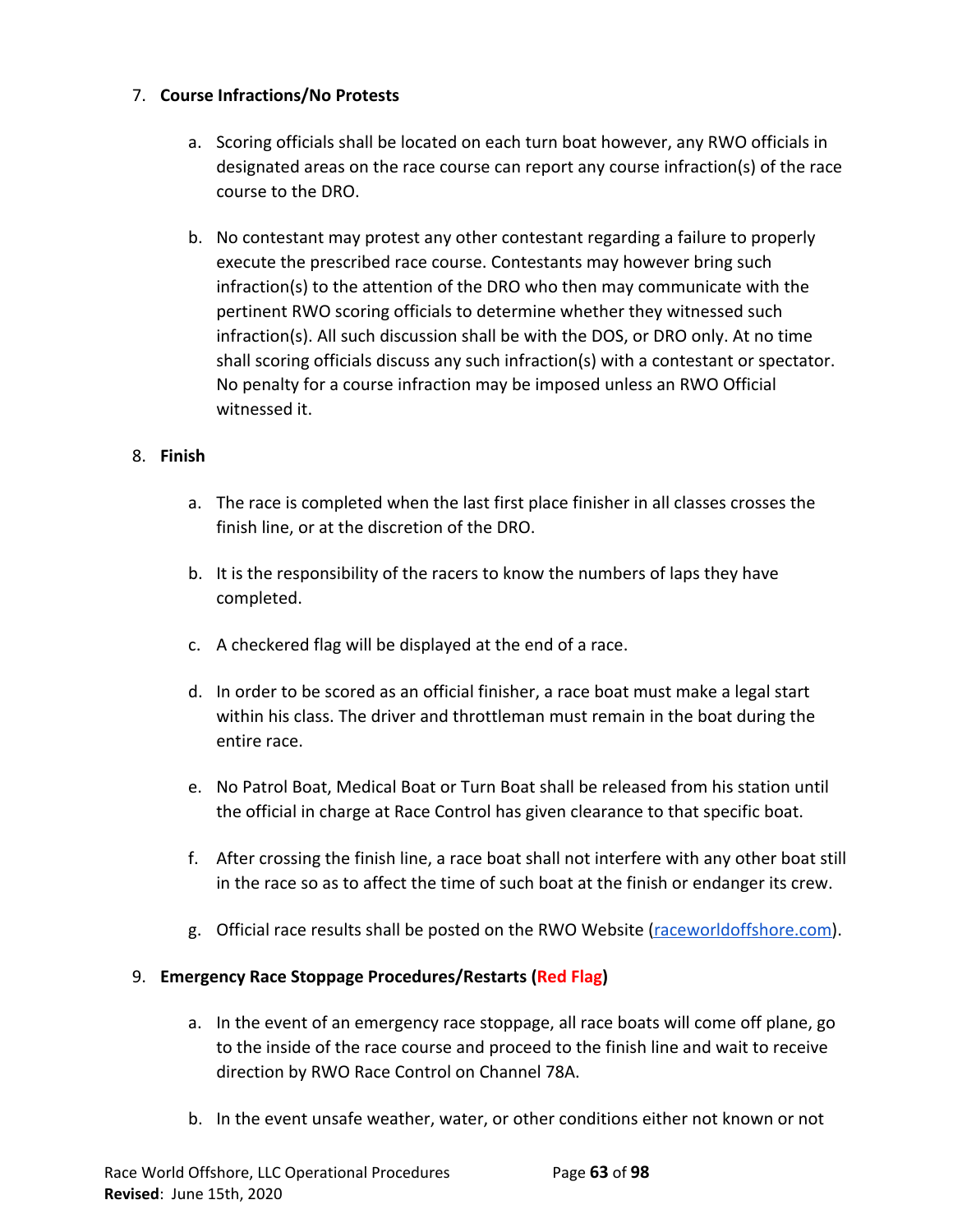# 7. **Course Infractions/No Protests**

- a. Scoring officials shall be located on each turn boat however, any RWO officials in designated areas on the race course can report any course infraction(s) of the race course to the DRO.
- b. No contestant may protest any other contestant regarding a failure to properly execute the prescribed race course. Contestants may however bring such infraction(s) to the attention of the DRO who then may communicate with the pertinent RWO scoring officials to determine whether they witnessed such infraction(s). All such discussion shall be with the DOS, or DRO only. At no time shall scoring officials discuss any such infraction(s) with a contestant or spectator. No penalty for a course infraction may be imposed unless an RWO Official witnessed it.

# 8. **Finish**

- a. The race is completed when the last first place finisher in all classes crosses the finish line, or at the discretion of the DRO.
- b. It is the responsibility of the racers to know the numbers of laps they have completed.
- c. A checkered flag will be displayed at the end of a race.
- d. In order to be scored as an official finisher, a race boat must make a legal start within his class. The driver and throttleman must remain in the boat during the entire race.
- e. No Patrol Boat, Medical Boat or Turn Boat shall be released from his station until the official in charge at Race Control has given clearance to that specific boat.
- f. After crossing the finish line, a race boat shall not interfere with any other boat still in the race so as to affect the time of such boat at the finish or endanger its crew.
- g. Official race results shall be posted on the RWO Website [\(raceworldoffshore.com\)](http://www.raceworldoffshore.com/).

# 9. **Emergency Race Stoppage Procedures/Restarts (Red Flag)**

- a. In the event of an emergency race stoppage, all race boats will come off plane, go to the inside of the race course and proceed to the finish line and wait to receive direction by RWO Race Control on Channel 78A.
- b. In the event unsafe weather, water, or other conditions either not known or not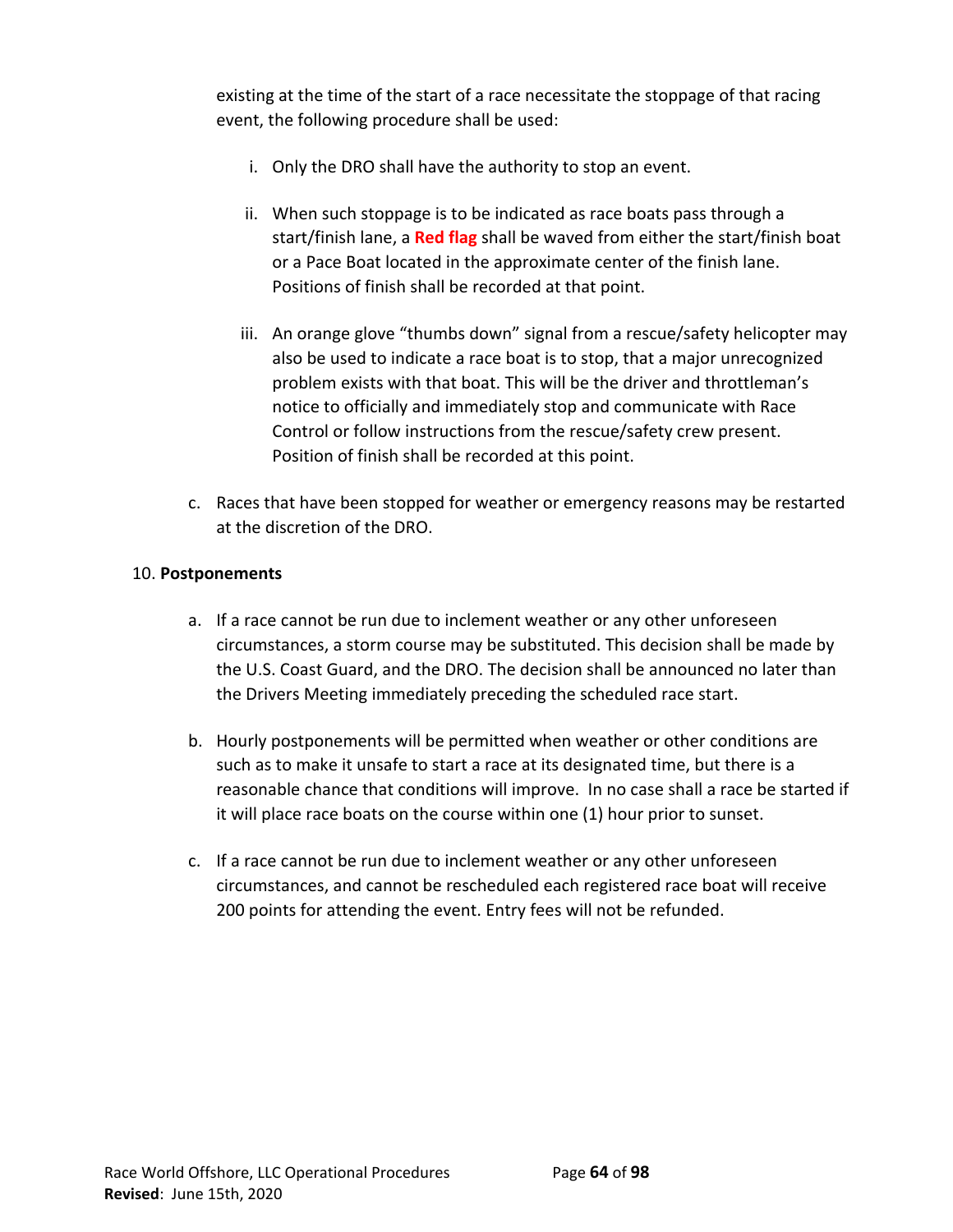existing at the time of the start of a race necessitate the stoppage of that racing event, the following procedure shall be used:

- i. Only the DRO shall have the authority to stop an event.
- ii. When such stoppage is to be indicated as race boats pass through a start/finish lane, a **Red flag** shall be waved from either the start/finish boat or a Pace Boat located in the approximate center of the finish lane. Positions of finish shall be recorded at that point.
- iii. An orange glove "thumbs down" signal from a rescue/safety helicopter may also be used to indicate a race boat is to stop, that a major unrecognized problem exists with that boat. This will be the driver and throttleman's notice to officially and immediately stop and communicate with Race Control or follow instructions from the rescue/safety crew present. Position of finish shall be recorded at this point.
- c. Races that have been stopped for weather or emergency reasons may be restarted at the discretion of the DRO.

# 10. **Postponements**

- a. If a race cannot be run due to inclement weather or any other unforeseen circumstances, a storm course may be substituted. This decision shall be made by the U.S. Coast Guard, and the DRO. The decision shall be announced no later than the Drivers Meeting immediately preceding the scheduled race start.
- b. Hourly postponements will be permitted when weather or other conditions are such as to make it unsafe to start a race at its designated time, but there is a reasonable chance that conditions will improve. In no case shall a race be started if it will place race boats on the course within one (1) hour prior to sunset.
- c. If a race cannot be run due to inclement weather or any other unforeseen circumstances, and cannot be rescheduled each registered race boat will receive 200 points for attending the event. Entry fees will not be refunded.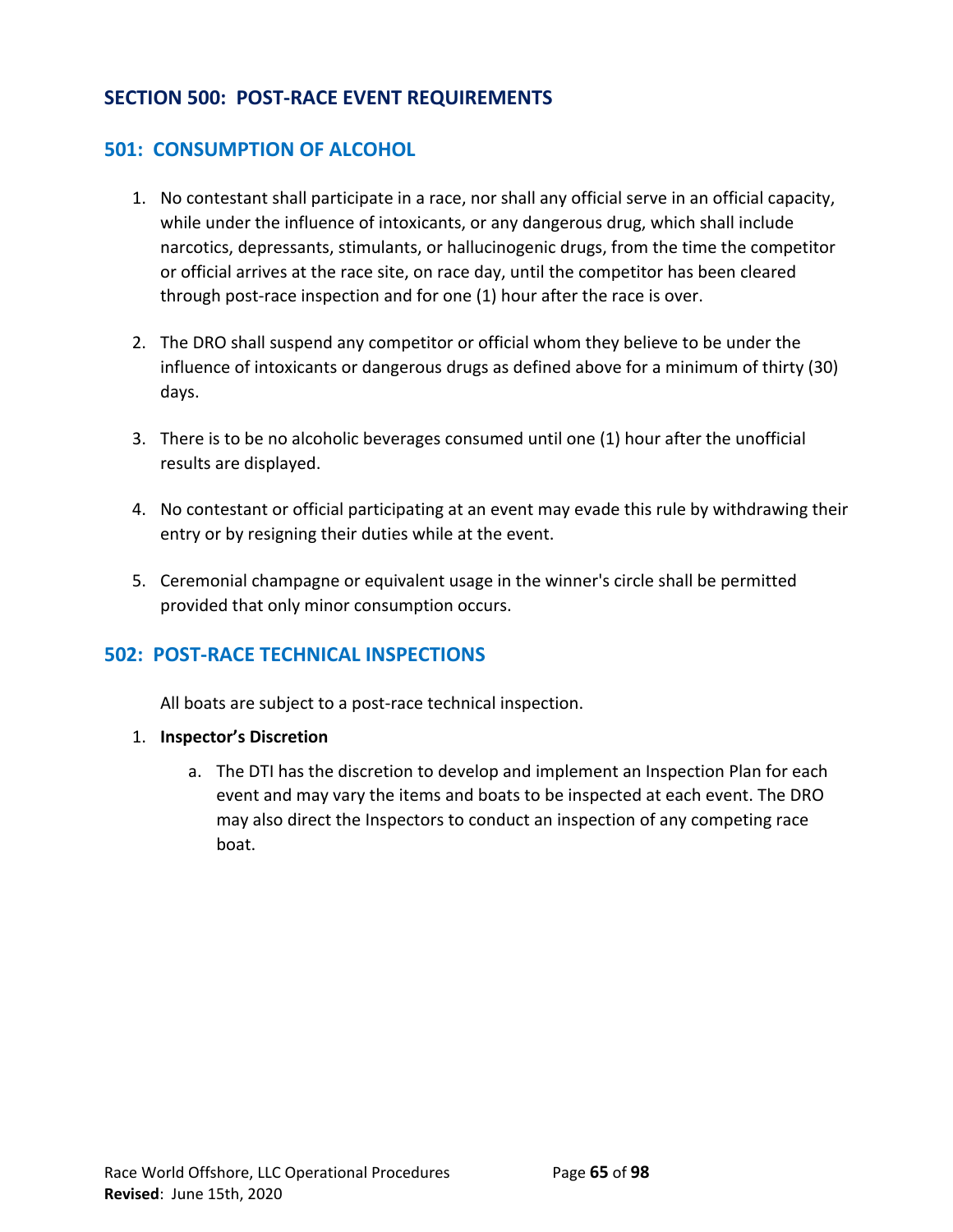# **SECTION 500: POST-RACE EVENT REQUIREMENTS**

# **501: CONSUMPTION OF ALCOHOL**

- 1. No contestant shall participate in a race, nor shall any official serve in an official capacity, while under the influence of intoxicants, or any dangerous drug, which shall include narcotics, depressants, stimulants, or hallucinogenic drugs, from the time the competitor or official arrives at the race site, on race day, until the competitor has been cleared through post-race inspection and for one (1) hour after the race is over.
- 2. The DRO shall suspend any competitor or official whom they believe to be under the influence of intoxicants or dangerous drugs as defined above for a minimum of thirty (30) days.
- 3. There is to be no alcoholic beverages consumed until one (1) hour after the unofficial results are displayed.
- 4. No contestant or official participating at an event may evade this rule by withdrawing their entry or by resigning their duties while at the event.
- 5. Ceremonial champagne or equivalent usage in the winner's circle shall be permitted provided that only minor consumption occurs.

# **502: POST-RACE TECHNICAL INSPECTIONS**

All boats are subject to a post-race technical inspection.

- 1. **Inspector's Discretion**
	- a. The DTI has the discretion to develop and implement an Inspection Plan for each event and may vary the items and boats to be inspected at each event. The DRO may also direct the Inspectors to conduct an inspection of any competing race boat.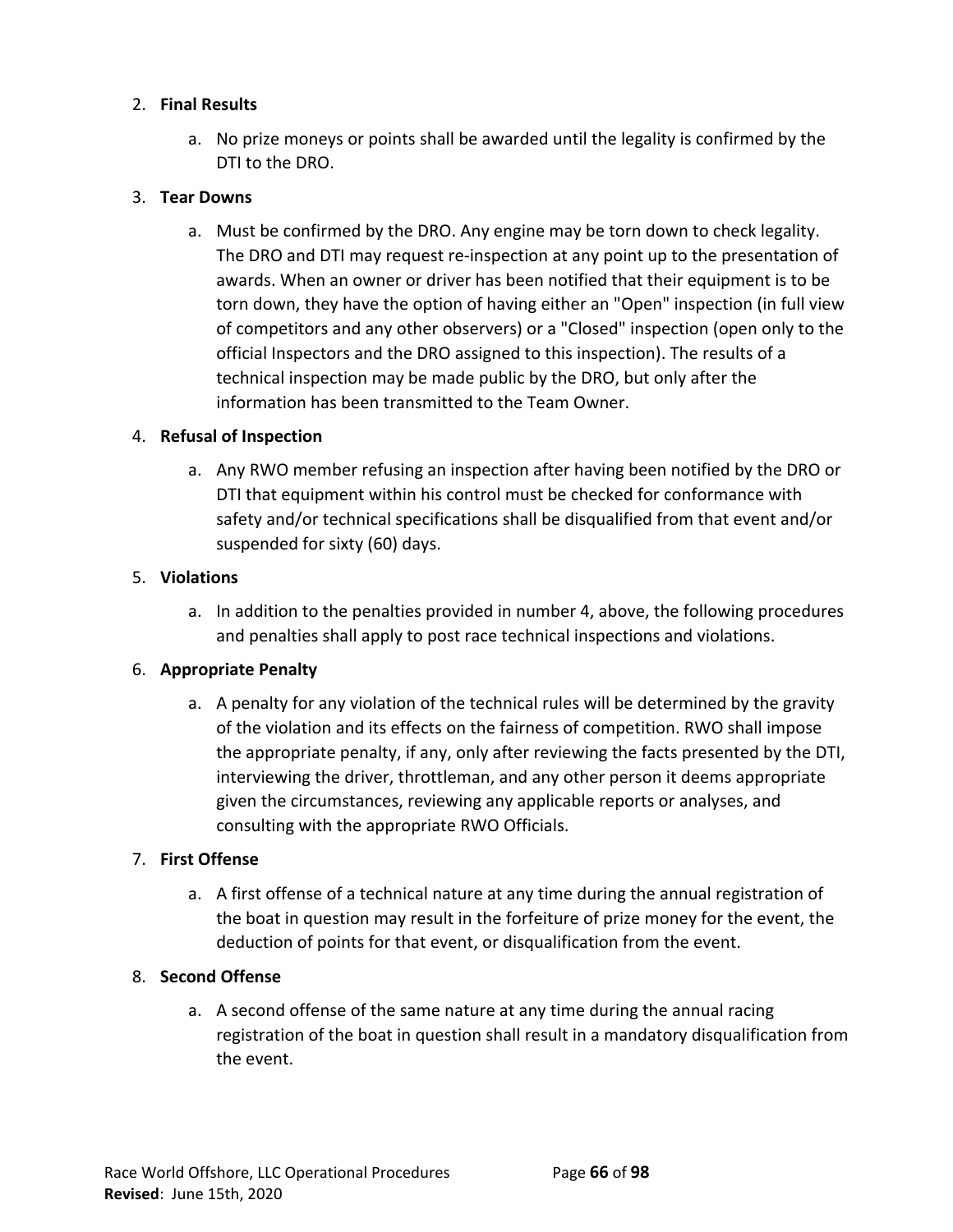# 2. **Final Results**

a. No prize moneys or points shall be awarded until the legality is confirmed by the DTI to the DRO.

# 3. **Tear Downs**

a. Must be confirmed by the DRO. Any engine may be torn down to check legality. The DRO and DTI may request re-inspection at any point up to the presentation of awards. When an owner or driver has been notified that their equipment is to be torn down, they have the option of having either an "Open" inspection (in full view of competitors and any other observers) or a "Closed" inspection (open only to the official Inspectors and the DRO assigned to this inspection). The results of a technical inspection may be made public by the DRO, but only after the information has been transmitted to the Team Owner.

# 4. **Refusal of Inspection**

a. Any RWO member refusing an inspection after having been notified by the DRO or DTI that equipment within his control must be checked for conformance with safety and/or technical specifications shall be disqualified from that event and/or suspended for sixty (60) days.

# 5. **Violations**

a. In addition to the penalties provided in number 4, above, the following procedures and penalties shall apply to post race technical inspections and violations.

# 6. **Appropriate Penalty**

a. A penalty for any violation of the technical rules will be determined by the gravity of the violation and its effects on the fairness of competition. RWO shall impose the appropriate penalty, if any, only after reviewing the facts presented by the DTI, interviewing the driver, throttleman, and any other person it deems appropriate given the circumstances, reviewing any applicable reports or analyses, and consulting with the appropriate RWO Officials.

# 7. **First Offense**

a. A first offense of a technical nature at any time during the annual registration of the boat in question may result in the forfeiture of prize money for the event, the deduction of points for that event, or disqualification from the event.

# 8. **Second Offense**

a. A second offense of the same nature at any time during the annual racing registration of the boat in question shall result in a mandatory disqualification from the event.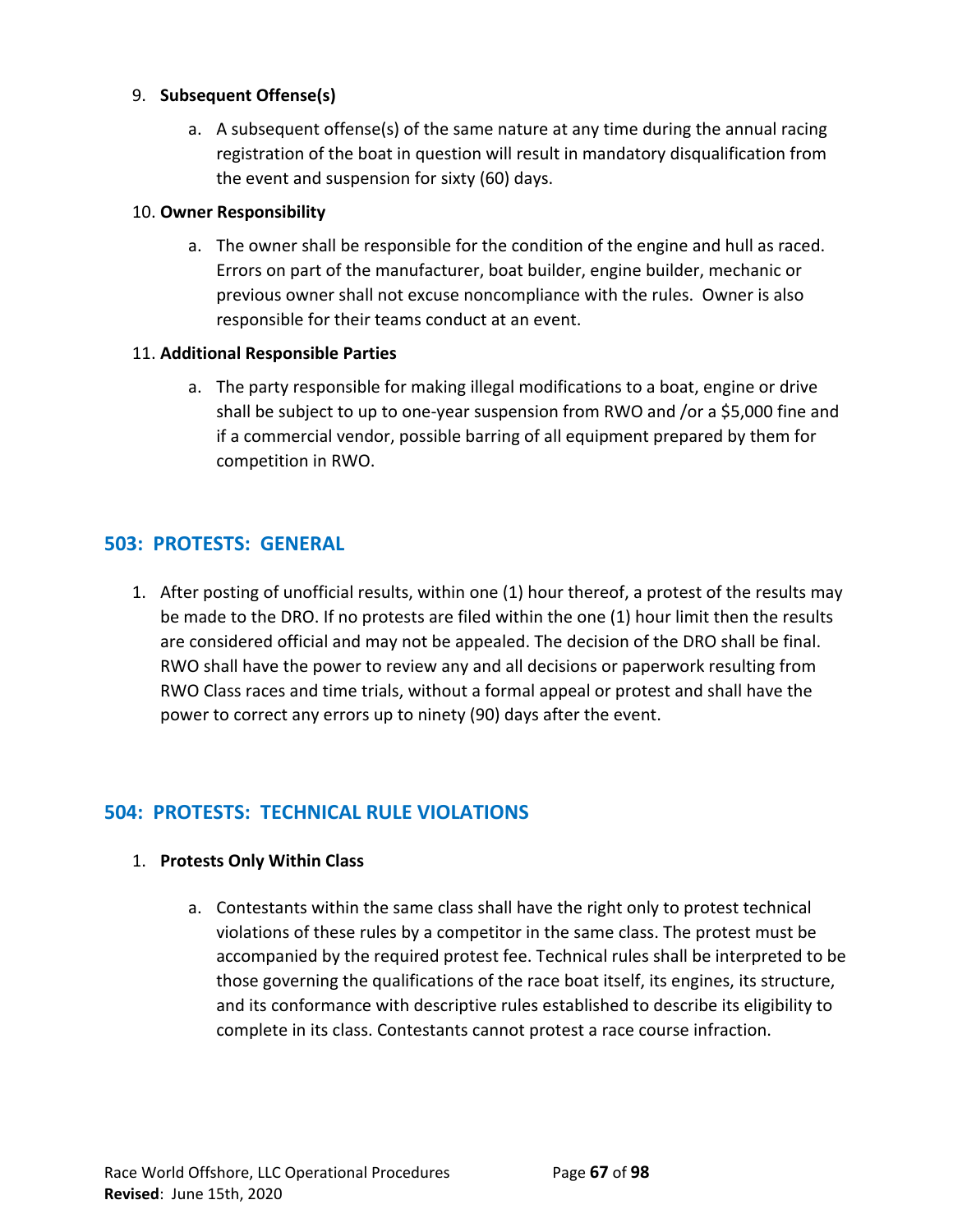# 9. **Subsequent Offense(s)**

a. A subsequent offense(s) of the same nature at any time during the annual racing registration of the boat in question will result in mandatory disqualification from the event and suspension for sixty (60) days.

# 10. **Owner Responsibility**

a. The owner shall be responsible for the condition of the engine and hull as raced. Errors on part of the manufacturer, boat builder, engine builder, mechanic or previous owner shall not excuse noncompliance with the rules. Owner is also responsible for their teams conduct at an event.

# 11. **Additional Responsible Parties**

a. The party responsible for making illegal modifications to a boat, engine or drive shall be subject to up to one-year suspension from RWO and /or a \$5,000 fine and if a commercial vendor, possible barring of all equipment prepared by them for competition in RWO.

# **503: PROTESTS: GENERAL**

1. After posting of unofficial results, within one (1) hour thereof, a protest of the results may be made to the DRO. If no protests are filed within the one (1) hour limit then the results are considered official and may not be appealed. The decision of the DRO shall be final. RWO shall have the power to review any and all decisions or paperwork resulting from RWO Class races and time trials, without a formal appeal or protest and shall have the power to correct any errors up to ninety (90) days after the event.

# **504: PROTESTS: TECHNICAL RULE VIOLATIONS**

# 1. **Protests Only Within Class**

a. Contestants within the same class shall have the right only to protest technical violations of these rules by a competitor in the same class. The protest must be accompanied by the required protest fee. Technical rules shall be interpreted to be those governing the qualifications of the race boat itself, its engines, its structure, and its conformance with descriptive rules established to describe its eligibility to complete in its class. Contestants cannot protest a race course infraction.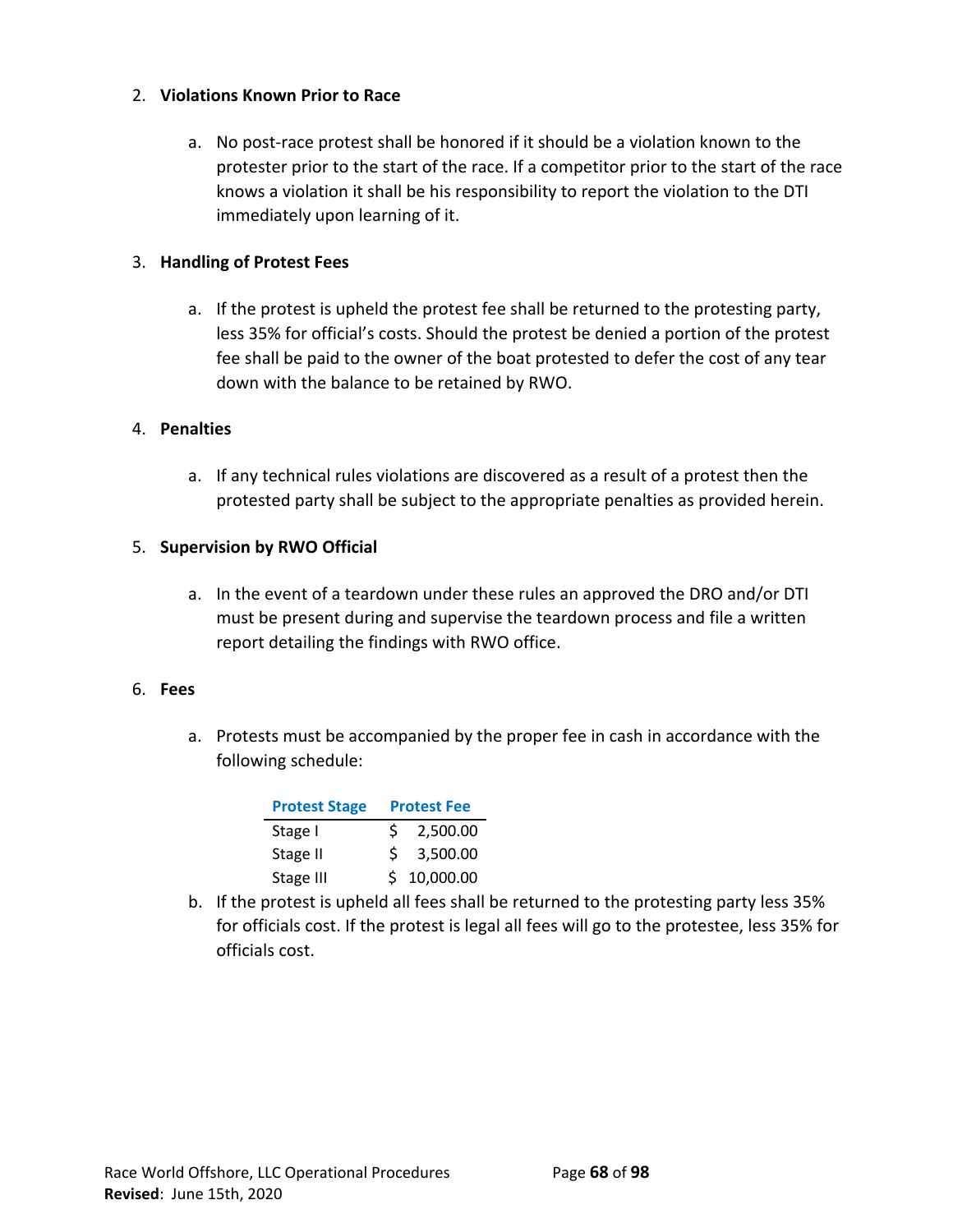# 2. **Violations Known Prior to Race**

a. No post-race protest shall be honored if it should be a violation known to the protester prior to the start of the race. If a competitor prior to the start of the race knows a violation it shall be his responsibility to report the violation to the DTI immediately upon learning of it.

# 3. **Handling of Protest Fees**

a. If the protest is upheld the protest fee shall be returned to the protesting party, less 35% for official's costs. Should the protest be denied a portion of the protest fee shall be paid to the owner of the boat protested to defer the cost of any tear down with the balance to be retained by RWO.

#### 4. **Penalties**

a. If any technical rules violations are discovered as a result of a protest then the protested party shall be subject to the appropriate penalties as provided herein.

# 5. **Supervision by RWO Official**

a. In the event of a teardown under these rules an approved the DRO and/or DTI must be present during and supervise the teardown process and file a written report detailing the findings with RWO office.

# 6. **Fees**

a. Protests must be accompanied by the proper fee in cash in accordance with the following schedule:

| <b>Protest Stage</b> | <b>Protest Fee</b> |             |
|----------------------|--------------------|-------------|
| Stage I              | S.                 | 2,500.00    |
| Stage II             | S.                 | 3,500.00    |
| Stage III            |                    | \$10,000.00 |

b. If the protest is upheld all fees shall be returned to the protesting party less 35% for officials cost. If the protest is legal all fees will go to the protestee, less 35% for officials cost.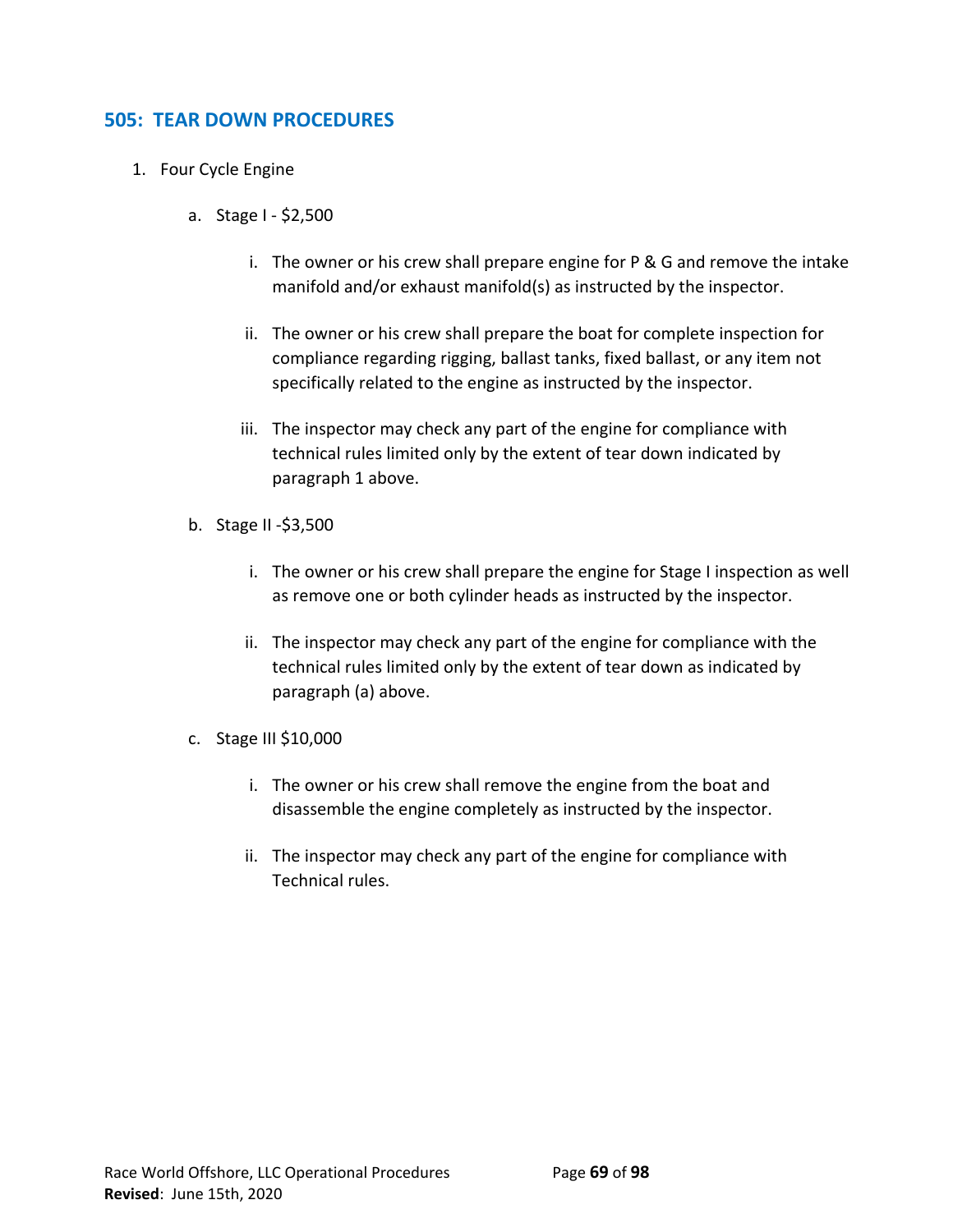# **505: TEAR DOWN PROCEDURES**

- 1. Four Cycle Engine
	- a. Stage I \$2,500
		- i. The owner or his crew shall prepare engine for P & G and remove the intake manifold and/or exhaust manifold(s) as instructed by the inspector.
		- ii. The owner or his crew shall prepare the boat for complete inspection for compliance regarding rigging, ballast tanks, fixed ballast, or any item not specifically related to the engine as instructed by the inspector.
		- iii. The inspector may check any part of the engine for compliance with technical rules limited only by the extent of tear down indicated by paragraph 1 above.
	- b. Stage II -\$3,500
		- i. The owner or his crew shall prepare the engine for Stage I inspection as well as remove one or both cylinder heads as instructed by the inspector.
		- ii. The inspector may check any part of the engine for compliance with the technical rules limited only by the extent of tear down as indicated by paragraph (a) above.
	- c. Stage III \$10,000
		- i. The owner or his crew shall remove the engine from the boat and disassemble the engine completely as instructed by the inspector.
		- ii. The inspector may check any part of the engine for compliance with Technical rules.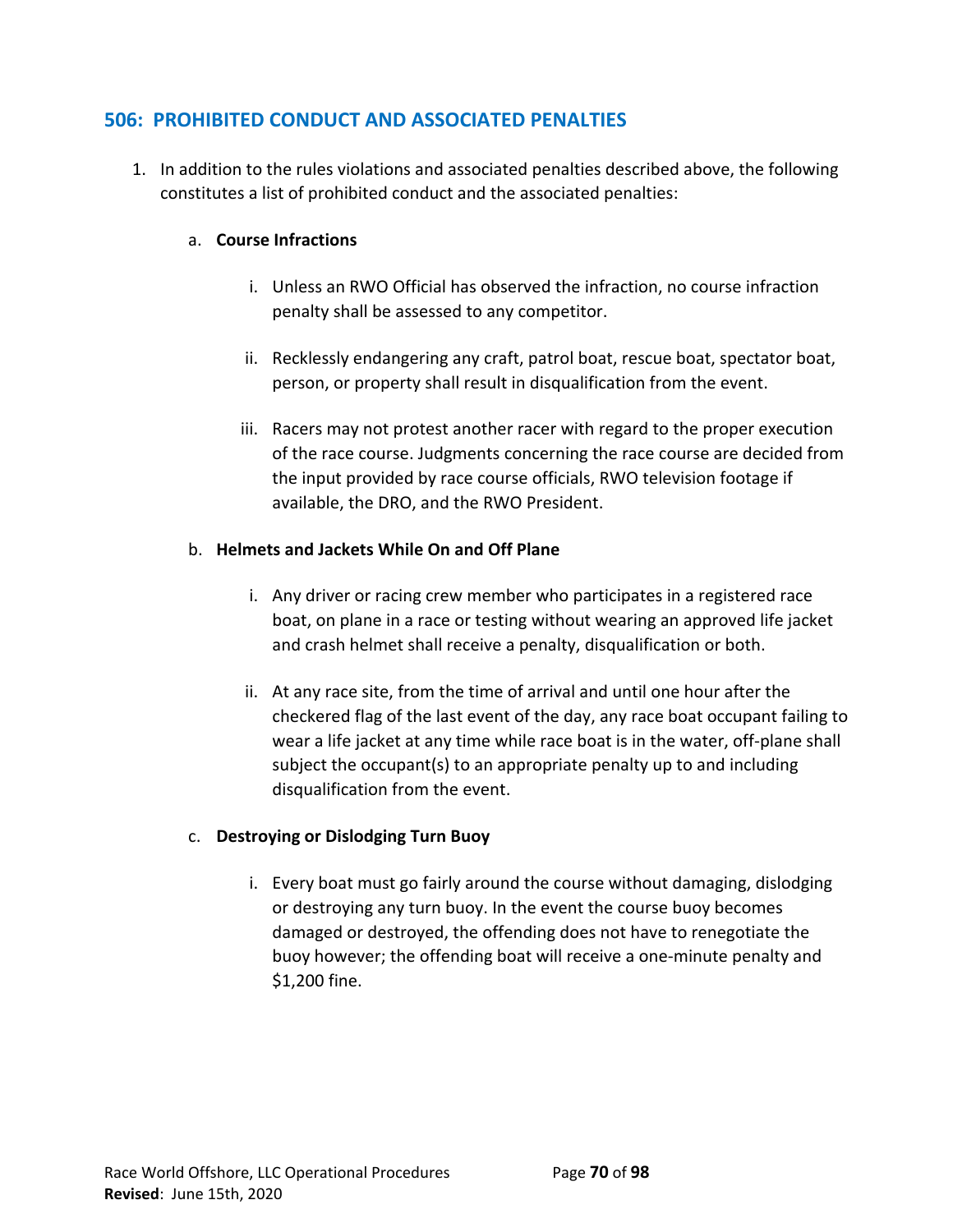# **506: PROHIBITED CONDUCT AND ASSOCIATED PENALTIES**

1. In addition to the rules violations and associated penalties described above, the following constitutes a list of prohibited conduct and the associated penalties:

# a. **Course Infractions**

- i. Unless an RWO Official has observed the infraction, no course infraction penalty shall be assessed to any competitor.
- ii. Recklessly endangering any craft, patrol boat, rescue boat, spectator boat, person, or property shall result in disqualification from the event.
- iii. Racers may not protest another racer with regard to the proper execution of the race course. Judgments concerning the race course are decided from the input provided by race course officials, RWO television footage if available, the DRO, and the RWO President.

# b. **Helmets and Jackets While On and Off Plane**

- i. Any driver or racing crew member who participates in a registered race boat, on plane in a race or testing without wearing an approved life jacket and crash helmet shall receive a penalty, disqualification or both.
- ii. At any race site, from the time of arrival and until one hour after the checkered flag of the last event of the day, any race boat occupant failing to wear a life jacket at any time while race boat is in the water, off-plane shall subject the occupant(s) to an appropriate penalty up to and including disqualification from the event.

# c. **Destroying or Dislodging Turn Buoy**

i. Every boat must go fairly around the course without damaging, dislodging or destroying any turn buoy. In the event the course buoy becomes damaged or destroyed, the offending does not have to renegotiate the buoy however; the offending boat will receive a one-minute penalty and \$1,200 fine.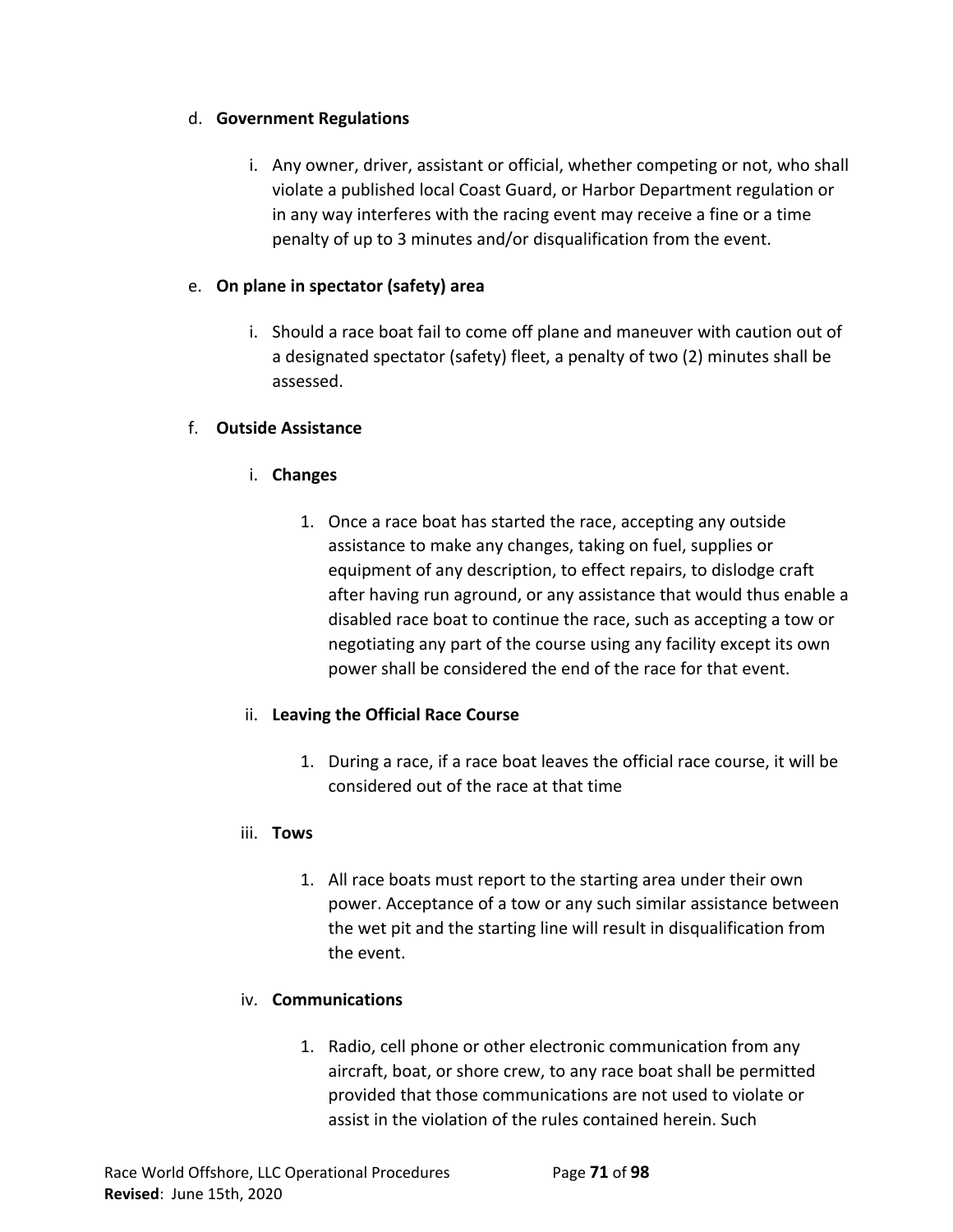# d. **Government Regulations**

i. Any owner, driver, assistant or official, whether competing or not, who shall violate a published local Coast Guard, or Harbor Department regulation or in any way interferes with the racing event may receive a fine or a time penalty of up to 3 minutes and/or disqualification from the event.

# e. **On plane in spectator (safety) area**

i. Should a race boat fail to come off plane and maneuver with caution out of a designated spectator (safety) fleet, a penalty of two (2) minutes shall be assessed.

# f. **Outside Assistance**

- i. **Changes**
	- 1. Once a race boat has started the race, accepting any outside assistance to make any changes, taking on fuel, supplies or equipment of any description, to effect repairs, to dislodge craft after having run aground, or any assistance that would thus enable a disabled race boat to continue the race, such as accepting a tow or negotiating any part of the course using any facility except its own power shall be considered the end of the race for that event.

# ii. **Leaving the Official Race Course**

1. During a race, if a race boat leaves the official race course, it will be considered out of the race at that time

# iii. **Tows**

1. All race boats must report to the starting area under their own power. Acceptance of a tow or any such similar assistance between the wet pit and the starting line will result in disqualification from the event.

# iv. **Communications**

1. Radio, cell phone or other electronic communication from any aircraft, boat, or shore crew, to any race boat shall be permitted provided that those communications are not used to violate or assist in the violation of the rules contained herein. Such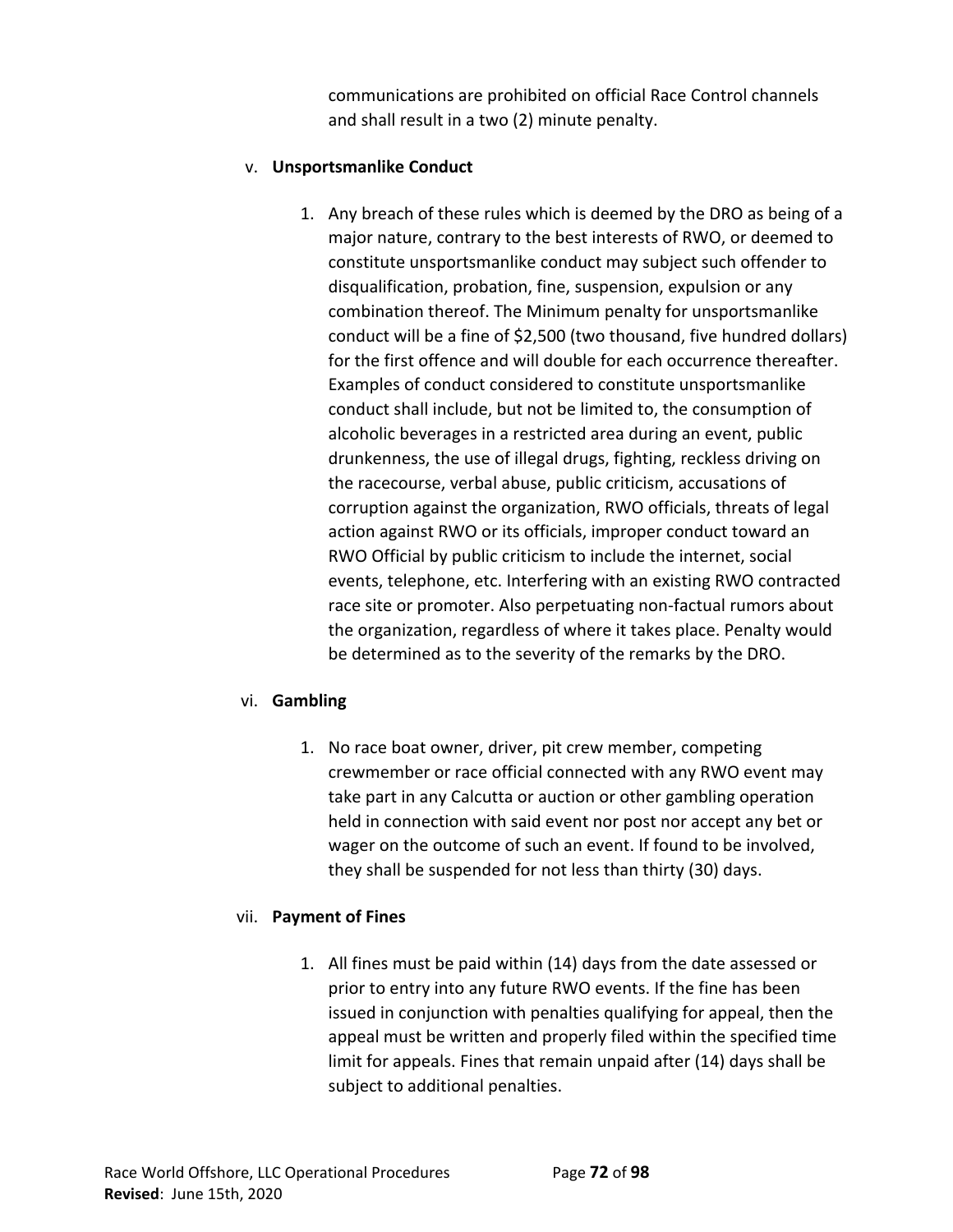communications are prohibited on official Race Control channels and shall result in a two (2) minute penalty.

# v. **Unsportsmanlike Conduct**

1. Any breach of these rules which is deemed by the DRO as being of a major nature, contrary to the best interests of RWO, or deemed to constitute unsportsmanlike conduct may subject such offender to disqualification, probation, fine, suspension, expulsion or any combination thereof. The Minimum penalty for unsportsmanlike conduct will be a fine of \$2,500 (two thousand, five hundred dollars) for the first offence and will double for each occurrence thereafter. Examples of conduct considered to constitute unsportsmanlike conduct shall include, but not be limited to, the consumption of alcoholic beverages in a restricted area during an event, public drunkenness, the use of illegal drugs, fighting, reckless driving on the racecourse, verbal abuse, public criticism, accusations of corruption against the organization, RWO officials, threats of legal action against RWO or its officials, improper conduct toward an RWO Official by public criticism to include the internet, social events, telephone, etc. Interfering with an existing RWO contracted race site or promoter. Also perpetuating non-factual rumors about the organization, regardless of where it takes place. Penalty would be determined as to the severity of the remarks by the DRO.

# vi. **Gambling**

1. No race boat owner, driver, pit crew member, competing crewmember or race official connected with any RWO event may take part in any Calcutta or auction or other gambling operation held in connection with said event nor post nor accept any bet or wager on the outcome of such an event. If found to be involved, they shall be suspended for not less than thirty (30) days.

# vii. **Payment of Fines**

1. All fines must be paid within (14) days from the date assessed or prior to entry into any future RWO events. If the fine has been issued in conjunction with penalties qualifying for appeal, then the appeal must be written and properly filed within the specified time limit for appeals. Fines that remain unpaid after (14) days shall be subject to additional penalties.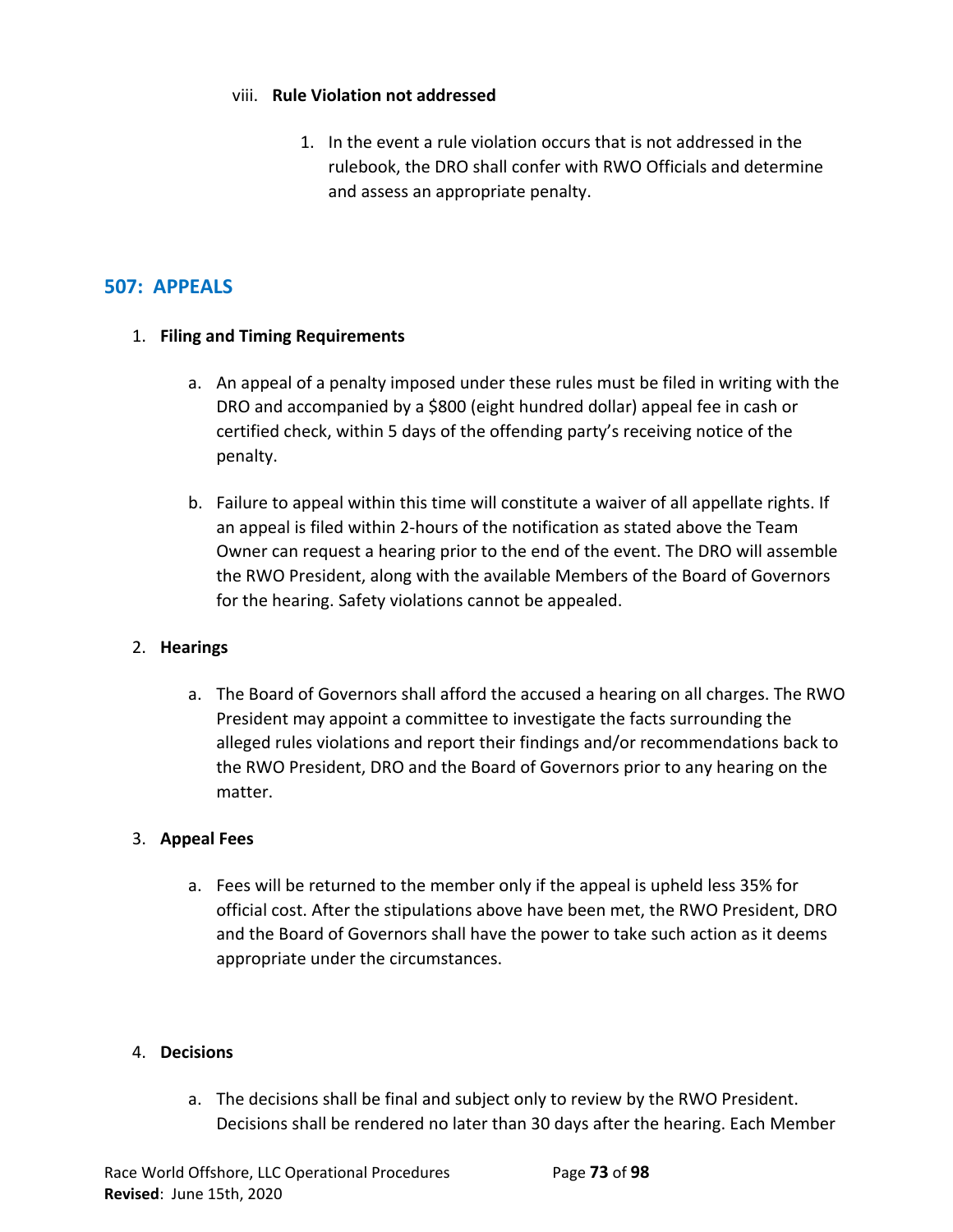#### viii. **Rule Violation not addressed**

1. In the event a rule violation occurs that is not addressed in the rulebook, the DRO shall confer with RWO Officials and determine and assess an appropriate penalty.

# **507: APPEALS**

## 1. **Filing and Timing Requirements**

- a. An appeal of a penalty imposed under these rules must be filed in writing with the DRO and accompanied by a \$800 (eight hundred dollar) appeal fee in cash or certified check, within 5 days of the offending party's receiving notice of the penalty.
- b. Failure to appeal within this time will constitute a waiver of all appellate rights. If an appeal is filed within 2-hours of the notification as stated above the Team Owner can request a hearing prior to the end of the event. The DRO will assemble the RWO President, along with the available Members of the Board of Governors for the hearing. Safety violations cannot be appealed.

## 2. **Hearings**

a. The Board of Governors shall afford the accused a hearing on all charges. The RWO President may appoint a committee to investigate the facts surrounding the alleged rules violations and report their findings and/or recommendations back to the RWO President, DRO and the Board of Governors prior to any hearing on the matter.

## 3. **Appeal Fees**

a. Fees will be returned to the member only if the appeal is upheld less 35% for official cost. After the stipulations above have been met, the RWO President, DRO and the Board of Governors shall have the power to take such action as it deems appropriate under the circumstances.

## 4. **Decisions**

a. The decisions shall be final and subject only to review by the RWO President. Decisions shall be rendered no later than 30 days after the hearing. Each Member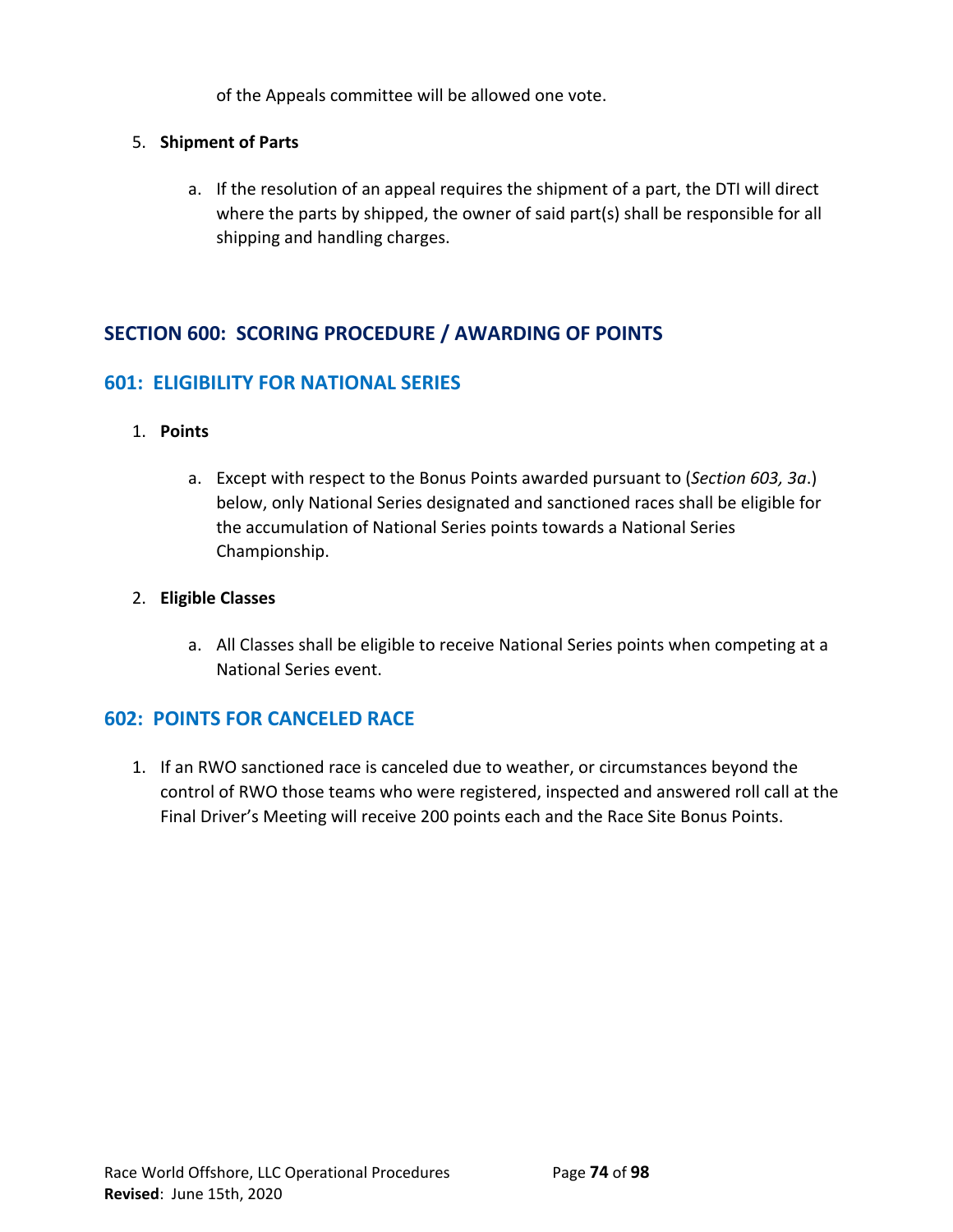of the Appeals committee will be allowed one vote.

## 5. **Shipment of Parts**

a. If the resolution of an appeal requires the shipment of a part, the DTI will direct where the parts by shipped, the owner of said part(s) shall be responsible for all shipping and handling charges.

# **SECTION 600: SCORING PROCEDURE / AWARDING OF POINTS**

## **601: ELIGIBILITY FOR NATIONAL SERIES**

### 1. **Points**

a. Except with respect to the Bonus Points awarded pursuant to (*Section 603, 3a*.) below, only National Series designated and sanctioned races shall be eligible for the accumulation of National Series points towards a National Series Championship.

### 2. **Eligible Classes**

a. All Classes shall be eligible to receive National Series points when competing at a National Series event.

## **602: POINTS FOR CANCELED RACE**

1. If an RWO sanctioned race is canceled due to weather, or circumstances beyond the control of RWO those teams who were registered, inspected and answered roll call at the Final Driver's Meeting will receive 200 points each and the Race Site Bonus Points.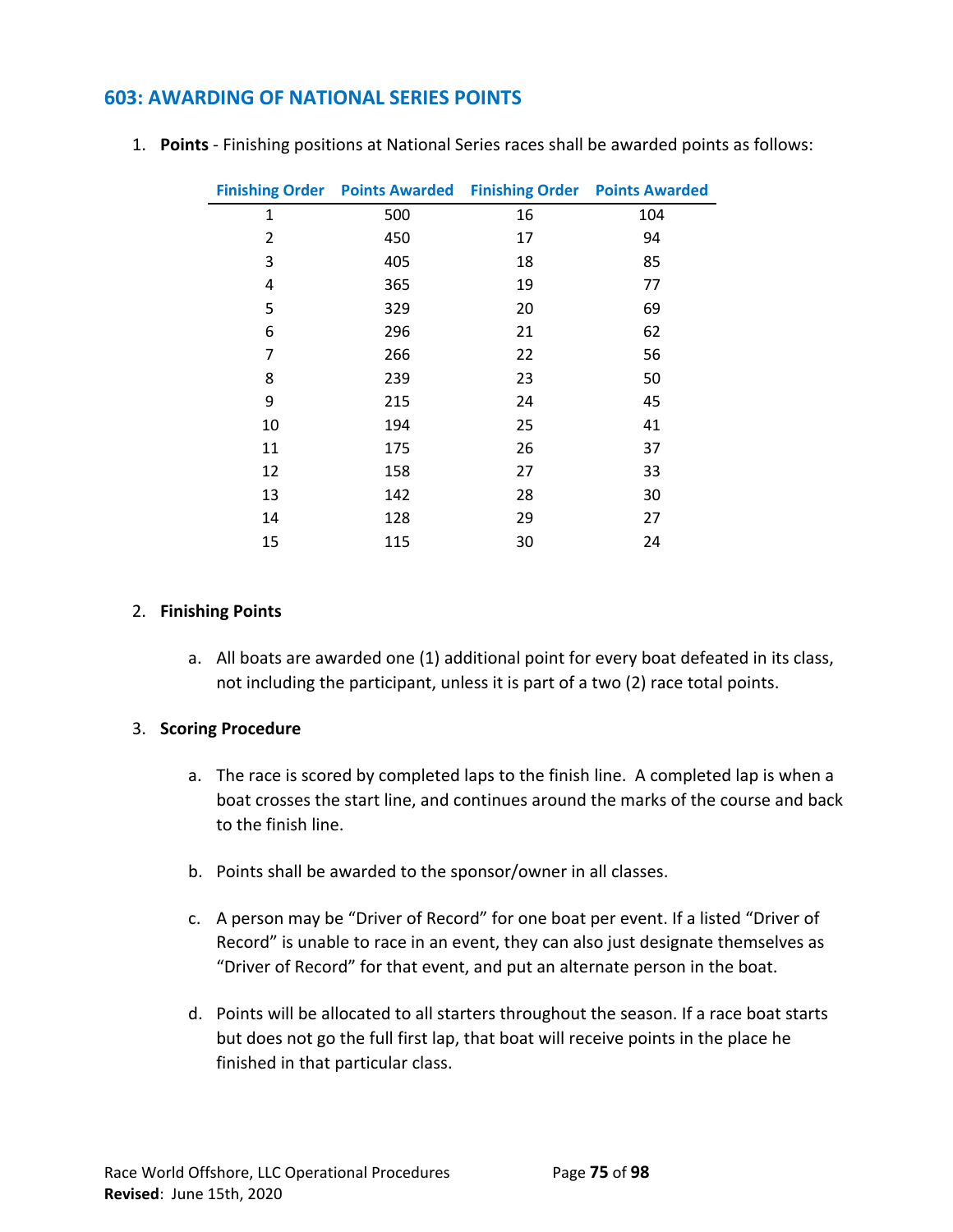## **603: AWARDING OF NATIONAL SERIES POINTS**

|    | <b>Finishing Order Points Awarded</b> |    | <b>Finishing Order Points Awarded</b> |
|----|---------------------------------------|----|---------------------------------------|
| 1  | 500                                   | 16 | 104                                   |
| 2  | 450                                   | 17 | 94                                    |
| 3  | 405                                   | 18 | 85                                    |
| 4  | 365                                   | 19 | 77                                    |
| 5  | 329                                   | 20 | 69                                    |
| 6  | 296                                   | 21 | 62                                    |
| 7  | 266                                   | 22 | 56                                    |
| 8  | 239                                   | 23 | 50                                    |
| 9  | 215                                   | 24 | 45                                    |
| 10 | 194                                   | 25 | 41                                    |
| 11 | 175                                   | 26 | 37                                    |
| 12 | 158                                   | 27 | 33                                    |
| 13 | 142                                   | 28 | 30                                    |
| 14 | 128                                   | 29 | 27                                    |
| 15 | 115                                   | 30 | 24                                    |

1. **Points** - Finishing positions at National Series races shall be awarded points as follows:

#### 2. **Finishing Points**

a. All boats are awarded one (1) additional point for every boat defeated in its class, not including the participant, unless it is part of a two (2) race total points.

#### 3. **Scoring Procedure**

- a. The race is scored by completed laps to the finish line. A completed lap is when a boat crosses the start line, and continues around the marks of the course and back to the finish line.
- b. Points shall be awarded to the sponsor/owner in all classes.
- c. A person may be "Driver of Record" for one boat per event. If a listed "Driver of Record" is unable to race in an event, they can also just designate themselves as "Driver of Record" for that event, and put an alternate person in the boat.
- d. Points will be allocated to all starters throughout the season. If a race boat starts but does not go the full first lap, that boat will receive points in the place he finished in that particular class.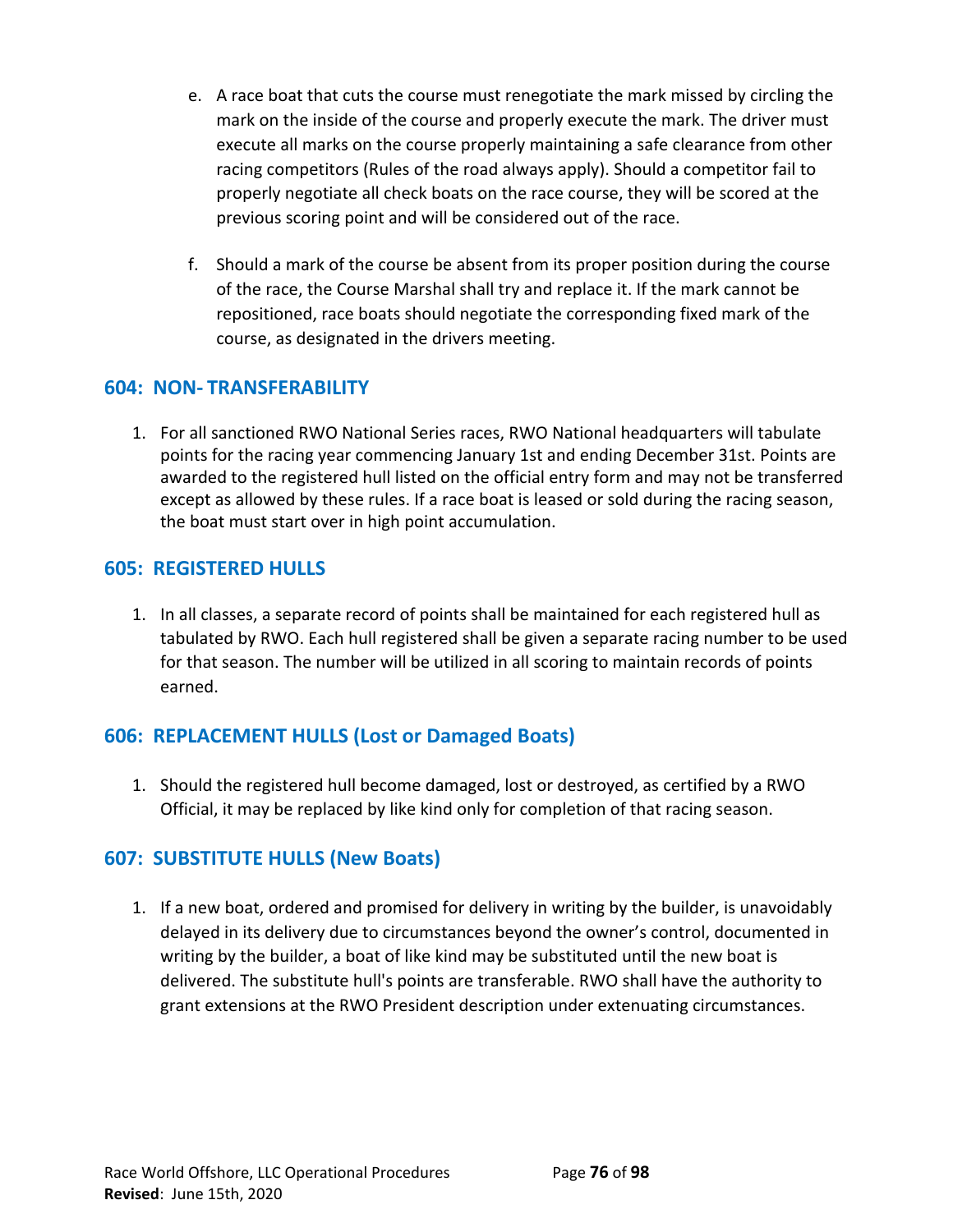- e. A race boat that cuts the course must renegotiate the mark missed by circling the mark on the inside of the course and properly execute the mark. The driver must execute all marks on the course properly maintaining a safe clearance from other racing competitors (Rules of the road always apply). Should a competitor fail to properly negotiate all check boats on the race course, they will be scored at the previous scoring point and will be considered out of the race.
- f. Should a mark of the course be absent from its proper position during the course of the race, the Course Marshal shall try and replace it. If the mark cannot be repositioned, race boats should negotiate the corresponding fixed mark of the course, as designated in the drivers meeting.

# **604: NON- TRANSFERABILITY**

1. For all sanctioned RWO National Series races, RWO National headquarters will tabulate points for the racing year commencing January 1st and ending December 31st. Points are awarded to the registered hull listed on the official entry form and may not be transferred except as allowed by these rules. If a race boat is leased or sold during the racing season, the boat must start over in high point accumulation.

## **605: REGISTERED HULLS**

1. In all classes, a separate record of points shall be maintained for each registered hull as tabulated by RWO. Each hull registered shall be given a separate racing number to be used for that season. The number will be utilized in all scoring to maintain records of points earned.

# **606: REPLACEMENT HULLS (Lost or Damaged Boats)**

1. Should the registered hull become damaged, lost or destroyed, as certified by a RWO Official, it may be replaced by like kind only for completion of that racing season.

# **607: SUBSTITUTE HULLS (New Boats)**

1. If a new boat, ordered and promised for delivery in writing by the builder, is unavoidably delayed in its delivery due to circumstances beyond the owner's control, documented in writing by the builder, a boat of like kind may be substituted until the new boat is delivered. The substitute hull's points are transferable. RWO shall have the authority to grant extensions at the RWO President description under extenuating circumstances.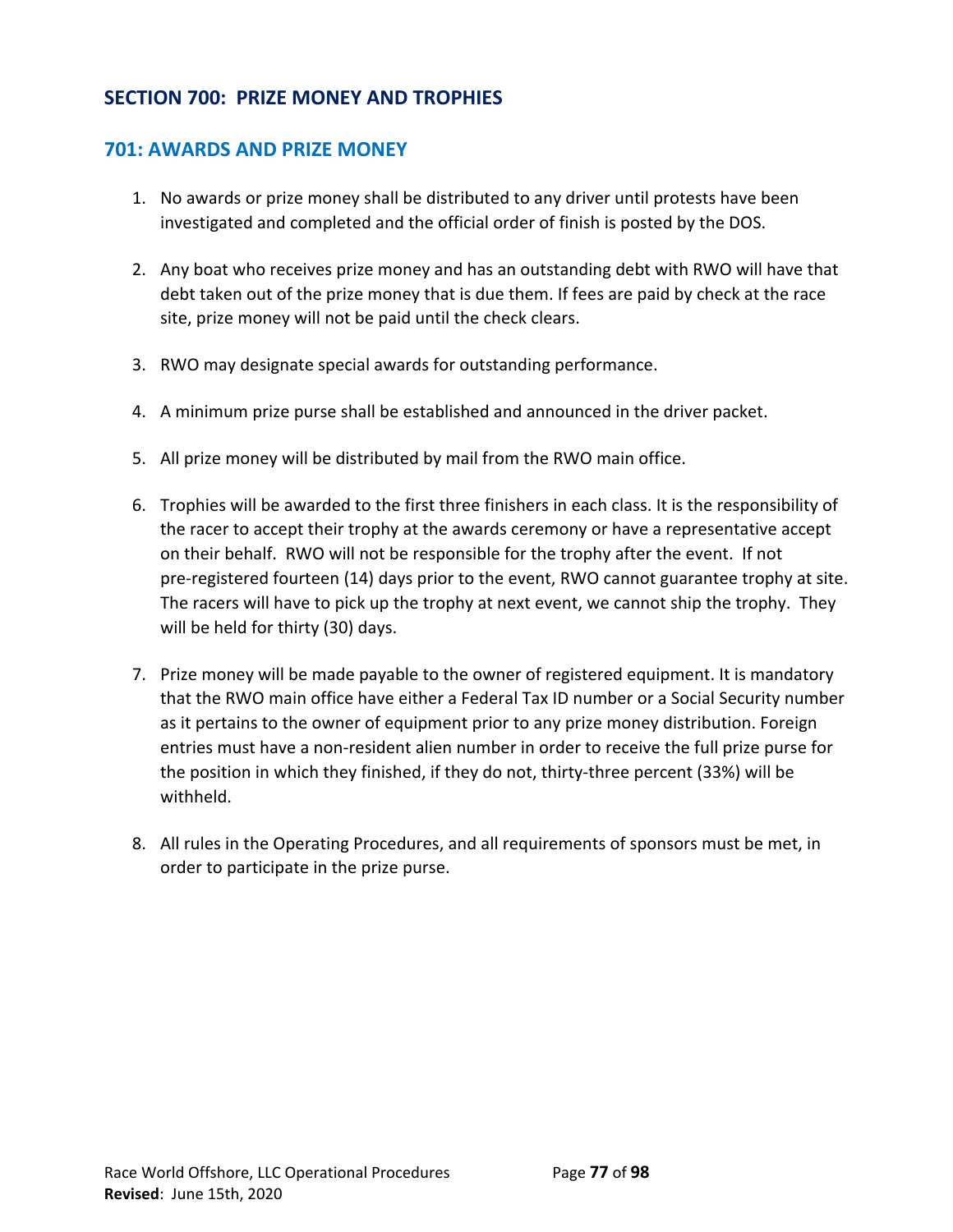# **SECTION 700: PRIZE MONEY AND TROPHIES**

## **701: AWARDS AND PRIZE MONEY**

- 1. No awards or prize money shall be distributed to any driver until protests have been investigated and completed and the official order of finish is posted by the DOS.
- 2. Any boat who receives prize money and has an outstanding debt with RWO will have that debt taken out of the prize money that is due them. If fees are paid by check at the race site, prize money will not be paid until the check clears.
- 3. RWO may designate special awards for outstanding performance.
- 4. A minimum prize purse shall be established and announced in the driver packet.
- 5. All prize money will be distributed by mail from the RWO main office.
- 6. Trophies will be awarded to the first three finishers in each class. It is the responsibility of the racer to accept their trophy at the awards ceremony or have a representative accept on their behalf. RWO will not be responsible for the trophy after the event. If not pre-registered fourteen (14) days prior to the event, RWO cannot guarantee trophy at site. The racers will have to pick up the trophy at next event, we cannot ship the trophy. They will be held for thirty (30) days.
- 7. Prize money will be made payable to the owner of registered equipment. It is mandatory that the RWO main office have either a Federal Tax ID number or a Social Security number as it pertains to the owner of equipment prior to any prize money distribution. Foreign entries must have a non-resident alien number in order to receive the full prize purse for the position in which they finished, if they do not, thirty-three percent (33%) will be withheld.
- 8. All rules in the Operating Procedures, and all requirements of sponsors must be met, in order to participate in the prize purse.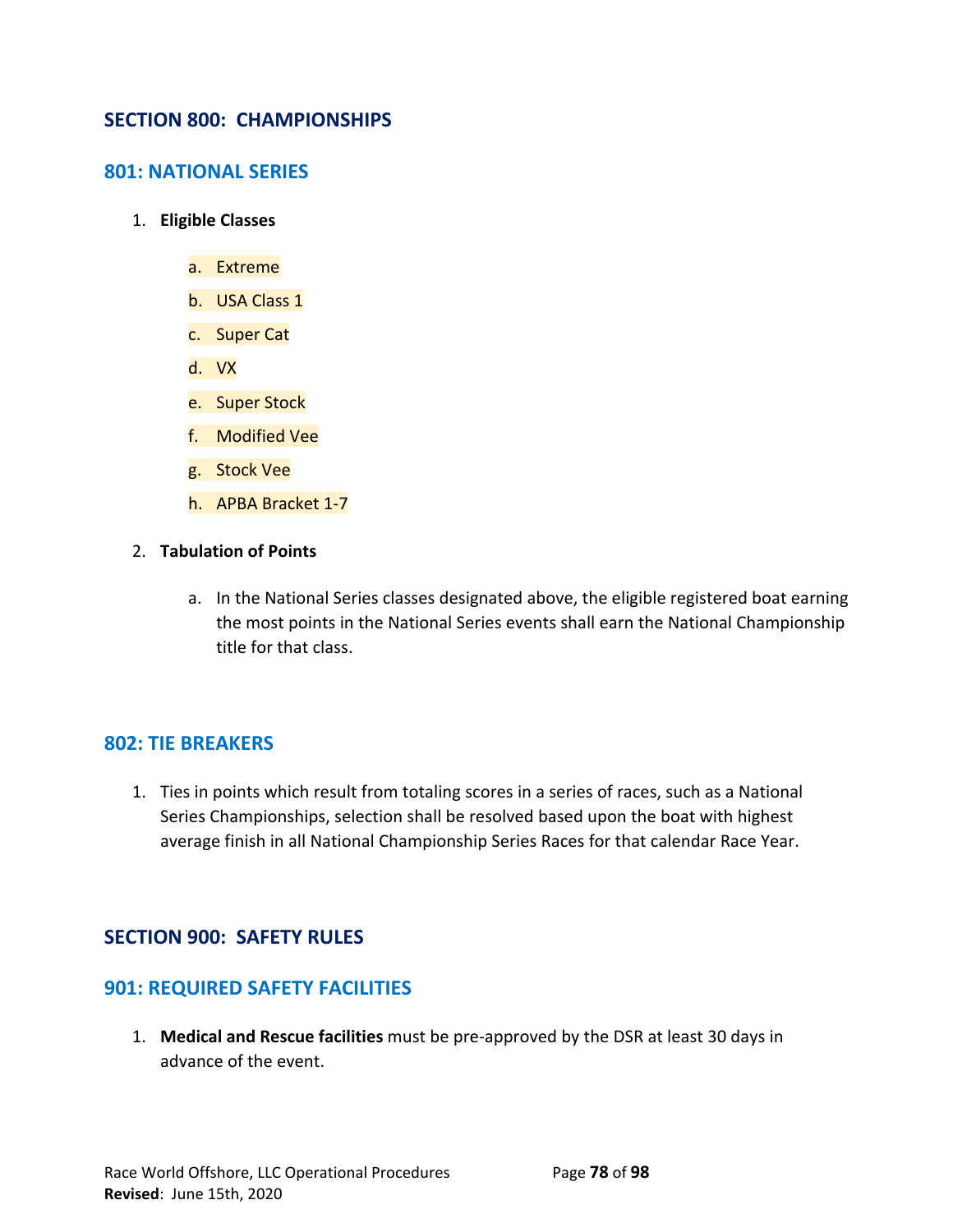## **SECTION 800: CHAMPIONSHIPS**

## **801: NATIONAL SERIES**

- 1. **Eligible Classes**
	- a. Extreme
	- b. USA Class 1
	- c. Super Cat
	- d. VX
	- e. Super Stock
	- f. Modified Vee
	- g. Stock Vee
	- h. APBA Bracket 1-7
- 2. **Tabulation of Points**
	- a. In the National Series classes designated above, the eligible registered boat earning the most points in the National Series events shall earn the National Championship title for that class.

## **802: TIE BREAKERS**

1. Ties in points which result from totaling scores in a series of races, such as a National Series Championships, selection shall be resolved based upon the boat with highest average finish in all National Championship Series Races for that calendar Race Year.

## **SECTION 900: SAFETY RULES**

## **901: REQUIRED SAFETY FACILITIES**

1. **Medical and Rescue facilities** must be pre-approved by the DSR at least 30 days in advance of the event.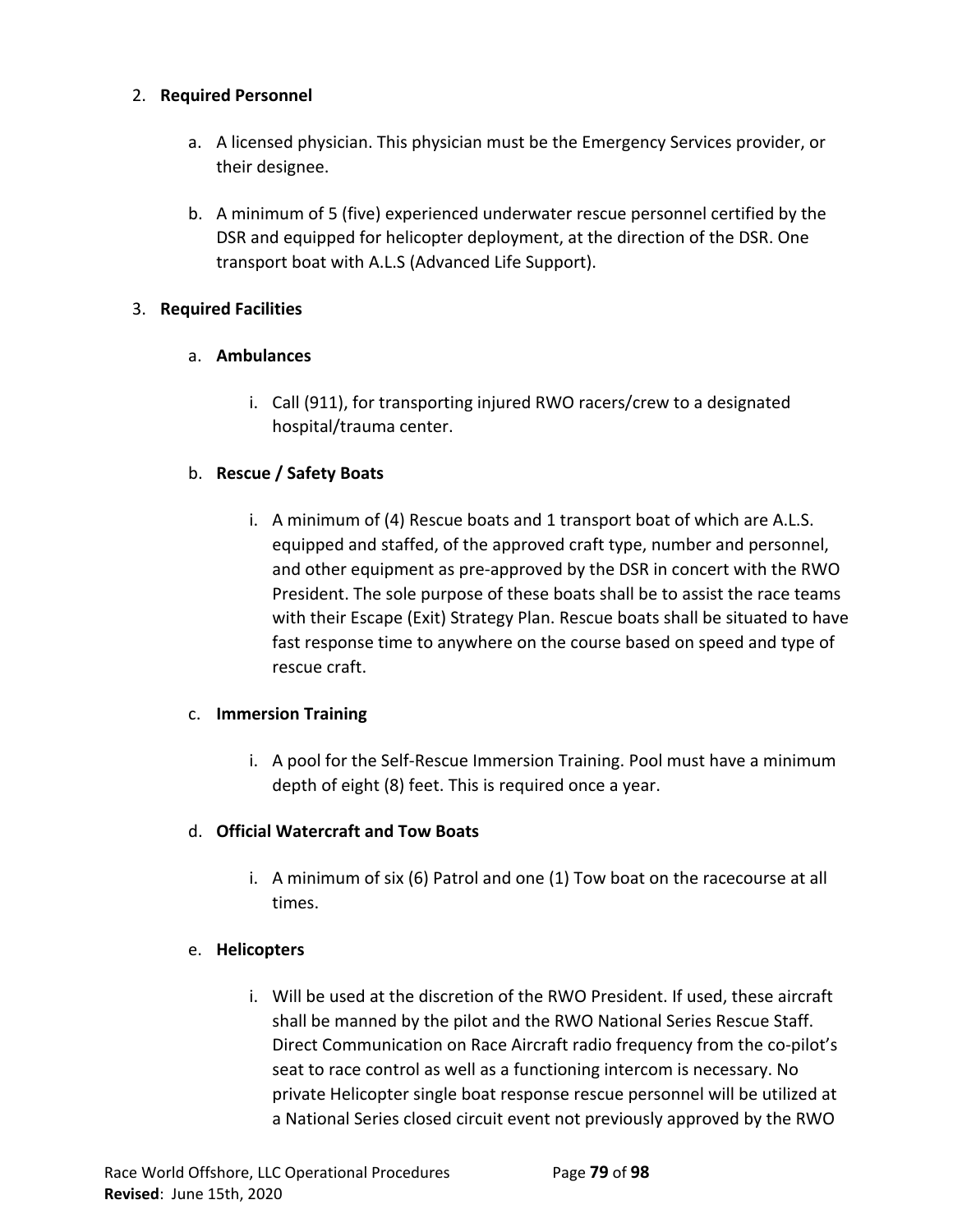## 2. **Required Personnel**

- a. A licensed physician. This physician must be the Emergency Services provider, or their designee.
- b. A minimum of 5 (five) experienced underwater rescue personnel certified by the DSR and equipped for helicopter deployment, at the direction of the DSR. One transport boat with A.L.S (Advanced Life Support).

### 3. **Required Facilities**

## a. **Ambulances**

i. Call (911), for transporting injured RWO racers/crew to a designated hospital/trauma center.

### b. **Rescue / Safety Boats**

i. A minimum of (4) Rescue boats and 1 transport boat of which are A.L.S. equipped and staffed, of the approved craft type, number and personnel, and other equipment as pre-approved by the DSR in concert with the RWO President. The sole purpose of these boats shall be to assist the race teams with their Escape (Exit) Strategy Plan. Rescue boats shall be situated to have fast response time to anywhere on the course based on speed and type of rescue craft.

## c. **Immersion Training**

i. A pool for the Self-Rescue Immersion Training. Pool must have a minimum depth of eight (8) feet. This is required once a year.

#### d. **Official Watercraft and Tow Boats**

i. A minimum of six (6) Patrol and one (1) Tow boat on the racecourse at all times.

## e. **Helicopters**

i. Will be used at the discretion of the RWO President. If used, these aircraft shall be manned by the pilot and the RWO National Series Rescue Staff. Direct Communication on Race Aircraft radio frequency from the co-pilot's seat to race control as well as a functioning intercom is necessary. No private Helicopter single boat response rescue personnel will be utilized at a National Series closed circuit event not previously approved by the RWO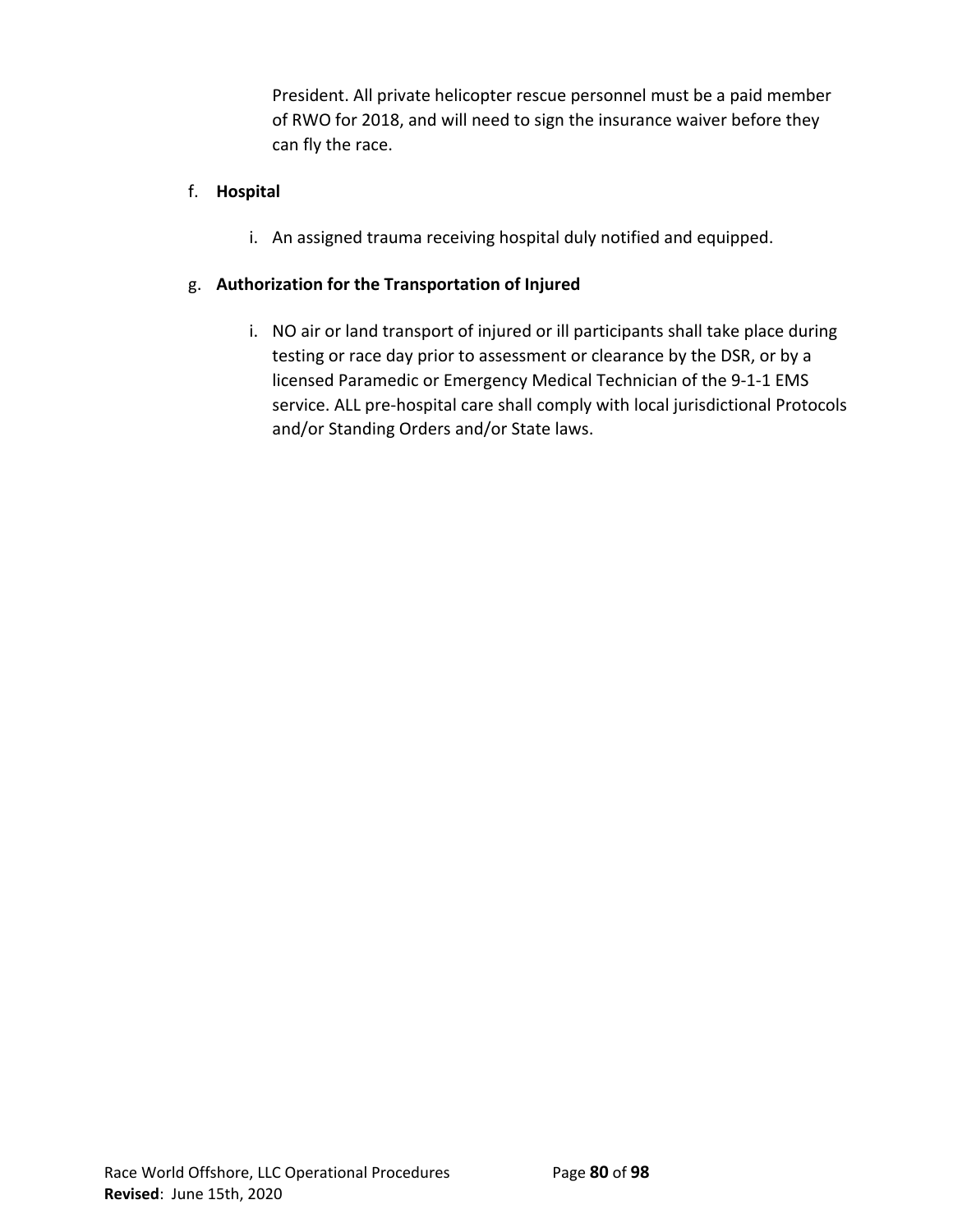President. All private helicopter rescue personnel must be a paid member of RWO for 2018, and will need to sign the insurance waiver before they can fly the race.

## f. **Hospital**

i. An assigned trauma receiving hospital duly notified and equipped.

## g. **Authorization for the Transportation of Injured**

i. NO air or land transport of injured or ill participants shall take place during testing or race day prior to assessment or clearance by the DSR, or by a licensed Paramedic or Emergency Medical Technician of the 9-1-1 EMS service. ALL pre-hospital care shall comply with local jurisdictional Protocols and/or Standing Orders and/or State laws.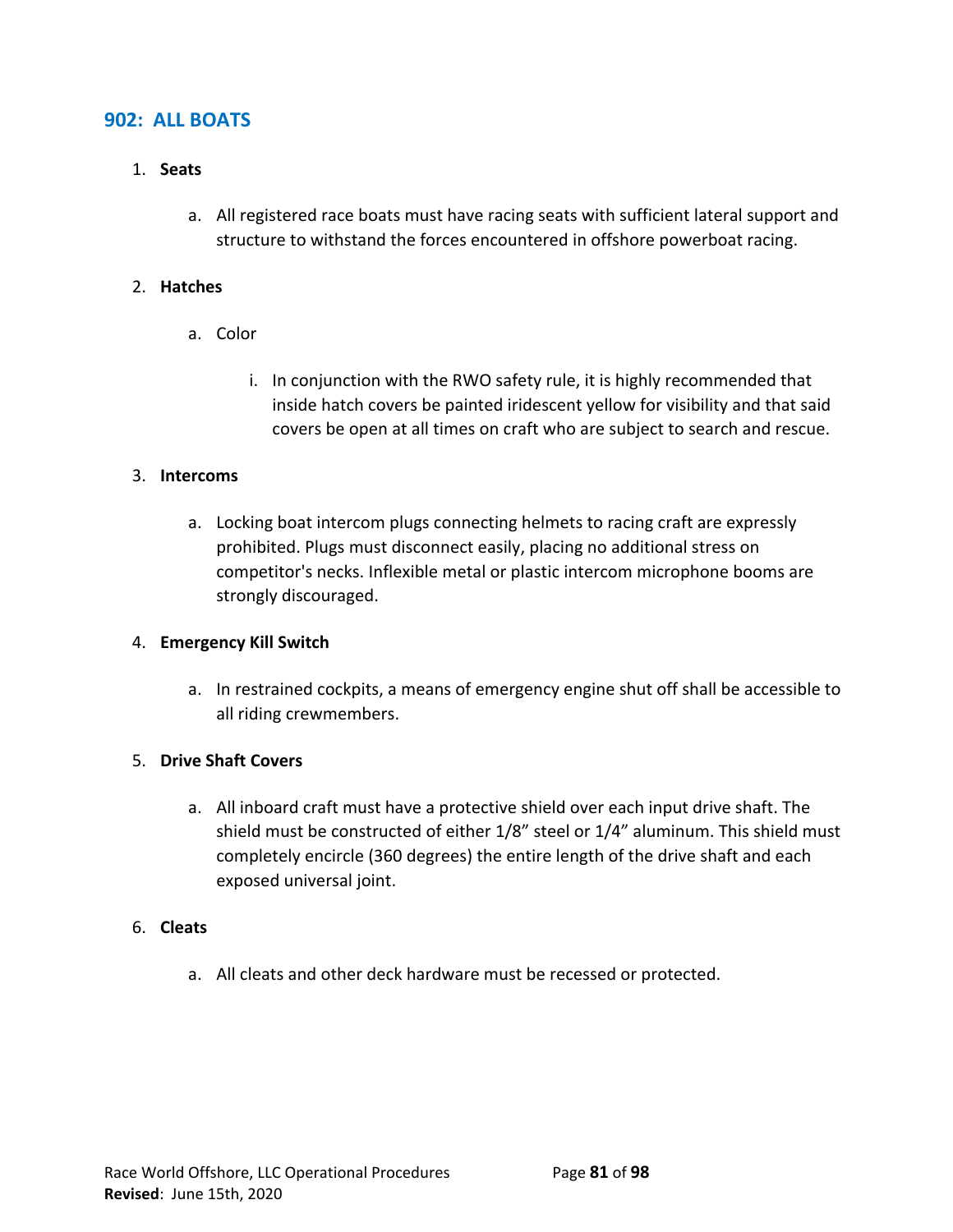## **902: ALL BOATS**

#### 1. **Seats**

a. All registered race boats must have racing seats with sufficient lateral support and structure to withstand the forces encountered in offshore powerboat racing.

#### 2. **Hatches**

- a. Color
	- i. In conjunction with the RWO safety rule, it is highly recommended that inside hatch covers be painted iridescent yellow for visibility and that said covers be open at all times on craft who are subject to search and rescue.

#### 3. **Intercoms**

a. Locking boat intercom plugs connecting helmets to racing craft are expressly prohibited. Plugs must disconnect easily, placing no additional stress on competitor's necks. Inflexible metal or plastic intercom microphone booms are strongly discouraged.

#### 4. **Emergency Kill Switch**

a. In restrained cockpits, a means of emergency engine shut off shall be accessible to all riding crewmembers.

#### 5. **Drive Shaft Covers**

a. All inboard craft must have a protective shield over each input drive shaft. The shield must be constructed of either 1/8" steel or 1/4" aluminum. This shield must completely encircle (360 degrees) the entire length of the drive shaft and each exposed universal joint.

#### 6. **Cleats**

a. All cleats and other deck hardware must be recessed or protected.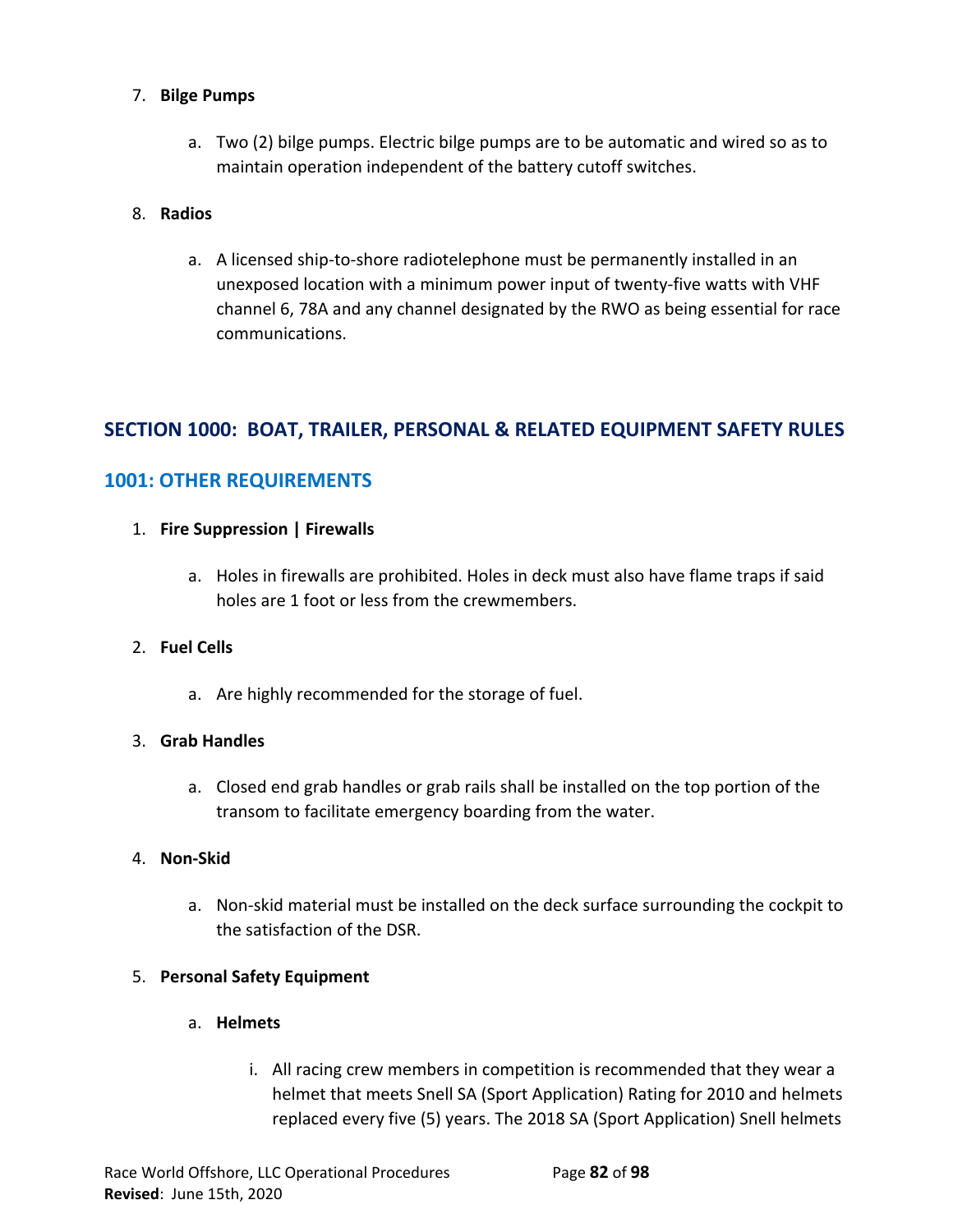## 7. **Bilge Pumps**

a. Two (2) bilge pumps. Electric bilge pumps are to be automatic and wired so as to maintain operation independent of the battery cutoff switches.

## 8. **Radios**

a. A licensed ship-to-shore radiotelephone must be permanently installed in an unexposed location with a minimum power input of twenty-five watts with VHF channel 6, 78A and any channel designated by the RWO as being essential for race communications.

# **SECTION 1000: BOAT, TRAILER, PERSONAL & RELATED EQUIPMENT SAFETY RULES**

# **1001: OTHER REQUIREMENTS**

### 1. **Fire Suppression | Firewalls**

a. Holes in firewalls are prohibited. Holes in deck must also have flame traps if said holes are 1 foot or less from the crewmembers.

#### 2. **Fuel Cells**

a. Are highly recommended for the storage of fuel.

## 3. **Grab Handles**

a. Closed end grab handles or grab rails shall be installed on the top portion of the transom to facilitate emergency boarding from the water.

#### 4. **Non-Skid**

a. Non-skid material must be installed on the deck surface surrounding the cockpit to the satisfaction of the DSR.

## 5. **Personal Safety Equipment**

#### a. **Helmets**

i. All racing crew members in competition is recommended that they wear a helmet that meets Snell SA (Sport Application) Rating for 2010 and helmets replaced every five (5) years. The 2018 SA (Sport Application) Snell helmets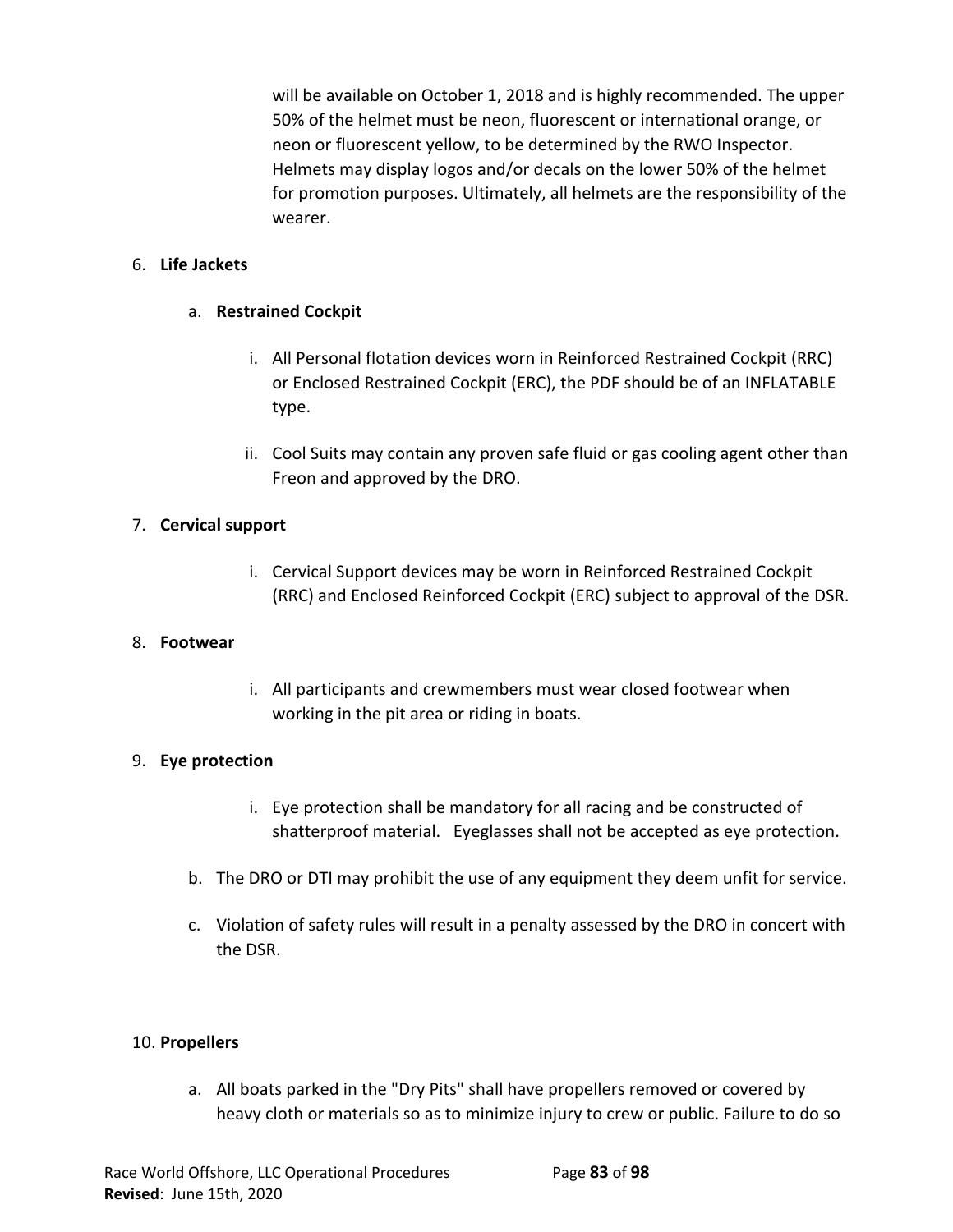will be available on October 1, 2018 and is highly recommended. The upper 50% of the helmet must be neon, fluorescent or international orange, or neon or fluorescent yellow, to be determined by the RWO Inspector. Helmets may display logos and/or decals on the lower 50% of the helmet for promotion purposes. Ultimately, all helmets are the responsibility of the wearer.

### 6. **Life Jackets**

## a. **Restrained Cockpit**

- i. All Personal flotation devices worn in Reinforced Restrained Cockpit (RRC) or Enclosed Restrained Cockpit (ERC), the PDF should be of an INFLATABLE type.
- ii. Cool Suits may contain any proven safe fluid or gas cooling agent other than Freon and approved by the DRO.

### 7. **Cervical support**

i. Cervical Support devices may be worn in Reinforced Restrained Cockpit (RRC) and Enclosed Reinforced Cockpit (ERC) subject to approval of the DSR.

#### 8. **Footwear**

i. All participants and crewmembers must wear closed footwear when working in the pit area or riding in boats.

#### 9. **Eye protection**

- i. Eye protection shall be mandatory for all racing and be constructed of shatterproof material. Eyeglasses shall not be accepted as eye protection.
- b. The DRO or DTI may prohibit the use of any equipment they deem unfit for service.
- c. Violation of safety rules will result in a penalty assessed by the DRO in concert with the DSR.

#### 10. **Propellers**

a. All boats parked in the "Dry Pits" shall have propellers removed or covered by heavy cloth or materials so as to minimize injury to crew or public. Failure to do so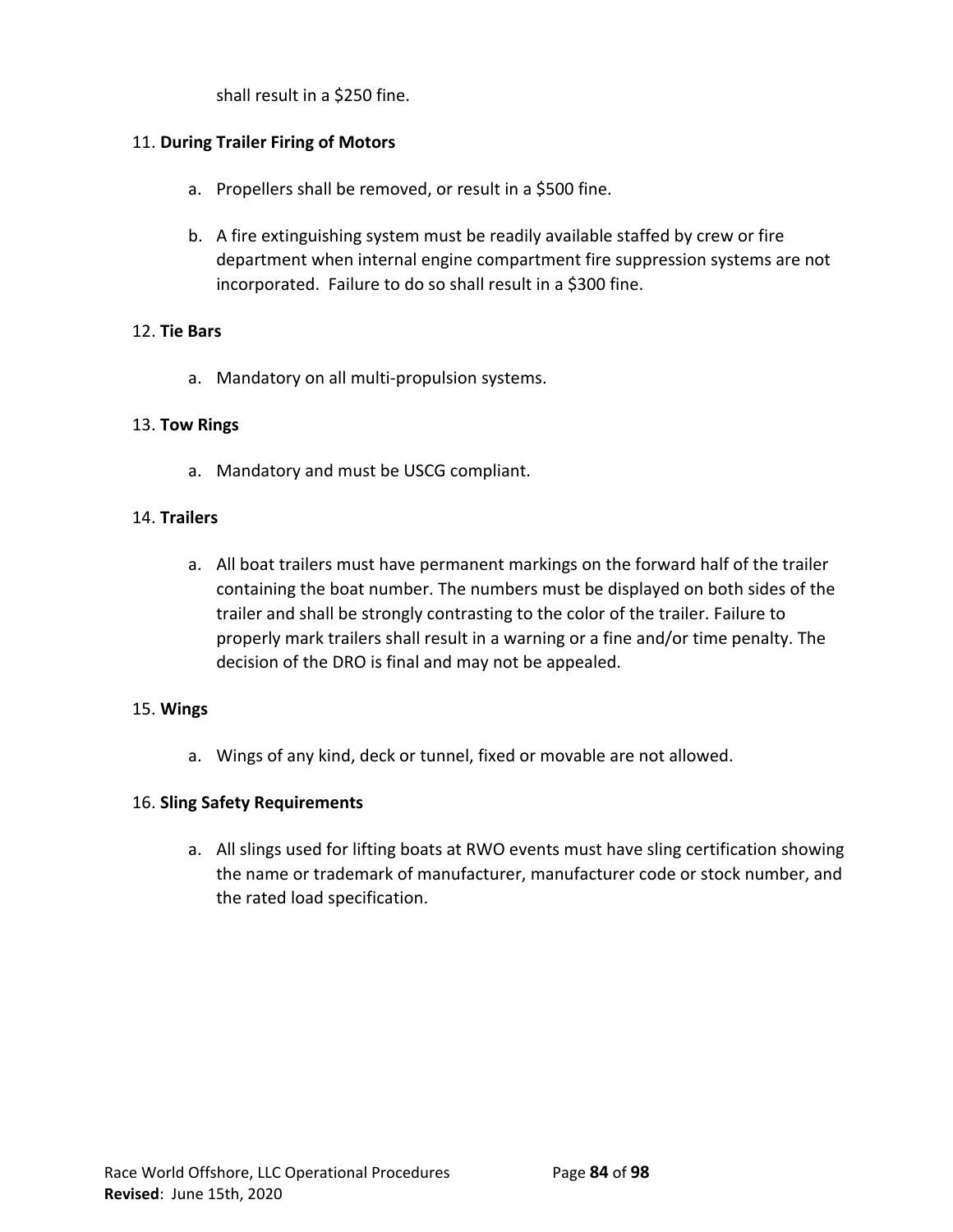shall result in a \$250 fine.

### 11. **During Trailer Firing of Motors**

- a. Propellers shall be removed, or result in a \$500 fine.
- b. A fire extinguishing system must be readily available staffed by crew or fire department when internal engine compartment fire suppression systems are not incorporated. Failure to do so shall result in a \$300 fine.

#### 12. **Tie Bars**

a. Mandatory on all multi-propulsion systems.

#### 13. **Tow Rings**

a. Mandatory and must be USCG compliant.

### 14. **Trailers**

a. All boat trailers must have permanent markings on the forward half of the trailer containing the boat number. The numbers must be displayed on both sides of the trailer and shall be strongly contrasting to the color of the trailer. Failure to properly mark trailers shall result in a warning or a fine and/or time penalty. The decision of the DRO is final and may not be appealed.

#### 15. **Wings**

a. Wings of any kind, deck or tunnel, fixed or movable are not allowed.

#### 16. **Sling Safety Requirements**

a. All slings used for lifting boats at RWO events must have sling certification showing the name or trademark of manufacturer, manufacturer code or stock number, and the rated load specification.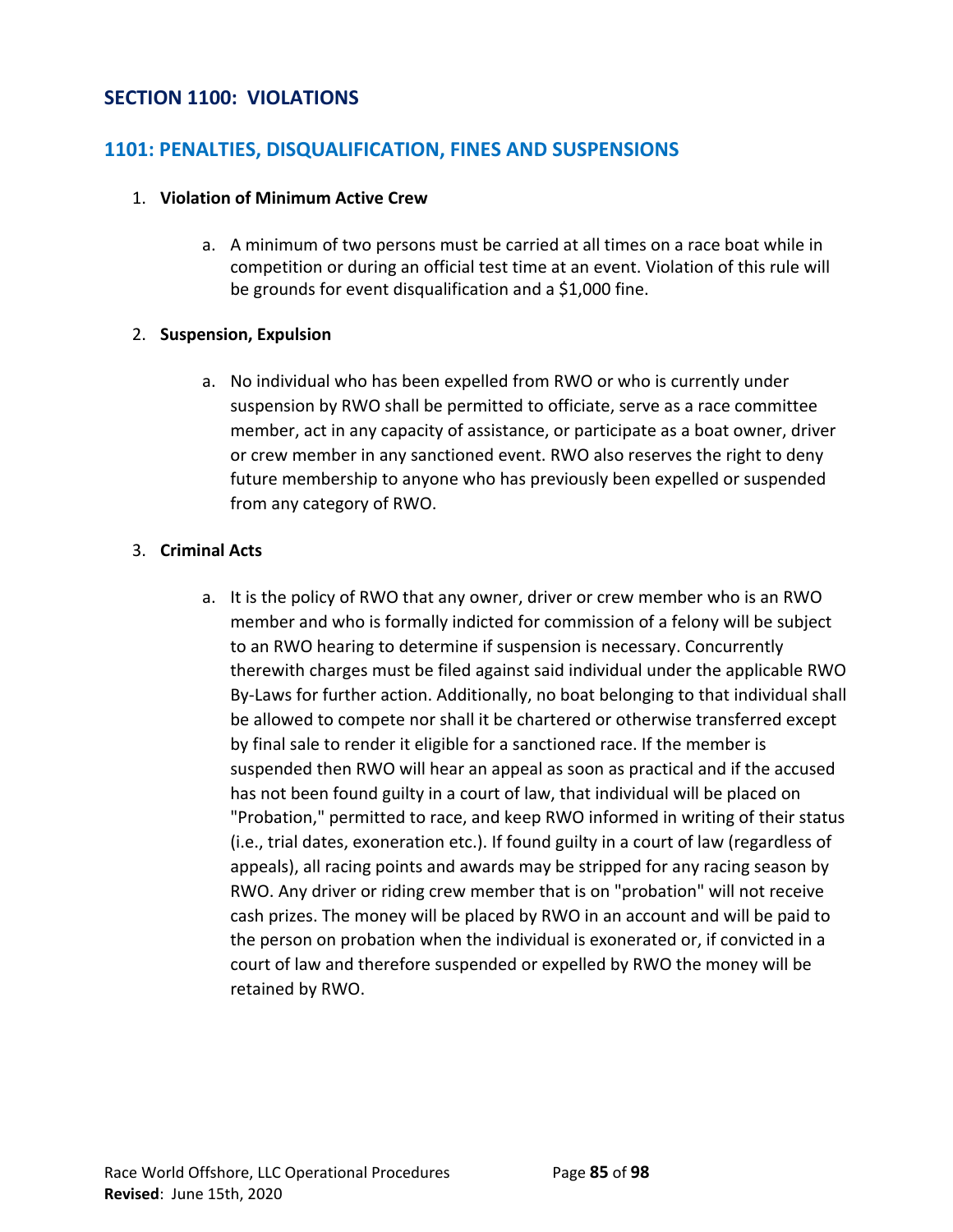## **SECTION 1100: VIOLATIONS**

## **1101: PENALTIES, DISQUALIFICATION, FINES AND SUSPENSIONS**

### 1. **Violation of Minimum Active Crew**

a. A minimum of two persons must be carried at all times on a race boat while in competition or during an official test time at an event. Violation of this rule will be grounds for event disqualification and a \$1,000 fine.

### 2. **Suspension, Expulsion**

a. No individual who has been expelled from RWO or who is currently under suspension by RWO shall be permitted to officiate, serve as a race committee member, act in any capacity of assistance, or participate as a boat owner, driver or crew member in any sanctioned event. RWO also reserves the right to deny future membership to anyone who has previously been expelled or suspended from any category of RWO.

## 3. **Criminal Acts**

a. It is the policy of RWO that any owner, driver or crew member who is an RWO member and who is formally indicted for commission of a felony will be subject to an RWO hearing to determine if suspension is necessary. Concurrently therewith charges must be filed against said individual under the applicable RWO By-Laws for further action. Additionally, no boat belonging to that individual shall be allowed to compete nor shall it be chartered or otherwise transferred except by final sale to render it eligible for a sanctioned race. If the member is suspended then RWO will hear an appeal as soon as practical and if the accused has not been found guilty in a court of law, that individual will be placed on "Probation," permitted to race, and keep RWO informed in writing of their status (i.e., trial dates, exoneration etc.). If found guilty in a court of law (regardless of appeals), all racing points and awards may be stripped for any racing season by RWO. Any driver or riding crew member that is on "probation" will not receive cash prizes. The money will be placed by RWO in an account and will be paid to the person on probation when the individual is exonerated or, if convicted in a court of law and therefore suspended or expelled by RWO the money will be retained by RWO.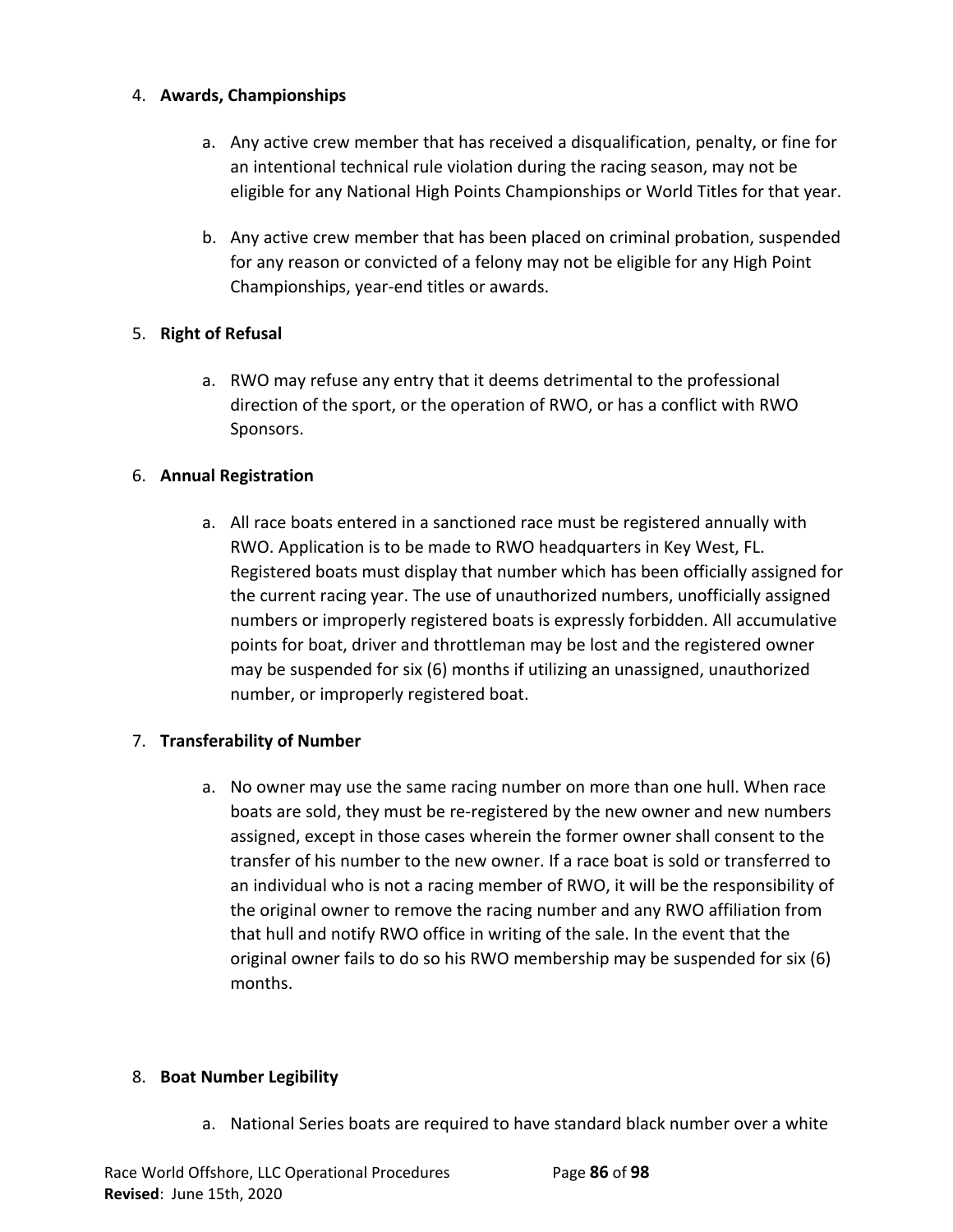## 4. **Awards, Championships**

- a. Any active crew member that has received a disqualification, penalty, or fine for an intentional technical rule violation during the racing season, may not be eligible for any National High Points Championships or World Titles for that year.
- b. Any active crew member that has been placed on criminal probation, suspended for any reason or convicted of a felony may not be eligible for any High Point Championships, year-end titles or awards.

# 5. **Right of Refusal**

a. RWO may refuse any entry that it deems detrimental to the professional direction of the sport, or the operation of RWO, or has a conflict with RWO Sponsors.

# 6. **Annual Registration**

a. All race boats entered in a sanctioned race must be registered annually with RWO. Application is to be made to RWO headquarters in Key West, FL. Registered boats must display that number which has been officially assigned for the current racing year. The use of unauthorized numbers, unofficially assigned numbers or improperly registered boats is expressly forbidden. All accumulative points for boat, driver and throttleman may be lost and the registered owner may be suspended for six (6) months if utilizing an unassigned, unauthorized number, or improperly registered boat.

## 7. **Transferability of Number**

a. No owner may use the same racing number on more than one hull. When race boats are sold, they must be re-registered by the new owner and new numbers assigned, except in those cases wherein the former owner shall consent to the transfer of his number to the new owner. If a race boat is sold or transferred to an individual who is not a racing member of RWO, it will be the responsibility of the original owner to remove the racing number and any RWO affiliation from that hull and notify RWO office in writing of the sale. In the event that the original owner fails to do so his RWO membership may be suspended for six (6) months.

## 8. **Boat Number Legibility**

a. National Series boats are required to have standard black number over a white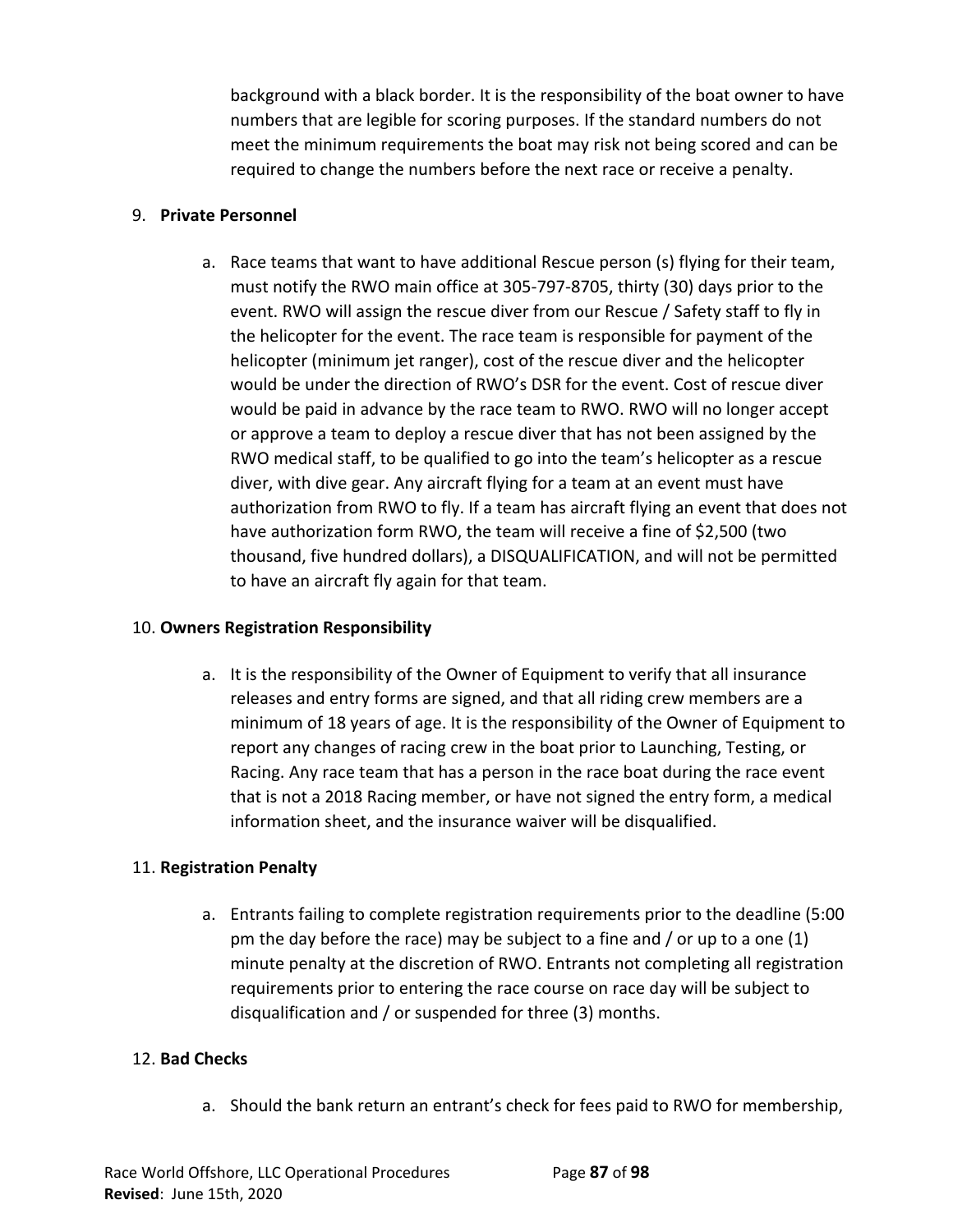background with a black border. It is the responsibility of the boat owner to have numbers that are legible for scoring purposes. If the standard numbers do not meet the minimum requirements the boat may risk not being scored and can be required to change the numbers before the next race or receive a penalty.

#### 9. **Private Personnel**

a. Race teams that want to have additional Rescue person (s) flying for their team, must notify the RWO main office at 305-797-8705, thirty (30) days prior to the event. RWO will assign the rescue diver from our Rescue / Safety staff to fly in the helicopter for the event. The race team is responsible for payment of the helicopter (minimum jet ranger), cost of the rescue diver and the helicopter would be under the direction of RWO's DSR for the event. Cost of rescue diver would be paid in advance by the race team to RWO. RWO will no longer accept or approve a team to deploy a rescue diver that has not been assigned by the RWO medical staff, to be qualified to go into the team's helicopter as a rescue diver, with dive gear. Any aircraft flying for a team at an event must have authorization from RWO to fly. If a team has aircraft flying an event that does not have authorization form RWO, the team will receive a fine of \$2,500 (two thousand, five hundred dollars), a DISQUALIFICATION, and will not be permitted to have an aircraft fly again for that team.

## 10. **Owners Registration Responsibility**

a. It is the responsibility of the Owner of Equipment to verify that all insurance releases and entry forms are signed, and that all riding crew members are a minimum of 18 years of age. It is the responsibility of the Owner of Equipment to report any changes of racing crew in the boat prior to Launching, Testing, or Racing. Any race team that has a person in the race boat during the race event that is not a 2018 Racing member, or have not signed the entry form, a medical information sheet, and the insurance waiver will be disqualified.

## 11. **Registration Penalty**

a. Entrants failing to complete registration requirements prior to the deadline (5:00 pm the day before the race) may be subject to a fine and / or up to a one (1) minute penalty at the discretion of RWO. Entrants not completing all registration requirements prior to entering the race course on race day will be subject to disqualification and / or suspended for three (3) months.

## 12. **Bad Checks**

a. Should the bank return an entrant's check for fees paid to RWO for membership,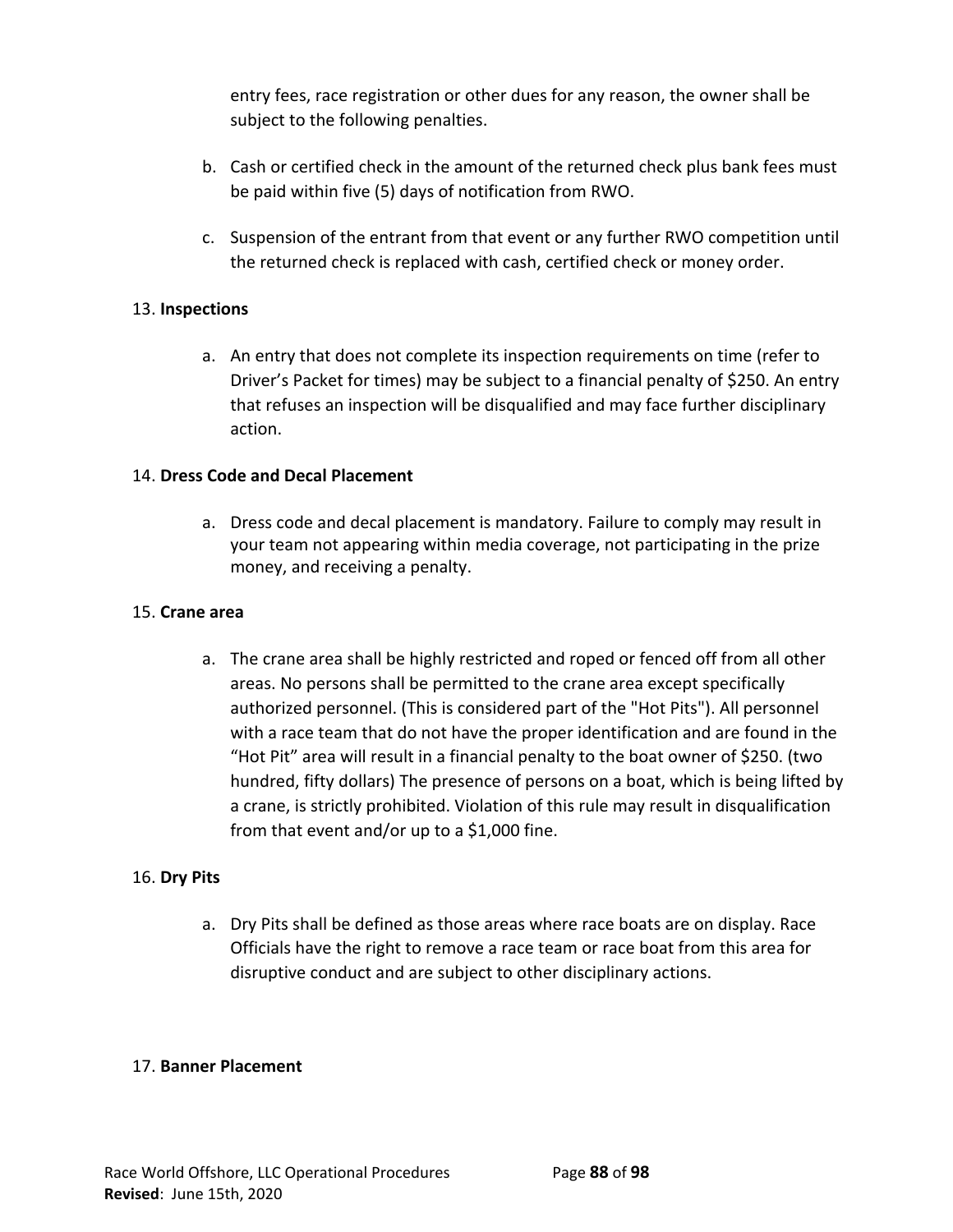entry fees, race registration or other dues for any reason, the owner shall be subject to the following penalties.

- b. Cash or certified check in the amount of the returned check plus bank fees must be paid within five (5) days of notification from RWO.
- c. Suspension of the entrant from that event or any further RWO competition until the returned check is replaced with cash, certified check or money order.

### 13. **Inspections**

a. An entry that does not complete its inspection requirements on time (refer to Driver's Packet for times) may be subject to a financial penalty of \$250. An entry that refuses an inspection will be disqualified and may face further disciplinary action.

### 14. **Dress Code and Decal Placement**

a. Dress code and decal placement is mandatory. Failure to comply may result in your team not appearing within media coverage, not participating in the prize money, and receiving a penalty.

#### 15. **Crane area**

a. The crane area shall be highly restricted and roped or fenced off from all other areas. No persons shall be permitted to the crane area except specifically authorized personnel. (This is considered part of the "Hot Pits"). All personnel with a race team that do not have the proper identification and are found in the "Hot Pit" area will result in a financial penalty to the boat owner of \$250. (two hundred, fifty dollars) The presence of persons on a boat, which is being lifted by a crane, is strictly prohibited. Violation of this rule may result in disqualification from that event and/or up to a \$1,000 fine.

## 16. **Dry Pits**

a. Dry Pits shall be defined as those areas where race boats are on display. Race Officials have the right to remove a race team or race boat from this area for disruptive conduct and are subject to other disciplinary actions.

#### 17. **Banner Placement**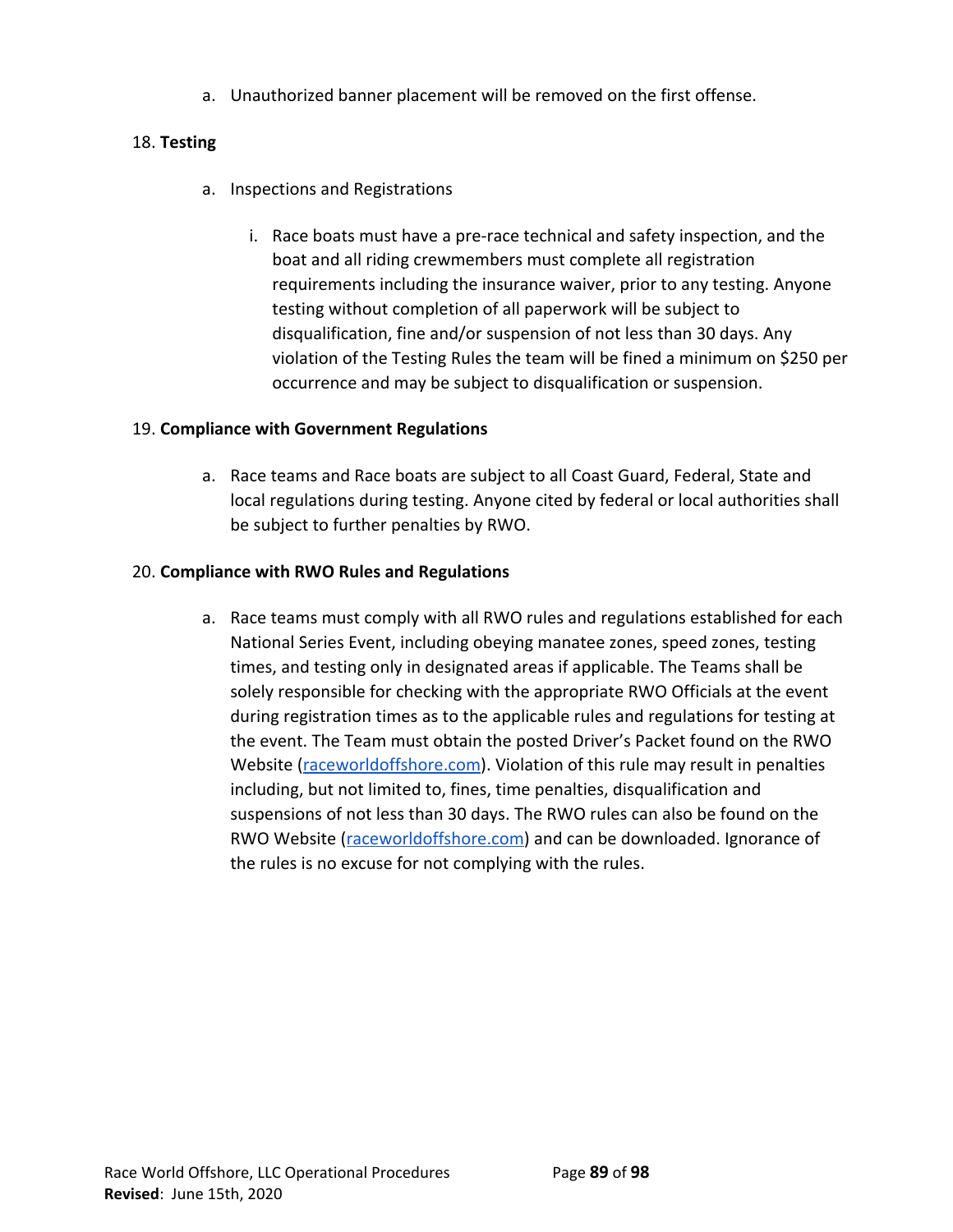a. Unauthorized banner placement will be removed on the first offense.

## 18. **Testing**

- a. Inspections and Registrations
	- i. Race boats must have a pre-race technical and safety inspection, and the boat and all riding crewmembers must complete all registration requirements including the insurance waiver, prior to any testing. Anyone testing without completion of all paperwork will be subject to disqualification, fine and/or suspension of not less than 30 days. Any violation of the Testing Rules the team will be fined a minimum on \$250 per occurrence and may be subject to disqualification or suspension.

## 19. **Compliance with Government Regulations**

a. Race teams and Race boats are subject to all Coast Guard, Federal, State and local regulations during testing. Anyone cited by federal or local authorities shall be subject to further penalties by RWO.

## 20. **Compliance with RWO Rules and Regulations**

a. Race teams must comply with all RWO rules and regulations established for each National Series Event, including obeying manatee zones, speed zones, testing times, and testing only in designated areas if applicable. The Teams shall be solely responsible for checking with the appropriate RWO Officials at the event during registration times as to the applicable rules and regulations for testing at the event. The Team must obtain the posted Driver's Packet found on the RWO Website ([raceworldoffshore.com](http://www.raceworldoffshore.com/)). Violation of this rule may result in penalties including, but not limited to, fines, time penalties, disqualification and suspensions of not less than 30 days. The RWO rules can also be found on the RWO Website ([raceworldoffshore.com\)](http://www.raceworldoffshore.com/) and can be downloaded. Ignorance of the rules is no excuse for not complying with the rules.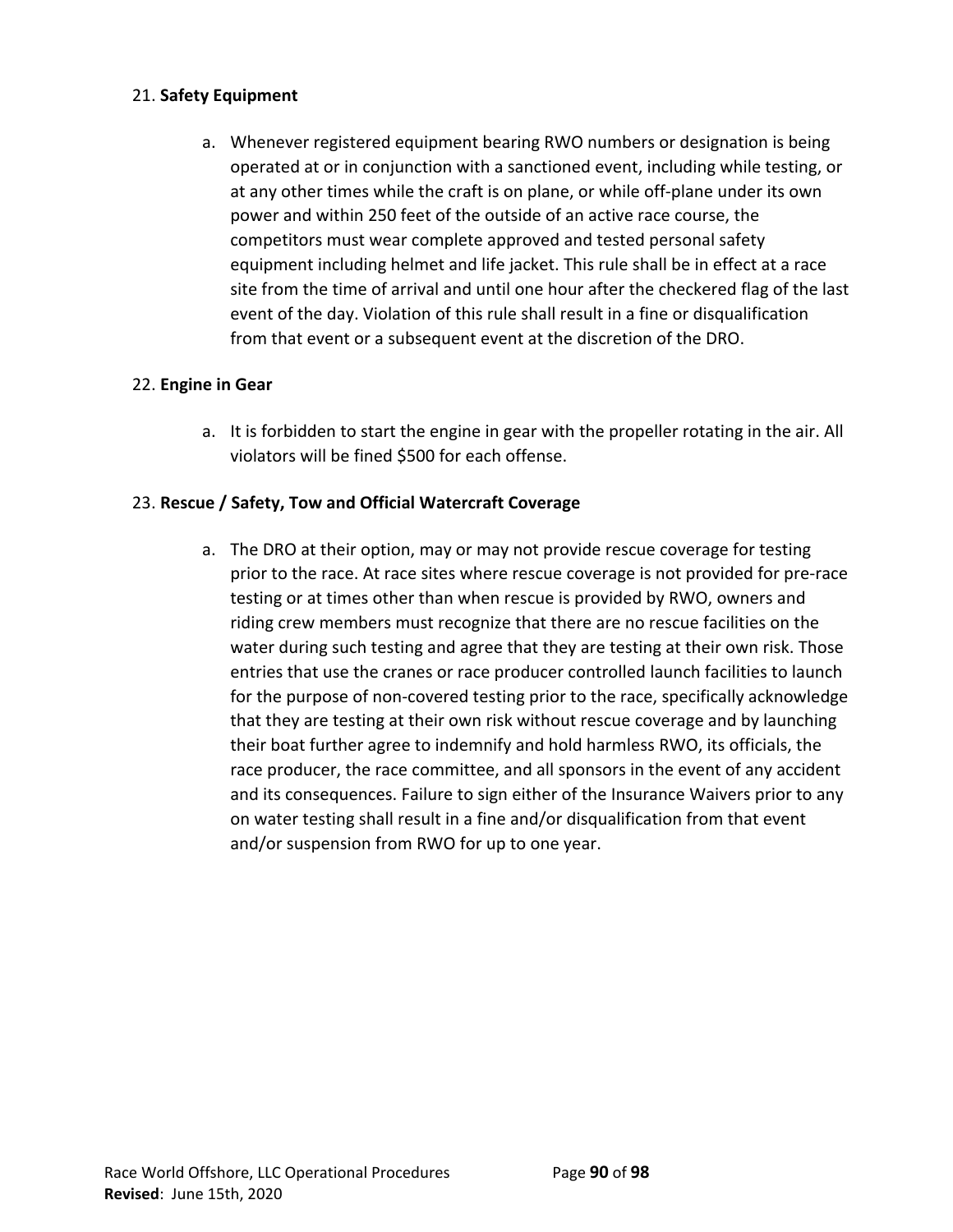## 21. **Safety Equipment**

a. Whenever registered equipment bearing RWO numbers or designation is being operated at or in conjunction with a sanctioned event, including while testing, or at any other times while the craft is on plane, or while off-plane under its own power and within 250 feet of the outside of an active race course, the competitors must wear complete approved and tested personal safety equipment including helmet and life jacket. This rule shall be in effect at a race site from the time of arrival and until one hour after the checkered flag of the last event of the day. Violation of this rule shall result in a fine or disqualification from that event or a subsequent event at the discretion of the DRO.

## 22. **Engine in Gear**

a. It is forbidden to start the engine in gear with the propeller rotating in the air. All violators will be fined \$500 for each offense.

## 23. **Rescue / Safety, Tow and Official Watercraft Coverage**

a. The DRO at their option, may or may not provide rescue coverage for testing prior to the race. At race sites where rescue coverage is not provided for pre-race testing or at times other than when rescue is provided by RWO, owners and riding crew members must recognize that there are no rescue facilities on the water during such testing and agree that they are testing at their own risk. Those entries that use the cranes or race producer controlled launch facilities to launch for the purpose of non-covered testing prior to the race, specifically acknowledge that they are testing at their own risk without rescue coverage and by launching their boat further agree to indemnify and hold harmless RWO, its officials, the race producer, the race committee, and all sponsors in the event of any accident and its consequences. Failure to sign either of the Insurance Waivers prior to any on water testing shall result in a fine and/or disqualification from that event and/or suspension from RWO for up to one year.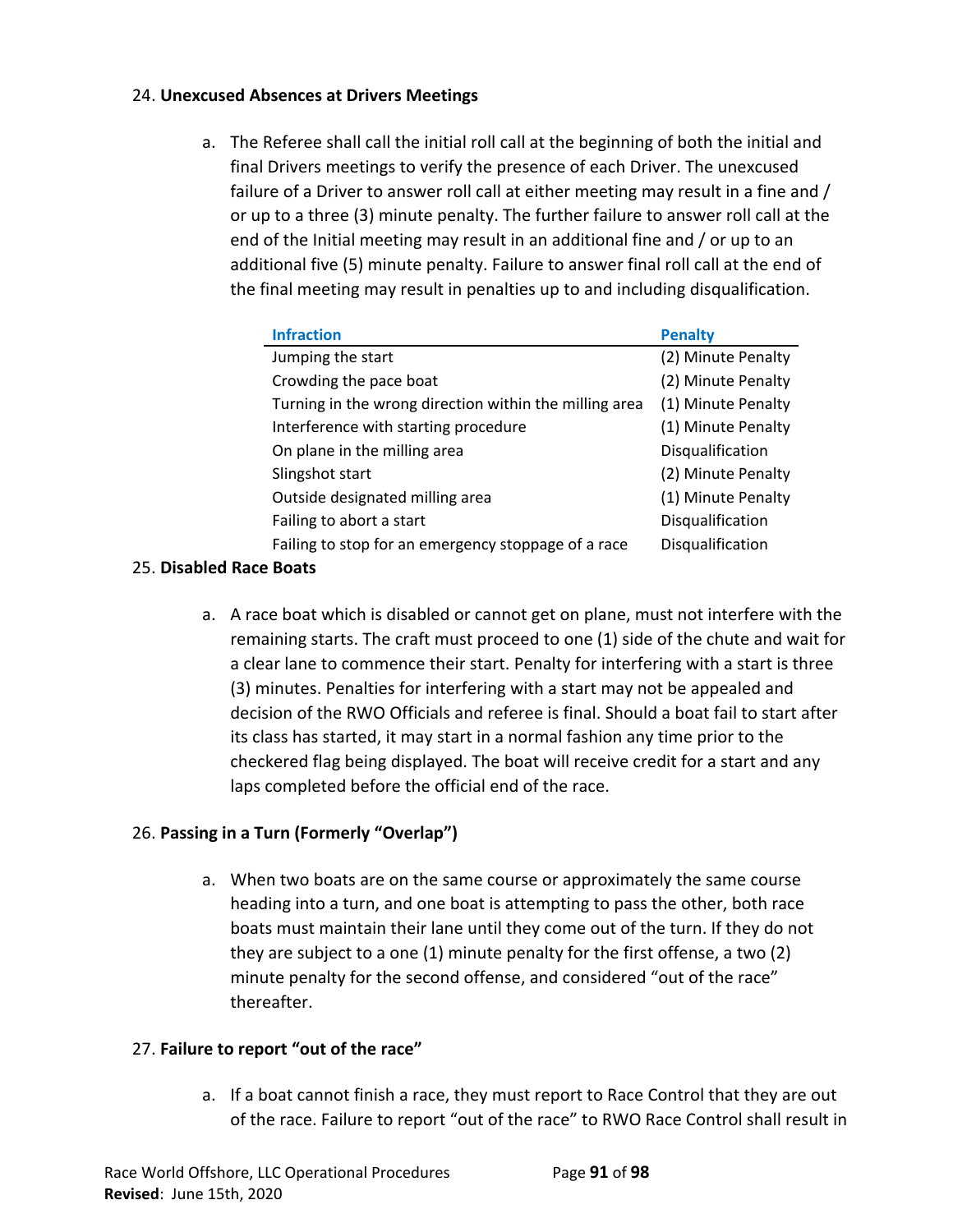## 24. **Unexcused Absences at Drivers Meetings**

a. The Referee shall call the initial roll call at the beginning of both the initial and final Drivers meetings to verify the presence of each Driver. The unexcused failure of a Driver to answer roll call at either meeting may result in a fine and / or up to a three (3) minute penalty. The further failure to answer roll call at the end of the Initial meeting may result in an additional fine and / or up to an additional five (5) minute penalty. Failure to answer final roll call at the end of the final meeting may result in penalties up to and including disqualification.

| <b>Infraction</b>                                      | <b>Penalty</b>     |
|--------------------------------------------------------|--------------------|
| Jumping the start                                      | (2) Minute Penalty |
| Crowding the pace boat                                 | (2) Minute Penalty |
| Turning in the wrong direction within the milling area | (1) Minute Penalty |
| Interference with starting procedure                   | (1) Minute Penalty |
| On plane in the milling area                           | Disqualification   |
| Slingshot start                                        | (2) Minute Penalty |
| Outside designated milling area                        | (1) Minute Penalty |
| Failing to abort a start                               | Disqualification   |
| Failing to stop for an emergency stoppage of a race    | Disqualification   |

## 25. **Disabled Race Boats**

a. A race boat which is disabled or cannot get on plane, must not interfere with the remaining starts. The craft must proceed to one (1) side of the chute and wait for a clear lane to commence their start. Penalty for interfering with a start is three (3) minutes. Penalties for interfering with a start may not be appealed and decision of the RWO Officials and referee is final. Should a boat fail to start after its class has started, it may start in a normal fashion any time prior to the checkered flag being displayed. The boat will receive credit for a start and any laps completed before the official end of the race.

## 26. **Passing in a Turn (Formerly "Overlap")**

a. When two boats are on the same course or approximately the same course heading into a turn, and one boat is attempting to pass the other, both race boats must maintain their lane until they come out of the turn. If they do not they are subject to a one (1) minute penalty for the first offense, a two (2) minute penalty for the second offense, and considered "out of the race" thereafter.

## 27. **Failure to report "out of the race"**

a. If a boat cannot finish a race, they must report to Race Control that they are out of the race. Failure to report "out of the race" to RWO Race Control shall result in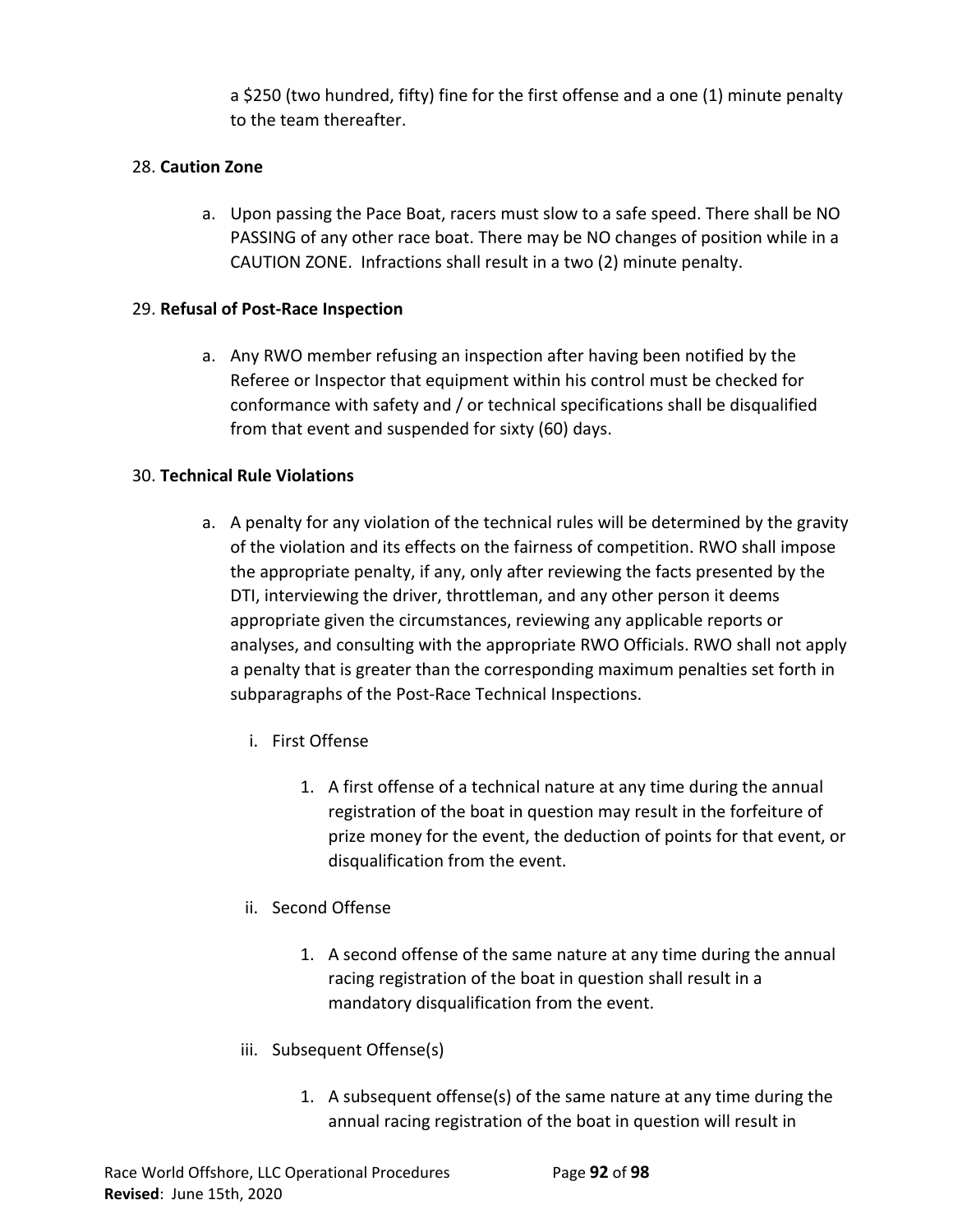a \$250 (two hundred, fifty) fine for the first offense and a one (1) minute penalty to the team thereafter.

## 28. **Caution Zone**

a. Upon passing the Pace Boat, racers must slow to a safe speed. There shall be NO PASSING of any other race boat. There may be NO changes of position while in a CAUTION ZONE. Infractions shall result in a two (2) minute penalty.

## 29. **Refusal of Post-Race Inspection**

a. Any RWO member refusing an inspection after having been notified by the Referee or Inspector that equipment within his control must be checked for conformance with safety and / or technical specifications shall be disqualified from that event and suspended for sixty (60) days.

## 30. **Technical Rule Violations**

- a. A penalty for any violation of the technical rules will be determined by the gravity of the violation and its effects on the fairness of competition. RWO shall impose the appropriate penalty, if any, only after reviewing the facts presented by the DTI, interviewing the driver, throttleman, and any other person it deems appropriate given the circumstances, reviewing any applicable reports or analyses, and consulting with the appropriate RWO Officials. RWO shall not apply a penalty that is greater than the corresponding maximum penalties set forth in subparagraphs of the Post-Race Technical Inspections.
	- i. First Offense
		- 1. A first offense of a technical nature at any time during the annual registration of the boat in question may result in the forfeiture of prize money for the event, the deduction of points for that event, or disqualification from the event.
	- ii. Second Offense
		- 1. A second offense of the same nature at any time during the annual racing registration of the boat in question shall result in a mandatory disqualification from the event.
	- iii. Subsequent Offense(s)
		- 1. A subsequent offense(s) of the same nature at any time during the annual racing registration of the boat in question will result in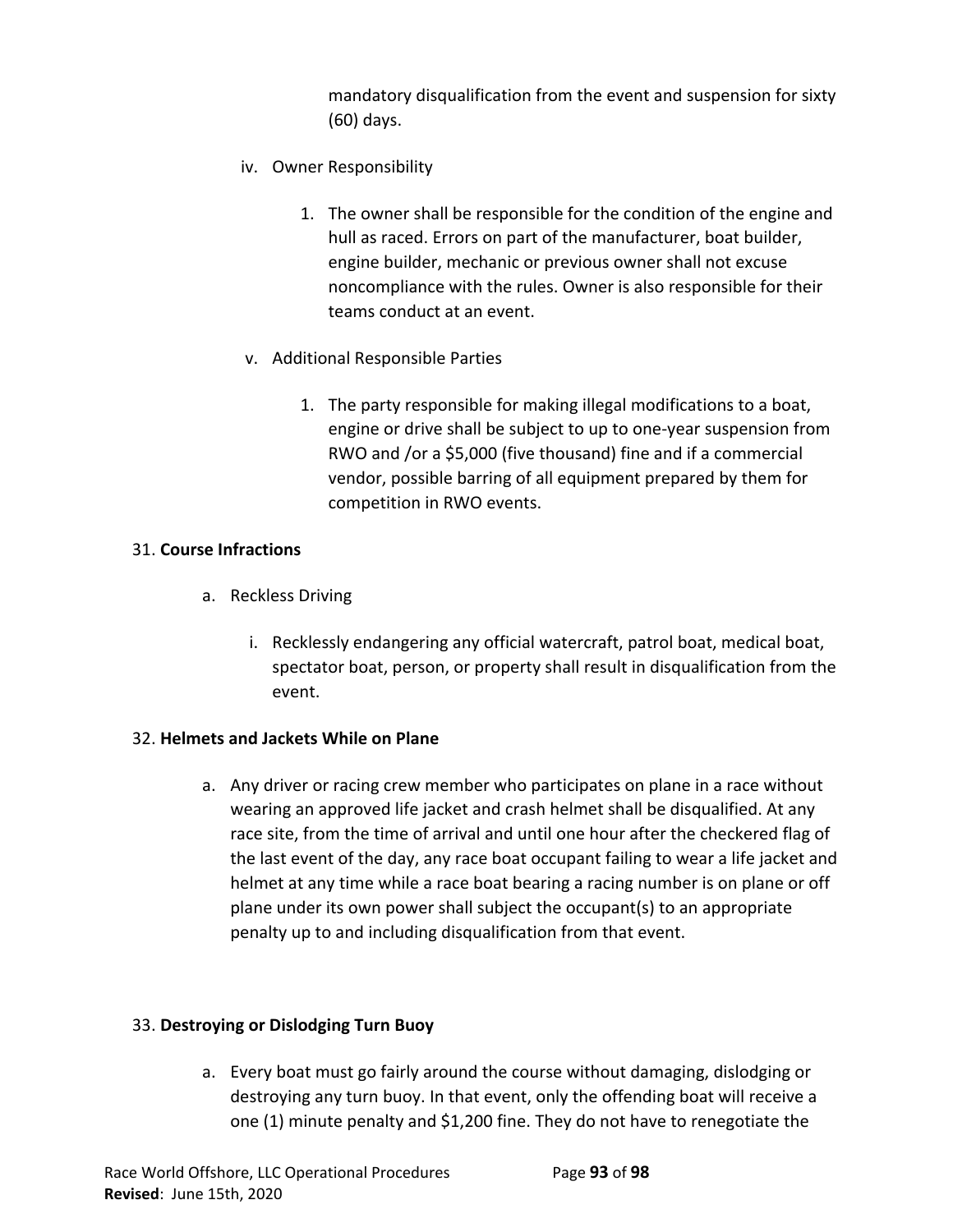mandatory disqualification from the event and suspension for sixty (60) days.

- iv. Owner Responsibility
	- 1. The owner shall be responsible for the condition of the engine and hull as raced. Errors on part of the manufacturer, boat builder, engine builder, mechanic or previous owner shall not excuse noncompliance with the rules. Owner is also responsible for their teams conduct at an event.
- v. Additional Responsible Parties
	- 1. The party responsible for making illegal modifications to a boat, engine or drive shall be subject to up to one-year suspension from RWO and /or a \$5,000 (five thousand) fine and if a commercial vendor, possible barring of all equipment prepared by them for competition in RWO events.

### 31. **Course Infractions**

- a. Reckless Driving
	- i. Recklessly endangering any official watercraft, patrol boat, medical boat, spectator boat, person, or property shall result in disqualification from the event.

## 32. **Helmets and Jackets While on Plane**

a. Any driver or racing crew member who participates on plane in a race without wearing an approved life jacket and crash helmet shall be disqualified. At any race site, from the time of arrival and until one hour after the checkered flag of the last event of the day, any race boat occupant failing to wear a life jacket and helmet at any time while a race boat bearing a racing number is on plane or off plane under its own power shall subject the occupant(s) to an appropriate penalty up to and including disqualification from that event.

## 33. **Destroying or Dislodging Turn Buoy**

a. Every boat must go fairly around the course without damaging, dislodging or destroying any turn buoy. In that event, only the offending boat will receive a one (1) minute penalty and \$1,200 fine. They do not have to renegotiate the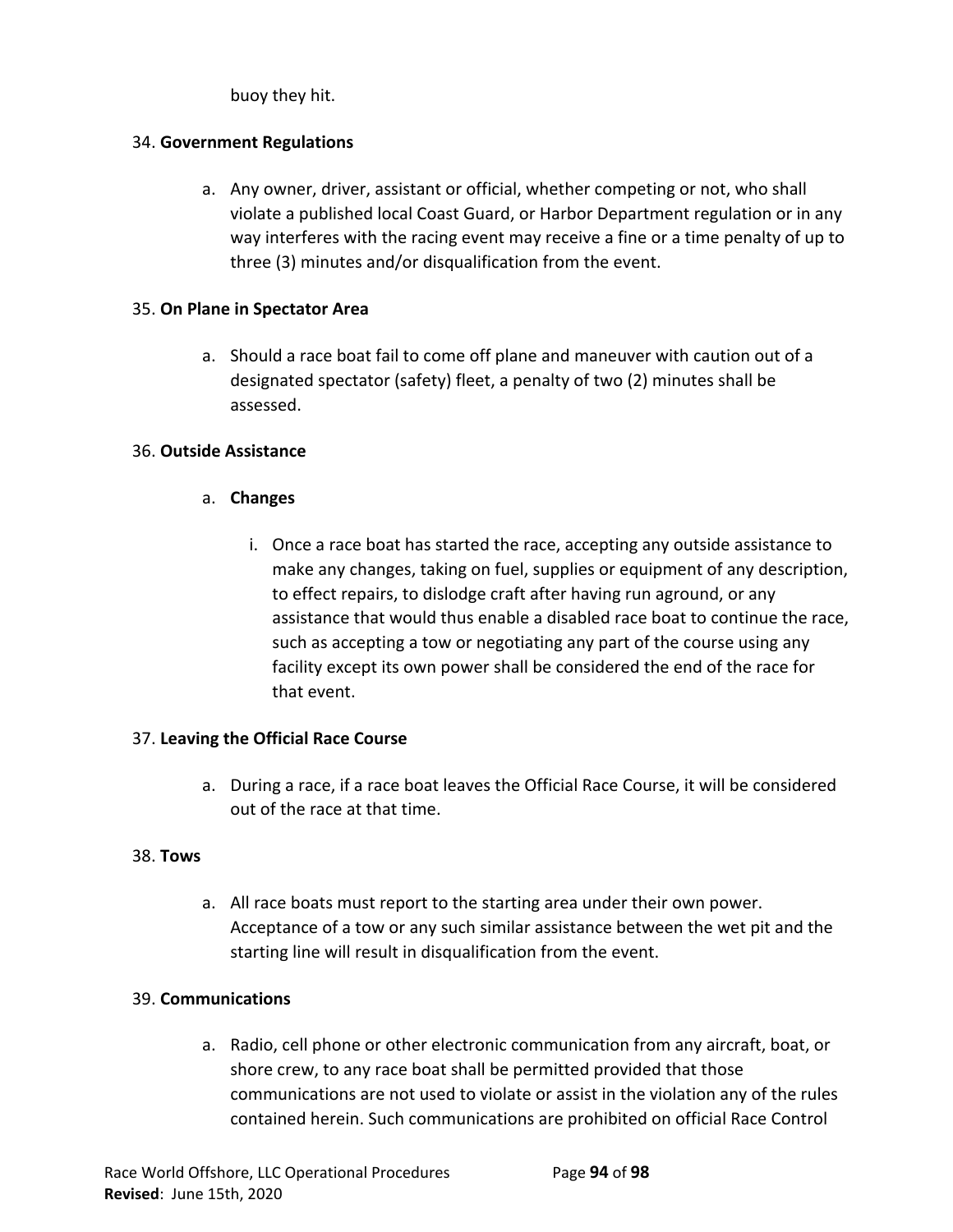buoy they hit.

## 34. **Government Regulations**

a. Any owner, driver, assistant or official, whether competing or not, who shall violate a published local Coast Guard, or Harbor Department regulation or in any way interferes with the racing event may receive a fine or a time penalty of up to three (3) minutes and/or disqualification from the event.

## 35. **On Plane in Spectator Area**

a. Should a race boat fail to come off plane and maneuver with caution out of a designated spectator (safety) fleet, a penalty of two (2) minutes shall be assessed.

### 36. **Outside Assistance**

- a. **Changes**
	- i. Once a race boat has started the race, accepting any outside assistance to make any changes, taking on fuel, supplies or equipment of any description, to effect repairs, to dislodge craft after having run aground, or any assistance that would thus enable a disabled race boat to continue the race, such as accepting a tow or negotiating any part of the course using any facility except its own power shall be considered the end of the race for that event.

## 37. **Leaving the Official Race Course**

a. During a race, if a race boat leaves the Official Race Course, it will be considered out of the race at that time.

#### 38. **Tows**

a. All race boats must report to the starting area under their own power. Acceptance of a tow or any such similar assistance between the wet pit and the starting line will result in disqualification from the event.

## 39. **Communications**

a. Radio, cell phone or other electronic communication from any aircraft, boat, or shore crew, to any race boat shall be permitted provided that those communications are not used to violate or assist in the violation any of the rules contained herein. Such communications are prohibited on official Race Control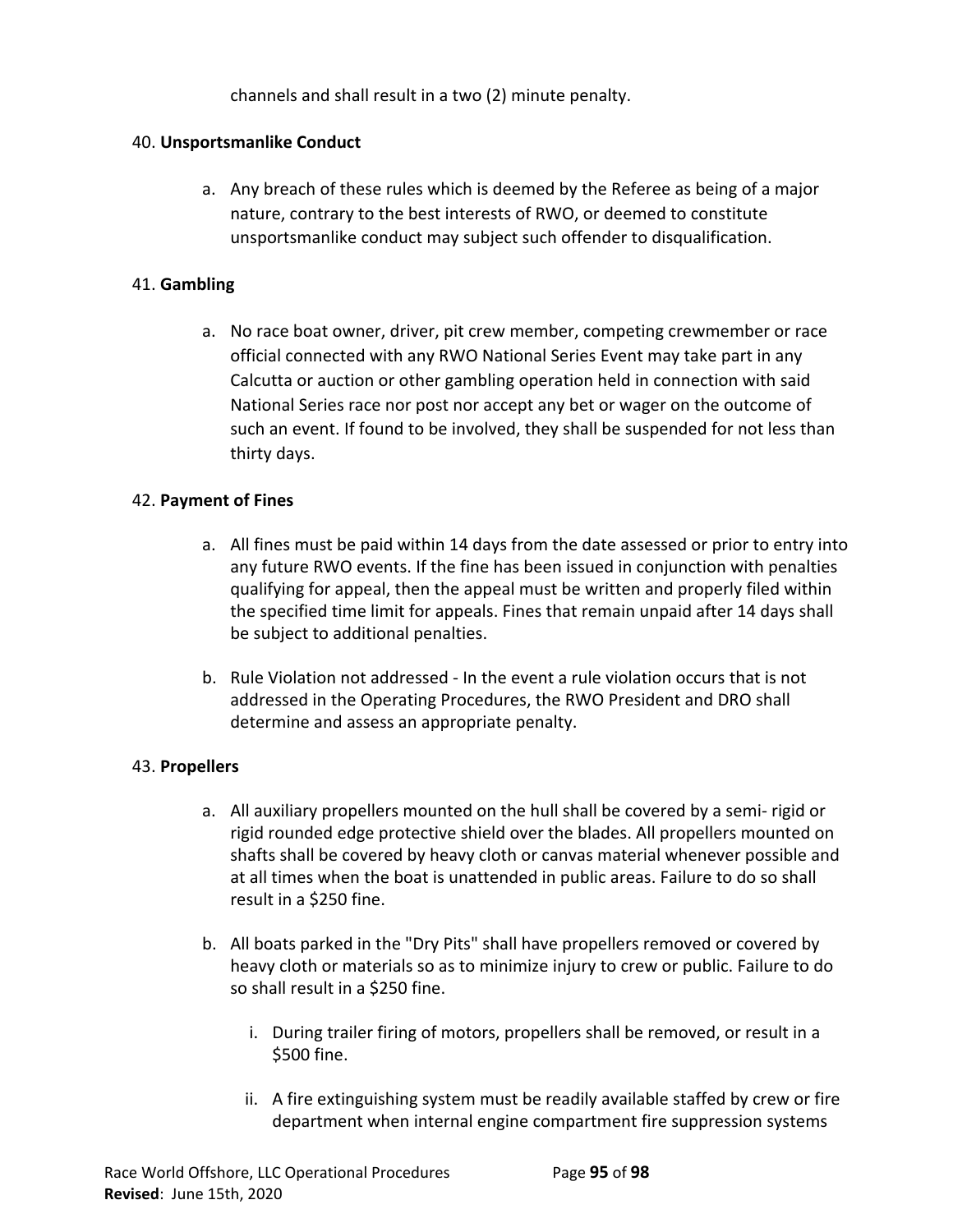channels and shall result in a two (2) minute penalty.

### 40. **Unsportsmanlike Conduct**

a. Any breach of these rules which is deemed by the Referee as being of a major nature, contrary to the best interests of RWO, or deemed to constitute unsportsmanlike conduct may subject such offender to disqualification.

### 41. **Gambling**

a. No race boat owner, driver, pit crew member, competing crewmember or race official connected with any RWO National Series Event may take part in any Calcutta or auction or other gambling operation held in connection with said National Series race nor post nor accept any bet or wager on the outcome of such an event. If found to be involved, they shall be suspended for not less than thirty days.

### 42. **Payment of Fines**

- a. All fines must be paid within 14 days from the date assessed or prior to entry into any future RWO events. If the fine has been issued in conjunction with penalties qualifying for appeal, then the appeal must be written and properly filed within the specified time limit for appeals. Fines that remain unpaid after 14 days shall be subject to additional penalties.
- b. Rule Violation not addressed In the event a rule violation occurs that is not addressed in the Operating Procedures, the RWO President and DRO shall determine and assess an appropriate penalty.

## 43. **Propellers**

- a. All auxiliary propellers mounted on the hull shall be covered by a semi- rigid or rigid rounded edge protective shield over the blades. All propellers mounted on shafts shall be covered by heavy cloth or canvas material whenever possible and at all times when the boat is unattended in public areas. Failure to do so shall result in a \$250 fine.
- b. All boats parked in the "Dry Pits" shall have propellers removed or covered by heavy cloth or materials so as to minimize injury to crew or public. Failure to do so shall result in a \$250 fine.
	- i. During trailer firing of motors, propellers shall be removed, or result in a \$500 fine.
	- ii. A fire extinguishing system must be readily available staffed by crew or fire department when internal engine compartment fire suppression systems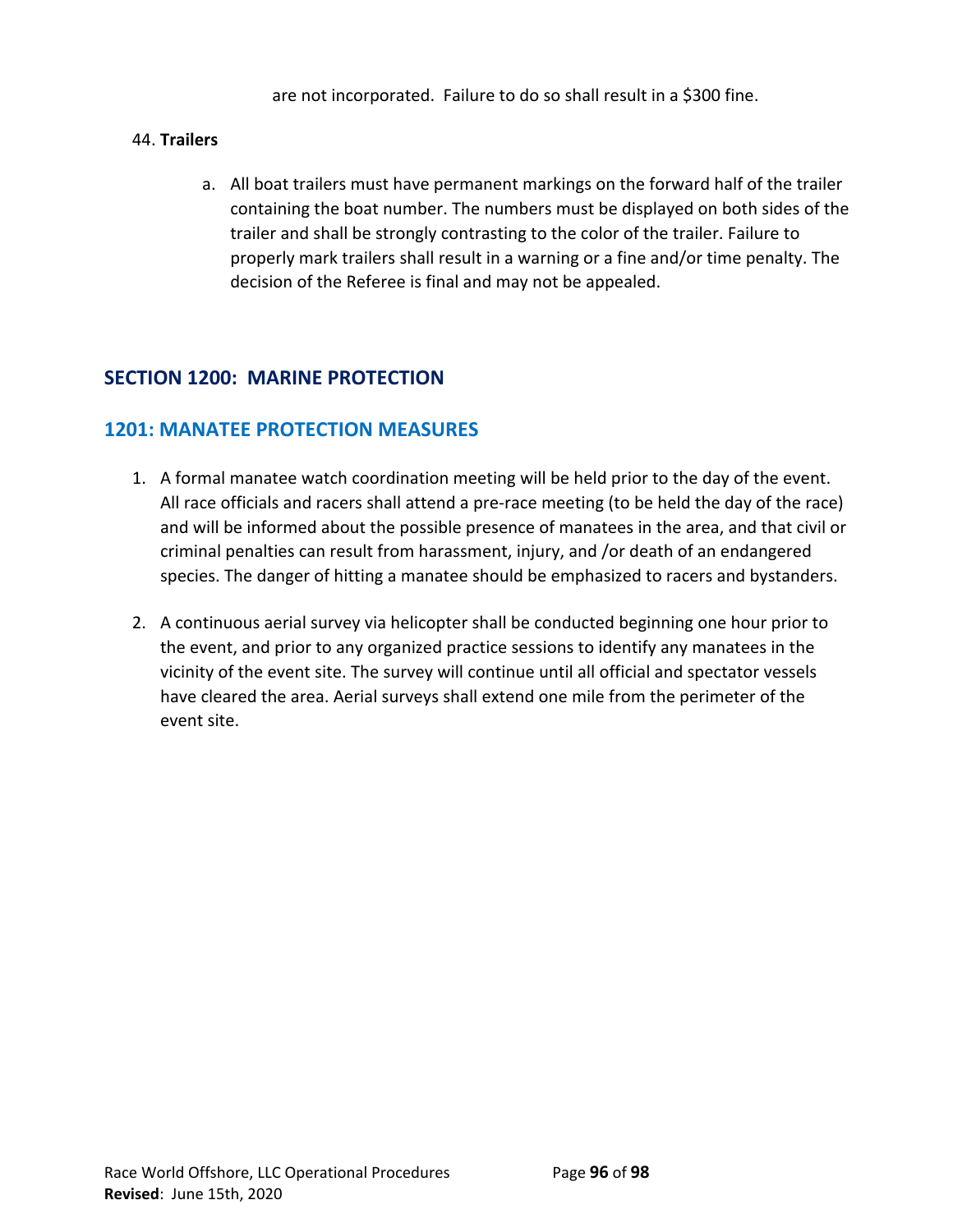are not incorporated. Failure to do so shall result in a \$300 fine.

## 44. **Trailers**

a. All boat trailers must have permanent markings on the forward half of the trailer containing the boat number. The numbers must be displayed on both sides of the trailer and shall be strongly contrasting to the color of the trailer. Failure to properly mark trailers shall result in a warning or a fine and/or time penalty. The decision of the Referee is final and may not be appealed.

# **SECTION 1200: MARINE PROTECTION**

## **1201: MANATEE PROTECTION MEASURES**

- 1. A formal manatee watch coordination meeting will be held prior to the day of the event. All race officials and racers shall attend a pre-race meeting (to be held the day of the race) and will be informed about the possible presence of manatees in the area, and that civil or criminal penalties can result from harassment, injury, and /or death of an endangered species. The danger of hitting a manatee should be emphasized to racers and bystanders.
- 2. A continuous aerial survey via helicopter shall be conducted beginning one hour prior to the event, and prior to any organized practice sessions to identify any manatees in the vicinity of the event site. The survey will continue until all official and spectator vessels have cleared the area. Aerial surveys shall extend one mile from the perimeter of the event site.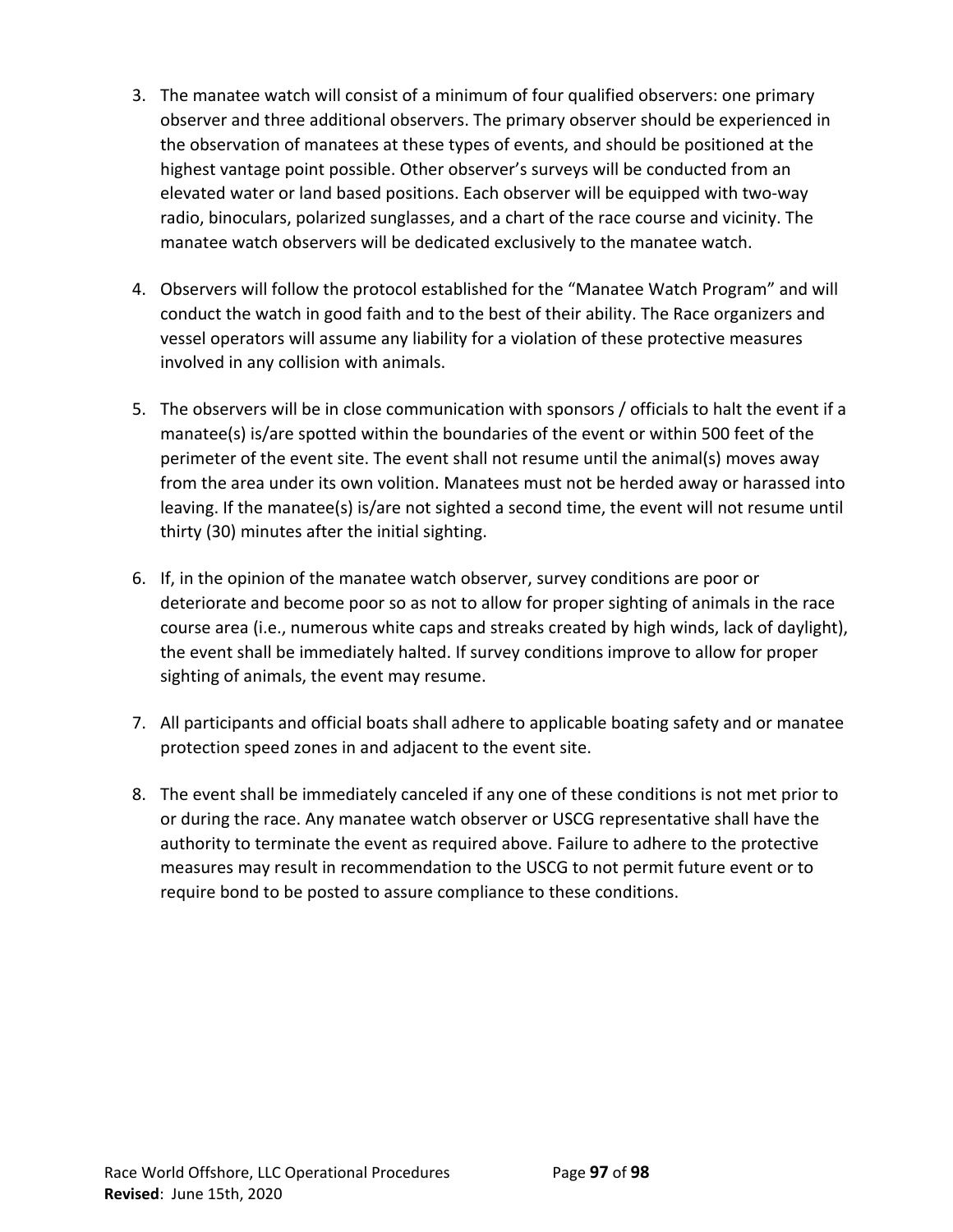- 3. The manatee watch will consist of a minimum of four qualified observers: one primary observer and three additional observers. The primary observer should be experienced in the observation of manatees at these types of events, and should be positioned at the highest vantage point possible. Other observer's surveys will be conducted from an elevated water or land based positions. Each observer will be equipped with two-way radio, binoculars, polarized sunglasses, and a chart of the race course and vicinity. The manatee watch observers will be dedicated exclusively to the manatee watch.
- 4. Observers will follow the protocol established for the "Manatee Watch Program" and will conduct the watch in good faith and to the best of their ability. The Race organizers and vessel operators will assume any liability for a violation of these protective measures involved in any collision with animals.
- 5. The observers will be in close communication with sponsors / officials to halt the event if a manatee(s) is/are spotted within the boundaries of the event or within 500 feet of the perimeter of the event site. The event shall not resume until the animal(s) moves away from the area under its own volition. Manatees must not be herded away or harassed into leaving. If the manatee(s) is/are not sighted a second time, the event will not resume until thirty (30) minutes after the initial sighting.
- 6. If, in the opinion of the manatee watch observer, survey conditions are poor or deteriorate and become poor so as not to allow for proper sighting of animals in the race course area (i.e., numerous white caps and streaks created by high winds, lack of daylight), the event shall be immediately halted. If survey conditions improve to allow for proper sighting of animals, the event may resume.
- 7. All participants and official boats shall adhere to applicable boating safety and or manatee protection speed zones in and adjacent to the event site.
- 8. The event shall be immediately canceled if any one of these conditions is not met prior to or during the race. Any manatee watch observer or USCG representative shall have the authority to terminate the event as required above. Failure to adhere to the protective measures may result in recommendation to the USCG to not permit future event or to require bond to be posted to assure compliance to these conditions.